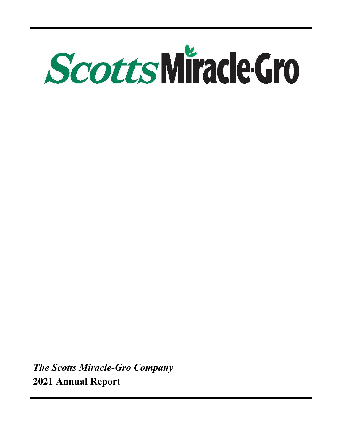

*The Scotts Miracle-Gro Company*  **2021 Annual Report**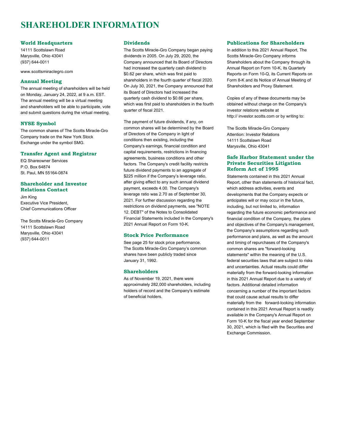## **SHAREHOLDER INFORMATION**

#### **World Headquarters**

14111 Scottslawn Road Marysville, Ohio 43041 (937) 644-0011

www.scottsmiraclegro.com

#### **Annual Meeting**

The annual meeting of shareholders will be held on Monday, January 24, 2022, at 9 a.m. EST. The annual meeting will be a virtual meeting and shareholders will be able to participate, vote and submit questions during the virtual meeting.

#### **NYSE Symbol**

The common shares of The Scotts Miracle-Gro Company trade on the New York Stock Exchange under the symbol SMG.

#### **Transfer Agent and Registrar**

EQ Shareowner Services P.O. Box 64874 St. Paul, MN 55164-0874

#### **Shareholder and Investor Relations Contact**

Jim King Executive Vice President, Chief Communications Officer

The Scotts Miracle-Gro Company 14111 Scottslawn Road Marysville, Ohio 43041 (937) 644-0011

### **Dividends**

The Scotts Miracle-Gro Company began paying dividends in 2005. On July 29, 2020, the Company announced that its Board of Directors had increased the quarterly cash dividend to \$0.62 per share, which was first paid to shareholders in the fourth quarter of fiscal 2020. On July 30, 2021, the Company announced that its Board of Directors had increased the quarterly cash dividend to \$0.66 per share, which was first paid to shareholders in the fourth quarter of fiscal 2021.

The payment of future dividends, if any, on common shares will be determined by the Board of Directors of the Company in light of conditions then existing, including the Company's earnings, financial condition and capital requirements, restrictions in financing agreements, business conditions and other factors. The Company's credit facility restricts future dividend payments to an aggregate of \$225 million if the Company's leverage ratio, after giving effect to any such annual dividend payment, exceeds 4.00. The Company's leverage ratio was 2.70 as of September 30, 2021. For further discussion regarding the restrictions on dividend payments, see "NOTE 12. DEBT" of the Notes to Consolidated Financial Statements included in the Company's 2021 Annual Report on Form 10-K.

#### **Stock Price Performance**

See page 25 for stock price performance. The Scotts Miracle-Gro Company's common shares have been publicly traded since January 31, 1992.

#### **Shareholders**

As of November 19, 2021, there were approximately 282,000 shareholders, including holders of record and the Company's estimate of beneficial holders.

#### **Publications for Shareholders**

In addition to this 2021 Annual Report, The Scotts Miracle-Gro Company informs Shareholders about the Company through its Annual Report on Form 10-K, its Quarterly Reports on Form 10-Q, its Current Reports on Form 8-K and its Notice of Annual Meeting of Shareholders and Proxy Statement.

Copies of any of these documents may be obtained without charge on the Company's investor relations website at http:// investor.scotts.com or by writing to:

The Scotts Miracle-Gro Company Attention: Investor Relations 14111 Scottslawn Road Marysville, Ohio 43041

## **Safe Harbor Statement under the Private Securities Litigation Reform Act of 1995**

Statements contained in this 2021 Annual Report, other than statements of historical fact, which address activities, events and developments that the Company expects or anticipates will or may occur in the future, including, but not limited to, information regarding the future economic performance and financial condition of the Company, the plans and objectives of the Company's management, the Company's assumptions regarding such performance and plans, as well as the amount and timing of repurchases of the Company's common shares are "forward-looking statements" within the meaning of the U.S. federal securities laws that are subject to risks and uncertainties. Actual results could differ materially from the forward-looking information in this 2021 Annual Report due to a variety of factors. Additional detailed information concerning a number of the important factors that could cause actual results to differ materially from the forward-looking information contained in this 2021 Annual Report is readily available in the Company's Annual Report on Form 10-K for the fiscal year ended September 30, 2021, which is filed with the Securities and Exchange Commission.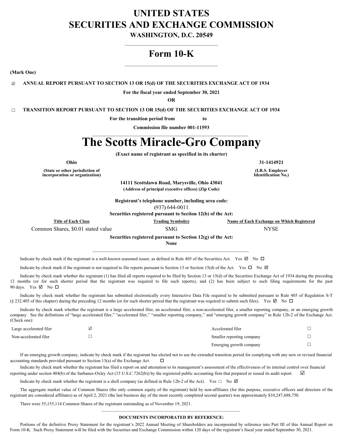# **UNITED STATES SECURITIES AND EXCHANGE COMMISSION**

**WASHINGTON, D.C. 20549**

## **Form 10-K**

**(Mark One)**

☑ **ANNUAL REPORT PURSUANT TO SECTION 13 OR 15(d) OF THE SECURITIES EXCHANGE ACT OF 1934**

**For the fiscal year ended September 30, 2021** 

**OR**

☐ **TRANSITION REPORT PURSUANT TO SECTION 13 OR 15(d) OF THE SECURITIES EXCHANGE ACT OF 1934**

**For the transition period from to** 

**Commission file number 001-11593**   $\mathcal{L}_\text{max}$  and the contract of the contract of the contract of the contract of the contract of the contract of

# **The Scotts Miracle-Gro Company**

**(Exact name of registrant as specified in its charter)**

**(State or other jurisdiction of incorporation or organization)**

**Ohio 31-1414921**

**(I.R.S. Employer Identification No.)**

**14111 Scottslawn Road, Marysville, Ohio 43041 (Address of principal executive offices) (Zip Code)**

**Registrant's telephone number, including area code:**

**(**937**)** 644-0011

**Securities registered pursuant to Section 12(b) of the Act:**

**Title of Each Class Trading Symbol(s) Name of Each Exchange on Which Registered** Common Shares, \$0.01 stated value SMG NYSE

**Securities registered pursuant to Section 12(g) of the Act:**

**None**  $\mathcal{L}_\text{max}$  and the contract of the contract of the contract of the contract of the contract of the contract of

Indicate by check mark if the registrant is a well-known seasoned issuer, as defined in Rule 405 of the Securities Act. Yes  $\boxtimes$  No  $\Box$ 

Indicate by check mark if the registrant is not required to file reports pursuant to Section 13 or Section 15(d) of the Act. Yes  $\Box$  No  $\Box$ 

Indicate by check mark whether the registrant (1) has filed all reports required to be filed by Section 13 or 15(d) of the Securities Exchange Act of 1934 during the preceding 12 months (or for such shorter period that the registrant was required to file such reports), and (2) has been subject to such filing requirements for the past 90 days. Yes  $\boxtimes$  No  $\square$ 

Indicate by check mark whether the registrant has submitted electronically every Interactive Data File required to be submitted pursuant to Rule 405 of Regulation S-T (§ 232.405 of this chapter) during the preceding 12 months (or for such shorter period that the registrant was required to submit such files). Yes  $\boxtimes$  No  $\Box$ 

Indicate by check mark whether the registrant is a large accelerated filer, an accelerated filer, a non-accelerated filer, a smaller reporting company, or an emerging growth company. See the definitions of "large accelerated filer," "accelerated filer," "smaller reporting company," and "emerging growth company" in Rule 12b-2 of the Exchange Act. (Check one):

| Large accelerated filer | Accelerated filer         |  |
|-------------------------|---------------------------|--|
| Non-accelerated filer   | Smaller reporting company |  |
|                         | Emerging growth company   |  |

If an emerging growth company, indicate by check mark if the registrant has elected not to use the extended transition period for complying with any new or revised financial accounting standards provided pursuant to Section 13(a) of the Exchange Act.  $\square$ 

Indicate by check mark whether the registrant has filed a report on and attestation to its management's assessment of the effectiveness of its internal control over financial reporting under section 404(b) of the Sarbanes-Oxley Act (15 U.S.C.7262(b)) by the registered public accounting firm that prepared or issued its audit report.  $\Box$ 

Indicate by check mark whether the registrant is a shell company (as defined in Rule 12b-2 of the Act). Yes  $\Box$  No  $\Box$ 

The aggregate market value of Common Shares (the only common equity of the registrant) held by non-affiliates (for this purpose, executive officers and directors of the registrant are considered affiliates) as of April 2, 2021 (the last business day of the most recently completed second quarter) was approximately \$10,247,688,750.

There were 55,155,114 Common Shares of the registrant outstanding as of November 19, 2021.

## $\_$  , and the set of the set of the set of the set of the set of the set of the set of the set of the set of the set of the set of the set of the set of the set of the set of the set of the set of the set of the set of th **DOCUMENTS INCORPORATED BY REFERENCE:**

Portions of the definitive Proxy Statement for the registrant's 2022 Annual Meeting of Shareholders are incorporated by reference into Part III of this Annual Report on Form 10-K. Such Proxy Statement will be filed with the Securities and Exchange Commission within 120 days of the registrant's fiscal year ended September 30, 2021.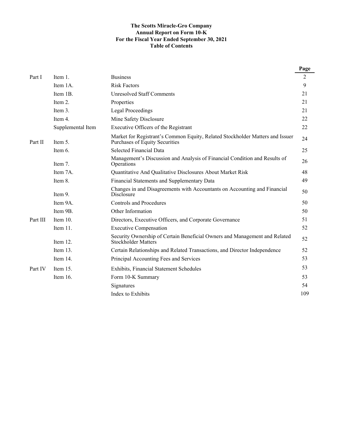## **The Scotts Miracle-Gro Company Annual Report on Form 10-K For the Fiscal Year Ended September 30, 2021 Table of Contents**

|          |                   |                                                                                                                 | Page |
|----------|-------------------|-----------------------------------------------------------------------------------------------------------------|------|
| Part I   | Item 1.           | <b>Business</b>                                                                                                 | 2    |
|          | Item 1A.          | <b>Risk Factors</b>                                                                                             | 9    |
|          | Item 1B.          | <b>Unresolved Staff Comments</b>                                                                                | 21   |
|          | Item 2.           | Properties                                                                                                      | 21   |
|          | Item 3.           | <b>Legal Proceedings</b>                                                                                        | 21   |
|          | Item 4.           | Mine Safety Disclosure                                                                                          | 22   |
|          | Supplemental Item | Executive Officers of the Registrant                                                                            | 22   |
| Part II  | Item 5.           | Market for Registrant's Common Equity, Related Stockholder Matters and Issuer<br>Purchases of Equity Securities | 24   |
|          | Item 6.           | <b>Selected Financial Data</b>                                                                                  | 25   |
|          | Item 7.           | Management's Discussion and Analysis of Financial Condition and Results of<br>Operations                        | 26   |
|          | Item 7A.          | Quantitative And Qualitative Disclosures About Market Risk                                                      | 48   |
|          | Item 8.           | Financial Statements and Supplementary Data                                                                     | 49   |
|          | Item 9.           | Changes in and Disagreements with Accountants on Accounting and Financial<br><b>Disclosure</b>                  | 50   |
|          | Item 9A.          | <b>Controls and Procedures</b>                                                                                  | 50   |
|          | Item 9B.          | Other Information                                                                                               | 50   |
| Part III | Item 10.          | Directors, Executive Officers, and Corporate Governance                                                         | 51   |
|          | Item 11.          | <b>Executive Compensation</b>                                                                                   | 52   |
|          | Item 12.          | Security Ownership of Certain Beneficial Owners and Management and Related<br><b>Stockholder Matters</b>        | 52   |
|          | Item 13.          | Certain Relationships and Related Transactions, and Director Independence                                       | 52   |
|          | Item 14.          | Principal Accounting Fees and Services                                                                          | 53   |
| Part IV  | Item 15.          | Exhibits, Financial Statement Schedules                                                                         | 53   |
|          | Item $16$ .       | Form 10-K Summary                                                                                               | 53   |
|          |                   | Signatures                                                                                                      | 54   |
|          |                   | Index to Exhibits                                                                                               | 109  |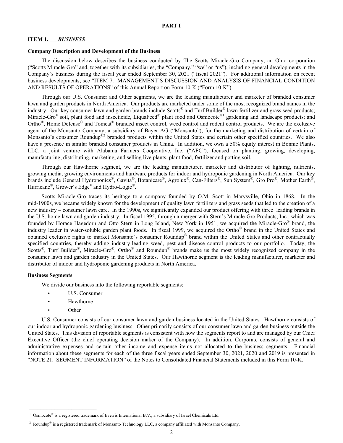## **ITEM 1.** *BUSINESS*

#### **Company Description and Development of the Business**

The discussion below describes the business conducted by The Scotts Miracle-Gro Company, an Ohio corporation ("Scotts Miracle-Gro" and, together with its subsidiaries, the "Company," "we" or "us"), including general developments in the Company's business during the fiscal year ended September 30, 2021 ("fiscal 2021"). For additional information on recent business developments, see "ITEM 7. MANAGEMENT'S DISCUSSION AND ANALYSIS OF FINANCIAL CONDITION AND RESULTS OF OPERATIONS" of this Annual Report on Form 10-K ("Form 10-K").

Through our U.S. Consumer and Other segments, we are the leading manufacturer and marketer of branded consumer lawn and garden products in North America. Our products are marketed under some of the most recognized brand names in the industry. Our key consumer lawn and garden brands include Scotts® and Turf Builder® lawn fertilizer and grass seed products; Miracle-Gro<sup>®</sup> soil, plant food and insecticide, LiquaFeed<sup>®</sup> plant food and Osmocote<sup>®1</sup> gardening and landscape products; and Ortho<sup>®</sup>, Home Defense<sup>®</sup> and Tomcat<sup>®</sup> branded insect control, weed control and rodent control products. We are the exclusive agent of the Monsanto Company, a subsidiary of Bayer AG ("Monsanto"), for the marketing and distribution of certain of Monsanto's consumer Roundup<sup>®2</sup> branded products within the United States and certain other specified countries. We also have a presence in similar branded consumer products in China. In addition, we own a 50% equity interest in Bonnie Plants, LLC, a joint venture with Alabama Farmers Cooperative, Inc. ("AFC"), focused on planting, growing, developing, manufacturing, distributing, marketing, and selling live plants, plant food, fertilizer and potting soil.

Through our Hawthorne segment, we are the leading manufacturer, marketer and distributor of lighting, nutrients, growing media, growing environments and hardware products for indoor and hydroponic gardening in North America. Our key brands include General Hydroponics®, Gavita®, Botanicare®, Agrolux®, Can-Filters®, Sun System®, Gro Pro®, Mother Earth®, Hurricane<sup>®</sup>, Grower's Edge<sup>®</sup> and Hydro-Logic<sup>®</sup>.

Scotts Miracle-Gro traces its heritage to a company founded by O.M. Scott in Marysville, Ohio in 1868. In the mid-1900s, we became widely known for the development of quality lawn fertilizers and grass seeds that led to the creation of a new industry – consumer lawn care. In the 1990s, we significantly expanded our product offering with three leading brands in the U.S. home lawn and garden industry. In fiscal 1995, through a merger with Stern's Miracle-Gro Products, Inc., which was founded by Horace Hagedorn and Otto Stern in Long Island, New York in 1951, we acquired the Miracle-Gro® brand, the industry leader in water-soluble garden plant foods. In fiscal 1999, we acquired the Ortho® brand in the United States and obtained exclusive rights to market Monsanto's consumer Roundup® brand within the United States and other contractually specified countries, thereby adding industry-leading weed, pest and disease control products to our portfolio. Today, the Scotts<sup>®</sup>, Turf Builder<sup>®</sup>, Miracle-Gro<sup>®</sup>, Ortho<sup>®</sup> and Roundup<sup>®</sup> brands make us the most widely recognized company in the consumer lawn and garden industry in the United States. Our Hawthorne segment is the leading manufacturer, marketer and distributor of indoor and hydroponic gardening products in North America.

#### **Business Segments**

We divide our business into the following reportable segments:

- U.S. Consumer
- Hawthorne
- **Other**

 $\mathcal{L}_\text{max}$ 

U.S. Consumer consists of our consumer lawn and garden business located in the United States. Hawthorne consists of our indoor and hydroponic gardening business. Other primarily consists of our consumer lawn and garden business outside the United States. This division of reportable segments is consistent with how the segments report to and are managed by our Chief Executive Officer (the chief operating decision maker of the Company). In addition, Corporate consists of general and administrative expenses and certain other income and expense items not allocated to the business segments. Financial information about these segments for each of the three fiscal years ended September 30, 2021, 2020 and 2019 is presented in "NOTE 21. SEGMENT INFORMATION" of the Notes to Consolidated Financial Statements included in this Form 10-K.

<sup>&</sup>lt;sup>1</sup> Osmocote® is a registered trademark of Everris International B.V., a subsidiary of Israel Chemicals Ltd.

<sup>&</sup>lt;sup>2</sup> Roundup<sup>®</sup> is a registered trademark of Monsanto Technology LLC, a company affiliated with Monsanto Company.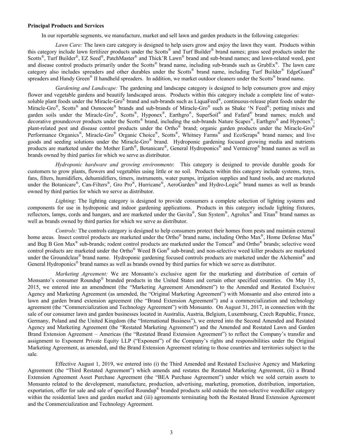## **Principal Products and Services**

In our reportable segments, we manufacture, market and sell lawn and garden products in the following categories:

*Lawn Care:* The lawn care category is designed to help users grow and enjoy the lawn they want. Products within this category include lawn fertilizer products under the Scotts® and Turf Builder® brand names; grass seed products under the Scotts®, Turf Builder®, EZ Seed®, PatchMaster® and Thick'R Lawn® brand and sub-brand names; and lawn-related weed, pest and disease control products primarily under the Scotts® brand name, including sub-brands such as GrubEx®. The lawn care category also includes spreaders and other durables under the Scotts® brand name, including Turf Builder® EdgeGuard® spreaders and Handy Green<sup>®</sup> II handheld spreaders. In addition, we market outdoor cleaners under the Scotts<sup>®</sup> brand name.

*Gardening and Landscape:* The gardening and landscape category is designed to help consumers grow and enjoy flower and vegetable gardens and beautify landscaped areas. Products within this category include a complete line of watersoluble plant foods under the Miracle-Gro<sup>®</sup> brand and sub-brands such as LiquaFeed<sup>®</sup>, continuous-release plant foods under the Miracle-Gro<sup>®</sup>, Scotts<sup>®</sup> and Osmocote<sup>®</sup> brands and sub-brands of Miracle-Gro<sup>®</sup> such as Shake 'N Feed®; potting mixes and garden soils under the Miracle-Gro®, Scotts®, Hyponex®, Earthgro®, SuperSoil® and Fafard® brand names; mulch and decorative groundcover products under the Scotts® brand, including the sub-brands Nature Scapes®, Earthgro® and Hyponex®; plant-related pest and disease control products under the Ortho® brand; organic garden products under the Miracle-Gro® Performance Organics®, Miracle-Gro® Organic Choice®, Scotts®, Whitney Farms® and EcoScraps® brand names; and live goods and seeding solutions under the Miracle-Gro® brand. Hydroponic gardening focused growing media and nutrients products are marketed under the Mother Earth®, Botanicare®, General Hydroponics® and Vermicrop® brand names as well as brands owned by third parties for which we serve as distributor.

*Hydroponic hardware and growing environments*: This category is designed to provide durable goods for customers to grow plants, flowers and vegetables using little or no soil. Products within this category include systems, trays, fans, filters, humidifiers, dehumidifiers, timers, instruments, water pumps, irrigation supplies and hand tools, and are marketed under the Botanicare®, Can-Filters®, Gro Pro®, Hurricane®, AeroGarden® and Hydro-Logic® brand names as well as brands owned by third parties for which we serve as distributor.

*Lighting*: The lighting category is designed to provide consumers a complete selection of lighting systems and components for use in hydroponic and indoor gardening applications. Products in this category include lighting fixtures, reflectors, lamps, cords and hangars, and are marketed under the Gavita®, Sun System®, Agrolux® and Titan® brand names as well as brands owned by third parties for which we serve as distributor.

*Controls:* The controls category is designed to help consumers protect their homes from pests and maintain external home areas. Insect control products are marketed under the Ortho® brand name, including Ortho Max®, Home Defense Max® and Bug B Gon Max<sup>®</sup> sub-brands; rodent control products are marketed under the Tomcat<sup>®</sup> and Ortho<sup>®</sup> brands; selective weed control products are marketed under the Ortho® Weed B Gon® sub-brand; and non-selective weed killer products are marketed under the Groundclear® brand name. Hydroponic gardening focused controls products are marketed under the Alchemist® and General Hydroponics<sup>®</sup> brand names as well as brands owned by third parties for which we serve as distributor.

*Marketing Agreement:* We are Monsanto's exclusive agent for the marketing and distribution of certain of Monsanto's consumer Roundup<sup>®</sup> branded products in the United States and certain other specified countries. On May 15, 2015, we entered into an amendment (the "Marketing Agreement Amendment") to the Amended and Restated Exclusive Agency and Marketing Agreement (as amended, the "Original Marketing Agreement") with Monsanto and also entered into a lawn and garden brand extension agreement (the "Brand Extension Agreement") and a commercialization and technology agreement (the "Commercialization and Technology Agreement") with Monsanto. On August 31, 2017, in connection with the sale of our consumer lawn and garden businesses located in Australia, Austria, Belgium, Luxembourg, Czech Republic, France, Germany, Poland and the United Kingdom (the "International Business"), we entered into the Second Amended and Restated Agency and Marketing Agreement (the "Restated Marketing Agreement") and the Amended and Restated Lawn and Garden Brand Extension Agreement – Americas (the "Restated Brand Extension Agreement") to reflect the Company's transfer and assignment to Exponent Private Equity LLP ("Exponent") of the Company's rights and responsibilities under the Original Marketing Agreement, as amended, and the Brand Extension Agreement relating to those countries and territories subject to the sale.

Effective August 1, 2019, we entered into (i) the Third Amended and Restated Exclusive Agency and Marketing Agreement (the "Third Restated Agreement") which amends and restates the Restated Marketing Agreement, (ii) a Brand Extension Agreement Asset Purchase Agreement (the "BEA Purchase Agreement") under which we sold certain assets to Monsanto related to the development, manufacture, production, advertising, marketing, promotion, distribution, importation, exportation, offer for sale and sale of specified Roundup® branded products sold outside the non-selective weedkiller category within the residential lawn and garden market and (iii) agreements terminating both the Restated Brand Extension Agreement and the Commercialization and Technology Agreement.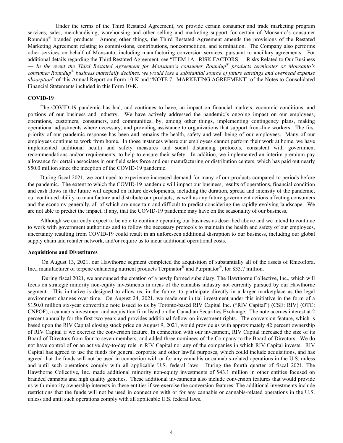Under the terms of the Third Restated Agreement, we provide certain consumer and trade marketing program services, sales, merchandising, warehousing and other selling and marketing support for certain of Monsanto's consumer Roundup<sup>®</sup> branded products. Among other things, the Third Restated Agreement amends the provisions of the Restated Marketing Agreement relating to commissions, contributions, noncompetition, and termination. The Company also performs other services on behalf of Monsanto, including manufacturing conversion services, pursuant to ancillary agreements. For additional details regarding the Third Restated Agreement, see "ITEM 1A. RISK FACTORS — Risks Related to Our Business — *In the event the Third Restated Agreement for Monsanto's consumer Roundup® products terminates or Monsanto's*  consumer Roundup<sup>®</sup> business materially declines, we would lose a substantial source of future earnings and overhead expense *absorption*" of this Annual Report on Form 10-K and "NOTE 7. MARKETING AGREEMENT" of the Notes to Consolidated Financial Statements included in this Form 10-K.

## **COVID-19**

The COVID-19 pandemic has had, and continues to have, an impact on financial markets, economic conditions, and portions of our business and industry. We have actively addressed the pandemic's ongoing impact on our employees, operations, customers, consumers, and communities, by, among other things, implementing contingency plans, making operational adjustments where necessary, and providing assistance to organizations that support front-line workers. The first priority of our pandemic response has been and remains the health, safety and well-being of our employees. Many of our employees continue to work from home. In those instances where our employees cannot perform their work at home, we have implemented additional health and safety measures and social distancing protocols, consistent with government recommendations and/or requirements, to help to ensure their safety. In addition, we implemented an interim premium pay allowance for certain associates in our field sales force and our manufacturing or distribution centers, which has paid out nearly \$50.0 million since the inception of the COVID-19 pandemic.

During fiscal 2021, we continued to experience increased demand for many of our products compared to periods before the pandemic. The extent to which the COVID-19 pandemic will impact our business, results of operations, financial condition and cash flows in the future will depend on future developments, including the duration, spread and intensity of the pandemic, our continued ability to manufacture and distribute our products, as well as any future government actions affecting consumers and the economy generally, all of which are uncertain and difficult to predict considering the rapidly evolving landscape. We are not able to predict the impact, if any, that the COVID-19 pandemic may have on the seasonality of our business.

Although we currently expect to be able to continue operating our business as described above and we intend to continue to work with government authorities and to follow the necessary protocols to maintain the health and safety of our employees, uncertainty resulting from COVID-19 could result in an unforeseen additional disruption to our business, including our global supply chain and retailer network, and/or require us to incur additional operational costs.

#### **Acquisitions and Divestitures**

On August 13, 2021, our Hawthorne segment completed the acquisition of substantially all of the assets of Rhizoflora, Inc., manufacturer of terpene enhancing nutrient products Terpinator® and Purpinator®, for \$33.7 million.

During fiscal 2021, we announced the creation of a newly formed subsidiary, The Hawthorne Collective, Inc., which will focus on strategic minority non-equity investments in areas of the cannabis industry not currently pursued by our Hawthorne segment. This initiative is designed to allow us, in the future, to participate directly in a larger marketplace as the legal environment changes over time. On August 24, 2021, we made our initial investment under this initiative in the form of a \$150.0 million six-year convertible note issued to us by Toronto-based RIV Capital Inc. ("RIV Capital") (CSE: RIV) (OTC: CNPOF), a cannabis investment and acquisition firm listed on the Canadian Securities Exchange. The note accrues interest at 2 percent annually for the first two years and provides additional follow-on investment rights. The conversion feature, which is based upon the RIV Capital closing stock price on August 9, 2021, would provide us with approximately 42 percent ownership of RIV Capital if we exercise the conversion feature. In connection with our investment, RIV Capital increased the size of its Board of Directors from four to seven members, and added three nominees of the Company to the Board of Directors. We do not have control of or an active day-to-day role in RIV Capital nor any of the companies in which RIV Capital invests. RIV Capital has agreed to use the funds for general corporate and other lawful purposes, which could include acquisitions, and has agreed that the funds will not be used in connection with or for any cannabis or cannabis-related operations in the U.S. unless and until such operations comply with all applicable U.S. federal laws. During the fourth quarter of fiscal 2021, The Hawthorne Collective, Inc. made additional minority non-equity investments of \$43.1 million in other entities focused on branded cannabis and high quality genetics. These additional investments also include conversion features that would provide us with minority ownership interests in these entities if we exercise the conversion features. The additional investments include restrictions that the funds will not be used in connection with or for any cannabis or cannabis-related operations in the U.S. unless and until such operations comply with all applicable U.S. federal laws.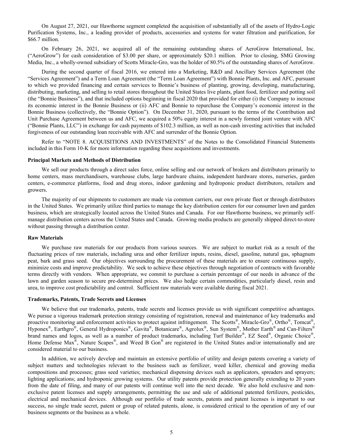On August 27, 2021, our Hawthorne segment completed the acquisition of substantially all of the assets of Hydro-Logic Purification Systems, Inc., a leading provider of products, accessories and systems for water filtration and purification, for \$66.7 million.

On February 26, 2021, we acquired all of the remaining outstanding shares of AeroGrow International, Inc. ("AeroGrow") for cash consideration of \$3.00 per share, or approximately \$20.1 million. Prior to closing, SMG Growing Media, Inc., a wholly-owned subsidiary of Scotts Miracle-Gro, was the holder of 80.5% of the outstanding shares of AeroGrow.

During the second quarter of fiscal 2016, we entered into a Marketing, R&D and Ancillary Services Agreement (the "Services Agreement") and a Term Loan Agreement (the "Term Loan Agreement") with Bonnie Plants, Inc. and AFC, pursuant to which we provided financing and certain services to Bonnie's business of planting, growing, developing, manufacturing, distributing, marketing, and selling to retail stores throughout the United States live plants, plant food, fertilizer and potting soil (the "Bonnie Business"), and that included options beginning in fiscal 2020 that provided for either (i) the Company to increase its economic interest in the Bonnie Business or (ii) AFC and Bonnie to repurchase the Company's economic interest in the Bonnie Business (collectively, the "Bonnie Option"). On December 31, 2020, pursuant to the terms of the Contribution and Unit Purchase Agreement between us and AFC, we acquired a 50% equity interest in a newly formed joint venture with AFC ("Bonnie Plants, LLC") in exchange for cash payments of \$102.3 million, as well as non-cash investing activities that included forgiveness of our outstanding loan receivable with AFC and surrender of the Bonnie Option.

Refer to "NOTE 8. ACQUISITIONS AND INVESTMENTS" of the Notes to the Consolidated Financial Statements included in this Form 10-K for more information regarding these acquisitions and investments.

#### **Principal Markets and Methods of Distribution**

We sell our products through a direct sales force, online selling and our network of brokers and distributors primarily to home centers, mass merchandisers, warehouse clubs, large hardware chains, independent hardware stores, nurseries, garden centers, e-commerce platforms, food and drug stores, indoor gardening and hydroponic product distributors, retailers and growers.

The majority of our shipments to customers are made via common carriers, our own private fleet or through distributors in the United States. We primarily utilize third parties to manage the key distribution centers for our consumer lawn and garden business, which are strategically located across the United States and Canada. For our Hawthorne business, we primarily selfmanage distribution centers across the United States and Canada. Growing media products are generally shipped direct-to-store without passing through a distribution center.

#### **Raw Materials**

We purchase raw materials for our products from various sources. We are subject to market risk as a result of the fluctuating prices of raw materials, including urea and other fertilizer inputs, resins, diesel, gasoline, natural gas, sphagnum peat, bark and grass seed. Our objectives surrounding the procurement of these materials are to ensure continuous supply, minimize costs and improve predictability. We seek to achieve these objectives through negotiation of contracts with favorable terms directly with vendors. When appropriate, we commit to purchase a certain percentage of our needs in advance of the lawn and garden season to secure pre-determined prices. We also hedge certain commodities, particularly diesel, resin and urea, to improve cost predictability and control. Sufficient raw materials were available during fiscal 2021.

#### **Trademarks, Patents, Trade Secrets and Licenses**

We believe that our trademarks, patents, trade secrets and licenses provide us with significant competitive advantages. We pursue a vigorous trademark protection strategy consisting of registration, renewal and maintenance of key trademarks and proactive monitoring and enforcement activities to protect against infringement. The Scotts®, Miracle-Gro®, Ortho®, Tomcat®, Hyponex<sup>®</sup>, Earthgro<sup>®</sup>, General Hydroponics®, Gavita®, Botanicare®, Agrolux®, Sun System®, Mother Earth® and Can-Filters® brand names and logos, as well as a number of product trademarks, including Turf Builder®, EZ Seed®, Organic Choice®, Home Defense Max<sup>®</sup>, Nature Scapes<sup>®</sup>, and Weed B Gon<sup>®</sup> are registered in the United States and/or internationally and are considered material to our business.

In addition, we actively develop and maintain an extensive portfolio of utility and design patents covering a variety of subject matters and technologies relevant to the business such as fertilizer, weed killer, chemical and growing media compositions and processes; grass seed varieties; mechanical dispensing devices such as applicators, spreaders and sprayers; lighting applications; and hydroponic growing systems. Our utility patents provide protection generally extending to 20 years from the date of filing, and many of our patents will continue well into the next decade. We also hold exclusive and nonexclusive patent licenses and supply arrangements, permitting the use and sale of additional patented fertilizers, pesticides, electrical and mechanical devices. Although our portfolio of trade secrets, patents and patent licenses is important to our success, no single trade secret, patent or group of related patents, alone, is considered critical to the operation of any of our business segments or the business as a whole.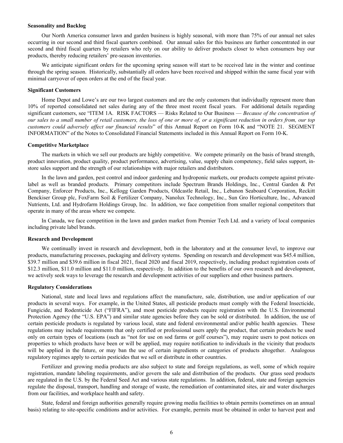#### **Seasonality and Backlog**

Our North America consumer lawn and garden business is highly seasonal, with more than 75% of our annual net sales occurring in our second and third fiscal quarters combined. Our annual sales for this business are further concentrated in our second and third fiscal quarters by retailers who rely on our ability to deliver products closer to when consumers buy our products, thereby reducing retailers' pre-season inventories.

We anticipate significant orders for the upcoming spring season will start to be received late in the winter and continue through the spring season. Historically, substantially all orders have been received and shipped within the same fiscal year with minimal carryover of open orders at the end of the fiscal year.

#### **Significant Customers**

Home Depot and Lowe's are our two largest customers and are the only customers that individually represent more than 10% of reported consolidated net sales during any of the three most recent fiscal years. For additional details regarding significant customers, see "ITEM 1A. RISK FACTORS — Risks Related to Our Business — *Because of the concentration of our sales to a small number of retail customers, the loss of one or more of, or a significant reduction in orders from, our top customers could adversely affect our financial results*" of this Annual Report on Form 10-K and "NOTE 21. SEGMENT INFORMATION" of the Notes to Consolidated Financial Statements included in this Annual Report on Form 10-K.

#### **Competitive Marketplace**

The markets in which we sell our products are highly competitive. We compete primarily on the basis of brand strength, product innovation, product quality, product performance, advertising, value, supply chain competency, field sales support, instore sales support and the strength of our relationships with major retailers and distributors.

In the lawn and garden, pest control and indoor gardening and hydroponic markets, our products compete against privatelabel as well as branded products. Primary competitors include Spectrum Brands Holdings, Inc., Central Garden & Pet Company, Enforcer Products, Inc., Kellogg Garden Products, Oldcastle Retail, Inc., Lebanon Seaboard Corporation, Reckitt Benckiser Group plc, FoxFarm Soil & Fertilizer Company, Nanolux Technology, Inc., Sun Gro Horticulture, Inc., Advanced Nutrients, Ltd. and Hydrofarm Holdings Group, Inc. In addition, we face competition from smaller regional competitors that operate in many of the areas where we compete.

In Canada, we face competition in the lawn and garden market from Premier Tech Ltd. and a variety of local companies including private label brands.

#### **Research and Development**

We continually invest in research and development, both in the laboratory and at the consumer level, to improve our products, manufacturing processes, packaging and delivery systems. Spending on research and development was \$45.4 million, \$39.7 million and \$39.6 million in fiscal 2021, fiscal 2020 and fiscal 2019, respectively, including product registration costs of \$12.3 million, \$11.0 million and \$11.0 million, respectively. In addition to the benefits of our own research and development, we actively seek ways to leverage the research and development activities of our suppliers and other business partners.

#### **Regulatory Considerations**

National, state and local laws and regulations affect the manufacture, sale, distribution, use and/or application of our products in several ways. For example, in the United States, all pesticide products must comply with the Federal Insecticide, Fungicide, and Rodenticide Act ("FIFRA"), and most pesticide products require registration with the U.S. Environmental Protection Agency (the "U.S. EPA") and similar state agencies before they can be sold or distributed. In addition, the use of certain pesticide products is regulated by various local, state and federal environmental and/or public health agencies. These regulations may include requirements that only certified or professional users apply the product, that certain products be used only on certain types of locations (such as "not for use on sod farms or golf courses"), may require users to post notices on properties to which products have been or will be applied, may require notification to individuals in the vicinity that products will be applied in the future, or may ban the use of certain ingredients or categories of products altogether. Analogous regulatory regimes apply to certain pesticides that we sell or distribute in other countries.

Fertilizer and growing media products are also subject to state and foreign regulations, as well, some of which require registration, mandate labeling requirements, and/or govern the sale and distribution of the products. Our grass seed products are regulated in the U.S. by the Federal Seed Act and various state regulations. In addition, federal, state and foreign agencies regulate the disposal, transport, handling and storage of waste, the remediation of contaminated sites, air and water discharges from our facilities, and workplace health and safety.

State, federal and foreign authorities generally require growing media facilities to obtain permits (sometimes on an annual basis) relating to site-specific conditions and/or activities. For example, permits must be obtained in order to harvest peat and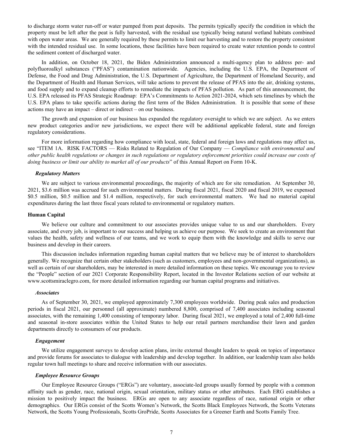to discharge storm water run-off or water pumped from peat deposits. The permits typically specify the condition in which the property must be left after the peat is fully harvested, with the residual use typically being natural wetland habitats combined with open water areas. We are generally required by these permits to limit our harvesting and to restore the property consistent with the intended residual use. In some locations, these facilities have been required to create water retention ponds to control the sediment content of discharged water.

In addition, on October 18, 2021, the Biden Administration announced a multi-agency plan to address per- and polyfluoroalkyl substances ("PFAS") contamination nationwide. Agencies, including the U.S. EPA, the Department of Defense, the Food and Drug Administration, the U.S. Department of Agriculture, the Department of Homeland Security, and the Department of Health and Human Services, will take actions to prevent the release of PFAS into the air, drinking systems, and food supply and to expand cleanup efforts to remediate the impacts of PFAS pollution. As part of this announcement, the U.S. EPA released its PFAS Strategic Roadmap: EPA's Commitments to Action 2021-2024, which sets timelines by which the U.S. EPA plans to take specific actions during the first term of the Biden Administration. It is possible that some of these actions may have an impact – direct or indirect – on our business.

The growth and expansion of our business has expanded the regulatory oversight to which we are subject. As we enters new product categories and/or new jurisdictions, we expect there will be additional applicable federal, state and foreign regulatory considerations.

For more information regarding how compliance with local, state, federal and foreign laws and regulations may affect us, see "ITEM 1A. RISK FACTORS — Risks Related to Regulation of Our Company — *Compliance with environmental and other public health regulations or changes in such regulations or regulatory enforcement priorities could increase our costs of doing business or limit our ability to market all of our products*" of this Annual Report on Form 10-K.

#### *Regulatory Matters*

We are subject to various environmental proceedings, the majority of which are for site remediation. At September 30, 2021, \$3.6 million was accrued for such environmental matters. During fiscal 2021, fiscal 2020 and fiscal 2019, we expensed \$0.5 million, \$0.5 million and \$1.4 million, respectively, for such environmental matters. We had no material capital expenditures during the last three fiscal years related to environmental or regulatory matters.

#### **Human Capital**

We believe our culture and commitment to our associates provides unique value to us and our shareholders. Every associate, and every job, is important to our success and helping us achieve our purpose. We seek to create an environment that values the health, safety and wellness of our teams, and we work to equip them with the knowledge and skills to serve our business and develop in their careers.

This discussion includes information regarding human capital matters that we believe may be of interest to shareholders generally. We recognize that certain other stakeholders (such as customers, employees and non-governmental organizations), as well as certain of our shareholders, may be interested in more detailed information on these topics. We encourage you to review the "People" section of our 2021 Corporate Responsibility Report, located in the Investor Relations section of our website at www.scottsmiraclegro.com, for more detailed information regarding our human capital programs and initiatives.

## *Associates*

As of September 30, 2021, we employed approximately 7,300 employees worldwide. During peak sales and production periods in fiscal 2021, our personnel (all approximate) numbered 8,800, comprised of 7,400 associates including seasonal associates, with the remaining 1,400 consisting of temporary labor. During fiscal 2021, we employed a total of 2,400 full-time and seasonal in-store associates within the United States to help our retail partners merchandise their lawn and garden departments directly to consumers of our products.

### *Engagement*

We utilize engagement surveys to develop action plans, invite external thought leaders to speak on topics of importance and provide forums for associates to dialogue with leadership and develop together. In addition, our leadership team also holds regular town hall meetings to share and receive information with our associates.

#### *Employee Resource Groups*

Our Employee Resource Groups ("ERGs") are voluntary, associate-led groups usually formed by people with a common affinity such as gender, race, national origin, sexual orientation, military status or other attributes. Each ERG establishes a mission to positively impact the business. ERGs are open to any associate regardless of race, national origin or other demographics. Our ERGs consist of the Scotts Women's Network, the Scotts Black Employees Network, the Scotts Veterans Network, the Scotts Young Professionals, Scotts GroPride, Scotts Associates for a Greener Earth and Scotts Family Tree.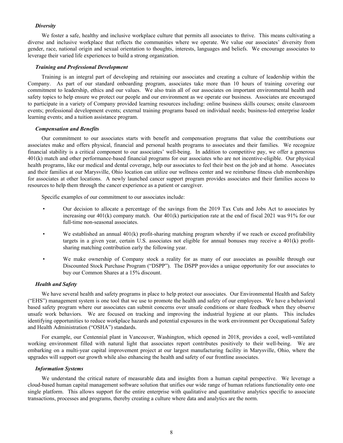### *Diversity*

We foster a safe, healthy and inclusive workplace culture that permits all associates to thrive. This means cultivating a diverse and inclusive workplace that reflects the communities where we operate. We value our associates' diversity from gender, race, national origin and sexual orientation to thoughts, interests, languages and beliefs. We encourage associates to leverage their varied life experiences to build a strong organization.

### *Training and Professional Development*

Training is an integral part of developing and retaining our associates and creating a culture of leadership within the Company. As part of our standard onboarding program, associates take more than 10 hours of training covering our commitment to leadership, ethics and our values. We also train all of our associates on important environmental health and safety topics to help ensure we protect our people and our environment as we operate our business. Associates are encouraged to participate in a variety of Company provided learning resources including: online business skills courses; onsite classroom events; professional development events; external training programs based on individual needs; business-led enterprise leader learning events; and a tuition assistance program.

## *Compensation and Benefits*

Our commitment to our associates starts with benefit and compensation programs that value the contributions our associates make and offers physical, financial and personal health programs to associates and their families. We recognize financial stability is a critical component to our associates' well-being. In addition to competitive pay, we offer a generous 401(k) match and other performance-based financial programs for our associates who are not incentive-eligible. Our physical health programs, like our medical and dental coverage, help our associates to feel their best on the job and at home. Associates and their families at our Marysville, Ohio location can utilize our wellness center and we reimburse fitness club memberships for associates at other locations. A newly launched cancer support program provides associates and their families access to resources to help them through the cancer experience as a patient or caregiver.

Specific examples of our commitment to our associates include:

- Our decision to allocate a percentage of the savings from the 2019 Tax Cuts and Jobs Act to associates by increasing our 401(k) company match. Our 401(k) participation rate at the end of fiscal 2021 was 91% for our full-time non-seasonal associates.
- We established an annual 401(k) profit-sharing matching program whereby if we reach or exceed profitability targets in a given year, certain U.S. associates not eligible for annual bonuses may receive a 401(k) profitsharing matching contribution early the following year.
- We make ownership of Company stock a reality for as many of our associates as possible through our Discounted Stock Purchase Program ("DSPP"). The DSPP provides a unique opportunity for our associates to buy our Common Shares at a 15% discount.

## *Health and Safety*

We have several health and safety programs in place to help protect our associates. Our Environmental Health and Safety ("EHS") management system is one tool that we use to promote the health and safety of our employees. We have a behavioral based safety program where our associates can submit concerns over unsafe conditions or share feedback when they observe unsafe work behaviors. We are focused on tracking and improving the industrial hygiene at our plants. This includes identifying opportunities to reduce workplace hazards and potential exposures in the work environment per Occupational Safety and Health Administration ("OSHA") standards.

For example, our Centennial plant in Vancouver, Washington, which opened in 2018, provides a cool, well-ventilated working environment filled with natural light that associates report contributes positively to their well-being. We are embarking on a multi-year capital improvement project at our largest manufacturing facility in Marysville, Ohio, where the upgrades will support our growth while also enhancing the health and safety of our frontline associates.

### *Information Systems*

We understand the critical nature of measurable data and insights from a human capital perspective. We leverage a cloud-based human capital management software solution that unifies our wide range of human relations functionality onto one single platform. This allows support for the entire enterprise with qualitative and quantitative analytics specific to associate transactions, processes and programs, thereby creating a culture where data and analytics are the norm.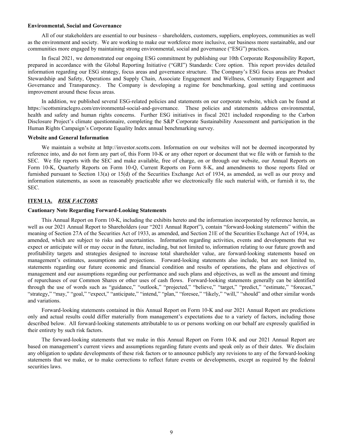#### **Environmental, Social and Governance**

All of our stakeholders are essential to our business – shareholders, customers, suppliers, employees, communities as well as the environment and society. We are working to make our workforce more inclusive, our business more sustainable, and our communities more engaged by maintaining strong environmental, social and governance ("ESG") practices.

In fiscal 2021, we demonstrated our ongoing ESG commitment by publishing our 10th Corporate Responsibility Report, prepared in accordance with the Global Reporting Initiative ("GRI") Standards: Core option. This report provides detailed information regarding our ESG strategy, focus areas and governance structure. The Company's ESG focus areas are Product Stewardship and Safety, Operations and Supply Chain, Associate Engagement and Wellness, Community Engagement and Governance and Transparency. The Company is developing a regime for benchmarking, goal setting and continuous improvement around these focus areas.

In addition, we published several ESG-related policies and statements on our corporate website, which can be found at https://scottsmiraclegro.com/environmental-social-and-governance. These policies and statements address environmental, health and safety and human rights concerns. Further ESG initiatives in fiscal 2021 included responding to the Carbon Disclosure Project's climate questionnaire, completing the S&P Corporate Sustainability Assessment and participation in the Human Rights Campaign's Corporate Equality Index annual benchmarking survey.

## **Website and General Information**

We maintain a website at http://investor.scotts.com. Information on our websites will not be deemed incorporated by reference into, and do not form any part of, this Form 10-K or any other report or document that we file with or furnish to the SEC. We file reports with the SEC and make available, free of charge, on or through our website, our Annual Reports on Form 10-K, Quarterly Reports on Form 10-Q, Current Reports on Form 8-K, and amendments to those reports filed or furnished pursuant to Section 13(a) or 15(d) of the Securities Exchange Act of 1934, as amended, as well as our proxy and information statements, as soon as reasonably practicable after we electronically file such material with, or furnish it to, the SEC.

## **ITEM 1A.** *RISK FACTORS*

## **Cautionary Note Regarding Forward-Looking Statements**

This Annual Report on Form 10-K, including the exhibits hereto and the information incorporated by reference herein, as well as our 2021 Annual Report to Shareholders (our "2021 Annual Report"), contain "forward-looking statements" within the meaning of Section 27A of the Securities Act of 1933, as amended, and Section 21E of the Securities Exchange Act of 1934, as amended, which are subject to risks and uncertainties. Information regarding activities, events and developments that we expect or anticipate will or may occur in the future, including, but not limited to, information relating to our future growth and profitability targets and strategies designed to increase total shareholder value, are forward-looking statements based on management's estimates, assumptions and projections. Forward-looking statements also include, but are not limited to, statements regarding our future economic and financial condition and results of operations, the plans and objectives of management and our assumptions regarding our performance and such plans and objectives, as well as the amount and timing of repurchases of our Common Shares or other uses of cash flows. Forward-looking statements generally can be identified through the use of words such as "guidance," "outlook," "projected," "believe," "target," "predict," "estimate," "forecast," "strategy," "may," "goal," "expect," "anticipate," "intend," "plan," "foresee," "likely," "will," "should" and other similar words and variations.

Forward-looking statements contained in this Annual Report on Form 10-K and our 2021 Annual Report are predictions only and actual results could differ materially from management's expectations due to a variety of factors, including those described below. All forward-looking statements attributable to us or persons working on our behalf are expressly qualified in their entirety by such risk factors.

The forward-looking statements that we make in this Annual Report on Form 10-K and our 2021 Annual Report are based on management's current views and assumptions regarding future events and speak only as of their dates. We disclaim any obligation to update developments of these risk factors or to announce publicly any revisions to any of the forward-looking statements that we make, or to make corrections to reflect future events or developments, except as required by the federal securities laws.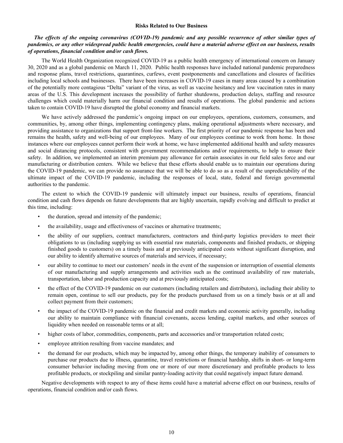#### **Risks Related to Our Business**

## *The effects of the ongoing coronavirus (COVID-19) pandemic and any possible recurrence of other similar types of pandemics, or any other widespread public health emergencies, could have a material adverse effect on our business, results of operations, financial condition and/or cash flows.*

The World Health Organization recognized COVID-19 as a public health emergency of international concern on January 30, 2020 and as a global pandemic on March 11, 2020. Public health responses have included national pandemic preparedness and response plans, travel restrictions, quarantines, curfews, event postponements and cancellations and closures of facilities including local schools and businesses. There have been increases in COVID-19 cases in many areas caused by a combination of the potentially more contagious "Delta" variant of the virus, as well as vaccine hesitancy and low vaccination rates in many areas of the U.S. This development increases the possibility of further shutdowns, production delays, staffing and resource challenges which could materially harm our financial condition and results of operations. The global pandemic and actions taken to contain COVID-19 have disrupted the global economy and financial markets.

We have actively addressed the pandemic's ongoing impact on our employees, operations, customers, consumers, and communities, by, among other things, implementing contingency plans, making operational adjustments where necessary, and providing assistance to organizations that support front-line workers. The first priority of our pandemic response has been and remains the health, safety and well-being of our employees. Many of our employees continue to work from home. In those instances where our employees cannot perform their work at home, we have implemented additional health and safety measures and social distancing protocols, consistent with government recommendations and/or requirements, to help to ensure their safety. In addition, we implemented an interim premium pay allowance for certain associates in our field sales force and our manufacturing or distribution centers. While we believe that these efforts should enable us to maintain our operations during the COVID-19 pandemic, we can provide no assurance that we will be able to do so as a result of the unpredictability of the ultimate impact of the COVID-19 pandemic, including the responses of local, state, federal and foreign governmental authorities to the pandemic.

The extent to which the COVID-19 pandemic will ultimately impact our business, results of operations, financial condition and cash flows depends on future developments that are highly uncertain, rapidly evolving and difficult to predict at this time, including:

- the duration, spread and intensity of the pandemic;
- the availability, usage and effectiveness of vaccines or alternative treatments;
- the ability of our suppliers, contract manufacturers, contractors and third-party logistics providers to meet their obligations to us (including supplying us with essential raw materials, components and finished products, or shipping finished goods to customers) on a timely basis and at previously anticipated costs without significant disruption, and our ability to identify alternative sources of materials and services, if necessary;
- our ability to continue to meet our customers' needs in the event of the suspension or interruption of essential elements of our manufacturing and supply arrangements and activities such as the continued availability of raw materials, transportation, labor and production capacity and at previously anticipated costs;
- the effect of the COVID-19 pandemic on our customers (including retailers and distributors), including their ability to remain open, continue to sell our products, pay for the products purchased from us on a timely basis or at all and collect payment from their customers;
- the impact of the COVID-19 pandemic on the financial and credit markets and economic activity generally, including our ability to maintain compliance with financial covenants, access lending, capital markets, and other sources of liquidity when needed on reasonable terms or at all;
- higher costs of labor, commodities, components, parts and accessories and/or transportation related costs;
- employee attrition resulting from vaccine mandates; and
- the demand for our products, which may be impacted by, among other things, the temporary inability of consumers to purchase our products due to illness, quarantine, travel restrictions or financial hardship, shifts in short- or long-term consumer behavior including moving from one or more of our more discretionary and profitable products to less profitable products, or stockpiling and similar pantry-loading activity that could negatively impact future demand.

Negative developments with respect to any of these items could have a material adverse effect on our business, results of operations, financial condition and/or cash flows.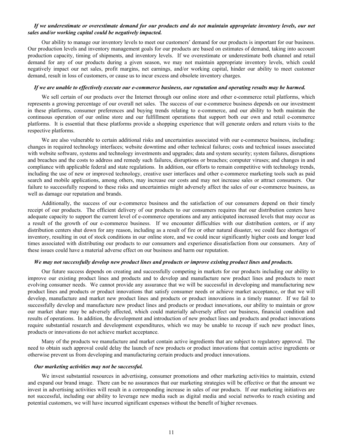## *If we underestimate or overestimate demand for our products and do not maintain appropriate inventory levels, our net sales and/or working capital could be negatively impacted.*

Our ability to manage our inventory levels to meet our customers' demand for our products is important for our business. Our production levels and inventory management goals for our products are based on estimates of demand, taking into account production capacity, timing of shipments, and inventory levels. If we overestimate or underestimate both channel and retail demand for any of our products during a given season, we may not maintain appropriate inventory levels, which could negatively impact our net sales, profit margins, net earnings, and/or working capital, hinder our ability to meet customer demand, result in loss of customers, or cause us to incur excess and obsolete inventory charges.

## *If we are unable to effectively execute our e-commerce business, our reputation and operating results may be harmed.*

We sell certain of our products over the Internet through our online store and other e-commerce retail platforms, which represents a growing percentage of our overall net sales. The success of our e-commerce business depends on our investment in these platforms, consumer preferences and buying trends relating to e-commerce, and our ability to both maintain the continuous operation of our online store and our fulfillment operations that support both our own and retail e-commerce platforms. It is essential that these platforms provide a shopping experience that will generate orders and return visits to the respective platforms.

We are also vulnerable to certain additional risks and uncertainties associated with our e-commerce business, including: changes in required technology interfaces; website downtime and other technical failures; costs and technical issues associated with website software, systems and technology investments and upgrades; data and system security; system failures, disruptions and breaches and the costs to address and remedy such failures, disruptions or breaches; computer viruses; and changes in and compliance with applicable federal and state regulations. In addition, our efforts to remain competitive with technology trends, including the use of new or improved technology, creative user interfaces and other e-commerce marketing tools such as paid search and mobile applications, among others, may increase our costs and may not increase sales or attract consumers. Our failure to successfully respond to these risks and uncertainties might adversely affect the sales of our e-commerce business, as well as damage our reputation and brands.

Additionally, the success of our e-commerce business and the satisfaction of our consumers depend on their timely receipt of our products. The efficient delivery of our products to our consumers requires that our distribution centers have adequate capacity to support the current level of e-commerce operations and any anticipated increased levels that may occur as a result of the growth of our e-commerce business. If we encounter difficulties with our distribution centers, or if any distribution centers shut down for any reason, including as a result of fire or other natural disaster, we could face shortages of inventory, resulting in out of stock conditions in our online store, and we could incur significantly higher costs and longer lead times associated with distributing our products to our consumers and experience dissatisfaction from our consumers. Any of these issues could have a material adverse effect on our business and harm our reputation.

#### *We may not successfully develop new product lines and products or improve existing product lines and products.*

Our future success depends on creating and successfully competing in markets for our products including our ability to improve our existing product lines and products and to develop and manufacture new product lines and products to meet evolving consumer needs. We cannot provide any assurance that we will be successful in developing and manufacturing new product lines and products or product innovations that satisfy consumer needs or achieve market acceptance, or that we will develop, manufacture and market new product lines and products or product innovations in a timely manner. If we fail to successfully develop and manufacture new product lines and products or product innovations, our ability to maintain or grow our market share may be adversely affected, which could materially adversely affect our business, financial condition and results of operations. In addition, the development and introduction of new product lines and products and product innovations require substantial research and development expenditures, which we may be unable to recoup if such new product lines, products or innovations do not achieve market acceptance.

Many of the products we manufacture and market contain active ingredients that are subject to regulatory approval. The need to obtain such approval could delay the launch of new products or product innovations that contain active ingredients or otherwise prevent us from developing and manufacturing certain products and product innovations.

#### *Our marketing activities may not be successful.*

We invest substantial resources in advertising, consumer promotions and other marketing activities to maintain, extend and expand our brand image. There can be no assurances that our marketing strategies will be effective or that the amount we invest in advertising activities will result in a corresponding increase in sales of our products. If our marketing initiatives are not successful, including our ability to leverage new media such as digital media and social networks to reach existing and potential customers, we will have incurred significant expenses without the benefit of higher revenues.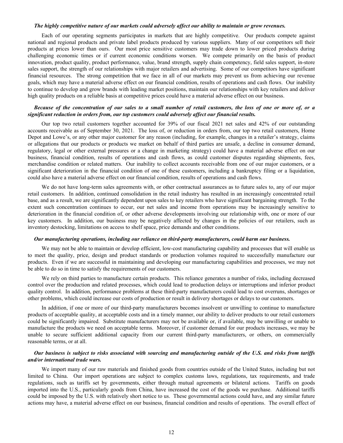#### *The highly competitive nature of our markets could adversely affect our ability to maintain or grow revenues.*

Each of our operating segments participates in markets that are highly competitive. Our products compete against national and regional products and private label products produced by various suppliers. Many of our competitors sell their products at prices lower than ours. Our most price sensitive customers may trade down to lower priced products during challenging economic times or if current economic conditions worsen. We compete primarily on the basis of product innovation, product quality, product performance, value, brand strength, supply chain competency, field sales support, in-store sales support, the strength of our relationships with major retailers and advertising. Some of our competitors have significant financial resources. The strong competition that we face in all of our markets may prevent us from achieving our revenue goals, which may have a material adverse effect on our financial condition, results of operations and cash flows. Our inability to continue to develop and grow brands with leading market positions, maintain our relationships with key retailers and deliver high quality products on a reliable basis at competitive prices could have a material adverse effect on our business.

## *Because of the concentration of our sales to a small number of retail customers, the loss of one or more of, or a significant reduction in orders from, our top customers could adversely affect our financial results.*

Our top two retail customers together accounted for 39% of our fiscal 2021 net sales and 42% of our outstanding accounts receivable as of September 30, 2021. The loss of, or reduction in orders from, our top two retail customers, Home Depot and Lowe's, or any other major customer for any reason (including, for example, changes in a retailer's strategy, claims or allegations that our products or products we market on behalf of third parties are unsafe, a decline in consumer demand, regulatory, legal or other external pressures or a change in marketing strategy) could have a material adverse effect on our business, financial condition, results of operations and cash flows, as could customer disputes regarding shipments, fees, merchandise condition or related matters. Our inability to collect accounts receivable from one of our major customers, or a significant deterioration in the financial condition of one of these customers, including a bankruptcy filing or a liquidation, could also have a material adverse effect on our financial condition, results of operations and cash flows.

We do not have long-term sales agreements with, or other contractual assurances as to future sales to, any of our major retail customers. In addition, continued consolidation in the retail industry has resulted in an increasingly concentrated retail base, and as a result, we are significantly dependent upon sales to key retailers who have significant bargaining strength. To the extent such concentration continues to occur, our net sales and income from operations may be increasingly sensitive to deterioration in the financial condition of, or other adverse developments involving our relationship with, one or more of our key customers. In addition, our business may be negatively affected by changes in the policies of our retailers, such as inventory destocking, limitations on access to shelf space, price demands and other conditions.

## *Our manufacturing operations, including our reliance on third-party manufacturers, could harm our business.*

We may not be able to maintain or develop efficient, low-cost manufacturing capability and processes that will enable us to meet the quality, price, design and product standards or production volumes required to successfully manufacture our products. Even if we are successful in maintaining and developing our manufacturing capabilities and processes, we may not be able to do so in time to satisfy the requirements of our customers.

We rely on third parties to manufacture certain products. This reliance generates a number of risks, including decreased control over the production and related processes, which could lead to production delays or interruptions and inferior product quality control. In addition, performance problems at these third-party manufacturers could lead to cost overruns, shortages or other problems, which could increase our costs of production or result in delivery shortages or delays to our customers.

In addition, if one or more of our third-party manufacturers becomes insolvent or unwilling to continue to manufacture products of acceptable quality, at acceptable costs and in a timely manner, our ability to deliver products to our retail customers could be significantly impaired. Substitute manufacturers may not be available or, if available, may be unwilling or unable to manufacture the products we need on acceptable terms. Moreover, if customer demand for our products increases, we may be unable to secure sufficient additional capacity from our current third-party manufacturers, or others, on commercially reasonable terms, or at all.

## *Our business is subject to risks associated with sourcing and manufacturing outside of the U.S. and risks from tariffs and/or international trade wars.*

We import many of our raw materials and finished goods from countries outside of the United States, including but not limited to China. Our import operations are subject to complex customs laws, regulations, tax requirements, and trade regulations, such as tariffs set by governments, either through mutual agreements or bilateral actions. Tariffs on goods imported into the U.S., particularly goods from China, have increased the cost of the goods we purchase. Additional tariffs could be imposed by the U.S. with relatively short notice to us. These governmental actions could have, and any similar future actions may have, a material adverse effect on our business, financial condition and results of operations. The overall effect of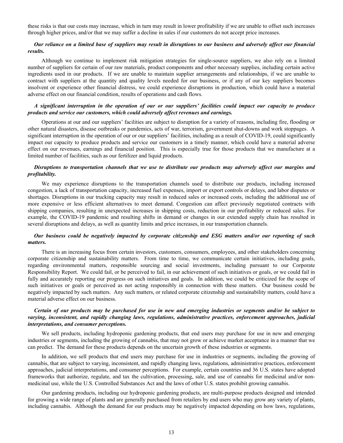these risks is that our costs may increase, which in turn may result in lower profitability if we are unable to offset such increases through higher prices, and/or that we may suffer a decline in sales if our customers do not accept price increases.

## *Our reliance on a limited base of suppliers may result in disruptions to our business and adversely affect our financial results.*

Although we continue to implement risk mitigation strategies for single-source suppliers, we also rely on a limited number of suppliers for certain of our raw materials, product components and other necessary supplies, including certain active ingredients used in our products. If we are unable to maintain supplier arrangements and relationships, if we are unable to contract with suppliers at the quantity and quality levels needed for our business, or if any of our key suppliers becomes insolvent or experience other financial distress, we could experience disruptions in production, which could have a material adverse effect on our financial condition, results of operations and cash flows.

## *A significant interruption in the operation of our or our suppliers' facilities could impact our capacity to produce products and service our customers, which could adversely affect revenues and earnings.*

Operations at our and our suppliers' facilities are subject to disruption for a variety of reasons, including fire, flooding or other natural disasters, disease outbreaks or pandemics, acts of war, terrorism, government shut-downs and work stoppages. A significant interruption in the operation of our or our suppliers' facilities, including as a result of COVID-19, could significantly impact our capacity to produce products and service our customers in a timely manner, which could have a material adverse effect on our revenues, earnings and financial position. This is especially true for those products that we manufacture at a limited number of facilities, such as our fertilizer and liquid products.

## *Disruptions to transportation channels that we use to distribute our products may adversely affect our margins and profitability.*

We may experience disruptions to the transportation channels used to distribute our products, including increased congestion, a lack of transportation capacity, increased fuel expenses, import or export controls or delays, and labor disputes or shortages. Disruptions in our trucking capacity may result in reduced sales or increased costs, including the additional use of more expensive or less efficient alternatives to meet demand. Congestion can affect previously negotiated contracts with shipping companies, resulting in unexpected increases in shipping costs, reduction in our profitability or reduced sales. For example, the COVID-19 pandemic and resulting shifts in demand or changes in our extended supply chain has resulted in several disruptions and delays, as well as quantity limits and price increases, in our transportation channels.

## *Our business could be negatively impacted by corporate citizenship and ESG matters and/or our reporting of such matters.*

There is an increasing focus from certain investors, customers, consumers, employees, and other stakeholders concerning corporate citizenship and sustainability matters. From time to time, we communicate certain initiatives, including goals, regarding environmental matters, responsible sourcing and social investments, including pursuant to our Corporate Responsibility Report. We could fail, or be perceived to fail, in our achievement of such initiatives or goals, or we could fail in fully and accurately reporting our progress on such initiatives and goals. In addition, we could be criticized for the scope of such initiatives or goals or perceived as not acting responsibly in connection with these matters. Our business could be negatively impacted by such matters. Any such matters, or related corporate citizenship and sustainability matters, could have a material adverse effect on our business.

## *Certain of our products may be purchased for use in new and emerging industries or segments and/or be subject to varying, inconsistent, and rapidly changing laws, regulations, administrative practices, enforcement approaches, judicial interpretations, and consumer perceptions.*

We sell products, including hydroponic gardening products, that end users may purchase for use in new and emerging industries or segments, including the growing of cannabis, that may not grow or achieve market acceptance in a manner that we can predict. The demand for these products depends on the uncertain growth of these industries or segments.

In addition, we sell products that end users may purchase for use in industries or segments, including the growing of cannabis, that are subject to varying, inconsistent, and rapidly changing laws, regulations, administrative practices, enforcement approaches, judicial interpretations, and consumer perceptions. For example, certain countries and 36 U.S. states have adopted frameworks that authorize, regulate, and tax the cultivation, processing, sale, and use of cannabis for medicinal and/or nonmedicinal use, while the U.S. Controlled Substances Act and the laws of other U.S. states prohibit growing cannabis.

Our gardening products, including our hydroponic gardening products, are multi-purpose products designed and intended for growing a wide range of plants and are generally purchased from retailers by end users who may grow any variety of plants, including cannabis. Although the demand for our products may be negatively impacted depending on how laws, regulations,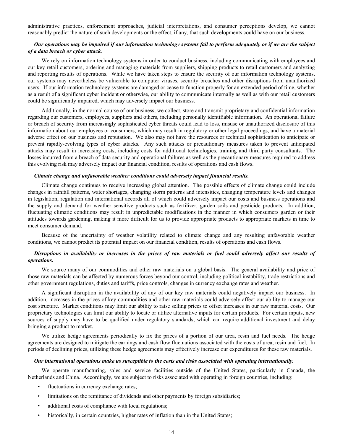administrative practices, enforcement approaches, judicial interpretations, and consumer perceptions develop, we cannot reasonably predict the nature of such developments or the effect, if any, that such developments could have on our business.

## *Our operations may be impaired if our information technology systems fail to perform adequately or if we are the subject of a data breach or cyber attack.*

We rely on information technology systems in order to conduct business, including communicating with employees and our key retail customers, ordering and managing materials from suppliers, shipping products to retail customers and analyzing and reporting results of operations. While we have taken steps to ensure the security of our information technology systems, our systems may nevertheless be vulnerable to computer viruses, security breaches and other disruptions from unauthorized users. If our information technology systems are damaged or cease to function properly for an extended period of time, whether as a result of a significant cyber incident or otherwise, our ability to communicate internally as well as with our retail customers could be significantly impaired, which may adversely impact our business.

Additionally, in the normal course of our business, we collect, store and transmit proprietary and confidential information regarding our customers, employees, suppliers and others, including personally identifiable information. An operational failure or breach of security from increasingly sophisticated cyber threats could lead to loss, misuse or unauthorized disclosure of this information about our employees or consumers, which may result in regulatory or other legal proceedings, and have a material adverse effect on our business and reputation. We also may not have the resources or technical sophistication to anticipate or prevent rapidly-evolving types of cyber attacks. Any such attacks or precautionary measures taken to prevent anticipated attacks may result in increasing costs, including costs for additional technologies, training and third party consultants. The losses incurred from a breach of data security and operational failures as well as the precautionary measures required to address this evolving risk may adversely impact our financial condition, results of operations and cash flows.

#### *Climate change and unfavorable weather conditions could adversely impact financial results.*

Climate change continues to receive increasing global attention. The possible effects of climate change could include changes in rainfall patterns, water shortages, changing storm patterns and intensities, changing temperature levels and changes in legislation, regulation and international accords all of which could adversely impact our costs and business operations and the supply and demand for weather sensitive products such as fertilizer, garden soils and pesticide products. In addition, fluctuating climatic conditions may result in unpredictable modifications in the manner in which consumers garden or their attitudes towards gardening, making it more difficult for us to provide appropriate products to appropriate markets in time to meet consumer demand.

Because of the uncertainty of weather volatility related to climate change and any resulting unfavorable weather conditions, we cannot predict its potential impact on our financial condition, results of operations and cash flows.

## *Disruptions in availability or increases in the prices of raw materials or fuel could adversely affect our results of operations.*

We source many of our commodities and other raw materials on a global basis. The general availability and price of those raw materials can be affected by numerous forces beyond our control, including political instability, trade restrictions and other government regulations, duties and tariffs, price controls, changes in currency exchange rates and weather.

A significant disruption in the availability of any of our key raw materials could negatively impact our business. In addition, increases in the prices of key commodities and other raw materials could adversely affect our ability to manage our cost structure. Market conditions may limit our ability to raise selling prices to offset increases in our raw material costs. Our proprietary technologies can limit our ability to locate or utilize alternative inputs for certain products. For certain inputs, new sources of supply may have to be qualified under regulatory standards, which can require additional investment and delay bringing a product to market.

We utilize hedge agreements periodically to fix the prices of a portion of our urea, resin and fuel needs. The hedge agreements are designed to mitigate the earnings and cash flow fluctuations associated with the costs of urea, resin and fuel. In periods of declining prices, utilizing these hedge agreements may effectively increase our expenditures for these raw materials.

### *Our international operations make us susceptible to the costs and risks associated with operating internationally.*

We operate manufacturing, sales and service facilities outside of the United States, particularly in Canada, the Netherlands and China. Accordingly, we are subject to risks associated with operating in foreign countries, including:

- fluctuations in currency exchange rates;
- limitations on the remittance of dividends and other payments by foreign subsidiaries;
- additional costs of compliance with local regulations;
- historically, in certain countries, higher rates of inflation than in the United States;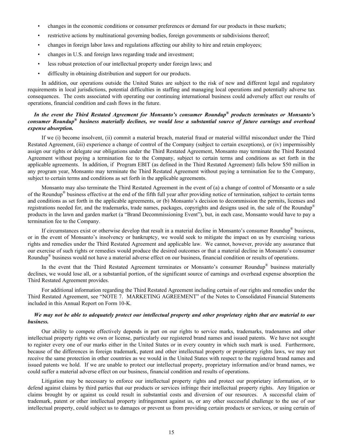- changes in the economic conditions or consumer preferences or demand for our products in these markets;
- restrictive actions by multinational governing bodies, foreign governments or subdivisions thereof;
- changes in foreign labor laws and regulations affecting our ability to hire and retain employees;
- changes in U.S. and foreign laws regarding trade and investment;
- less robust protection of our intellectual property under foreign laws; and
- difficulty in obtaining distribution and support for our products.

In addition, our operations outside the United States are subject to the risk of new and different legal and regulatory requirements in local jurisdictions, potential difficulties in staffing and managing local operations and potentially adverse tax consequences. The costs associated with operating our continuing international business could adversely affect our results of operations, financial condition and cash flows in the future.

## *In the event the Third Restated Agreement for Monsanto's consumer Roundup® products terminates or Monsanto's*  consumer Roundup<sup>®</sup> business materially declines, we would lose a substantial source of future earnings and overhead *expense absorption.*

If we (i) become insolvent, (ii) commit a material breach, material fraud or material willful misconduct under the Third Restated Agreement, (iii) experience a change of control of the Company (subject to certain exceptions), or (iv) impermissibly assign our rights or delegate our obligations under the Third Restated Agreement, Monsanto may terminate the Third Restated Agreement without paying a termination fee to the Company, subject to certain terms and conditions as set forth in the applicable agreements. In addition, if Program EBIT (as defined in the Third Restated Agreement) falls below \$50 million in any program year, Monsanto may terminate the Third Restated Agreement without paying a termination fee to the Company, subject to certain terms and conditions as set forth in the applicable agreements.

Monsanto may also terminate the Third Restated Agreement in the event of (a) a change of control of Monsanto or a sale of the Roundup<sup>®</sup> business effective at the end of the fifth full year after providing notice of termination, subject to certain terms and conditions as set forth in the applicable agreements, or (b) Monsanto's decision to decommission the permits, licenses and registrations needed for, and the trademarks, trade names, packages, copyrights and designs used in, the sale of the Roundup® products in the lawn and garden market (a "Brand Decommissioning Event"), but, in each case, Monsanto would have to pay a termination fee to the Company.

If circumstances exist or otherwise develop that result in a material decline in Monsanto's consumer Roundup<sup>®</sup> business, or in the event of Monsanto's insolvency or bankruptcy, we would seek to mitigate the impact on us by exercising various rights and remedies under the Third Restated Agreement and applicable law. We cannot, however, provide any assurance that our exercise of such rights or remedies would produce the desired outcomes or that a material decline in Monsanto's consumer Roundup<sup>®</sup> business would not have a material adverse effect on our business, financial condition or results of operations.

In the event that the Third Restated Agreement terminates or Monsanto's consumer Roundup® business materially declines, we would lose all, or a substantial portion, of the significant source of earnings and overhead expense absorption the Third Restated Agreement provides.

For additional information regarding the Third Restated Agreement including certain of our rights and remedies under the Third Restated Agreement, see "NOTE 7. MARKETING AGREEMENT" of the Notes to Consolidated Financial Statements included in this Annual Report on Form 10-K.

## *We may not be able to adequately protect our intellectual property and other proprietary rights that are material to our business.*

Our ability to compete effectively depends in part on our rights to service marks, trademarks, tradenames and other intellectual property rights we own or license, particularly our registered brand names and issued patents. We have not sought to register every one of our marks either in the United States or in every country in which such mark is used. Furthermore, because of the differences in foreign trademark, patent and other intellectual property or proprietary rights laws, we may not receive the same protection in other countries as we would in the United States with respect to the registered brand names and issued patents we hold. If we are unable to protect our intellectual property, proprietary information and/or brand names, we could suffer a material adverse effect on our business, financial condition and results of operations.

Litigation may be necessary to enforce our intellectual property rights and protect our proprietary information, or to defend against claims by third parties that our products or services infringe their intellectual property rights. Any litigation or claims brought by or against us could result in substantial costs and diversion of our resources. A successful claim of trademark, patent or other intellectual property infringement against us, or any other successful challenge to the use of our intellectual property, could subject us to damages or prevent us from providing certain products or services, or using certain of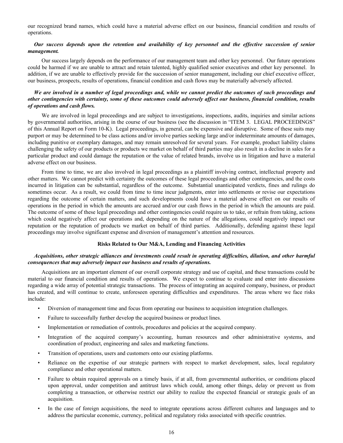our recognized brand names, which could have a material adverse effect on our business, financial condition and results of operations.

## *Our success depends upon the retention and availability of key personnel and the effective succession of senior management.*

Our success largely depends on the performance of our management team and other key personnel. Our future operations could be harmed if we are unable to attract and retain talented, highly qualified senior executives and other key personnel. In addition, if we are unable to effectively provide for the succession of senior management, including our chief executive officer, our business, prospects, results of operations, financial condition and cash flows may be materially adversely affected.

## *We are involved in a number of legal proceedings and, while we cannot predict the outcomes of such proceedings and other contingencies with certainty, some of these outcomes could adversely affect our business, financial condition, results of operations and cash flows.*

We are involved in legal proceedings and are subject to investigations, inspections, audits, inquiries and similar actions by governmental authorities, arising in the course of our business (see the discussion in "ITEM 3. LEGAL PROCEEDINGS" of this Annual Report on Form 10-K). Legal proceedings, in general, can be expensive and disruptive. Some of these suits may purport or may be determined to be class actions and/or involve parties seeking large and/or indeterminate amounts of damages, including punitive or exemplary damages, and may remain unresolved for several years. For example, product liability claims challenging the safety of our products or products we market on behalf of third parties may also result in a decline in sales for a particular product and could damage the reputation or the value of related brands, involve us in litigation and have a material adverse effect on our business.

From time to time, we are also involved in legal proceedings as a plaintiff involving contract, intellectual property and other matters. We cannot predict with certainty the outcomes of these legal proceedings and other contingencies, and the costs incurred in litigation can be substantial, regardless of the outcome. Substantial unanticipated verdicts, fines and rulings do sometimes occur. As a result, we could from time to time incur judgments, enter into settlements or revise our expectations regarding the outcome of certain matters, and such developments could have a material adverse effect on our results of operations in the period in which the amounts are accrued and/or our cash flows in the period in which the amounts are paid. The outcome of some of these legal proceedings and other contingencies could require us to take, or refrain from taking, actions which could negatively affect our operations and, depending on the nature of the allegations, could negatively impact our reputation or the reputation of products we market on behalf of third parties. Additionally, defending against these legal proceedings may involve significant expense and diversion of management's attention and resources.

## **Risks Related to Our M&A, Lending and Financing Activities**

## *Acquisitions, other strategic alliances and investments could result in operating difficulties, dilution, and other harmful consequences that may adversely impact our business and results of operations.*

Acquisitions are an important element of our overall corporate strategy and use of capital, and these transactions could be material to our financial condition and results of operations. We expect to continue to evaluate and enter into discussions regarding a wide array of potential strategic transactions. The process of integrating an acquired company, business, or product has created, and will continue to create, unforeseen operating difficulties and expenditures. The areas where we face risks include:

- Diversion of management time and focus from operating our business to acquisition integration challenges.
- Failure to successfully further develop the acquired business or product lines.
- Implementation or remediation of controls, procedures and policies at the acquired company.
- Integration of the acquired company's accounting, human resources and other administrative systems, and coordination of product, engineering and sales and marketing functions.
- Transition of operations, users and customers onto our existing platforms.
- Reliance on the expertise of our strategic partners with respect to market development, sales, local regulatory compliance and other operational matters.
- Failure to obtain required approvals on a timely basis, if at all, from governmental authorities, or conditions placed upon approval, under competition and antitrust laws which could, among other things, delay or prevent us from completing a transaction, or otherwise restrict our ability to realize the expected financial or strategic goals of an acquisition.
- In the case of foreign acquisitions, the need to integrate operations across different cultures and languages and to address the particular economic, currency, political and regulatory risks associated with specific countries.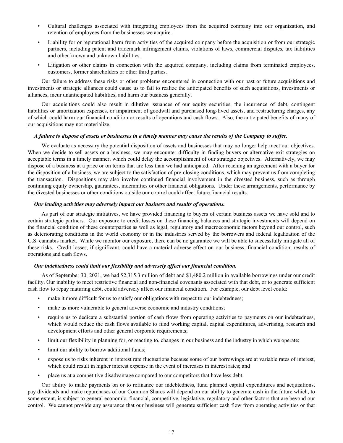- Cultural challenges associated with integrating employees from the acquired company into our organization, and retention of employees from the businesses we acquire.
- Liability for or reputational harm from activities of the acquired company before the acquisition or from our strategic partners, including patent and trademark infringement claims, violations of laws, commercial disputes, tax liabilities and other known and unknown liabilities.
- Litigation or other claims in connection with the acquired company, including claims from terminated employees, customers, former shareholders or other third parties.

Our failure to address these risks or other problems encountered in connection with our past or future acquisitions and investments or strategic alliances could cause us to fail to realize the anticipated benefits of such acquisitions, investments or alliances, incur unanticipated liabilities, and harm our business generally.

Our acquisitions could also result in dilutive issuances of our equity securities, the incurrence of debt, contingent liabilities or amortization expenses, or impairment of goodwill and purchased long-lived assets, and restructuring charges, any of which could harm our financial condition or results of operations and cash flows. Also, the anticipated benefits of many of our acquisitions may not materialize.

## *A failure to dispose of assets or businesses in a timely manner may cause the results of the Company to suffer.*

We evaluate as necessary the potential disposition of assets and businesses that may no longer help meet our objectives. When we decide to sell assets or a business, we may encounter difficulty in finding buyers or alternative exit strategies on acceptable terms in a timely manner, which could delay the accomplishment of our strategic objectives. Alternatively, we may dispose of a business at a price or on terms that are less than we had anticipated. After reaching an agreement with a buyer for the disposition of a business, we are subject to the satisfaction of pre-closing conditions, which may prevent us from completing the transaction. Dispositions may also involve continued financial involvement in the divested business, such as through continuing equity ownership, guarantees, indemnities or other financial obligations. Under these arrangements, performance by the divested businesses or other conditions outside our control could affect future financial results.

## *Our lending activities may adversely impact our business and results of operations.*

As part of our strategic initiatives, we have provided financing to buyers of certain business assets we have sold and to certain strategic partners. Our exposure to credit losses on these financing balances and strategic investments will depend on the financial condition of these counterparties as well as legal, regulatory and macroeconomic factors beyond our control, such as deteriorating conditions in the world economy or in the industries served by the borrowers and federal legalization of the U.S. cannabis market. While we monitor our exposure, there can be no guarantee we will be able to successfully mitigate all of these risks. Credit losses, if significant, could have a material adverse effect on our business, financial condition, results of operations and cash flows.

## *Our indebtedness could limit our flexibility and adversely affect our financial condition.*

As of September 30, 2021, we had \$2,315.3 million of debt and \$1,480.2 million in available borrowings under our credit facility. Our inability to meet restrictive financial and non-financial covenants associated with that debt, or to generate sufficient cash flow to repay maturing debt, could adversely affect our financial condition. For example, our debt level could:

- make it more difficult for us to satisfy our obligations with respect to our indebtedness;
- make us more vulnerable to general adverse economic and industry conditions;
- require us to dedicate a substantial portion of cash flows from operating activities to payments on our indebtedness, which would reduce the cash flows available to fund working capital, capital expenditures, advertising, research and development efforts and other general corporate requirements;
- limit our flexibility in planning for, or reacting to, changes in our business and the industry in which we operate;
- limit our ability to borrow additional funds;
- expose us to risks inherent in interest rate fluctuations because some of our borrowings are at variable rates of interest, which could result in higher interest expense in the event of increases in interest rates; and
- place us at a competitive disadvantage compared to our competitors that have less debt.

Our ability to make payments on or to refinance our indebtedness, fund planned capital expenditures and acquisitions, pay dividends and make repurchases of our Common Shares will depend on our ability to generate cash in the future which, to some extent, is subject to general economic, financial, competitive, legislative, regulatory and other factors that are beyond our control. We cannot provide any assurance that our business will generate sufficient cash flow from operating activities or that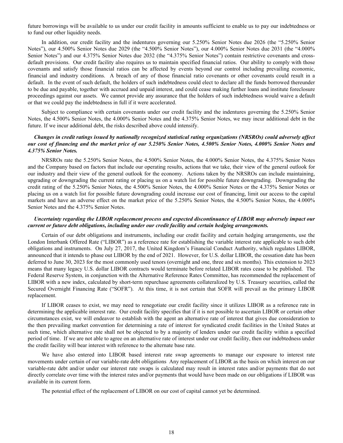future borrowings will be available to us under our credit facility in amounts sufficient to enable us to pay our indebtedness or to fund our other liquidity needs.

In addition, our credit facility and the indentures governing our 5.250% Senior Notes due 2026 (the "5.250% Senior Notes"), our 4.500% Senior Notes due 2029 (the "4.500% Senior Notes"), our 4.000% Senior Notes due 2031 (the "4.000% Senior Notes") and our 4.375% Senior Notes due 2032 (the "4.375% Senior Notes") contain restrictive covenants and crossdefault provisions. Our credit facility also requires us to maintain specified financial ratios. Our ability to comply with those covenants and satisfy those financial ratios can be affected by events beyond our control including prevailing economic, financial and industry conditions. A breach of any of those financial ratio covenants or other covenants could result in a default. In the event of such default, the holders of such indebtedness could elect to declare all the funds borrowed thereunder to be due and payable, together with accrued and unpaid interest, and could cease making further loans and institute foreclosure proceedings against our assets. We cannot provide any assurance that the holders of such indebtedness would waive a default or that we could pay the indebtedness in full if it were accelerated.

Subject to compliance with certain covenants under our credit facility and the indentures governing the 5.250% Senior Notes, the 4.500% Senior Notes, the 4.000% Senior Notes and the 4.375% Senior Notes, we may incur additional debt in the future. If we incur additional debt, the risks described above could intensify.

## *Changes in credit ratings issued by nationally recognized statistical rating organizations (NRSROs) could adversely affect our cost of financing and the market price of our 5.250% Senior Notes, 4.500% Senior Notes, 4.000% Senior Notes and 4.375% Senior Notes.*

NRSROs rate the 5.250% Senior Notes, the 4.500% Senior Notes, the 4.000% Senior Notes, the 4.375% Senior Notes and the Company based on factors that include our operating results, actions that we take, their view of the general outlook for our industry and their view of the general outlook for the economy. Actions taken by the NRSROs can include maintaining, upgrading or downgrading the current rating or placing us on a watch list for possible future downgrading. Downgrading the credit rating of the 5.250% Senior Notes, the 4.500% Senior Notes, the 4.000% Senior Notes or the 4.375% Senior Notes or placing us on a watch list for possible future downgrading could increase our cost of financing, limit our access to the capital markets and have an adverse effect on the market price of the 5.250% Senior Notes, the 4.500% Senior Notes, the 4.000% Senior Notes and the 4.375% Senior Notes.

## *Uncertainty regarding the LIBOR replacement process and expected discontinuance of LIBOR may adversely impact our current or future debt obligations, including under our credit facility and certain hedging arrangements.*

Certain of our debt obligations and instruments, including our credit facility and certain hedging arrangements, use the London Interbank Offered Rate ("LIBOR") as a reference rate for establishing the variable interest rate applicable to such debt obligations and instruments. On July 27, 2017, the United Kingdom's Financial Conduct Authority, which regulates LIBOR, announced that it intends to phase out LIBOR by the end of 2021. However, for U.S. dollar LIBOR, the cessation date has been deferred to June 30, 2023 for the most commonly used tenors (overnight and one, three and six months). This extension to 2023 means that many legacy U.S. dollar LIBOR contracts would terminate before related LIBOR rates cease to be published. The Federal Reserve System, in conjunction with the Alternative Reference Rates Committee, has recommended the replacement of LIBOR with a new index, calculated by short-term repurchase agreements collateralized by U.S. Treasury securities, called the Secured Overnight Financing Rate ("SOFR"). At this time, it is not certain that SOFR will prevail as the primary LIBOR replacement.

If LIBOR ceases to exist, we may need to renegotiate our credit facility since it utilizes LIBOR as a reference rate in determining the applicable interest rate. Our credit facility specifies that if it is not possible to ascertain LIBOR or certain other circumstances exist, we will endeavor to establish with the agent an alternative rate of interest that gives due consideration to the then prevailing market convention for determining a rate of interest for syndicated credit facilities in the United States at such time, which alternative rate shall not be objected to by a majority of lenders under our credit facility within a specified period of time. If we are not able to agree on an alternative rate of interest under our credit facility, then our indebtedness under the credit facility will bear interest with reference to the alternate base rate.

We have also entered into LIBOR based interest rate swap agreements to manage our exposure to interest rate movements under certain of our variable-rate debt obligations Any replacement of LIBOR as the basis on which interest on our variable-rate debt and/or under our interest rate swaps is calculated may result in interest rates and/or payments that do not directly correlate over time with the interest rates and/or payments that would have been made on our obligations if LIBOR was available in its current form.

The potential effect of the replacement of LIBOR on our cost of capital cannot yet be determined.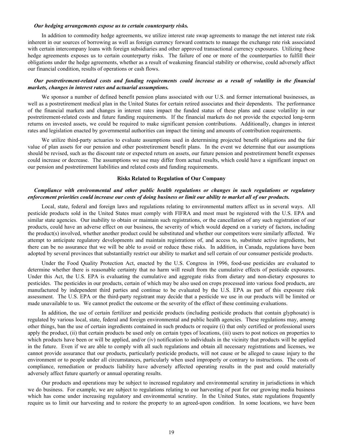#### *Our hedging arrangements expose us to certain counterparty risks.*

In addition to commodity hedge agreements, we utilize interest rate swap agreements to manage the net interest rate risk inherent in our sources of borrowing as well as foreign currency forward contracts to manage the exchange rate risk associated with certain intercompany loans with foreign subsidiaries and other approved transactional currency exposures. Utilizing these hedge agreements exposes us to certain counterparty risks. The failure of one or more of the counterparties to fulfill their obligations under the hedge agreements, whether as a result of weakening financial stability or otherwise, could adversely affect our financial condition, results of operations or cash flows.

## *Our postretirement-related costs and funding requirements could increase as a result of volatility in the financial markets, changes in interest rates and actuarial assumptions.*

We sponsor a number of defined benefit pension plans associated with our U.S. and former international businesses, as well as a postretirement medical plan in the United States for certain retired associates and their dependents. The performance of the financial markets and changes in interest rates impact the funded status of these plans and cause volatility in our postretirement-related costs and future funding requirements. If the financial markets do not provide the expected long-term returns on invested assets, we could be required to make significant pension contributions. Additionally, changes in interest rates and legislation enacted by governmental authorities can impact the timing and amounts of contribution requirements.

We utilize third-party actuaries to evaluate assumptions used in determining projected benefit obligations and the fair value of plan assets for our pension and other postretirement benefit plans. In the event we determine that our assumptions should be revised, such as the discount rate or expected return on assets, our future pension and postretirement benefit expenses could increase or decrease. The assumptions we use may differ from actual results, which could have a significant impact on our pension and postretirement liabilities and related costs and funding requirements.

## **Risks Related to Regulation of Our Company**

## *Compliance with environmental and other public health regulations or changes in such regulations or regulatory enforcement priorities could increase our costs of doing business or limit our ability to market all of our products.*

Local, state, federal and foreign laws and regulations relating to environmental matters affect us in several ways. All pesticide products sold in the United States must comply with FIFRA and most must be registered with the U.S. EPA and similar state agencies. Our inability to obtain or maintain such registrations, or the cancellation of any such registration of our products, could have an adverse effect on our business, the severity of which would depend on a variety of factors, including the product(s) involved, whether another product could be substituted and whether our competitors were similarly affected. We attempt to anticipate regulatory developments and maintain registrations of, and access to, substitute active ingredients, but there can be no assurance that we will be able to avoid or reduce these risks. In addition, in Canada, regulations have been adopted by several provinces that substantially restrict our ability to market and sell certain of our consumer pesticide products.

Under the Food Quality Protection Act, enacted by the U.S. Congress in 1996, food-use pesticides are evaluated to determine whether there is reasonable certainty that no harm will result from the cumulative effects of pesticide exposures. Under this Act, the U.S. EPA is evaluating the cumulative and aggregate risks from dietary and non-dietary exposures to pesticides. The pesticides in our products, certain of which may be also used on crops processed into various food products, are manufactured by independent third parties and continue to be evaluated by the U.S. EPA as part of this exposure risk assessment. The U.S. EPA or the third-party registrant may decide that a pesticide we use in our products will be limited or made unavailable to us. We cannot predict the outcome or the severity of the effect of these continuing evaluations.

In addition, the use of certain fertilizer and pesticide products (including pesticide products that contain glyphosate) is regulated by various local, state, federal and foreign environmental and public health agencies. These regulations may, among other things, ban the use of certain ingredients contained in such products or require (i) that only certified or professional users apply the product, (ii) that certain products be used only on certain types of locations, (iii) users to post notices on properties to which products have been or will be applied, and/or (iv) notification to individuals in the vicinity that products will be applied in the future. Even if we are able to comply with all such regulations and obtain all necessary registrations and licenses, we cannot provide assurance that our products, particularly pesticide products, will not cause or be alleged to cause injury to the environment or to people under all circumstances, particularly when used improperly or contrary to instructions. The costs of compliance, remediation or products liability have adversely affected operating results in the past and could materially adversely affect future quarterly or annual operating results.

Our products and operations may be subject to increased regulatory and environmental scrutiny in jurisdictions in which we do business. For example, we are subject to regulations relating to our harvesting of peat for our growing media business which has come under increasing regulatory and environmental scrutiny. In the United States, state regulations frequently require us to limit our harvesting and to restore the property to an agreed-upon condition. In some locations, we have been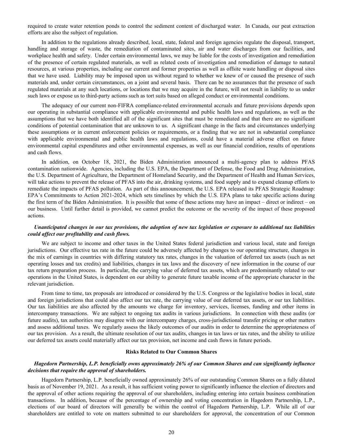required to create water retention ponds to control the sediment content of discharged water. In Canada, our peat extraction efforts are also the subject of regulation.

In addition to the regulations already described, local, state, federal and foreign agencies regulate the disposal, transport, handling and storage of waste, the remediation of contaminated sites, air and water discharges from our facilities, and workplace health and safety. Under certain environmental laws, we may be liable for the costs of investigation and remediation of the presence of certain regulated materials, as well as related costs of investigation and remediation of damage to natural resources, at various properties, including our current and former properties as well as offsite waste handling or disposal sites that we have used. Liability may be imposed upon us without regard to whether we knew of or caused the presence of such materials and, under certain circumstances, on a joint and several basis. There can be no assurances that the presence of such regulated materials at any such locations, or locations that we may acquire in the future, will not result in liability to us under such laws or expose us to third-party actions such as tort suits based on alleged conduct or environmental conditions.

The adequacy of our current non-FIFRA compliance-related environmental accruals and future provisions depends upon our operating in substantial compliance with applicable environmental and public health laws and regulations, as well as the assumptions that we have both identified all of the significant sites that must be remediated and that there are no significant conditions of potential contamination that are unknown to us. A significant change in the facts and circumstances underlying these assumptions or in current enforcement policies or requirements, or a finding that we are not in substantial compliance with applicable environmental and public health laws and regulations, could have a material adverse effect on future environmental capital expenditures and other environmental expenses, as well as our financial condition, results of operations and cash flows.

In addition, on October 18, 2021, the Biden Administration announced a multi-agency plan to address PFAS contamination nationwide. Agencies, including the U.S. EPA, the Department of Defense, the Food and Drug Administration, the U.S. Department of Agriculture, the Department of Homeland Security, and the Department of Health and Human Services, will take actions to prevent the release of PFAS into the air, drinking systems, and food supply and to expand cleanup efforts to remediate the impacts of PFAS pollution. As part of this announcement, the U.S. EPA released its PFAS Strategic Roadmap: EPA's Commitments to Action 2021-2024, which sets timelines by which the U.S. EPA plans to take specific actions during the first term of the Biden Administration. It is possible that some of these actions may have an impact – direct or indirect – on our business. Until further detail is provided, we cannot predict the outcome or the severity of the impact of these proposed actions.

## *Unanticipated changes in our tax provisions, the adoption of new tax legislation or exposure to additional tax liabilities could affect our profitability and cash flows.*

We are subject to income and other taxes in the United States federal jurisdiction and various local, state and foreign jurisdictions. Our effective tax rate in the future could be adversely affected by changes to our operating structure, changes in the mix of earnings in countries with differing statutory tax rates, changes in the valuation of deferred tax assets (such as net operating losses and tax credits) and liabilities, changes in tax laws and the discovery of new information in the course of our tax return preparation process. In particular, the carrying value of deferred tax assets, which are predominantly related to our operations in the United States, is dependent on our ability to generate future taxable income of the appropriate character in the relevant jurisdiction.

From time to time, tax proposals are introduced or considered by the U.S. Congress or the legislative bodies in local, state and foreign jurisdictions that could also affect our tax rate, the carrying value of our deferred tax assets, or our tax liabilities. Our tax liabilities are also affected by the amounts we charge for inventory, services, licenses, funding and other items in intercompany transactions. We are subject to ongoing tax audits in various jurisdictions. In connection with these audits (or future audits), tax authorities may disagree with our intercompany charges, cross-jurisdictional transfer pricing or other matters and assess additional taxes. We regularly assess the likely outcomes of our audits in order to determine the appropriateness of our tax provision. As a result, the ultimate resolution of our tax audits, changes in tax laws or tax rates, and the ability to utilize our deferred tax assets could materially affect our tax provision, net income and cash flows in future periods.

#### **Risks Related to Our Common Shares**

## *Hagedorn Partnership, L.P. beneficially owns approximately 26% of our Common Shares and can significantly influence decisions that require the approval of shareholders.*

Hagedorn Partnership, L.P. beneficially owned approximately 26% of our outstanding Common Shares on a fully diluted basis as of November 19, 2021. As a result, it has sufficient voting power to significantly influence the election of directors and the approval of other actions requiring the approval of our shareholders, including entering into certain business combination transactions. In addition, because of the percentage of ownership and voting concentration in Hagedorn Partnership, L.P., elections of our board of directors will generally be within the control of Hagedorn Partnership, L.P. While all of our shareholders are entitled to vote on matters submitted to our shareholders for approval, the concentration of our Common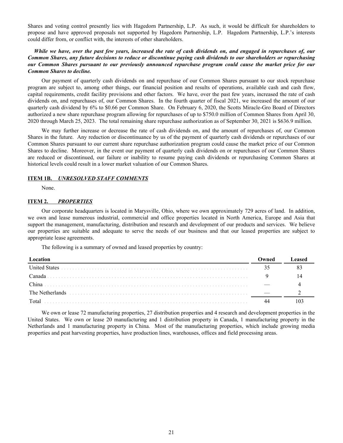Shares and voting control presently lies with Hagedorn Partnership, L.P. As such, it would be difficult for shareholders to propose and have approved proposals not supported by Hagedorn Partnership, L.P. Hagedorn Partnership, L.P.'s interests could differ from, or conflict with, the interests of other shareholders.

## *While we have, over the past few years, increased the rate of cash dividends on, and engaged in repurchases of, our Common Shares, any future decisions to reduce or discontinue paying cash dividends to our shareholders or repurchasing our Common Shares pursuant to our previously announced repurchase program could cause the market price for our Common Shares to decline.*

Our payment of quarterly cash dividends on and repurchase of our Common Shares pursuant to our stock repurchase program are subject to, among other things, our financial position and results of operations, available cash and cash flow, capital requirements, credit facility provisions and other factors. We have, over the past few years, increased the rate of cash dividends on, and repurchases of, our Common Shares. In the fourth quarter of fiscal 2021, we increased the amount of our quarterly cash dividend by 6% to \$0.66 per Common Share. On February 6, 2020, the Scotts Miracle-Gro Board of Directors authorized a new share repurchase program allowing for repurchases of up to \$750.0 million of Common Shares from April 30, 2020 through March 25, 2023. The total remaining share repurchase authorization as of September 30, 2021 is \$636.9 million.

We may further increase or decrease the rate of cash dividends on, and the amount of repurchases of, our Common Shares in the future. Any reduction or discontinuance by us of the payment of quarterly cash dividends or repurchases of our Common Shares pursuant to our current share repurchase authorization program could cause the market price of our Common Shares to decline. Moreover, in the event our payment of quarterly cash dividends on or repurchases of our Common Shares are reduced or discontinued, our failure or inability to resume paying cash dividends or repurchasing Common Shares at historical levels could result in a lower market valuation of our Common Shares.

## **ITEM 1B.** *UNRESOLVED STAFF COMMENTS*

None.

## **ITEM 2.** *PROPERTIES*

Our corporate headquarters is located in Marysville, Ohio, where we own approximately 729 acres of land. In addition, we own and lease numerous industrial, commercial and office properties located in North America, Europe and Asia that support the management, manufacturing, distribution and research and development of our products and services. We believe our properties are suitable and adequate to serve the needs of our business and that our leased properties are subject to appropriate lease agreements.

The following is a summary of owned and leased properties by country:

|                       | ')wned |  |
|-----------------------|--------|--|
| <b>H</b> nited States |        |  |
| $C$ anada             |        |  |
| China                 |        |  |
| The Netherlands       |        |  |
| Total                 |        |  |

We own or lease 72 manufacturing properties, 27 distribution properties and 4 research and development properties in the United States. We own or lease 20 manufacturing and 1 distribution property in Canada, 1 manufacturing property in the Netherlands and 1 manufacturing property in China. Most of the manufacturing properties, which include growing media properties and peat harvesting properties, have production lines, warehouses, offices and field processing areas.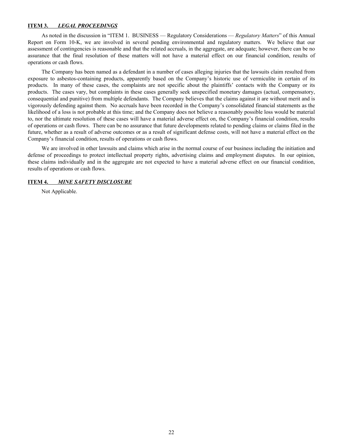## **ITEM 3.** *LEGAL PROCEEDINGS*

As noted in the discussion in "ITEM 1. BUSINESS — Regulatory Considerations — *Regulatory Matters*" of this Annual Report on Form 10-K, we are involved in several pending environmental and regulatory matters. We believe that our assessment of contingencies is reasonable and that the related accruals, in the aggregate, are adequate; however, there can be no assurance that the final resolution of these matters will not have a material effect on our financial condition, results of operations or cash flows.

The Company has been named as a defendant in a number of cases alleging injuries that the lawsuits claim resulted from exposure to asbestos-containing products, apparently based on the Company's historic use of vermiculite in certain of its products. In many of these cases, the complaints are not specific about the plaintiffs' contacts with the Company or its products. The cases vary, but complaints in these cases generally seek unspecified monetary damages (actual, compensatory, consequential and punitive) from multiple defendants. The Company believes that the claims against it are without merit and is vigorously defending against them. No accruals have been recorded in the Company's consolidated financial statements as the likelihood of a loss is not probable at this time; and the Company does not believe a reasonably possible loss would be material to, nor the ultimate resolution of these cases will have a material adverse effect on, the Company's financial condition, results of operations or cash flows. There can be no assurance that future developments related to pending claims or claims filed in the future, whether as a result of adverse outcomes or as a result of significant defense costs, will not have a material effect on the Company's financial condition, results of operations or cash flows.

We are involved in other lawsuits and claims which arise in the normal course of our business including the initiation and defense of proceedings to protect intellectual property rights, advertising claims and employment disputes. In our opinion, these claims individually and in the aggregate are not expected to have a material adverse effect on our financial condition, results of operations or cash flows.

## **ITEM 4.** *MINE SAFETY DISCLOSURE*

Not Applicable.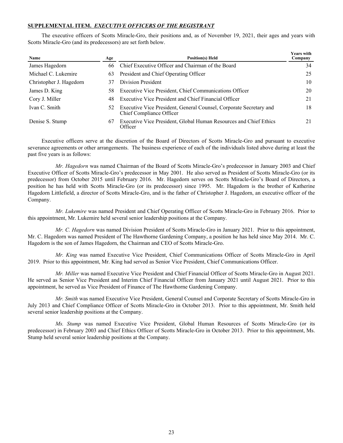## **SUPPLEMENTAL ITEM.** *EXECUTIVE OFFICERS OF THE REGISTRANT*

The executive officers of Scotts Miracle-Gro, their positions and, as of November 19, 2021, their ages and years with Scotts Miracle-Gro (and its predecessors) are set forth below.

| Name                    | Age | <b>Position(s)</b> Held                                                                        | <b>Years with</b><br>Company |
|-------------------------|-----|------------------------------------------------------------------------------------------------|------------------------------|
| James Hagedorn          | 66  | Chief Executive Officer and Chairman of the Board                                              | 34                           |
| Michael C. Lukemire     | 63  | President and Chief Operating Officer                                                          | 25                           |
| Christopher J. Hagedorn | 37  | Division President                                                                             | 10                           |
| James D. King           | 58. | Executive Vice President, Chief Communications Officer                                         | 20                           |
| Cory J. Miller          | 48  | Executive Vice President and Chief Financial Officer                                           | 21                           |
| Ivan C. Smith           | 52  | Executive Vice President, General Counsel, Corporate Secretary and<br>Chief Compliance Officer | 18                           |
| Denise S. Stump         | 67  | Executive Vice President, Global Human Resources and Chief Ethics<br>Officer                   | 21                           |

Executive officers serve at the discretion of the Board of Directors of Scotts Miracle-Gro and pursuant to executive severance agreements or other arrangements. The business experience of each of the individuals listed above during at least the past five years is as follows:

*Mr. Hagedorn* was named Chairman of the Board of Scotts Miracle-Gro's predecessor in January 2003 and Chief Executive Officer of Scotts Miracle-Gro's predecessor in May 2001. He also served as President of Scotts Miracle-Gro (or its predecessor) from October 2015 until February 2016. Mr. Hagedorn serves on Scotts Miracle-Gro's Board of Directors, a position he has held with Scotts Miracle-Gro (or its predecessor) since 1995. Mr. Hagedorn is the brother of Katherine Hagedorn Littlefield, a director of Scotts Miracle-Gro, and is the father of Christopher J. Hagedorn, an executive officer of the Company.

*Mr. Lukemire* was named President and Chief Operating Officer of Scotts Miracle-Gro in February 2016. Prior to this appointment, Mr. Lukemire held several senior leadership positions at the Company.

*Mr. C. Hagedorn* was named Division President of Scotts Miracle-Gro in January 2021. Prior to this appointment, Mr. C. Hagedorn was named President of The Hawthorne Gardening Company, a position he has held since May 2014. Mr. C. Hagedorn is the son of James Hagedorn, the Chairman and CEO of Scotts Miracle-Gro.

*Mr. King* was named Executive Vice President, Chief Communications Officer of Scotts Miracle-Gro in April 2019. Prior to this appointment, Mr. King had served as Senior Vice President, Chief Communications Officer.

*Mr. Miller* was named Executive Vice President and Chief Financial Officer of Scotts Miracle-Gro in August 2021. He served as Senior Vice President and Interim Chief Financial Officer from January 2021 until August 2021. Prior to this appointment, he served as Vice President of Finance of The Hawthorne Gardening Company.

*Mr. Smith* was named Executive Vice President, General Counsel and Corporate Secretary of Scotts Miracle-Gro in July 2013 and Chief Compliance Officer of Scotts Miracle-Gro in October 2013. Prior to this appointment, Mr. Smith held several senior leadership positions at the Company.

*Ms. Stump* was named Executive Vice President, Global Human Resources of Scotts Miracle-Gro (or its predecessor) in February 2003 and Chief Ethics Officer of Scotts Miracle-Gro in October 2013. Prior to this appointment, Ms. Stump held several senior leadership positions at the Company.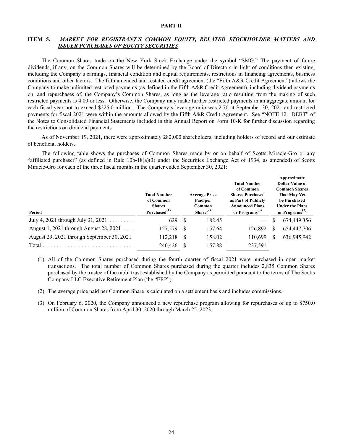#### **PART II**

## **ITEM 5.** *MARKET FOR REGISTRANT'S COMMON EQUITY, RELATED STOCKHOLDER MATTERS AND ISSUER PURCHASES OF EQUITY SECURITIES*

The Common Shares trade on the New York Stock Exchange under the symbol "SMG." The payment of future dividends, if any, on the Common Shares will be determined by the Board of Directors in light of conditions then existing, including the Company's earnings, financial condition and capital requirements, restrictions in financing agreements, business conditions and other factors. The fifth amended and restated credit agreement (the "Fifth A&R Credit Agreement") allows the Company to make unlimited restricted payments (as defined in the Fifth A&R Credit Agreement), including dividend payments on, and repurchases of, the Company's Common Shares, as long as the leverage ratio resulting from the making of such restricted payments is 4.00 or less. Otherwise, the Company may make further restricted payments in an aggregate amount for each fiscal year not to exceed \$225.0 million. The Company's leverage ratio was 2.70 at September 30, 2021 and restricted payments for fiscal 2021 were within the amounts allowed by the Fifth A&R Credit Agreement. See "NOTE 12. DEBT" of the Notes to Consolidated Financial Statements included in this Annual Report on Form 10-K for further discussion regarding the restrictions on dividend payments.

As of November 19, 2021, there were approximately 282,000 shareholders, including holders of record and our estimate of beneficial holders.

The following table shows the purchases of Common Shares made by or on behalf of Scotts Miracle-Gro or any "affiliated purchaser" (as defined in Rule 10b-18(a)(3) under the Securities Exchange Act of 1934, as amended) of Scotts Miracle-Gro for each of the three fiscal months in the quarter ended September 30, 2021:

| Period                                     | <b>Total Number</b><br>of Common<br><b>Shares</b><br>Purchased <sup>(1)</sup> |              | <b>Average Price</b><br>Paid per<br>Common<br>Share $^{(2)}$ | <b>Total Number</b><br>of Common<br><b>Shares Purchased</b><br>as Part of Publicly<br><b>Announced Plans</b><br>or Programs <sup>(3)</sup> |              | Approximate<br><b>Dollar Value of</b><br><b>Common Shares</b><br><b>That May Yet</b><br>be Purchased<br><b>Under the Plans</b><br>or Programs <sup>(3)</sup> |  |
|--------------------------------------------|-------------------------------------------------------------------------------|--------------|--------------------------------------------------------------|--------------------------------------------------------------------------------------------------------------------------------------------|--------------|--------------------------------------------------------------------------------------------------------------------------------------------------------------|--|
| July 4, 2021 through July 31, 2021         | 629                                                                           | -S           | 182.45                                                       |                                                                                                                                            | <sup>S</sup> | 674,449,356                                                                                                                                                  |  |
| August 1, 2021 through August 28, 2021     | 127,579                                                                       | <sup>S</sup> | 157.64                                                       | 126,892                                                                                                                                    | S            | 654,447,706                                                                                                                                                  |  |
| August 29, 2021 through September 30, 2021 | 112,218                                                                       | S            | 158.02                                                       | 110,699                                                                                                                                    | S            | 636,945,942                                                                                                                                                  |  |
| Total                                      | 240,426                                                                       |              | 157.88                                                       | 237,591                                                                                                                                    |              |                                                                                                                                                              |  |

(1) All of the Common Shares purchased during the fourth quarter of fiscal 2021 were purchased in open market transactions. The total number of Common Shares purchased during the quarter includes 2,835 Common Shares purchased by the trustee of the rabbi trust established by the Company as permitted pursuant to the terms of The Scotts Company LLC Executive Retirement Plan (the "ERP").

(2) The average price paid per Common Share is calculated on a settlement basis and includes commissions.

(3) On February 6, 2020, the Company announced a new repurchase program allowing for repurchases of up to \$750.0 million of Common Shares from April 30, 2020 through March 25, 2023.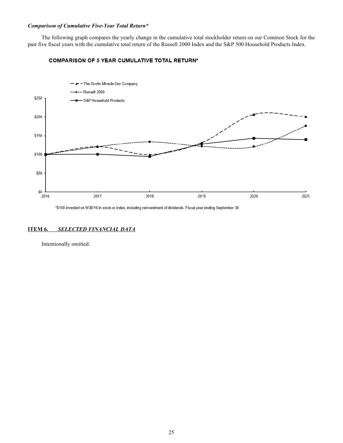## *Comparison of Cumulative Five-Year Total Return\**

The following graph compares the yearly change in the cumulative total stockholder return on our Common Stock for the past five fiscal years with the cumulative total return of the Russell 2000 Index and the S&P 500 Household Products Index.

## **COMPARISON OF 5 YEAR CUMULATIVE TOTAL RETURN\***



\*\$100 invested on 9/30/16 in stock or index, including reinvestment of dividends. Fiscal year ending September 30.

## **ITEM 6.** *SELECTED FINANCIAL DATA*

Intentionally omitted.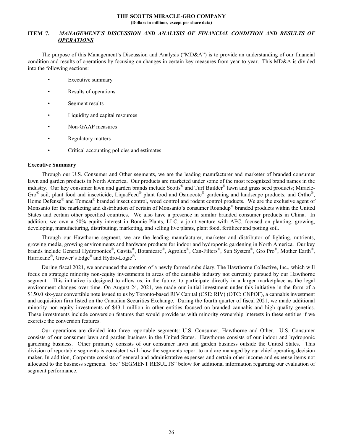#### **THE SCOTTS MIRACLE-GRO COMPANY (Dollars in millions, except per share data)**

## **ITEM 7.** *MANAGEMENT'S DISCUSSION AND ANALYSIS OF FINANCIAL CONDITION AND RESULTS OF OPERATIONS*

The purpose of this Management's Discussion and Analysis ("MD&A") is to provide an understanding of our financial condition and results of operations by focusing on changes in certain key measures from year-to-year. This MD&A is divided into the following sections:

- Executive summary
- Results of operations
- Segment results
- Liquidity and capital resources
- Non-GAAP measures
- Regulatory matters
- Critical accounting policies and estimates

## **Executive Summary**

Through our U.S. Consumer and Other segments, we are the leading manufacturer and marketer of branded consumer lawn and garden products in North America. Our products are marketed under some of the most recognized brand names in the industry. Our key consumer lawn and garden brands include Scotts® and Turf Builder® lawn and grass seed products; Miracle-Gro<sup>®</sup> soil, plant food and insecticide, LiquaFeed<sup>®</sup> plant food and Osmocote<sup>®</sup> gardening and landscape products; and Ortho<sup>®</sup>, Home Defense® and Tomcat® branded insect control, weed control and rodent control products. We are the exclusive agent of Monsanto for the marketing and distribution of certain of Monsanto's consumer Roundup® branded products within the United States and certain other specified countries. We also have a presence in similar branded consumer products in China. In addition, we own a 50% equity interest in Bonnie Plants, LLC, a joint venture with AFC, focused on planting, growing, developing, manufacturing, distributing, marketing, and selling live plants, plant food, fertilizer and potting soil.

Through our Hawthorne segment, we are the leading manufacturer, marketer and distributor of lighting, nutrients, growing media, growing environments and hardware products for indoor and hydroponic gardening in North America. Our key brands include General Hydroponics®, Gavita®, Botanicare®, Agrolux®, Can-Filters®, Sun System®, Gro Pro®, Mother Earth®, Hurricane<sup>®</sup>, Grower's Edge<sup>®</sup> and Hydro-Logic<sup>®</sup>.

During fiscal 2021, we announced the creation of a newly formed subsidiary, The Hawthorne Collective, Inc., which will focus on strategic minority non-equity investments in areas of the cannabis industry not currently pursued by our Hawthorne segment. This initiative is designed to allow us, in the future, to participate directly in a larger marketplace as the legal environment changes over time. On August 24, 2021, we made our initial investment under this initiative in the form of a \$150.0 six-year convertible note issued to us by Toronto-based RIV Capital (CSE: RIV) (OTC: CNPOF), a cannabis investment and acquisition firm listed on the Canadian Securities Exchange. During the fourth quarter of fiscal 2021, we made additional minority non-equity investments of \$43.1 million in other entities focused on branded cannabis and high quality genetics. These investments include conversion features that would provide us with minority ownership interests in these entities if we exercise the conversion features.

Our operations are divided into three reportable segments: U.S. Consumer, Hawthorne and Other. U.S. Consumer consists of our consumer lawn and garden business in the United States. Hawthorne consists of our indoor and hydroponic gardening business. Other primarily consists of our consumer lawn and garden business outside the United States. This division of reportable segments is consistent with how the segments report to and are managed by our chief operating decision maker. In addition, Corporate consists of general and administrative expenses and certain other income and expense items not allocated to the business segments. See "SEGMENT RESULTS" below for additional information regarding our evaluation of segment performance.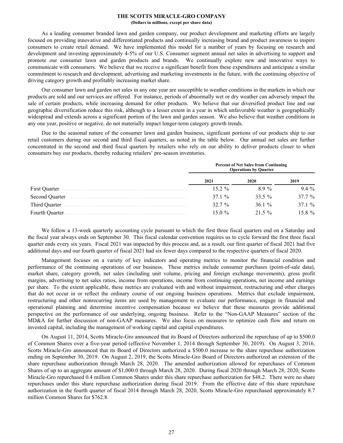**(Dollars in millions, except per share data)**

As a leading consumer branded lawn and garden company, our product development and marketing efforts are largely focused on providing innovative and differentiated products and continually increasing brand and product awareness to inspire consumers to create retail demand. We have implemented this model for a number of years by focusing on research and development and investing approximately 4-5% of our U.S. Consumer segment annual net sales in advertising to support and promote our consumer lawn and garden products and brands. We continually explore new and innovative ways to communicate with consumers. We believe that we receive a significant benefit from these expenditures and anticipate a similar commitment to research and development, advertising and marketing investments in the future, with the continuing objective of driving category growth and profitably increasing market share.

Our consumer lawn and garden net sales in any one year are susceptible to weather conditions in the markets in which our products are sold and our services are offered. For instance, periods of abnormally wet or dry weather can adversely impact the sale of certain products, while increasing demand for other products. We believe that our diversified product line and our geographic diversification reduce this risk, although to a lesser extent in a year in which unfavorable weather is geographically widespread and extends across a significant portion of the lawn and garden season. We also believe that weather conditions in any one year, positive or negative, do not materially impact longer-term category growth trends.

Due to the seasonal nature of the consumer lawn and garden business, significant portions of our products ship to our retail customers during our second and third fiscal quarters, as noted in the table below. Our annual net sales are further concentrated in the second and third fiscal quarters by retailers who rely on our ability to deliver products closer to when consumers buy our products, thereby reducing retailers' pre-season inventories.

| <b>Percent of Net Sales from Continuing</b><br><b>Operations by Quarter</b> |           |           |  |  |
|-----------------------------------------------------------------------------|-----------|-----------|--|--|
| 2021                                                                        | 2020      | 2019      |  |  |
| $152\%$                                                                     | $89\%$    | $9.4\%$   |  |  |
| 37 1 $\%$                                                                   | 33.5 $\%$ | $37.7 \%$ |  |  |
| $32.7 \%$                                                                   | 36 1 $\%$ | 37.1%     |  |  |
| $15.0 \%$                                                                   | $21.5\%$  | $15.8 \%$ |  |  |

We follow a 13-week quarterly accounting cycle pursuant to which the first three fiscal quarters end on a Saturday and the fiscal year always ends on September 30. This fiscal calendar convention requires us to cycle forward the first three fiscal quarter ends every six years. Fiscal 2021 was impacted by this process and, as a result, our first quarter of fiscal 2021 had five additional days and our fourth quarter of fiscal 2021 had six fewer days compared to the respective quarters of fiscal 2020.

Management focuses on a variety of key indicators and operating metrics to monitor the financial condition and performance of the continuing operations of our business. These metrics include consumer purchases (point-of-sale data), market share, category growth, net sales (including unit volume, pricing and foreign exchange movements), gross profit margins, advertising to net sales ratios, income from operations, income from continuing operations, net income and earnings per share. To the extent applicable, these metrics are evaluated with and without impairment, restructuring and other charges that do not occur in or reflect the ordinary course of our ongoing business operations. Metrics that exclude impairment, restructuring and other nonrecurring items are used by management to evaluate our performance, engage in financial and operational planning and determine incentive compensation because we believe that these measures provide additional perspective on the performance of our underlying, ongoing business. Refer to the "Non-GAAP Measures" section of the MD&A for further discussion of non-GAAP measures. We also focus on measures to optimize cash flow and return on invested capital, including the management of working capital and capital expenditures.

On August 11, 2014, Scotts Miracle-Gro announced that its Board of Directors authorized the repurchase of up to \$500.0 of Common Shares over a five-year period (effective November 1, 2014 through September 30, 2019). On August 3, 2016, Scotts Miracle-Gro announced that its Board of Directors authorized a \$500.0 increase to the share repurchase authorization ending on September 30, 2019. On August 2, 2019, the Scotts Miracle-Gro Board of Directors authorized an extension of the share repurchase authorization through March 28, 2020. The amended authorization allowed for repurchases of Common Shares of up to an aggregate amount of \$1,000.0 through March 28, 2020. During fiscal 2020 through March 28, 2020, Scotts Miracle-Gro repurchased 0.4 million Common Shares under this share repurchase authorization for \$48.2. There were no share repurchases under this share repurchase authorization during fiscal 2019. From the effective date of this share repurchase authorization in the fourth quarter of fiscal 2014 through March 28, 2020, Scotts Miracle-Gro repurchased approximately 8.7 million Common Shares for \$762.8.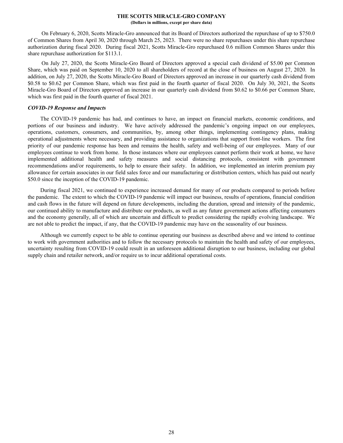#### **THE SCOTTS MIRACLE-GRO COMPANY (Dollars in millions, except per share data)**

On February 6, 2020, Scotts Miracle-Gro announced that its Board of Directors authorized the repurchase of up to \$750.0 of Common Shares from April 30, 2020 through March 25, 2023. There were no share repurchases under this share repurchase authorization during fiscal 2020. During fiscal 2021, Scotts Miracle-Gro repurchased 0.6 million Common Shares under this share repurchase authorization for \$113.1.

On July 27, 2020, the Scotts Miracle-Gro Board of Directors approved a special cash dividend of \$5.00 per Common Share, which was paid on September 10, 2020 to all shareholders of record at the close of business on August 27, 2020. In addition, on July 27, 2020, the Scotts Miracle-Gro Board of Directors approved an increase in our quarterly cash dividend from \$0.58 to \$0.62 per Common Share, which was first paid in the fourth quarter of fiscal 2020. On July 30, 2021, the Scotts Miracle-Gro Board of Directors approved an increase in our quarterly cash dividend from \$0.62 to \$0.66 per Common Share, which was first paid in the fourth quarter of fiscal 2021.

## *COVID-19 Response and Impacts*

The COVID-19 pandemic has had, and continues to have, an impact on financial markets, economic conditions, and portions of our business and industry. We have actively addressed the pandemic's ongoing impact on our employees, operations, customers, consumers, and communities, by, among other things, implementing contingency plans, making operational adjustments where necessary, and providing assistance to organizations that support front-line workers. The first priority of our pandemic response has been and remains the health, safety and well-being of our employees. Many of our employees continue to work from home. In those instances where our employees cannot perform their work at home, we have implemented additional health and safety measures and social distancing protocols, consistent with government recommendations and/or requirements, to help to ensure their safety. In addition, we implemented an interim premium pay allowance for certain associates in our field sales force and our manufacturing or distribution centers, which has paid out nearly \$50.0 since the inception of the COVID-19 pandemic.

During fiscal 2021, we continued to experience increased demand for many of our products compared to periods before the pandemic. The extent to which the COVID-19 pandemic will impact our business, results of operations, financial condition and cash flows in the future will depend on future developments, including the duration, spread and intensity of the pandemic, our continued ability to manufacture and distribute our products, as well as any future government actions affecting consumers and the economy generally, all of which are uncertain and difficult to predict considering the rapidly evolving landscape. We are not able to predict the impact, if any, that the COVID-19 pandemic may have on the seasonality of our business.

Although we currently expect to be able to continue operating our business as described above and we intend to continue to work with government authorities and to follow the necessary protocols to maintain the health and safety of our employees, uncertainty resulting from COVID-19 could result in an unforeseen additional disruption to our business, including our global supply chain and retailer network, and/or require us to incur additional operational costs.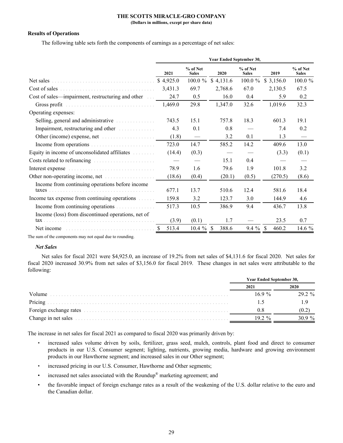**(Dollars in millions, except per share data)**

## **Results of Operations**

The following table sets forth the components of earnings as a percentage of net sales:

|                                                           | Year Ended September 30, |                          |                       |                                |                        |                          |
|-----------------------------------------------------------|--------------------------|--------------------------|-----------------------|--------------------------------|------------------------|--------------------------|
|                                                           | 2021                     | % of Net<br><b>Sales</b> | 2020                  | % of Net<br><b>Sales</b>       | 2019                   | % of Net<br><b>Sales</b> |
| Net sales                                                 | \$4,925.0                | 100.0 %                  | \$4,131.6             | $100.0 \%$                     | \$3,156.0              | 100.0 %                  |
| Cost of sales                                             | 3,431.3                  | 69.7                     | 2,768.6               | 67.0                           | 2,130.5                | 67.5                     |
| Cost of sales—impairment, restructuring and other         | 24.7                     | 0.5                      | 16.0                  | 0.4                            | 5.9                    | 0.2                      |
| Gross profit                                              | 1,469.0                  | 29.8                     | 1,347.0               | 32.6                           | 1,019.6                | 32.3                     |
| Operating expenses:                                       |                          |                          |                       |                                |                        |                          |
| Selling, general and administrative<br>.                  | 743.5                    | 15.1                     | 757.8                 | 18.3                           | 601.3                  | 19.1                     |
| Impairment, restructuring and other <i>manufacturing</i>  | 4.3                      | 0.1                      | 0.8                   | $\overbrace{\hspace{27mm}}^{}$ | 7.4                    | 0.2                      |
|                                                           | (1.8)                    |                          | 3.2                   | 0.1                            | 1.3                    |                          |
|                                                           | 723.0                    | 14.7                     | 585.2                 | 14.2                           | 409.6                  | 13.0                     |
| Equity in income of unconsolidated affiliates             | (14.4)                   | (0.3)                    |                       |                                | (3.3)                  | (0.1)                    |
|                                                           |                          |                          | 15.1                  | 0.4                            |                        |                          |
|                                                           | 78.9                     | 1.6                      | 79.6                  | 1.9                            | 101.8                  | 3.2                      |
|                                                           | (18.6)                   | (0.4)                    | (20.1)                | (0.5)                          | (270.5)                | (8.6)                    |
| Income from continuing operations before income<br>taxes  | 677.1                    | 13.7                     | 510.6                 | 12.4                           | 581.6                  | 18.4                     |
| Income tax expense from continuing operations             | 159.8                    | 3.2                      | 123.7                 | 3.0                            | 144.9                  | 4.6                      |
| Income from continuing operations<br>.                    | 517.3                    | 10.5                     | 386.9                 | 9.4                            | 436.7                  | 13.8                     |
| Income (loss) from discontinued operations, net of<br>tax | (3.9)                    | (0.1)                    | 1.7                   |                                | 23.5                   | 0.7                      |
| Net income                                                | 513.4                    | $10.4 \%$                | 388.6<br><sup>S</sup> | $9.4\%$                        | 460.2<br><sup>\$</sup> | 14.6 %                   |

The sum of the components may not equal due to rounding.

#### *Net Sales*

Net sales for fiscal 2021 were \$4,925.0, an increase of 19.2% from net sales of \$4,131.6 for fiscal 2020. Net sales for fiscal 2020 increased 30.9% from net sales of \$3,156.0 for fiscal 2019. These changes in net sales were attributable to the following:

|        | <b>Year Ended September 30,</b> |           |  |
|--------|---------------------------------|-----------|--|
|        | 2021                            | 2020      |  |
| Volume | 169%                            | $29.2 \%$ |  |
|        |                                 |           |  |
|        |                                 | (0.2)     |  |
|        | $192\%$                         | $0.9\%$   |  |

The increase in net sales for fiscal 2021 as compared to fiscal 2020 was primarily driven by:

- increased sales volume driven by soils, fertilizer, grass seed, mulch, controls, plant food and direct to consumer products in our U.S. Consumer segment; lighting, nutrients, growing media, hardware and growing environment products in our Hawthorne segment; and increased sales in our Other segment;
- increased pricing in our U.S. Consumer, Hawthorne and Other segments;
- increased net sales associated with the Roundup<sup>®</sup> marketing agreement; and
- the favorable impact of foreign exchange rates as a result of the weakening of the U.S. dollar relative to the euro and the Canadian dollar.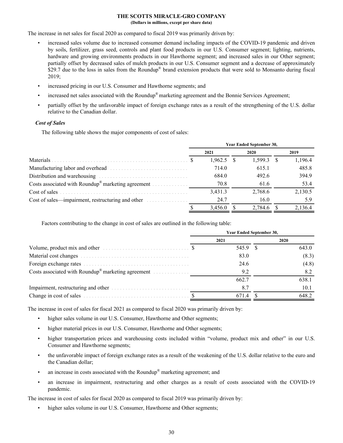**(Dollars in millions, except per share data)**

The increase in net sales for fiscal 2020 as compared to fiscal 2019 was primarily driven by:

- increased sales volume due to increased consumer demand including impacts of the COVID-19 pandemic and driven by soils, fertilizer, grass seed, controls and plant food products in our U.S. Consumer segment; lighting, nutrients, hardware and growing environments products in our Hawthorne segment; and increased sales in our Other segment; partially offset by decreased sales of mulch products in our U.S. Consumer segment and a decrease of approximately \$29.7 due to the loss in sales from the Roundup<sup>®</sup> brand extension products that were sold to Monsanto during fiscal 2019;
- increased pricing in our U.S. Consumer and Hawthorne segments; and
- increased net sales associated with the Roundup<sup>®</sup> marketing agreement and the Bonnie Services Agreement;
- partially offset by the unfavorable impact of foreign exchange rates as a result of the strengthening of the U.S. dollar relative to the Canadian dollar.

## *Cost of Sales*

The following table shows the major components of cost of sales:

|                                                                                                                                                                                                       | <b>Year Ended September 30,</b> |              |  |         |  |         |
|-------------------------------------------------------------------------------------------------------------------------------------------------------------------------------------------------------|---------------------------------|--------------|--|---------|--|---------|
|                                                                                                                                                                                                       |                                 | 2021         |  | 2020    |  | 2019    |
|                                                                                                                                                                                                       |                                 | $1,962.5$ \$ |  | 1,599.3 |  | 1,196.4 |
|                                                                                                                                                                                                       |                                 | 714.0        |  | 615.1   |  | 485.8   |
|                                                                                                                                                                                                       |                                 | 684.0        |  | 492.6   |  | 394.9   |
| Costs associated with Roundup <sup>®</sup> marketing agreement <i>marketing</i> is an <i>i</i> containing the costs as contained with Roundup® marketing agreement and a set of the costs as $\alpha$ |                                 | 70.8         |  | 61.6    |  | 53.4    |
| Cost of sales                                                                                                                                                                                         |                                 | 3,431.3      |  | 2,768.6 |  | 2,130.5 |
| Cost of sales—impairment, restructuring and other                                                                                                                                                     |                                 | 24.7         |  | 16.0    |  | 5.9     |
|                                                                                                                                                                                                       |                                 | 3.456.0      |  | 2.784.6 |  | 2,136.4 |

Factors contributing to the change in cost of sales are outlined in the following table:

|                                                                                                                                                                                                                                | Year Ended September 30, |       |  |  |  |
|--------------------------------------------------------------------------------------------------------------------------------------------------------------------------------------------------------------------------------|--------------------------|-------|--|--|--|
|                                                                                                                                                                                                                                | 2021                     | 2020  |  |  |  |
|                                                                                                                                                                                                                                | 545.9 \$                 | 643.0 |  |  |  |
|                                                                                                                                                                                                                                | 83.0                     | (8.3) |  |  |  |
|                                                                                                                                                                                                                                | 24.6                     | (4.8) |  |  |  |
| Costs associated with Roundup <sup>®</sup> marketing agreement                                                                                                                                                                 | 9.2                      | 8.2   |  |  |  |
|                                                                                                                                                                                                                                | 662.7                    | 638.1 |  |  |  |
| Impairment, restructuring and other entertainments and the state of the state of the state of the state of the state of the state of the state of the state of the state of the state of the state of the state of the state o | 8.7                      | 10.1  |  |  |  |
|                                                                                                                                                                                                                                | 671.4                    | 648.2 |  |  |  |

The increase in cost of sales for fiscal 2021 as compared to fiscal 2020 was primarily driven by:

- higher sales volume in our U.S. Consumer, Hawthorne and Other segments;
- higher material prices in our U.S. Consumer, Hawthorne and Other segments;
- higher transportation prices and warehousing costs included within "volume, product mix and other" in our U.S. Consumer and Hawthorne segments;
- the unfavorable impact of foreign exchange rates as a result of the weakening of the U.S. dollar relative to the euro and the Canadian dollar;
- an increase in costs associated with the Roundup<sup>®</sup> marketing agreement; and
- an increase in impairment, restructuring and other charges as a result of costs associated with the COVID-19 pandemic.

The increase in cost of sales for fiscal 2020 as compared to fiscal 2019 was primarily driven by:

• higher sales volume in our U.S. Consumer, Hawthorne and Other segments;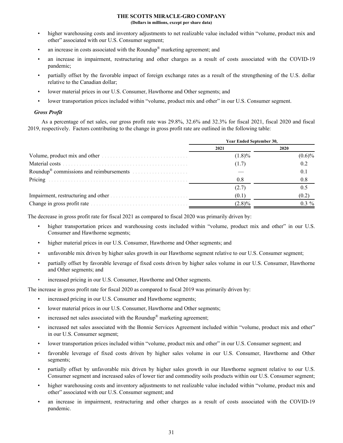**(Dollars in millions, except per share data)**

- higher warehousing costs and inventory adjustments to net realizable value included within "volume, product mix and other" associated with our U.S. Consumer segment;
- an increase in costs associated with the Roundup<sup>®</sup> marketing agreement; and
- an increase in impairment, restructuring and other charges as a result of costs associated with the COVID-19 pandemic;
- partially offset by the favorable impact of foreign exchange rates as a result of the strengthening of the U.S. dollar relative to the Canadian dollar;
- lower material prices in our U.S. Consumer, Hawthorne and Other segments; and
- lower transportation prices included within "volume, product mix and other" in our U.S. Consumer segment.

## *Gross Profit*

As a percentage of net sales, our gross profit rate was 29.8%, 32.6% and 32.3% for fiscal 2021, fiscal 2020 and fiscal 2019, respectively. Factors contributing to the change in gross profit rate are outlined in the following table:

|                                                                    | Year Ended September 30, |           |  |
|--------------------------------------------------------------------|--------------------------|-----------|--|
|                                                                    | 2021                     | 2020      |  |
|                                                                    | $(1.8)\%$                | $(0.6)\%$ |  |
| Material costs                                                     | (1.7)                    | 0.2       |  |
| Roundup <sup>®</sup> commissions and reimbursements entertainments |                          | 0.1       |  |
|                                                                    | 0.8                      | 0.8       |  |
|                                                                    | (2.7)                    | 0.5       |  |
|                                                                    | (0.1)                    | (0.2)     |  |
|                                                                    | $(2.8)\%$                | $0.3\%$   |  |

The decrease in gross profit rate for fiscal 2021 as compared to fiscal 2020 was primarily driven by:

- higher transportation prices and warehousing costs included within "volume, product mix and other" in our U.S. Consumer and Hawthorne segments;
- higher material prices in our U.S. Consumer, Hawthorne and Other segments; and
- unfavorable mix driven by higher sales growth in our Hawthorne segment relative to our U.S. Consumer segment;
- partially offset by favorable leverage of fixed costs driven by higher sales volume in our U.S. Consumer, Hawthorne and Other segments; and
- increased pricing in our U.S. Consumer, Hawthorne and Other segments.

The increase in gross profit rate for fiscal 2020 as compared to fiscal 2019 was primarily driven by:

- increased pricing in our U.S. Consumer and Hawthorne segments;
- lower material prices in our U.S. Consumer, Hawthorne and Other segments;
- increased net sales associated with the Roundup<sup>®</sup> marketing agreement;
- increased net sales associated with the Bonnie Services Agreement included within "volume, product mix and other" in our U.S. Consumer segment;
- lower transportation prices included within "volume, product mix and other" in our U.S. Consumer segment; and
- favorable leverage of fixed costs driven by higher sales volume in our U.S. Consumer, Hawthorne and Other segments;
- partially offset by unfavorable mix driven by higher sales growth in our Hawthorne segment relative to our U.S. Consumer segment and increased sales of lower tier and commodity soils products within our U.S. Consumer segment;
- higher warehousing costs and inventory adjustments to net realizable value included within "volume, product mix and other" associated with our U.S. Consumer segment; and
- an increase in impairment, restructuring and other charges as a result of costs associated with the COVID-19 pandemic.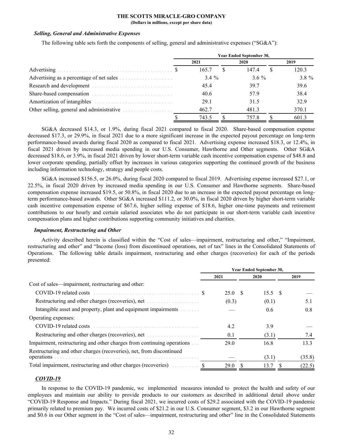**(Dollars in millions, except per share data)**

## *Selling, General and Administrative Expenses*

The following table sets forth the components of selling, general and administrative expenses ("SG&A"):

|                                                         | Year Ended September 30, |          |   |             |  |          |
|---------------------------------------------------------|--------------------------|----------|---|-------------|--|----------|
|                                                         |                          | 2021     |   | <b>2020</b> |  | 2019     |
|                                                         |                          | 165.7    | S | 147.4       |  | 120.3    |
|                                                         |                          | $3.4 \%$ |   | $3.6 \%$    |  | $3.8 \%$ |
|                                                         |                          | 45.4     |   | 39.7        |  | 39.6     |
|                                                         |                          | 40.6     |   | 57.9        |  | 38.4     |
|                                                         |                          | 29.1     |   | 31.5        |  | 32.9     |
| Other selling, general and administrative entertainment |                          | 462.7    |   | 481.3       |  | 370.1    |
|                                                         |                          | 743.5    |   | 757.8       |  | 601.3    |

SG&A decreased \$14.3, or 1.9%, during fiscal 2021 compared to fiscal 2020. Share-based compensation expense decreased \$17.3, or 29.9%, in fiscal 2021 due to a more significant increase in the expected payout percentage on long-term performance-based awards during fiscal 2020 as compared to fiscal 2021. Advertising expense increased \$18.3, or 12.4%, in fiscal 2021 driven by increased media spending in our U.S. Consumer, Hawthorne and Other segments. Other SG&A decreased \$18.6, or 3.9%, in fiscal 2021 driven by lower short-term variable cash incentive compensation expense of \$48.8 and lower corporate spending, partially offset by increases in various categories supporting the continued growth of the business including information technology, strategy and people costs.

SG&A increased \$156.5, or 26.0%, during fiscal 2020 compared to fiscal 2019. Advertising expense increased \$27.1, or 22.5%, in fiscal 2020 driven by increased media spending in our U.S. Consumer and Hawthorne segments. Share-based compensation expense increased \$19.5, or 50.8%, in fiscal 2020 due to an increase in the expected payout percentage on longterm performance-based awards. Other SG&A increased \$111.2, or 30.0%, in fiscal 2020 driven by higher short-term variable cash incentive compensation expense of \$67.6, higher selling expense of \$18.6, higher one-time payments and retirement contributions to our hourly and certain salaried associates who do not participate in our short-term variable cash incentive compensation plans and higher contributions supporting community initiatives and charities.

#### *Impairment, Restructuring and Other*

Activity described herein is classified within the "Cost of sales—impairment, restructuring and other," "Impairment, restructuring and other" and "Income (loss) from discontinued operations, net of tax" lines in the Consolidated Statements of Operations. The following table details impairment, restructuring and other charges (recoveries) for each of the periods presented:

|                                                                                                                                                                                                                                | Year Ended September 30, |        |        |
|--------------------------------------------------------------------------------------------------------------------------------------------------------------------------------------------------------------------------------|--------------------------|--------|--------|
|                                                                                                                                                                                                                                | 2021                     | 2020   | 2019   |
| Cost of sales—impairment, restructuring and other:                                                                                                                                                                             |                          |        |        |
|                                                                                                                                                                                                                                | 25.0 \$                  | 15.5 S |        |
| Restructuring and other charges (recoveries), net manufacturing and other charges (recoveries), net                                                                                                                            | (0.3)                    | (0.1)  | 5.1    |
| Intangible asset and property, plant and equipment impairments                                                                                                                                                                 |                          | 0.6    | 0.8    |
| Operating expenses:                                                                                                                                                                                                            |                          |        |        |
| COVID-19 related costs entertainment and the covincing relationships and containing the covincing relationships and containing the covincing relationships and containing the covincing relationships and covincing relationsh | 4.2                      | 3.9    |        |
| Restructuring and other charges (recoveries), net <i>maturities</i>                                                                                                                                                            | 0.1                      | (3.1)  | 7.4    |
| Impairment, restructuring and other charges from continuing operations                                                                                                                                                         | 29.0                     | 16.8   | 13.3   |
| Restructuring and other charges (recoveries), net, from discontinued<br>operations                                                                                                                                             |                          | (3.1)  | (35.8) |
|                                                                                                                                                                                                                                | 29.0                     | 13.7   | (22.5) |

#### *COVID-19*

In response to the COVID-19 pandemic, we implemented measures intended to protect the health and safety of our employees and maintain our ability to provide products to our customers as described in additional detail above under "COVID-19 Response and Impacts." During fiscal 2021, we incurred costs of \$29.2 associated with the COVID-19 pandemic primarily related to premium pay. We incurred costs of \$21.2 in our U.S. Consumer segment, \$3.2 in our Hawthorne segment and \$0.6 in our Other segment in the "Cost of sales—impairment, restructuring and other" line in the Consolidated Statements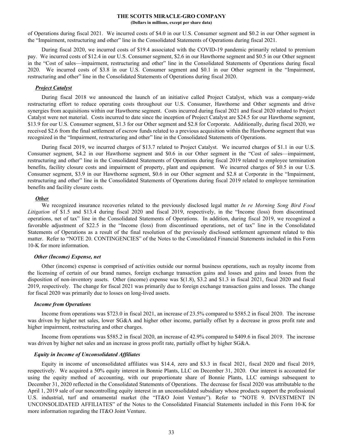**(Dollars in millions, except per share data)**

of Operations during fiscal 2021. We incurred costs of \$4.0 in our U.S. Consumer segment and \$0.2 in our Other segment in the "Impairment, restructuring and other" line in the Consolidated Statements of Operations during fiscal 2021.

During fiscal 2020, we incurred costs of \$19.4 associated with the COVID-19 pandemic primarily related to premium pay. We incurred costs of \$12.4 in our U.S. Consumer segment, \$2.6 in our Hawthorne segment and \$0.5 in our Other segment in the "Cost of sales—impairment, restructuring and other" line in the Consolidated Statements of Operations during fiscal 2020. We incurred costs of \$3.8 in our U.S. Consumer segment and \$0.1 in our Other segment in the "Impairment, restructuring and other" line in the Consolidated Statements of Operations during fiscal 2020.

#### *Project Catalyst*

During fiscal 2018 we announced the launch of an initiative called Project Catalyst, which was a company-wide restructuring effort to reduce operating costs throughout our U.S. Consumer, Hawthorne and Other segments and drive synergies from acquisitions within our Hawthorne segment. Costs incurred during fiscal 2021 and fiscal 2020 related to Project Catalyst were not material. Costs incurred to date since the inception of Project Catalyst are \$24.5 for our Hawthorne segment, \$13.9 for our U.S. Consumer segment, \$1.3 for our Other segment and \$2.8 for Corporate. Additionally, during fiscal 2020, we received \$2.6 from the final settlement of escrow funds related to a previous acquisition within the Hawthorne segment that was recognized in the "Impairment, restructuring and other" line in the Consolidated Statements of Operations.

During fiscal 2019, we incurred charges of \$13.7 related to Project Catalyst. We incurred charges of \$1.1 in our U.S. Consumer segment, \$4.2 in our Hawthorne segment and \$0.6 in our Other segment in the "Cost of sales—impairment, restructuring and other" line in the Consolidated Statements of Operations during fiscal 2019 related to employee termination benefits, facility closure costs and impairment of property, plant and equipment. We incurred charges of \$0.5 in our U.S. Consumer segment, \$3.9 in our Hawthorne segment, \$0.6 in our Other segment and \$2.8 at Corporate in the "Impairment, restructuring and other" line in the Consolidated Statements of Operations during fiscal 2019 related to employee termination benefits and facility closure costs.

#### *Other*

We recognized insurance recoveries related to the previously disclosed legal matter *In re Morning Song Bird Food Litigation* of \$1.5 and \$13.4 during fiscal 2020 and fiscal 2019, respectively, in the "Income (loss) from discontinued operations, net of tax" line in the Consolidated Statements of Operations. In addition, during fiscal 2019, we recognized a favorable adjustment of \$22.5 in the "Income (loss) from discontinued operations, net of tax" line in the Consolidated Statements of Operations as a result of the final resolution of the previously disclosed settlement agreement related to this matter. Refer to "NOTE 20. CONTINGENCIES" of the Notes to the Consolidated Financial Statements included in this Form 10-K for more information.

#### *Other (Income) Expense, net*

Other (income) expense is comprised of activities outside our normal business operations, such as royalty income from the licensing of certain of our brand names, foreign exchange transaction gains and losses and gains and losses from the disposition of non-inventory assets. Other (income) expense was \$(1.8), \$3.2 and \$1.3 in fiscal 2021, fiscal 2020 and fiscal 2019, respectively. The change for fiscal 2021 was primarily due to foreign exchange transaction gains and losses. The change for fiscal 2020 was primarily due to losses on long-lived assets.

#### *Income from Operations*

Income from operations was \$723.0 in fiscal 2021, an increase of 23.5% compared to \$585.2 in fiscal 2020. The increase was driven by higher net sales, lower SG&A and higher other income, partially offset by a decrease in gross profit rate and higher impairment, restructuring and other charges.

Income from operations was \$585.2 in fiscal 2020, an increase of 42.9% compared to \$409.6 in fiscal 2019. The increase was driven by higher net sales and an increase in gross profit rate, partially offset by higher SG&A.

### *Equity in Income of Unconsolidated Affiliates*

Equity in income of unconsolidated affiliates was \$14.4, zero and \$3.3 in fiscal 2021, fiscal 2020 and fiscal 2019, respectively. We acquired a 50% equity interest in Bonnie Plants, LLC on December 31, 2020. Our interest is accounted for using the equity method of accounting, with our proportionate share of Bonnie Plants, LLC earnings subsequent to December 31, 2020 reflected in the Consolidated Statements of Operations. The decrease for fiscal 2020 was attributable to the April 1, 2019 sale of our noncontrolling equity interest in an unconsolidated subsidiary whose products support the professional U.S. industrial, turf and ornamental market (the "IT&O Joint Venture"). Refer to "NOTE 9. INVESTMENT IN UNCONSOLIDATED AFFILIATES" of the Notes to the Consolidated Financial Statements included in this Form 10-K for more information regarding the IT&O Joint Venture.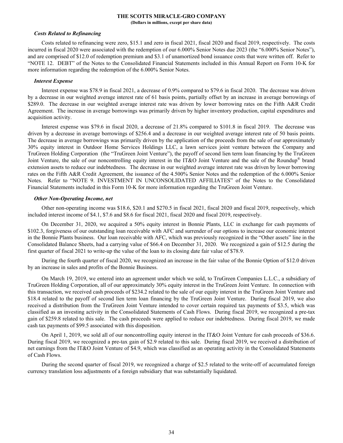**(Dollars in millions, except per share data)**

#### *Costs Related to Refinancing*

Costs related to refinancing were zero, \$15.1 and zero in fiscal 2021, fiscal 2020 and fiscal 2019, respectively. The costs incurred in fiscal 2020 were associated with the redemption of our 6.000% Senior Notes due 2023 (the "6.000% Senior Notes"), and are comprised of \$12.0 of redemption premium and \$3.1 of unamortized bond issuance costs that were written off. Refer to "NOTE 12. DEBT" of the Notes to the Consolidated Financial Statements included in this Annual Report on Form 10-K for more information regarding the redemption of the 6.000% Senior Notes.

#### *Interest Expense*

Interest expense was \$78.9 in fiscal 2021, a decrease of 0.9% compared to \$79.6 in fiscal 2020. The decrease was driven by a decrease in our weighted average interest rate of 61 basis points, partially offset by an increase in average borrowings of \$289.0. The decrease in our weighted average interest rate was driven by lower borrowing rates on the Fifth A&R Credit Agreement. The increase in average borrowings was primarily driven by higher inventory production, capital expenditures and acquisition activity.

Interest expense was \$79.6 in fiscal 2020, a decrease of 21.8% compared to \$101.8 in fiscal 2019. The decrease was driven by a decrease in average borrowings of \$256.4 and a decrease in our weighted average interest rate of 50 basis points. The decrease in average borrowings was primarily driven by the application of the proceeds from the sale of our approximately 30% equity interest in Outdoor Home Services Holdings LLC, a lawn services joint venture between the Company and TruGreen Holding Corporation (the "TruGreen Joint Venture"), the payoff of second lien term loan financing by the TruGreen Joint Venture, the sale of our noncontrolling equity interest in the IT&O Joint Venture and the sale of the Roundup<sup>®</sup> brand extension assets to reduce our indebtedness. The decrease in our weighted average interest rate was driven by lower borrowing rates on the Fifth A&R Credit Agreement, the issuance of the 4.500% Senior Notes and the redemption of the 6.000% Senior Notes. Refer to "NOTE 9. INVESTMENT IN UNCONSOLIDATED AFFILIATES" of the Notes to the Consolidated Financial Statements included in this Form 10-K for more information regarding the TruGreen Joint Venture.

### *Other Non-Operating Income, net*

Other non-operating income was \$18.6, \$20.1 and \$270.5 in fiscal 2021, fiscal 2020 and fiscal 2019, respectively, which included interest income of \$4.1, \$7.6 and \$8.6 for fiscal 2021, fiscal 2020 and fiscal 2019, respectively.

On December 31, 2020, we acquired a 50% equity interest in Bonnie Plants, LLC in exchange for cash payments of \$102.3, forgiveness of our outstanding loan receivable with AFC and surrender of our options to increase our economic interest in the Bonnie Plants business. Our loan receivable with AFC, which was previously recognized in the "Other assets" line in the Consolidated Balance Sheets, had a carrying value of \$66.4 on December 31, 2020. We recognized a gain of \$12.5 during the first quarter of fiscal 2021 to write-up the value of the loan to its closing date fair value of \$78.9.

During the fourth quarter of fiscal 2020, we recognized an increase in the fair value of the Bonnie Option of \$12.0 driven by an increase in sales and profits of the Bonnie Business.

On March 19, 2019, we entered into an agreement under which we sold, to TruGreen Companies L.L.C., a subsidiary of TruGreen Holding Corporation, all of our approximately 30% equity interest in the TruGreen Joint Venture. In connection with this transaction, we received cash proceeds of \$234.2 related to the sale of our equity interest in the TruGreen Joint Venture and \$18.4 related to the payoff of second lien term loan financing by the TruGreen Joint Venture. During fiscal 2019, we also received a distribution from the TruGreen Joint Venture intended to cover certain required tax payments of \$3.5, which was classified as an investing activity in the Consolidated Statements of Cash Flows. During fiscal 2019, we recognized a pre-tax gain of \$259.8 related to this sale. The cash proceeds were applied to reduce our indebtedness. During fiscal 2019, we made cash tax payments of \$99.5 associated with this disposition.

On April 1, 2019, we sold all of our noncontrolling equity interest in the IT&O Joint Venture for cash proceeds of \$36.6. During fiscal 2019, we recognized a pre-tax gain of \$2.9 related to this sale. During fiscal 2019, we received a distribution of net earnings from the IT&O Joint Venture of \$4.9, which was classified as an operating activity in the Consolidated Statements of Cash Flows.

During the second quarter of fiscal 2019, we recognized a charge of \$2.5 related to the write-off of accumulated foreign currency translation loss adjustments of a foreign subsidiary that was substantially liquidated.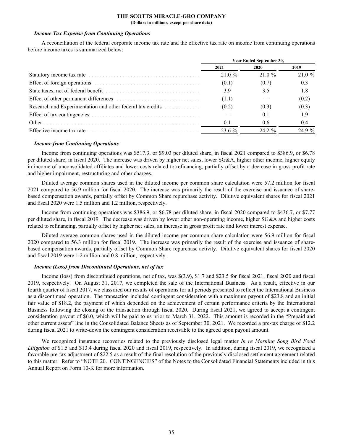**(Dollars in millions, except per share data)**

#### *Income Tax Expense from Continuing Operations*

A reconciliation of the federal corporate income tax rate and the effective tax rate on income from continuing operations before income taxes is summarized below:

|                                                                                                                                                                                                                                | Year Ended September 30, |           |           |  |  |  |  |  |
|--------------------------------------------------------------------------------------------------------------------------------------------------------------------------------------------------------------------------------|--------------------------|-----------|-----------|--|--|--|--|--|
|                                                                                                                                                                                                                                | 2021                     | 2020      | 2019      |  |  |  |  |  |
| Statutory income tax rate contained and the contained and the statute of the statute of the statute of the statute of the statute of the statute of the statute of the statute of the statute of the statute of the statute of | $21.0 \%$                | $21.0 \%$ | $21.0 \%$ |  |  |  |  |  |
| Effect of foreign operations entertainment of the state of foreign operations                                                                                                                                                  | (0.1)                    | (0.7)     | 0.3       |  |  |  |  |  |
|                                                                                                                                                                                                                                | 3.9                      | 3.5       | 1.8       |  |  |  |  |  |
|                                                                                                                                                                                                                                | (1.1)                    |           | (0.2)     |  |  |  |  |  |
| Research and Experimentation and other federal tax credits                                                                                                                                                                     | (0.2)                    | (0.3)     | (0.3)     |  |  |  |  |  |
|                                                                                                                                                                                                                                |                          | 0.1       | 1.9       |  |  |  |  |  |
|                                                                                                                                                                                                                                | 0.1                      | 0.6       | 0.4       |  |  |  |  |  |
| Effective income tax rate entertainment in the state of the state of the state of the state of the state of the state of the state of the state of the state of the state of the state of the state of the state of the state  | $23.6 \%$                | $24.2 \%$ | 24.9 %    |  |  |  |  |  |

#### *Income from Continuing Operations*

Income from continuing operations was \$517.3, or \$9.03 per diluted share, in fiscal 2021 compared to \$386.9, or \$6.78 per diluted share, in fiscal 2020. The increase was driven by higher net sales, lower SG&A, higher other income, higher equity in income of unconsolidated affiliates and lower costs related to refinancing, partially offset by a decrease in gross profit rate and higher impairment, restructuring and other charges.

Diluted average common shares used in the diluted income per common share calculation were 57.2 million for fiscal 2021 compared to 56.9 million for fiscal 2020. The increase was primarily the result of the exercise and issuance of sharebased compensation awards, partially offset by Common Share repurchase activity. Dilutive equivalent shares for fiscal 2021 and fiscal 2020 were 1.5 million and 1.2 million, respectively.

Income from continuing operations was \$386.9, or \$6.78 per diluted share, in fiscal 2020 compared to \$436.7, or \$7.77 per diluted share, in fiscal 2019. The decrease was driven by lower other non-operating income, higher SG&A and higher costs related to refinancing, partially offset by higher net sales, an increase in gross profit rate and lower interest expense.

Diluted average common shares used in the diluted income per common share calculation were 56.9 million for fiscal 2020 compared to 56.3 million for fiscal 2019. The increase was primarily the result of the exercise and issuance of sharebased compensation awards, partially offset by Common Share repurchase activity. Dilutive equivalent shares for fiscal 2020 and fiscal 2019 were 1.2 million and 0.8 million, respectively.

### *Income (Loss) from Discontinued Operations, net of tax*

Income (loss) from discontinued operations, net of tax, was \$(3.9), \$1.7 and \$23.5 for fiscal 2021, fiscal 2020 and fiscal 2019, respectively. On August 31, 2017, we completed the sale of the International Business. As a result, effective in our fourth quarter of fiscal 2017, we classified our results of operations for all periods presented to reflect the International Business as a discontinued operation. The transaction included contingent consideration with a maximum payout of \$23.8 and an initial fair value of \$18.2, the payment of which depended on the achievement of certain performance criteria by the International Business following the closing of the transaction through fiscal 2020. During fiscal 2021, we agreed to accept a contingent consideration payout of \$6.0, which will be paid to us prior to March 31, 2022. This amount is recorded in the "Prepaid and other current assets" line in the Consolidated Balance Sheets as of September 30, 2021. We recorded a pre-tax charge of \$12.2 during fiscal 2021 to write-down the contingent consideration receivable to the agreed upon payout amount.

We recognized insurance recoveries related to the previously disclosed legal matter *In re Morning Song Bird Food Litigation* of \$1.5 and \$13.4 during fiscal 2020 and fiscal 2019, respectively. In addition, during fiscal 2019, we recognized a favorable pre-tax adjustment of \$22.5 as a result of the final resolution of the previously disclosed settlement agreement related to this matter. Refer to "NOTE 20. CONTINGENCIES" of the Notes to the Consolidated Financial Statements included in this Annual Report on Form 10-K for more information.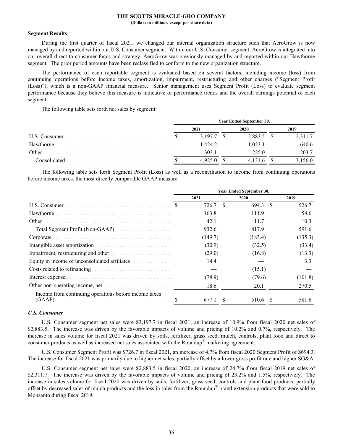**(Dollars in millions, except per share data)**

## **Segment Results**

During the first quarter of fiscal 2021, we changed our internal organization structure such that AeroGrow is now managed by and reported within our U.S. Consumer segment. Within our U.S. Consumer segment, AeroGrow is integrated into our overall direct to consumer focus and strategy. AeroGrow was previously managed by and reported within our Hawthorne segment. The prior period amounts have been reclassified to conform to the new organization structure.

The performance of each reportable segment is evaluated based on several factors, including income (loss) from continuing operations before income taxes, amortization, impairment, restructuring and other charges ("Segment Profit (Loss)"), which is a non-GAAP financial measure. Senior management uses Segment Profit (Loss) to evaluate segment performance because they believe this measure is indicative of performance trends and the overall earnings potential of each segment.

The following table sets forth net sales by segment:

|               | Year Ended September 30, |              |  |         |  |         |  |  |  |  |  |
|---------------|--------------------------|--------------|--|---------|--|---------|--|--|--|--|--|
|               |                          | 2021         |  | 2020    |  | 2019    |  |  |  |  |  |
| U.S. Consumer |                          | $3,197.7$ \$ |  | 2,883.5 |  | 2,311.7 |  |  |  |  |  |
| Hawthorne     |                          | 1,424.2      |  | 1,023.1 |  | 640.6   |  |  |  |  |  |
| Other         |                          | 303.1        |  | 225.0   |  | 203.7   |  |  |  |  |  |
| Consolidated  |                          |              |  |         |  | 3,156.0 |  |  |  |  |  |

The following table sets forth Segment Profit (Loss) as well as a reconciliation to income from continuing operations before income taxes, the most directly comparable GAAP measure:

|                                                                                                                                                                                                                                | Year Ended September 30, |         |               |         |    |         |  |  |
|--------------------------------------------------------------------------------------------------------------------------------------------------------------------------------------------------------------------------------|--------------------------|---------|---------------|---------|----|---------|--|--|
|                                                                                                                                                                                                                                |                          | 2021    |               | 2020    |    | 2019    |  |  |
|                                                                                                                                                                                                                                |                          | 726.7   | <sup>\$</sup> | 694.3   | -S | 526.7   |  |  |
|                                                                                                                                                                                                                                |                          | 163.8   |               | 111.9   |    | 54.6    |  |  |
| Other                                                                                                                                                                                                                          |                          | 42.1    |               | 11.7    |    | 10.3    |  |  |
|                                                                                                                                                                                                                                |                          | 932.6   |               | 817.9   |    | 591.6   |  |  |
| Corporate                                                                                                                                                                                                                      |                          | (149.7) |               | (183.4) |    | (135.3) |  |  |
| Intangible asset amortization enter the continuum of the set of the set of the set of the set of the set of the set of the set of the set of the set of the set of the set of the set of the set of the set of the set of the  |                          | (30.9)  |               | (32.5)  |    | (33.4)  |  |  |
| Impairment, restructuring and other enterpresentation of the state of the state of the state of the state of the state of the state of the state of the state of the state of the state of the state of the state of the state |                          | (29.0)  |               | (16.8)  |    | (13.3)  |  |  |
| Equity in income of unconsolidated affiliates                                                                                                                                                                                  |                          | 14.4    |               |         |    | 3.3     |  |  |
| Costs related to refinancing entertainment of the contract of the contract of the contract of the contract of the contract of the contract of the contract of the contract of the contract of the contract of the contract of  |                          |         |               | (15.1)  |    |         |  |  |
|                                                                                                                                                                                                                                |                          | (78.9)  |               | (79.6)  |    | (101.8) |  |  |
| Other non-operating income, net manufactured and the set of the set of the set of the set of the set of the set of the set of the set of the set of the set of the set of the set of the set of the set of the set of the set  |                          | 18.6    |               | 20.1    |    | 270.5   |  |  |
| Income from continuing operations before income taxes<br>(GAAP)                                                                                                                                                                |                          | 677.1   | S             | 510.6   |    | 581.6   |  |  |

### *U.S. Consumer*

U.S. Consumer segment net sales were \$3,197.7 in fiscal 2021, an increase of 10.9% from fiscal 2020 net sales of \$2,883.5. The increase was driven by the favorable impacts of volume and pricing of 10.2% and 0.7%, respectively. The increase in sales volume for fiscal 2021 was driven by soils, fertilizer, grass seed, mulch, controls, plant food and direct to consumer products as well as increased net sales associated with the Roundup® marketing agreement.

U.S. Consumer Segment Profit was \$726.7 in fiscal 2021, an increase of 4.7% from fiscal 2020 Segment Profit of \$694.3. The increase for fiscal 2021 was primarily due to higher net sales, partially offset by a lower gross profit rate and higher SG&A.

U.S. Consumer segment net sales were \$2,883.5 in fiscal 2020, an increase of 24.7% from fiscal 2019 net sales of \$2,311.7. The increase was driven by the favorable impacts of volume and pricing of 23.2% and 1.5%, respectively. The increase in sales volume for fiscal 2020 was driven by soils, fertilizer, grass seed, controls and plant food products, partially offset by decreased sales of mulch products and the loss in sales from the Roundup® brand extension products that were sold to Monsanto during fiscal 2019.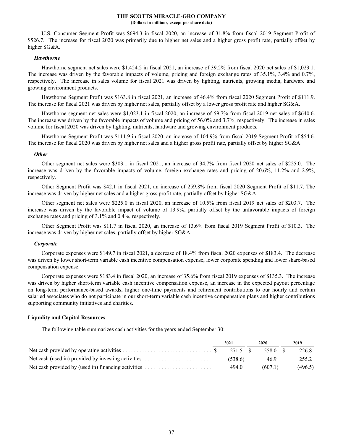#### **THE SCOTTS MIRACLE-GRO COMPANY (Dollars in millions, except per share data)**

U.S. Consumer Segment Profit was \$694.3 in fiscal 2020, an increase of 31.8% from fiscal 2019 Segment Profit of \$526.7. The increase for fiscal 2020 was primarily due to higher net sales and a higher gross profit rate, partially offset by higher SG&A.

## *Hawthorne*

Hawthorne segment net sales were \$1,424.2 in fiscal 2021, an increase of 39.2% from fiscal 2020 net sales of \$1,023.1. The increase was driven by the favorable impacts of volume, pricing and foreign exchange rates of 35.1%, 3.4% and 0.7%, respectively. The increase in sales volume for fiscal 2021 was driven by lighting, nutrients, growing media, hardware and growing environment products.

Hawthorne Segment Profit was \$163.8 in fiscal 2021, an increase of 46.4% from fiscal 2020 Segment Profit of \$111.9. The increase for fiscal 2021 was driven by higher net sales, partially offset by a lower gross profit rate and higher SG&A.

Hawthorne segment net sales were \$1,023.1 in fiscal 2020, an increase of 59.7% from fiscal 2019 net sales of \$640.6. The increase was driven by the favorable impacts of volume and pricing of 56.0% and 3.7%, respectively. The increase in sales volume for fiscal 2020 was driven by lighting, nutrients, hardware and growing environment products.

Hawthorne Segment Profit was \$111.9 in fiscal 2020, an increase of 104.9% from fiscal 2019 Segment Profit of \$54.6. The increase for fiscal 2020 was driven by higher net sales and a higher gross profit rate, partially offset by higher SG&A.

#### *Other*

Other segment net sales were \$303.1 in fiscal 2021, an increase of 34.7% from fiscal 2020 net sales of \$225.0. The increase was driven by the favorable impacts of volume, foreign exchange rates and pricing of 20.6%, 11.2% and 2.9%, respectively.

Other Segment Profit was \$42.1 in fiscal 2021, an increase of 259.8% from fiscal 2020 Segment Profit of \$11.7. The increase was driven by higher net sales and a higher gross profit rate, partially offset by higher SG&A.

Other segment net sales were \$225.0 in fiscal 2020, an increase of 10.5% from fiscal 2019 net sales of \$203.7. The increase was driven by the favorable impact of volume of 13.9%, partially offset by the unfavorable impacts of foreign exchange rates and pricing of 3.1% and 0.4%, respectively.

Other Segment Profit was \$11.7 in fiscal 2020, an increase of 13.6% from fiscal 2019 Segment Profit of \$10.3. The increase was driven by higher net sales, partially offset by higher SG&A.

#### *Corporate*

Corporate expenses were \$149.7 in fiscal 2021, a decrease of 18.4% from fiscal 2020 expenses of \$183.4. The decrease was driven by lower short-term variable cash incentive compensation expense, lower corporate spending and lower share-based compensation expense.

Corporate expenses were \$183.4 in fiscal 2020, an increase of 35.6% from fiscal 2019 expenses of \$135.3. The increase was driven by higher short-term variable cash incentive compensation expense, an increase in the expected payout percentage on long-term performance-based awards, higher one-time payments and retirement contributions to our hourly and certain salaried associates who do not participate in our short-term variable cash incentive compensation plans and higher contributions supporting community initiatives and charities.

#### **Liquidity and Capital Resources**

The following table summarizes cash activities for the years ended September 30:

|                                                                                                                                                                                                                               | 2021 |         |  | 2020    | 2019    |
|-------------------------------------------------------------------------------------------------------------------------------------------------------------------------------------------------------------------------------|------|---------|--|---------|---------|
|                                                                                                                                                                                                                               |      |         |  | 5580 S  | 226.8   |
| Net cash (used in) provided by investing activities                                                                                                                                                                           |      | (538.6) |  | 469     | 255.2   |
| Net cash provided by (used in) financing activities expressions of the cash of the state of the state of the state of the state of the state of the state of the state of the state of the state of the state of the state of |      | 494.0   |  | (607.1) | (496.5) |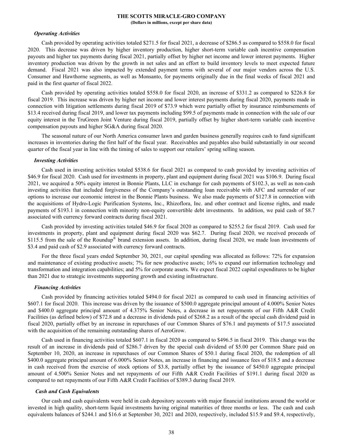**(Dollars in millions, except per share data)**

### *Operating Activities*

Cash provided by operating activities totaled \$271.5 for fiscal 2021, a decrease of \$286.5 as compared to \$558.0 for fiscal 2020. This decrease was driven by higher inventory production, higher short-term variable cash incentive compensation payouts and higher tax payments during fiscal 2021, partially offset by higher net income and lower interest payments. Higher inventory production was driven by the growth in net sales and an effort to build inventory levels to meet expected future demand. Fiscal 2021 was also impacted by extended payment terms with several of our major vendors across the U.S. Consumer and Hawthorne segments, as well as Monsanto, for payments originally due in the final weeks of fiscal 2021 and paid in the first quarter of fiscal 2022.

Cash provided by operating activities totaled \$558.0 for fiscal 2020, an increase of \$331.2 as compared to \$226.8 for fiscal 2019. This increase was driven by higher net income and lower interest payments during fiscal 2020, payments made in connection with litigation settlements during fiscal 2019 of \$73.9 which were partially offset by insurance reimbursements of \$13.4 received during fiscal 2019, and lower tax payments including \$99.5 of payments made in connection with the sale of our equity interest in the TruGreen Joint Venture during fiscal 2019, partially offset by higher short-term variable cash incentive compensation payouts and higher SG&A during fiscal 2020.

The seasonal nature of our North America consumer lawn and garden business generally requires cash to fund significant increases in inventories during the first half of the fiscal year. Receivables and payables also build substantially in our second quarter of the fiscal year in line with the timing of sales to support our retailers' spring selling season.

#### *Investing Activities*

Cash used in investing activities totaled \$538.6 for fiscal 2021 as compared to cash provided by investing activities of \$46.9 for fiscal 2020. Cash used for investments in property, plant and equipment during fiscal 2021 was \$106.9. During fiscal 2021, we acquired a 50% equity interest in Bonnie Plants, LLC in exchange for cash payments of \$102.3, as well as non-cash investing activities that included forgiveness of the Company's outstanding loan receivable with AFC and surrender of our options to increase our economic interest in the Bonnie Plants business. We also made payments of \$127.8 in connection with the acquisitions of Hydro-Logic Purification Systems, Inc., Rhizoflora, Inc. and other contract and license rights, and made payments of \$193.1 in connection with minority non-equity convertible debt investments. In addition, we paid cash of \$8.7 associated with currency forward contracts during fiscal 2021.

Cash provided by investing activities totaled \$46.9 for fiscal 2020 as compared to \$255.2 for fiscal 2019. Cash used for investments in property, plant and equipment during fiscal 2020 was \$62.7. During fiscal 2020, we received proceeds of \$115.5 from the sale of the Roundup® brand extension assets. In addition, during fiscal 2020, we made loan investments of \$3.4 and paid cash of \$2.9 associated with currency forward contracts.

For the three fiscal years ended September 30, 2021, our capital spending was allocated as follows: 72% for expansion and maintenance of existing productive assets; 7% for new productive assets; 16% to expand our information technology and transformation and integration capabilities; and 5% for corporate assets. We expect fiscal 2022 capital expenditures to be higher than 2021 due to strategic investments supporting growth and existing infrastructure.

#### *Financing Activities*

Cash provided by financing activities totaled \$494.0 for fiscal 2021 as compared to cash used in financing activities of \$607.1 for fiscal 2020. This increase was driven by the issuance of \$500.0 aggregate principal amount of 4.000% Senior Notes and \$400.0 aggregate principal amount of 4.375% Senior Notes, a decrease in net repayments of our Fifth A&R Credit Facilities (as defined below) of \$72.8 and a decrease in dividends paid of \$268.2 as a result of the special cash dividend paid in fiscal 2020, partially offset by an increase in repurchases of our Common Shares of \$76.1 and payments of \$17.5 associated with the acquisition of the remaining outstanding shares of AeroGrow.

Cash used in financing activities totaled \$607.1 in fiscal 2020 as compared to \$496.5 in fiscal 2019. This change was the result of an increase in dividends paid of \$286.7 driven by the special cash dividend of \$5.00 per Common Share paid on September 10, 2020, an increase in repurchases of our Common Shares of \$50.1 during fiscal 2020, the redemption of all \$400.0 aggregate principal amount of 6.000% Senior Notes, an increase in financing and issuance fees of \$18.5 and a decrease in cash received from the exercise of stock options of \$3.8, partially offset by the issuance of \$450.0 aggregate principal amount of 4.500% Senior Notes and net repayments of our Fifth A&R Credit Facilities of \$191.1 during fiscal 2020 as compared to net repayments of our Fifth A&R Credit Facilities of \$389.3 during fiscal 2019.

#### *Cash and Cash Equivalents*

Our cash and cash equivalents were held in cash depository accounts with major financial institutions around the world or invested in high quality, short-term liquid investments having original maturities of three months or less. The cash and cash equivalents balances of \$244.1 and \$16.6 at September 30, 2021 and 2020, respectively, included \$15.9 and \$9.4, respectively,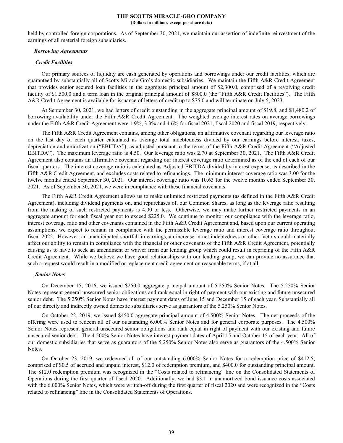#### **THE SCOTTS MIRACLE-GRO COMPANY (Dollars in millions, except per share data)**

held by controlled foreign corporations. As of September 30, 2021, we maintain our assertion of indefinite reinvestment of the earnings of all material foreign subsidiaries.

#### *Borrowing Agreements*

### *Credit Facilities*

Our primary sources of liquidity are cash generated by operations and borrowings under our credit facilities, which are guaranteed by substantially all of Scotts Miracle-Gro's domestic subsidiaries. We maintain the Fifth A&R Credit Agreement that provides senior secured loan facilities in the aggregate principal amount of \$2,300.0, comprised of a revolving credit facility of \$1,500.0 and a term loan in the original principal amount of \$800.0 (the "Fifth A&R Credit Facilities"). The Fifth A&R Credit Agreement is available for issuance of letters of credit up to \$75.0 and will terminate on July 5, 2023.

At September 30, 2021, we had letters of credit outstanding in the aggregate principal amount of \$19.8, and \$1,480.2 of borrowing availability under the Fifth A&R Credit Agreement. The weighted average interest rates on average borrowings under the Fifth A&R Credit Agreement were 1.9%, 3.3% and 4.6% for fiscal 2021, fiscal 2020 and fiscal 2019, respectively.

The Fifth A&R Credit Agreement contains, among other obligations, an affirmative covenant regarding our leverage ratio on the last day of each quarter calculated as average total indebtedness divided by our earnings before interest, taxes, depreciation and amortization ("EBITDA"), as adjusted pursuant to the terms of the Fifth A&R Credit Agreement ("Adjusted EBITDA"). The maximum leverage ratio is 4.50. Our leverage ratio was 2.70 at September 30, 2021. The Fifth A&R Credit Agreement also contains an affirmative covenant regarding our interest coverage ratio determined as of the end of each of our fiscal quarters. The interest coverage ratio is calculated as Adjusted EBITDA divided by interest expense, as described in the Fifth A&R Credit Agreement, and excludes costs related to refinancings. The minimum interest coverage ratio was 3.00 for the twelve months ended September 30, 2021. Our interest coverage ratio was 10.63 for the twelve months ended September 30, 2021. As of September 30, 2021, we were in compliance with these financial covenants.

The Fifth A&R Credit Agreement allows us to make unlimited restricted payments (as defined in the Fifth A&R Credit Agreement), including dividend payments on, and repurchases of, our Common Shares, as long as the leverage ratio resulting from the making of such restricted payments is 4.00 or less. Otherwise, we may make further restricted payments in an aggregate amount for each fiscal year not to exceed \$225.0. We continue to monitor our compliance with the leverage ratio, interest coverage ratio and other covenants contained in the Fifth A&R Credit Agreement and, based upon our current operating assumptions, we expect to remain in compliance with the permissible leverage ratio and interest coverage ratio throughout fiscal 2022. However, an unanticipated shortfall in earnings, an increase in net indebtedness or other factors could materially affect our ability to remain in compliance with the financial or other covenants of the Fifth A&R Credit Agreement, potentially causing us to have to seek an amendment or waiver from our lending group which could result in repricing of the Fifth A&R Credit Agreement. While we believe we have good relationships with our lending group, we can provide no assurance that such a request would result in a modified or replacement credit agreement on reasonable terms, if at all.

#### *Senior Notes*

On December 15, 2016, we issued \$250.0 aggregate principal amount of 5.250% Senior Notes. The 5.250% Senior Notes represent general unsecured senior obligations and rank equal in right of payment with our existing and future unsecured senior debt. The 5.250% Senior Notes have interest payment dates of June 15 and December 15 of each year. Substantially all of our directly and indirectly owned domestic subsidiaries serve as guarantors of the 5.250% Senior Notes.

On October 22, 2019, we issued \$450.0 aggregate principal amount of 4.500% Senior Notes. The net proceeds of the offering were used to redeem all of our outstanding 6.000% Senior Notes and for general corporate purposes. The 4.500% Senior Notes represent general unsecured senior obligations and rank equal in right of payment with our existing and future unsecured senior debt. The 4.500% Senior Notes have interest payment dates of April 15 and October 15 of each year. All of our domestic subsidiaries that serve as guarantors of the 5.250% Senior Notes also serve as guarantors of the 4.500% Senior Notes.

On October 23, 2019, we redeemed all of our outstanding 6.000% Senior Notes for a redemption price of \$412.5, comprised of \$0.5 of accrued and unpaid interest, \$12.0 of redemption premium, and \$400.0 for outstanding principal amount. The \$12.0 redemption premium was recognized in the "Costs related to refinancing" line on the Consolidated Statements of Operations during the first quarter of fiscal 2020. Additionally, we had \$3.1 in unamortized bond issuance costs associated with the 6.000% Senior Notes, which were written-off during the first quarter of fiscal 2020 and were recognized in the "Costs related to refinancing" line in the Consolidated Statements of Operations.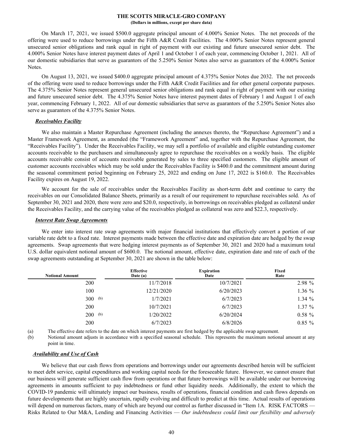**(Dollars in millions, except per share data)**

On March 17, 2021, we issued \$500.0 aggregate principal amount of 4.000% Senior Notes. The net proceeds of the offering were used to reduce borrowings under the Fifth A&R Credit Facilities. The 4.000% Senior Notes represent general unsecured senior obligations and rank equal in right of payment with our existing and future unsecured senior debt. The 4.000% Senior Notes have interest payment dates of April 1 and October 1 of each year, commencing October 1, 2021. All of our domestic subsidiaries that serve as guarantors of the 5.250% Senior Notes also serve as guarantors of the 4.000% Senior Notes.

On August 13, 2021, we issued \$400.0 aggregate principal amount of 4.375% Senior Notes due 2032. The net proceeds of the offering were used to reduce borrowings under the Fifth A&R Credit Facilities and for other general corporate purposes. The 4.375% Senior Notes represent general unsecured senior obligations and rank equal in right of payment with our existing and future unsecured senior debt. The 4.375% Senior Notes have interest payment dates of February 1 and August 1 of each year, commencing February 1, 2022. All of our domestic subsidiaries that serve as guarantors of the 5.250% Senior Notes also serve as guarantors of the 4.375% Senior Notes.

### *Receivables Facility*

We also maintain a Master Repurchase Agreement (including the annexes thereto, the "Repurchase Agreement") and a Master Framework Agreement, as amended (the "Framework Agreement" and, together with the Repurchase Agreement, the "Receivables Facility"). Under the Receivables Facility, we may sell a portfolio of available and eligible outstanding customer accounts receivable to the purchasers and simultaneously agree to repurchase the receivables on a weekly basis. The eligible accounts receivable consist of accounts receivable generated by sales to three specified customers. The eligible amount of customer accounts receivables which may be sold under the Receivables Facility is \$400.0 and the commitment amount during the seasonal commitment period beginning on February 25, 2022 and ending on June 17, 2022 is \$160.0. The Receivables Facility expires on August 19, 2022.

We account for the sale of receivables under the Receivables Facility as short-term debt and continue to carry the receivables on our Consolidated Balance Sheets, primarily as a result of our requirement to repurchase receivables sold. As of September 30, 2021 and 2020, there were zero and \$20.0, respectively, in borrowings on receivables pledged as collateral under the Receivables Facility, and the carrying value of the receivables pledged as collateral was zero and \$22.3, respectively.

## *Interest Rate Swap Agreements*

We enter into interest rate swap agreements with major financial institutions that effectively convert a portion of our variable rate debt to a fixed rate. Interest payments made between the effective date and expiration date are hedged by the swap agreements. Swap agreements that were hedging interest payments as of September 30, 2021 and 2020 had a maximum total U.S. dollar equivalent notional amount of \$600.0. The notional amount, effective date, expiration date and rate of each of the swap agreements outstanding at September 30, 2021 are shown in the table below:

| <b>Notional Amount</b> | <b>Effective</b><br>Date $(a)$ | <b>Expiration</b><br>Date | Fixed<br>Rate |
|------------------------|--------------------------------|---------------------------|---------------|
| <b>200</b>             | 11/7/2018                      | 10/7/2021                 | 2.98 %        |
| 100                    | 12/21/2020                     | 6/20/2023                 | $1.36\%$      |
| $300$ (b)              | 1/7/2021                       | 6/7/2023                  | $1.34\%$      |
| <b>200</b>             | 10/7/2021                      | 6/7/2023                  | $1.37\%$      |
| $200$ (b)              | 1/20/2022                      | 6/20/2024                 | $0.58 \%$     |
| <b>200</b>             | 6/7/2023                       | 6/8/2026                  | $0.85 \%$     |

(a) The effective date refers to the date on which interest payments are first hedged by the applicable swap agreement.

(b) Notional amount adjusts in accordance with a specified seasonal schedule. This represents the maximum notional amount at any point in time.

### *Availability and Use of Cash*

We believe that our cash flows from operations and borrowings under our agreements described herein will be sufficient to meet debt service, capital expenditures and working capital needs for the foreseeable future. However, we cannot ensure that our business will generate sufficient cash flow from operations or that future borrowings will be available under our borrowing agreements in amounts sufficient to pay indebtedness or fund other liquidity needs. Additionally, the extent to which the COVID-19 pandemic will ultimately impact our business, results of operations, financial condition and cash flows depends on future developments that are highly uncertain, rapidly evolving and difficult to predict at this time. Actual results of operations will depend on numerous factors, many of which are beyond our control as further discussed in "Item 1A. RISK FACTORS — Risks Related to Our M&A, Lending and Financing Activities — *Our indebtedness could limit our flexibility and adversely*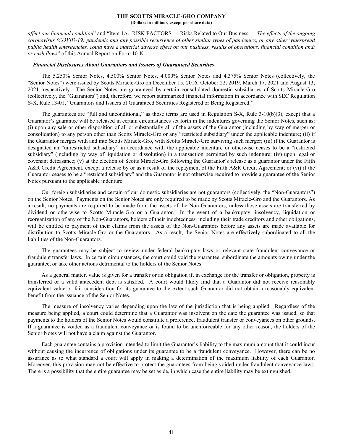#### **THE SCOTTS MIRACLE-GRO COMPANY (Dollars in millions, except per share data)**

*affect our financial condition*" and "Item 1A. RISK FACTORS — Risks Related to Our Business — *The effects of the ongoing coronavirus (COVID-19) pandemic and any possible recurrence of other similar types of pandemics, or any other widespread public health emergencies, could have a material adverse effect on our business, results of operations, financial condition and/ or cash flows*" of this Annual Report on Form 10-K.

## *Financial Disclosures About Guarantors and Issuers of Guaranteed Securities*

The 5.250% Senior Notes, 4.500% Senior Notes, 4.000% Senior Notes and 4.375% Senior Notes (collectively, the "Senior Notes") were issued by Scotts Miracle-Gro on December 15, 2016, October 22, 2019, March 17, 2021 and August 13, 2021, respectively. The Senior Notes are guaranteed by certain consolidated domestic subsidiaries of Scotts Miracle-Gro (collectively, the "Guarantors") and, therefore, we report summarized financial information in accordance with SEC Regulation S-X, Rule 13-01, "Guarantors and Issuers of Guaranteed Securities Registered or Being Registered."

The guarantees are "full and unconditional," as those terms are used in Regulation S-X, Rule 3-10(b)(3), except that a Guarantor's guarantee will be released in certain circumstances set forth in the indentures governing the Senior Notes, such as: (i) upon any sale or other disposition of all or substantially all of the assets of the Guarantor (including by way of merger or consolidation) to any person other than Scotts Miracle-Gro or any "restricted subsidiary" under the applicable indenture; (ii) if the Guarantor merges with and into Scotts Miracle-Gro, with Scotts Miracle-Gro surviving such merger; (iii) if the Guarantor is designated an "unrestricted subsidiary" in accordance with the applicable indenture or otherwise ceases to be a "restricted subsidiary" (including by way of liquidation or dissolution) in a transaction permitted by such indenture; (iv) upon legal or covenant defeasance; (v) at the election of Scotts Miracle-Gro following the Guarantor's release as a guarantor under the Fifth A&R Credit Agreement, except a release by or as a result of the repayment of the Fifth A&R Credit Agreement; or (vi) if the Guarantor ceases to be a "restricted subsidiary" and the Guarantor is not otherwise required to provide a guarantee of the Senior Notes pursuant to the applicable indenture.

Our foreign subsidiaries and certain of our domestic subsidiaries are not guarantors (collectively, the "Non-Guarantors") on the Senior Notes. Payments on the Senior Notes are only required to be made by Scotts Miracle-Gro and the Guarantors. As a result, no payments are required to be made from the assets of the Non-Guarantors, unless those assets are transferred by dividend or otherwise to Scotts Miracle-Gro or a Guarantor. In the event of a bankruptcy, insolvency, liquidation or reorganization of any of the Non-Guarantors, holders of their indebtedness, including their trade creditors and other obligations, will be entitled to payment of their claims from the assets of the Non-Guarantors before any assets are made available for distribution to Scotts Miracle-Gro or the Guarantors. As a result, the Senior Notes are effectively subordinated to all the liabilities of the Non-Guarantors.

The guarantees may be subject to review under federal bankruptcy laws or relevant state fraudulent conveyance or fraudulent transfer laws. In certain circumstances, the court could void the guarantee, subordinate the amounts owing under the guarantee, or take other actions detrimental to the holders of the Senior Notes.

As a general matter, value is given for a transfer or an obligation if, in exchange for the transfer or obligation, property is transferred or a valid antecedent debt is satisfied. A court would likely find that a Guarantor did not receive reasonably equivalent value or fair consideration for its guarantee to the extent such Guarantor did not obtain a reasonably equivalent benefit from the issuance of the Senior Notes.

The measure of insolvency varies depending upon the law of the jurisdiction that is being applied. Regardless of the measure being applied, a court could determine that a Guarantor was insolvent on the date the guarantee was issued, so that payments to the holders of the Senior Notes would constitute a preference, fraudulent transfer or conveyances on other grounds. If a guarantee is voided as a fraudulent conveyance or is found to be unenforceable for any other reason, the holders of the Senior Notes will not have a claim against the Guarantor.

Each guarantee contains a provision intended to limit the Guarantor's liability to the maximum amount that it could incur without causing the incurrence of obligations under its guarantee to be a fraudulent conveyance. However, there can be no assurance as to what standard a court will apply in making a determination of the maximum liability of each Guarantor. Moreover, this provision may not be effective to protect the guarantees from being voided under fraudulent conveyance laws. There is a possibility that the entire guarantee may be set aside, in which case the entire liability may be extinguished.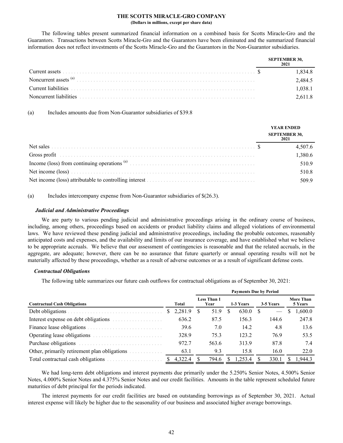**(Dollars in millions, except per share data)**

The following tables present summarized financial information on a combined basis for Scotts Miracle-Gro and the Guarantors. Transactions between Scotts Miracle-Gro and the Guarantors have been eliminated and the summarized financial information does not reflect investments of the Scotts Miracle-Gro and the Guarantors in the Non-Guarantor subsidiaries.

|                                  | <b>SEPTEMBER 30,</b><br>2021 |
|----------------------------------|------------------------------|
| Current assets                   |                              |
| Noncurrent assets <sup>(a)</sup> |                              |
| Current liabilities              |                              |
| Noncurrent liabilities           |                              |

### (a) Includes amounts due from Non-Guarantor subsidiaries of \$39.8

|  | <b>YEAR ENDED</b><br><b>SEPTEMBER 30,</b><br>2021 |
|--|---------------------------------------------------|
|  | 4.507.6                                           |
|  | 1,380.6                                           |
|  | 510.9                                             |
|  | 510.8                                             |
|  | 509.9                                             |

(a) Includes intercompany expense from Non-Guarantor subsidiaries of \$(26.3).

### *Judicial and Administrative Proceedings*

We are party to various pending judicial and administrative proceedings arising in the ordinary course of business, including, among others, proceedings based on accidents or product liability claims and alleged violations of environmental laws. We have reviewed these pending judicial and administrative proceedings, including the probable outcomes, reasonably anticipated costs and expenses, and the availability and limits of our insurance coverage, and have established what we believe to be appropriate accruals. We believe that our assessment of contingencies is reasonable and that the related accruals, in the aggregate, are adequate; however, there can be no assurance that future quarterly or annual operating results will not be materially affected by these proceedings, whether as a result of adverse outcomes or as a result of significant defense costs.

### *Contractual Obligations*

The following table summarizes our future cash outflows for contractual obligations as of September 30, 2021:

|                                                                                                                                                                                                                                |    |                             | <b>Payments Due by Period</b> |                                         |  |         |  |           |         |                      |  |  |
|--------------------------------------------------------------------------------------------------------------------------------------------------------------------------------------------------------------------------------|----|-----------------------------|-------------------------------|-----------------------------------------|--|---------|--|-----------|---------|----------------------|--|--|
| <b>Contractual Cash Obligations</b>                                                                                                                                                                                            |    | Total                       |                               | <b>Less Than 1</b><br>1-3 Years<br>Year |  |         |  | 3-5 Years |         | More Than<br>5 Years |  |  |
|                                                                                                                                                                                                                                | S. | 2,281.9<br>51.9<br>S.<br>S. |                               | 630.0                                   |  |         |  | S         | 1,600.0 |                      |  |  |
| Interest expense on debt obligations experiences                                                                                                                                                                               |    | 636.2                       |                               | 87.5                                    |  | 156.3   |  | 144.6     |         | 247.8                |  |  |
|                                                                                                                                                                                                                                |    | 39.6                        |                               | 7.0                                     |  | 14.2    |  | 4.8       |         | 13.6                 |  |  |
|                                                                                                                                                                                                                                |    | 328.9                       |                               | 75.3                                    |  | 123.2   |  | 76.9      |         | 53.5                 |  |  |
| Purchase obligations entertainment and the contract of the contract of the contract of the contract of the contract of the contract of the contract of the contract of the contract of the contract of the contract of the con |    | 972.7                       |                               | 563.6                                   |  | 313.9   |  | 87.8      |         | 7.4                  |  |  |
| Other, primarily retirement plan obligations                                                                                                                                                                                   |    | 63.1                        |                               | 9.3                                     |  | 15.8    |  | 16.0      |         | 22.0                 |  |  |
|                                                                                                                                                                                                                                | S. | 4,322.4                     |                               | 794.6                                   |  | 1,253.4 |  | 330.1     |         | 1.944.3              |  |  |

We had long-term debt obligations and interest payments due primarily under the 5.250% Senior Notes, 4.500% Senior Notes, 4.000% Senior Notes and 4.375% Senior Notes and our credit facilities. Amounts in the table represent scheduled future maturities of debt principal for the periods indicated.

The interest payments for our credit facilities are based on outstanding borrowings as of September 30, 2021. Actual interest expense will likely be higher due to the seasonality of our business and associated higher average borrowings.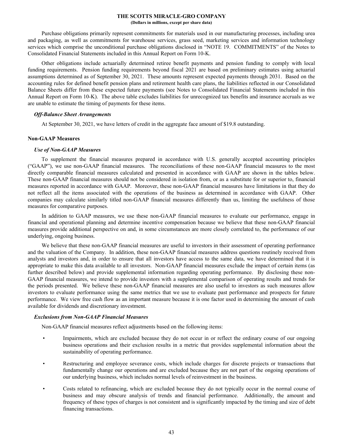**(Dollars in millions, except per share data)**

Purchase obligations primarily represent commitments for materials used in our manufacturing processes, including urea and packaging, as well as commitments for warehouse services, grass seed, marketing services and information technology services which comprise the unconditional purchase obligations disclosed in "NOTE 19. COMMITMENTS" of the Notes to Consolidated Financial Statements included in this Annual Report on Form 10-K.

Other obligations include actuarially determined retiree benefit payments and pension funding to comply with local funding requirements. Pension funding requirements beyond fiscal 2021 are based on preliminary estimates using actuarial assumptions determined as of September 30, 2021. These amounts represent expected payments through 2031. Based on the accounting rules for defined benefit pension plans and retirement health care plans, the liabilities reflected in our Consolidated Balance Sheets differ from these expected future payments (see Notes to Consolidated Financial Statements included in this Annual Report on Form 10-K). The above table excludes liabilities for unrecognized tax benefits and insurance accruals as we are unable to estimate the timing of payments for these items.

#### *Off-Balance Sheet Arrangements*

At September 30, 2021, we have letters of credit in the aggregate face amount of \$19.8 outstanding.

#### **Non-GAAP Measures**

#### *Use of Non-GAAP Measures*

To supplement the financial measures prepared in accordance with U.S. generally accepted accounting principles ("GAAP"), we use non-GAAP financial measures. The reconciliations of these non-GAAP financial measures to the most directly comparable financial measures calculated and presented in accordance with GAAP are shown in the tables below. These non-GAAP financial measures should not be considered in isolation from, or as a substitute for or superior to, financial measures reported in accordance with GAAP. Moreover, these non-GAAP financial measures have limitations in that they do not reflect all the items associated with the operations of the business as determined in accordance with GAAP. Other companies may calculate similarly titled non-GAAP financial measures differently than us, limiting the usefulness of those measures for comparative purposes.

In addition to GAAP measures, we use these non-GAAP financial measures to evaluate our performance, engage in financial and operational planning and determine incentive compensation because we believe that these non-GAAP financial measures provide additional perspective on and, in some circumstances are more closely correlated to, the performance of our underlying, ongoing business.

We believe that these non-GAAP financial measures are useful to investors in their assessment of operating performance and the valuation of the Company. In addition, these non-GAAP financial measures address questions routinely received from analysts and investors and, in order to ensure that all investors have access to the same data, we have determined that it is appropriate to make this data available to all investors. Non-GAAP financial measures exclude the impact of certain items (as further described below) and provide supplemental information regarding operating performance. By disclosing these non-GAAP financial measures, we intend to provide investors with a supplemental comparison of operating results and trends for the periods presented. We believe these non-GAAP financial measures are also useful to investors as such measures allow investors to evaluate performance using the same metrics that we use to evaluate past performance and prospects for future performance. We view free cash flow as an important measure because it is one factor used in determining the amount of cash available for dividends and discretionary investment.

#### *Exclusions from Non-GAAP Financial Measures*

Non-GAAP financial measures reflect adjustments based on the following items:

- Impairments, which are excluded because they do not occur in or reflect the ordinary course of our ongoing business operations and their exclusion results in a metric that provides supplemental information about the sustainability of operating performance.
- Restructuring and employee severance costs, which include charges for discrete projects or transactions that fundamentally change our operations and are excluded because they are not part of the ongoing operations of our underlying business, which includes normal levels of reinvestment in the business.
- Costs related to refinancing, which are excluded because they do not typically occur in the normal course of business and may obscure analysis of trends and financial performance. Additionally, the amount and frequency of these types of charges is not consistent and is significantly impacted by the timing and size of debt financing transactions.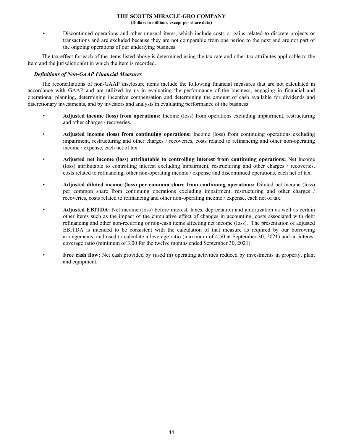**(Dollars in millions, except per share data)**

• Discontinued operations and other unusual items, which include costs or gains related to discrete projects or transactions and are excluded because they are not comparable from one period to the next and are not part of the ongoing operations of our underlying business.

The tax effect for each of the items listed above is determined using the tax rate and other tax attributes applicable to the item and the jurisdiction(s) in which the item is recorded.

## *Definitions of Non-GAAP Financial Measures*

The reconciliations of non-GAAP disclosure items include the following financial measures that are not calculated in accordance with GAAP and are utilized by us in evaluating the performance of the business, engaging in financial and operational planning, determining incentive compensation and determining the amount of cash available for dividends and discretionary investments, and by investors and analysts in evaluating performance of the business:

- **Adjusted income (loss) from operations:** Income (loss) from operations excluding impairment, restructuring and other charges / recoveries.
- **Adjusted income (loss) from continuing operations:** Income (loss) from continuing operations excluding impairment, restructuring and other charges / recoveries, costs related to refinancing and other non-operating income / expense, each net of tax.
- **Adjusted net income (loss) attributable to controlling interest from continuing operations:** Net income (loss) attributable to controlling interest excluding impairment, restructuring and other charges / recoveries, costs related to refinancing, other non-operating income / expense and discontinued operations, each net of tax.
- **Adjusted diluted income (loss) per common share from continuing operations:** Diluted net income (loss) per common share from continuing operations excluding impairment, restructuring and other charges / recoveries, costs related to refinancing and other non-operating income / expense, each net of tax.
- **Adjusted EBITDA:** Net income (loss) before interest, taxes, depreciation and amortization as well as certain other items such as the impact of the cumulative effect of changes in accounting, costs associated with debt refinancing and other non-recurring or non-cash items affecting net income (loss). The presentation of adjusted EBITDA is intended to be consistent with the calculation of that measure as required by our borrowing arrangements, and used to calculate a leverage ratio (maximum of 4.50 at September 30, 2021) and an interest coverage ratio (minimum of 3.00 for the twelve months ended September 30, 2021).
- **Free cash flow:** Net cash provided by (used in) operating activities reduced by investments in property, plant and equipment.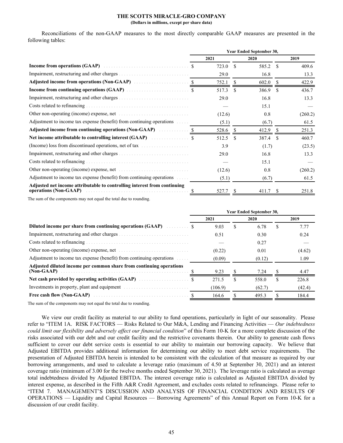#### **THE SCOTTS MIRACLE-GRO COMPANY (Dollars in millions, except per share data)**

Reconciliations of the non-GAAP measures to the most directly comparable GAAP measures are presented in the following tables:

|                                                                                                                                                                                                                                     | Year Ended September 30, |              |       |      |         |  |  |  |
|-------------------------------------------------------------------------------------------------------------------------------------------------------------------------------------------------------------------------------------|--------------------------|--------------|-------|------|---------|--|--|--|
|                                                                                                                                                                                                                                     | 2021                     |              | 2020  |      | 2019    |  |  |  |
| Income from operations (GAAP) <i>manufacturers</i> and the set of the set of the set of the set of the set of the set of the set of the set of the set of the set of the set of the set of the set of the set of the set of the set | 723.0                    | -\$          | 585.2 | - \$ | 409.6   |  |  |  |
|                                                                                                                                                                                                                                     | 29.0                     |              | 16.8  |      | 13.3    |  |  |  |
| Adjusted income from operations (Non-GAAP) All resolutions of S                                                                                                                                                                     | 752.1                    | -S           | 602.0 |      | 422.9   |  |  |  |
| Income from continuing operations (GAAP) According to the Second Second Second Second Second Second Second Second Second Second Second Second Second Second Second Second Second Second Second Second Second Second Second Sec      | 517.3                    | -S           | 386.9 |      | 436.7   |  |  |  |
|                                                                                                                                                                                                                                     | 29.0                     |              | 16.8  |      | 13.3    |  |  |  |
| Costs related to refinancing.                                                                                                                                                                                                       |                          |              | 15.1  |      |         |  |  |  |
| Other non-operating (income) expense, net contained and the set of the set of the set of the set of the set of the set of the set of the set of the set of the set of the set of the set of the set of the set of the set of t      | (12.6)                   |              | 0.8   |      | (260.2) |  |  |  |
| Adjustment to income tax expense (benefit) from continuing operations                                                                                                                                                               | (5.1)                    |              | (6.7) |      | 61.5    |  |  |  |
| Adjusted income from continuing operations (Non-GAAP)                                                                                                                                                                               | 528.6                    |              | 412.9 |      | 251.3   |  |  |  |
| Net income attributable to controlling interest (GAAP) All Allen S                                                                                                                                                                  | 512.5                    | <sup>S</sup> | 387.4 | -S   | 460.7   |  |  |  |
| (Income) loss from discontinued operations, net of tax                                                                                                                                                                              | 3.9                      |              | (1.7) |      | (23.5)  |  |  |  |
|                                                                                                                                                                                                                                     | 29.0                     |              | 16.8  |      | 13.3    |  |  |  |
| Costs related to refinancing                                                                                                                                                                                                        |                          |              | 15.1  |      |         |  |  |  |
|                                                                                                                                                                                                                                     | (12.6)                   |              | 0.8   |      | (260.2) |  |  |  |
| Adjustment to income tax expense (benefit) from continuing operations<br>.                                                                                                                                                          | (5.1)                    |              | (6.7) |      | 61.5    |  |  |  |
| Adjusted net income attributable to controlling interest from continuing<br>operations (Non-GAAP)                                                                                                                                   | 527.7                    |              | 411.7 |      | 251.8   |  |  |  |

The sum of the components may not equal the total due to rounding.

|                                                                                                                                                                                                                                | <b>Year Ended September 30,</b> |         |    |        |     |        |  |  |
|--------------------------------------------------------------------------------------------------------------------------------------------------------------------------------------------------------------------------------|---------------------------------|---------|----|--------|-----|--------|--|--|
|                                                                                                                                                                                                                                |                                 | 2021    |    | 2020   |     | 2019   |  |  |
|                                                                                                                                                                                                                                |                                 | 9.03    | \$ | 6.78   | \$. | 7.77   |  |  |
|                                                                                                                                                                                                                                |                                 | 0.51    |    | 0.30   |     | 0.24   |  |  |
|                                                                                                                                                                                                                                |                                 |         |    | 0.27   |     |        |  |  |
| Other non-operating (income) expense, net contained and the set of the set of the set of the set of the set of the set of the set of the set of the set of the set of the set of the set of the set of the set of the set of t |                                 | (0.22)  |    | 0.01   |     | (4.62) |  |  |
| Adjustment to income tax expense (benefit) from continuing operations                                                                                                                                                          |                                 | (0.09)  |    | (0.12) |     | 1.09   |  |  |
| Adjusted diluted income per common share from continuing operations                                                                                                                                                            |                                 |         |    |        |     |        |  |  |
|                                                                                                                                                                                                                                |                                 | 9.23    | S. | 7.24   |     | 4.47   |  |  |
| Net cash provided by operating activities (GAAP) entitled as a set of set of set of set of set of set of set of set of set of set of set of set of set of set of set of set of set of set of set of set of set of set of set o |                                 | 271.5   | S  | 558.0  | £.  | 226.8  |  |  |
| Investments in property, plant and equipment entertainment of the state of the state of the state of the state of the state of the state of the state of the state of the state of the state of the state of the state of the  |                                 | (106.9) |    | (62.7) |     | (42.4) |  |  |
|                                                                                                                                                                                                                                |                                 | 164.6   |    | 495.3  |     | 184.4  |  |  |

The sum of the components may not equal the total due to rounding.

We view our credit facility as material to our ability to fund operations, particularly in light of our seasonality. Please refer to "ITEM 1A. RISK FACTORS — Risks Related to Our M&A, Lending and Financing Activities — *Our indebtedness could limit our flexibility and adversely affect our financial condition*" of this Form 10-K for a more complete discussion of the risks associated with our debt and our credit facility and the restrictive covenants therein. Our ability to generate cash flows sufficient to cover our debt service costs is essential to our ability to maintain our borrowing capacity. We believe that Adjusted EBITDA provides additional information for determining our ability to meet debt service requirements. The presentation of Adjusted EBITDA herein is intended to be consistent with the calculation of that measure as required by our borrowing arrangements, and used to calculate a leverage ratio (maximum of 4.50 at September 30, 2021) and an interest coverage ratio (minimum of 3.00 for the twelve months ended September 30, 2021). The leverage ratio is calculated as average total indebtedness divided by Adjusted EBITDA. The interest coverage ratio is calculated as Adjusted EBITDA divided by interest expense, as described in the Fifth A&R Credit Agreement, and excludes costs related to refinancings. Please refer to "ITEM 7. MANAGEMENT'S DISCUSSION AND ANALYSIS OF FINANCIAL CONDITION AND RESULTS OF OPERATIONS — Liquidity and Capital Resources — Borrowing Agreements" of this Annual Report on Form 10-K for a discussion of our credit facility.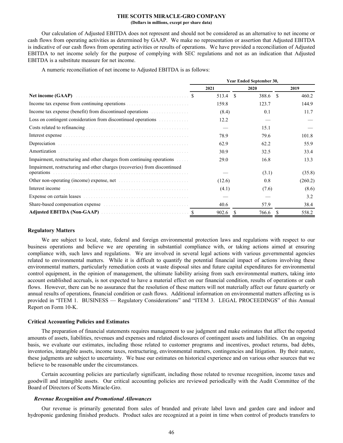**(Dollars in millions, except per share data)**

Our calculation of Adjusted EBITDA does not represent and should not be considered as an alternative to net income or cash flows from operating activities as determined by GAAP. We make no representation or assertion that Adjusted EBITDA is indicative of our cash flows from operating activities or results of operations. We have provided a reconciliation of Adjusted EBITDA to net income solely for the purpose of complying with SEC regulations and not as an indication that Adjusted EBITDA is a substitute measure for net income.

A numeric reconciliation of net income to Adjusted EBITDA is as follows:

|                                                                                                                                                                                                                                    | Year Ended September 30, |          |         |  |  |  |  |  |
|------------------------------------------------------------------------------------------------------------------------------------------------------------------------------------------------------------------------------------|--------------------------|----------|---------|--|--|--|--|--|
|                                                                                                                                                                                                                                    | 2021                     | 2020     | 2019    |  |  |  |  |  |
| Net income (GAAP) <i>manufacturers</i> and the set of the set of the set of the set of the set of the set of the set of the set of the set of the set of the set of the set of the set of the set of the set of the set of the set | 513.4 \$                 | 388.6 \$ | 460.2   |  |  |  |  |  |
|                                                                                                                                                                                                                                    | 159.8                    | 123.7    | 144.9   |  |  |  |  |  |
| Income tax expense (benefit) from discontinued operations                                                                                                                                                                          | (8.4)                    | 0.1      | 11.7    |  |  |  |  |  |
| Loss on contingent consideration from discontinued operations                                                                                                                                                                      | 12.2                     |          |         |  |  |  |  |  |
|                                                                                                                                                                                                                                    |                          | 15.1     |         |  |  |  |  |  |
|                                                                                                                                                                                                                                    | 78.9                     | 79.6     | 101.8   |  |  |  |  |  |
|                                                                                                                                                                                                                                    | 62.9                     | 62.2     | 55.9    |  |  |  |  |  |
| Amortization                                                                                                                                                                                                                       | 30.9                     | 32.5     | 33.4    |  |  |  |  |  |
| Impairment, restructuring and other charges from continuing operations                                                                                                                                                             | 29.0                     | 16.8     | 13.3    |  |  |  |  |  |
| Impairment, restructuring and other charges (recoveries) from discontinued<br>operations                                                                                                                                           |                          | (3.1)    | (35.8)  |  |  |  |  |  |
| Other non-operating (income) expense, net encouragement of the set of the set of the set of the set of the set of the set of the set of the set of the set of the set of the set of the set of the set of the set of the set o     | (12.6)                   | 0.8      | (260.2) |  |  |  |  |  |
| Interest income                                                                                                                                                                                                                    | (4.1)                    | (7.6)    | (8.6)   |  |  |  |  |  |
|                                                                                                                                                                                                                                    |                          |          | 3.2     |  |  |  |  |  |
| Share-based compensation expense entrancements and the state of the state of the state of the state of the state of the state of the state of the state of the state of the state of the state of the state of the state of th     | 40.6                     | 57.9     | 38.4    |  |  |  |  |  |
|                                                                                                                                                                                                                                    | 902.6                    | 766.6    | 558.2   |  |  |  |  |  |

#### **Regulatory Matters**

We are subject to local, state, federal and foreign environmental protection laws and regulations with respect to our business operations and believe we are operating in substantial compliance with, or taking actions aimed at ensuring compliance with, such laws and regulations. We are involved in several legal actions with various governmental agencies related to environmental matters. While it is difficult to quantify the potential financial impact of actions involving these environmental matters, particularly remediation costs at waste disposal sites and future capital expenditures for environmental control equipment, in the opinion of management, the ultimate liability arising from such environmental matters, taking into account established accruals, is not expected to have a material effect on our financial condition, results of operations or cash flows. However, there can be no assurance that the resolution of these matters will not materially affect our future quarterly or annual results of operations, financial condition or cash flows. Additional information on environmental matters affecting us is provided in "ITEM 1. BUSINESS — Regulatory Considerations" and "ITEM 3. LEGAL PROCEEDINGS" of this Annual Report on Form 10-K.

#### **Critical Accounting Policies and Estimates**

The preparation of financial statements requires management to use judgment and make estimates that affect the reported amounts of assets, liabilities, revenues and expenses and related disclosures of contingent assets and liabilities. On an ongoing basis, we evaluate our estimates, including those related to customer programs and incentives, product returns, bad debts, inventories, intangible assets, income taxes, restructuring, environmental matters, contingencies and litigation. By their nature, these judgments are subject to uncertainty. We base our estimates on historical experience and on various other sources that we believe to be reasonable under the circumstances.

Certain accounting policies are particularly significant, including those related to revenue recognition, income taxes and goodwill and intangible assets. Our critical accounting policies are reviewed periodically with the Audit Committee of the Board of Directors of Scotts Miracle-Gro.

#### *Revenue Recognition and Promotional Allowances*

Our revenue is primarily generated from sales of branded and private label lawn and garden care and indoor and hydroponic gardening finished products. Product sales are recognized at a point in time when control of products transfers to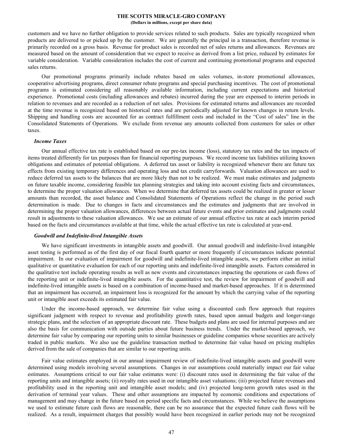**(Dollars in millions, except per share data)**

customers and we have no further obligation to provide services related to such products. Sales are typically recognized when products are delivered to or picked up by the customer. We are generally the principal in a transaction, therefore revenue is primarily recorded on a gross basis. Revenue for product sales is recorded net of sales returns and allowances. Revenues are measured based on the amount of consideration that we expect to receive as derived from a list price, reduced by estimates for variable consideration. Variable consideration includes the cost of current and continuing promotional programs and expected sales returns.

Our promotional programs primarily include rebates based on sales volumes, in-store promotional allowances, cooperative advertising programs, direct consumer rebate programs and special purchasing incentives. The cost of promotional programs is estimated considering all reasonably available information, including current expectations and historical experience. Promotional costs (including allowances and rebates) incurred during the year are expensed to interim periods in relation to revenues and are recorded as a reduction of net sales. Provisions for estimated returns and allowances are recorded at the time revenue is recognized based on historical rates and are periodically adjusted for known changes in return levels. Shipping and handling costs are accounted for as contract fulfillment costs and included in the "Cost of sales" line in the Consolidated Statements of Operations. We exclude from revenue any amounts collected from customers for sales or other taxes.

#### *Income Taxes*

Our annual effective tax rate is established based on our pre-tax income (loss), statutory tax rates and the tax impacts of items treated differently for tax purposes than for financial reporting purposes. We record income tax liabilities utilizing known obligations and estimates of potential obligations. A deferred tax asset or liability is recognized whenever there are future tax effects from existing temporary differences and operating loss and tax credit carryforwards. Valuation allowances are used to reduce deferred tax assets to the balances that are more likely than not to be realized. We must make estimates and judgments on future taxable income, considering feasible tax planning strategies and taking into account existing facts and circumstances, to determine the proper valuation allowances. When we determine that deferred tax assets could be realized in greater or lesser amounts than recorded, the asset balance and Consolidated Statements of Operations reflect the change in the period such determination is made. Due to changes in facts and circumstances and the estimates and judgments that are involved in determining the proper valuation allowances, differences between actual future events and prior estimates and judgments could result in adjustments to these valuation allowances. We use an estimate of our annual effective tax rate at each interim period based on the facts and circumstances available at that time, while the actual effective tax rate is calculated at year-end.

#### *Goodwill and Indefinite-lived Intangible Assets*

We have significant investments in intangible assets and goodwill. Our annual goodwill and indefinite-lived intangible asset testing is performed as of the first day of our fiscal fourth quarter or more frequently if circumstances indicate potential impairment. In our evaluation of impairment for goodwill and indefinite-lived intangible assets, we perform either an initial qualitative or quantitative evaluation for each of our reporting units and indefinite-lived intangible assets. Factors considered in the qualitative test include operating results as well as new events and circumstances impacting the operations or cash flows of the reporting unit or indefinite-lived intangible assets. For the quantitative test, the review for impairment of goodwill and indefinite-lived intangible assets is based on a combination of income-based and market-based approaches. If it is determined that an impairment has occurred, an impairment loss is recognized for the amount by which the carrying value of the reporting unit or intangible asset exceeds its estimated fair value.

Under the income-based approach, we determine fair value using a discounted cash flow approach that requires significant judgment with respect to revenue and profitability growth rates, based upon annual budgets and longer-range strategic plans, and the selection of an appropriate discount rate. These budgets and plans are used for internal purposes and are also the basis for communication with outside parties about future business trends. Under the market-based approach, we determine fair value by comparing our reporting units to similar businesses or guideline companies whose securities are actively traded in public markets. We also use the guideline transaction method to determine fair value based on pricing multiples derived from the sale of companies that are similar to our reporting units.

Fair value estimates employed in our annual impairment review of indefinite-lived intangible assets and goodwill were determined using models involving several assumptions. Changes in our assumptions could materially impact our fair value estimates. Assumptions critical to our fair value estimates were: (i) discount rates used in determining the fair value of the reporting units and intangible assets; (ii) royalty rates used in our intangible asset valuations; (iii) projected future revenues and profitability used in the reporting unit and intangible asset models; and (iv) projected long-term growth rates used in the derivation of terminal year values. These and other assumptions are impacted by economic conditions and expectations of management and may change in the future based on period specific facts and circumstances. While we believe the assumptions we used to estimate future cash flows are reasonable, there can be no assurance that the expected future cash flows will be realized. As a result, impairment charges that possibly would have been recognized in earlier periods may not be recognized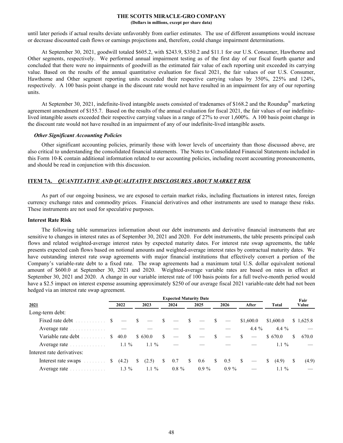**(Dollars in millions, except per share data)**

until later periods if actual results deviate unfavorably from earlier estimates. The use of different assumptions would increase or decrease discounted cash flows or earnings projections and, therefore, could change impairment determinations.

At September 30, 2021, goodwill totaled \$605.2, with \$243.9, \$350.2 and \$11.1 for our U.S. Consumer, Hawthorne and Other segments, respectively. We performed annual impairment testing as of the first day of our fiscal fourth quarter and concluded that there were no impairments of goodwill as the estimated fair value of each reporting unit exceeded its carrying value. Based on the results of the annual quantitative evaluation for fiscal 2021, the fair values of our U.S. Consumer, Hawthorne and Other segment reporting units exceeded their respective carrying values by 350%, 225% and 124%, respectively. A 100 basis point change in the discount rate would not have resulted in an impairment for any of our reporting units.

At September 30, 2021, indefinite-lived intangible assets consisted of tradenames of \$168.2 and the Roundup<sup>®</sup> marketing agreement amendment of \$155.7. Based on the results of the annual evaluation for fiscal 2021, the fair values of our indefinitelived intangible assets exceeded their respective carrying values in a range of 27% to over 1,600%. A 100 basis point change in the discount rate would not have resulted in an impairment of any of our indefinite-lived intangible assets.

#### *Other Significant Accounting Policies*

Other significant accounting policies, primarily those with lower levels of uncertainty than those discussed above, are also critical to understanding the consolidated financial statements. The Notes to Consolidated Financial Statements included in this Form 10-K contain additional information related to our accounting policies, including recent accounting pronouncements, and should be read in conjunction with this discussion.

## **ITEM 7A.** *QUANTITATIVE AND QUALITATIVE DISCLOSURES ABOUT MARKET RISK*

As part of our ongoing business, we are exposed to certain market risks, including fluctuations in interest rates, foreign currency exchange rates and commodity prices. Financial derivatives and other instruments are used to manage these risks. These instruments are not used for speculative purposes.

## **Interest Rate Risk**

The following table summarizes information about our debt instruments and derivative financial instruments that are sensitive to changes in interest rates as of September 30, 2021 and 2020. For debt instruments, the table presents principal cash flows and related weighted-average interest rates by expected maturity dates. For interest rate swap agreements, the table presents expected cash flows based on notional amounts and weighted-average interest rates by contractual maturity dates. We have outstanding interest rate swap agreements with major financial institutions that effectively convert a portion of the Company's variable-rate debt to a fixed rate. The swap agreements had a maximum total U.S. dollar equivalent notional amount of \$600.0 at September 30, 2021 and 2020. Weighted-average variable rates are based on rates in effect at September 30, 2021 and 2020. A change in our variable interest rate of 100 basis points for a full twelve-month period would have a \$2.5 impact on interest expense assuming approximately \$250 of our average fiscal 2021 variable-rate debt had not been hedged via an interest rate swap agreement.

|                                  | <b>Expected Maturity Date</b> |         |   |         |    |          |    |         |    |                   |       |           |       |           | Fair  |           |
|----------------------------------|-------------------------------|---------|---|---------|----|----------|----|---------|----|-------------------|-------|-----------|-------|-----------|-------|-----------|
| 2021                             |                               | 2022    |   | 2023    |    | 2024     |    | 2025    |    | 2026              | After |           | Total |           | Value |           |
| Long-term debt:                  |                               |         |   |         |    |          |    |         |    |                   |       |           |       |           |       |           |
| Fixed rate debt                  | $\mathbf{\hat{S}}$            |         | S |         |    |          |    |         |    | $\hspace{0.05cm}$ |       | \$1,600.0 |       | \$1,600.0 |       | \$1,625.8 |
| Average rate                     |                               |         |   |         |    |          |    |         |    |                   |       | 4.4 $%$   |       | $4.4\%$   |       |           |
| Variable rate debt.              | $\mathbf{s}$                  | 40.0    |   | \$630.0 | S  |          |    |         |    |                   |       |           |       | \$670.0   | S.    | 670.0     |
| Average rate <i>manufacturer</i> |                               | $1.1\%$ |   | $1.1\%$ |    |          |    |         |    |                   |       |           |       | $1.1 \%$  |       |           |
| Interest rate derivatives:       |                               |         |   |         |    |          |    |         |    |                   |       |           |       |           |       |           |
| Interest rate swaps<br>.         | <sup>S</sup>                  | (4.2)   | S | (2.5)   | S. | 0.7      | S. | 0.6     | \$ | 0.5               | S     |           | S     | (4.9)     | S     | (4.9)     |
| Average rate                     |                               | $1.3\%$ |   | $1.1\%$ |    | $0.8 \%$ |    | $0.9\%$ |    | $0.9\%$           |       |           |       | $1.1\%$   |       |           |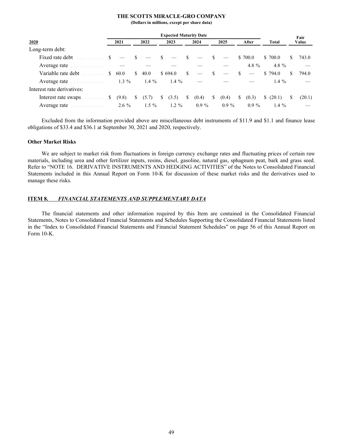**(Dollars in millions, except per share data)**

|                                        |              |         |               |          |              | <b>Expected Maturity Date</b> |    |         |             |             |         |    | Fair   |
|----------------------------------------|--------------|---------|---------------|----------|--------------|-------------------------------|----|---------|-------------|-------------|---------|----|--------|
| 2020                                   |              | 2021    |               | 2022     |              | 2023                          |    | 2024    | 2025        | After       | Total   |    | Value  |
| Long-term debt:                        |              |         |               |          |              |                               |    |         |             |             |         |    |        |
| Fixed rate debt                        |              |         |               |          |              |                               |    |         |             | \$700.0     | \$700.0 | S. | 743.0  |
| Average rate                           |              |         |               |          |              |                               |    |         |             | 4.8 $%$     | 4.8 $%$ |    |        |
| Variable rate debt                     | $\mathbf{s}$ | 60.0    | <sup>\$</sup> | 40.0     |              | \$694.0                       | S. |         |             |             | \$794.0 |    | 794.0  |
| Average rate $\ldots$ . $\ldots$ 1.3 % |              |         |               | 1.4 $\%$ |              | $1.4\%$                       |    |         |             |             | $1.4\%$ |    |        |
| Interest rate derivatives:             |              |         |               |          |              |                               |    |         |             |             |         |    |        |
| Interest rate swaps                    | \$           | (9.8)   | S.            | (5.7)    | <sup>S</sup> | (3.5)                         | S. | (0.4)   | \$<br>(0.4) | \$<br>(0.3) | (20.1)  | S  | (20.1) |
| Average rate                           |              | $2.6\%$ |               | $1.5\%$  |              | $1.2 \%$                      |    | $0.9\%$ | $0.9\%$     | $0.9\%$     | $1.4\%$ |    |        |

Excluded from the information provided above are miscellaneous debt instruments of \$11.9 and \$1.1 and finance lease obligations of \$33.4 and \$36.1 at September 30, 2021 and 2020, respectively.

### **Other Market Risks**

We are subject to market risk from fluctuations in foreign currency exchange rates and fluctuating prices of certain raw materials, including urea and other fertilizer inputs, resins, diesel, gasoline, natural gas, sphagnum peat, bark and grass seed. Refer to "NOTE 16. DERIVATIVE INSTRUMENTS AND HEDGING ACTIVITIES" of the Notes to Consolidated Financial Statements included in this Annual Report on Form 10-K for discussion of these market risks and the derivatives used to manage these risks.

### **ITEM 8.** *FINANCIAL STATEMENTS AND SUPPLEMENTARY DATA*

The financial statements and other information required by this Item are contained in the Consolidated Financial Statements, Notes to Consolidated Financial Statements and Schedules Supporting the Consolidated Financial Statements listed in the "Index to Consolidated Financial Statements and Financial Statement Schedules" on page 56 of this Annual Report on Form 10-K.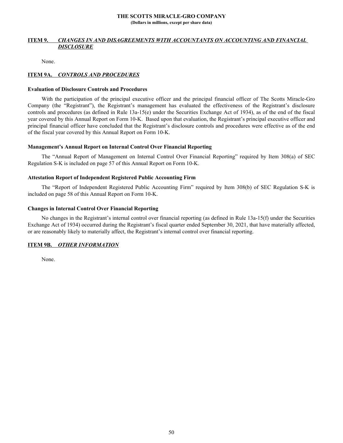#### **THE SCOTTS MIRACLE-GRO COMPANY (Dollars in millions, except per share data)**

## **ITEM 9.** *CHANGES IN AND DISAGREEMENTS WITH ACCOUNTANTS ON ACCOUNTING AND FINANCIAL DISCLOSURE*

None.

## **ITEM 9A.** *CONTROLS AND PROCEDURES*

## **Evaluation of Disclosure Controls and Procedures**

With the participation of the principal executive officer and the principal financial officer of The Scotts Miracle-Gro Company (the "Registrant"), the Registrant's management has evaluated the effectiveness of the Registrant's disclosure controls and procedures (as defined in Rule 13a-15(e) under the Securities Exchange Act of 1934), as of the end of the fiscal year covered by this Annual Report on Form 10-K. Based upon that evaluation, the Registrant's principal executive officer and principal financial officer have concluded that the Registrant's disclosure controls and procedures were effective as of the end of the fiscal year covered by this Annual Report on Form 10-K.

## **Management's Annual Report on Internal Control Over Financial Reporting**

The "Annual Report of Management on Internal Control Over Financial Reporting" required by Item 308(a) of SEC Regulation S-K is included on page 57 of this Annual Report on Form 10-K.

## **Attestation Report of Independent Registered Public Accounting Firm**

The "Report of Independent Registered Public Accounting Firm" required by Item 308(b) of SEC Regulation S-K is included on page 58 of this Annual Report on Form 10-K.

## **Changes in Internal Control Over Financial Reporting**

No changes in the Registrant's internal control over financial reporting (as defined in Rule 13a-15(f) under the Securities Exchange Act of 1934) occurred during the Registrant's fiscal quarter ended September 30, 2021, that have materially affected, or are reasonably likely to materially affect, the Registrant's internal control over financial reporting.

## **ITEM 9B.** *OTHER INFORMATION*

None.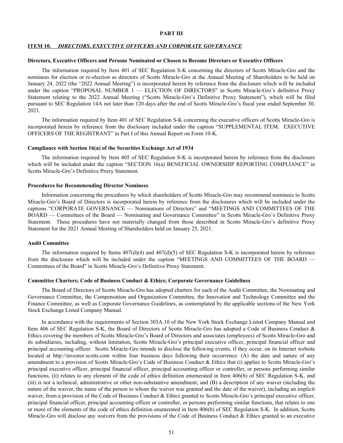#### **PART III**

#### **ITEM 10.** *DIRECTORS, EXECUTIVE OFFICERS AND CORPORATE GOVERNANCE*

### **Directors, Executive Officers and Persons Nominated or Chosen to Become Directors or Executive Officers**

The information required by Item 401 of SEC Regulation S-K concerning the directors of Scotts Miracle-Gro and the nominees for election or re-election as directors of Scotts Miracle-Gro at the Annual Meeting of Shareholders to be held on January 24, 2022 (the "2022 Annual Meeting") is incorporated herein by reference from the disclosure which will be included under the caption "PROPOSAL NUMBER 1 — ELECTION OF DIRECTORS" in Scotts Miracle-Gro's definitive Proxy Statement relating to the 2022 Annual Meeting ("Scotts Miracle-Gro's Definitive Proxy Statement"), which will be filed pursuant to SEC Regulation 14A not later than 120 days after the end of Scotts Miracle-Gro's fiscal year ended September 30, 2021.

The information required by Item 401 of SEC Regulation S-K concerning the executive officers of Scotts Miracle-Gro is incorporated herein by reference from the disclosure included under the caption "SUPPLEMENTAL ITEM. EXECUTIVE OFFICERS OF THE REGISTRANT" in Part I of this Annual Report on Form 10-K.

#### **Compliance with Section 16(a) of the Securities Exchange Act of 1934**

The information required by Item 405 of SEC Regulation S-K is incorporated herein by reference from the disclosure which will be included under the caption "SECTION 16(a) BENEFICIAL OWNERSHIP REPORTING COMPLIANCE" in Scotts Miracle-Gro's Definitive Proxy Statement.

#### **Procedures for Recommending Director Nominees**

Information concerning the procedures by which shareholders of Scotts Miracle-Gro may recommend nominees to Scotts Miracle-Gro's Board of Directors is incorporated herein by reference from the disclosures which will be included under the captions "CORPORATE GOVERNANCE — Nominations of Directors" and "MEETINGS AND COMMITTEES OF THE BOARD — Committees of the Board — Nominating and Governance Committee" in Scotts Miracle-Gro's Definitive Proxy Statement. These procedures have not materially changed from those described in Scotts Miracle-Gro's definitive Proxy Statement for the 2021 Annual Meeting of Shareholders held on January 25, 2021.

#### **Audit Committee**

The information required by Items 407(d)(4) and 407(d)(5) of SEC Regulation S-K is incorporated herein by reference from the disclosure which will be included under the caption "MEETINGS AND COMMITTEES OF THE BOARD — Committees of the Board" in Scotts Miracle-Gro's Definitive Proxy Statement.

#### **Committee Charters; Code of Business Conduct & Ethics; Corporate Governance Guidelines**

The Board of Directors of Scotts Miracle-Gro has adopted charters for each of the Audit Committee, the Nominating and Governance Committee, the Compensation and Organization Committee, the Innovation and Technology Committee and the Finance Committee, as well as Corporate Governance Guidelines, as contemplated by the applicable sections of the New York Stock Exchange Listed Company Manual.

In accordance with the requirements of Section 303A.10 of the New York Stock Exchange Listed Company Manual and Item 406 of SEC Regulation S-K, the Board of Directors of Scotts Miracle-Gro has adopted a Code of Business Conduct & Ethics covering the members of Scotts Miracle-Gro's Board of Directors and associates (employees) of Scotts Miracle-Gro and its subsidiaries, including, without limitation, Scotts Miracle-Gro's principal executive officer, principal financial officer and principal accounting officer. Scotts Miracle-Gro intends to disclose the following events, if they occur, on its Internet website located at http://investor.scotts.com within four business days following their occurrence: (A) the date and nature of any amendment to a provision of Scotts Miracle-Gro's Code of Business Conduct & Ethics that (i) applies to Scotts Miracle-Gro's principal executive officer, principal financial officer, principal accounting officer or controller, or persons performing similar functions, (ii) relates to any element of the code of ethics definition enumerated in Item 406(b) of SEC Regulation S-K, and (iii) is not a technical, administrative or other non-substantive amendment; and (B) a description of any waiver (including the nature of the waiver, the name of the person to whom the waiver was granted and the date of the waiver), including an implicit waiver, from a provision of the Code of Business Conduct & Ethics granted to Scotts Miracle-Gro's principal executive officer, principal financial officer, principal accounting officer or controller, or persons performing similar functions, that relates to one or more of the elements of the code of ethics definition enumerated in Item 406(b) of SEC Regulation S-K. In addition, Scotts Miracle-Gro will disclose any waivers from the provisions of the Code of Business Conduct & Ethics granted to an executive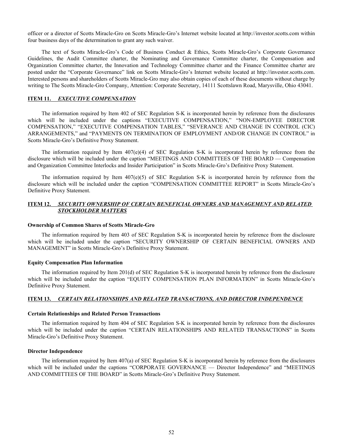officer or a director of Scotts Miracle-Gro on Scotts Miracle-Gro's Internet website located at http://investor.scotts.com within four business days of the determination to grant any such waiver.

The text of Scotts Miracle-Gro's Code of Business Conduct & Ethics, Scotts Miracle-Gro's Corporate Governance Guidelines, the Audit Committee charter, the Nominating and Governance Committee charter, the Compensation and Organization Committee charter, the Innovation and Technology Committee charter and the Finance Committee charter are posted under the "Corporate Governance" link on Scotts Miracle-Gro's Internet website located at http://investor.scotts.com. Interested persons and shareholders of Scotts Miracle-Gro may also obtain copies of each of these documents without charge by writing to The Scotts Miracle-Gro Company, Attention: Corporate Secretary, 14111 Scottslawn Road, Marysville, Ohio 43041.

## **ITEM 11.** *EXECUTIVE COMPENSATION*

The information required by Item 402 of SEC Regulation S-K is incorporated herein by reference from the disclosures which will be included under the captions "EXECUTIVE COMPENSATION," "NON-EMPLOYEE DIRECTOR COMPENSATION," "EXECUTIVE COMPENSATION TABLES," "SEVERANCE AND CHANGE IN CONTROL (CIC) ARRANGEMENTS," and "PAYMENTS ON TERMINATION OF EMPLOYMENT AND/OR CHANGE IN CONTROL" in Scotts Miracle-Gro's Definitive Proxy Statement.

The information required by Item 407(e)(4) of SEC Regulation S-K is incorporated herein by reference from the disclosure which will be included under the caption "MEETINGS AND COMMITTEES OF THE BOARD — Compensation and Organization Committee Interlocks and Insider Participation" in Scotts Miracle-Gro's Definitive Proxy Statement.

The information required by Item 407(e)(5) of SEC Regulation S-K is incorporated herein by reference from the disclosure which will be included under the caption "COMPENSATION COMMITTEE REPORT" in Scotts Miracle-Gro's Definitive Proxy Statement.

## **ITEM 12.** *SECURITY OWNERSHIP OF CERTAIN BENEFICIAL OWNERS AND MANAGEMENT AND RELATED STOCKHOLDER MATTERS*

#### **Ownership of Common Shares of Scotts Miracle-Gro**

The information required by Item 403 of SEC Regulation S-K is incorporated herein by reference from the disclosure which will be included under the caption "SECURITY OWNERSHIP OF CERTAIN BENEFICIAL OWNERS AND MANAGEMENT" in Scotts Miracle-Gro's Definitive Proxy Statement.

### **Equity Compensation Plan Information**

The information required by Item 201(d) of SEC Regulation S-K is incorporated herein by reference from the disclosure which will be included under the caption "EQUITY COMPENSATION PLAN INFORMATION" in Scotts Miracle-Gro's Definitive Proxy Statement.

### **ITEM 13.** *CERTAIN RELATIONSHIPS AND RELATED TRANSACTIONS, AND DIRECTOR INDEPENDENCE*

## **Certain Relationships and Related Person Transactions**

The information required by Item 404 of SEC Regulation S-K is incorporated herein by reference from the disclosures which will be included under the caption "CERTAIN RELATIONSHIPS AND RELATED TRANSACTIONS" in Scotts Miracle-Gro's Definitive Proxy Statement.

#### **Director Independence**

The information required by Item 407(a) of SEC Regulation S-K is incorporated herein by reference from the disclosures which will be included under the captions "CORPORATE GOVERNANCE — Director Independence" and "MEETINGS" AND COMMITTEES OF THE BOARD" in Scotts Miracle-Gro's Definitive Proxy Statement.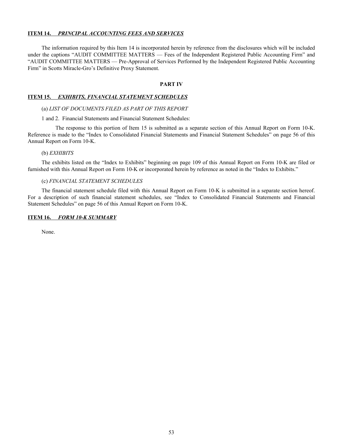## **ITEM 14.** *PRINCIPAL ACCOUNTING FEES AND SERVICES*

The information required by this Item 14 is incorporated herein by reference from the disclosures which will be included under the captions "AUDIT COMMITTEE MATTERS — Fees of the Independent Registered Public Accounting Firm" and "AUDIT COMMITTEE MATTERS — Pre-Approval of Services Performed by the Independent Registered Public Accounting Firm" in Scotts Miracle-Gro's Definitive Proxy Statement.

## **PART IV**

## **ITEM 15.** *EXHIBITS, FINANCIAL STATEMENT SCHEDULES*

#### (a) *LIST OF DOCUMENTS FILED AS PART OF THIS REPORT*

#### 1 and 2. Financial Statements and Financial Statement Schedules:

The response to this portion of Item 15 is submitted as a separate section of this Annual Report on Form 10-K. Reference is made to the "Index to Consolidated Financial Statements and Financial Statement Schedules" on page 56 of this Annual Report on Form 10-K.

#### (b) *EXHIBITS*

The exhibits listed on the "Index to Exhibits" beginning on page 109 of this Annual Report on Form 10-K are filed or furnished with this Annual Report on Form 10-K or incorporated herein by reference as noted in the "Index to Exhibits."

#### (c) *FINANCIAL STATEMENT SCHEDULES*

The financial statement schedule filed with this Annual Report on Form 10-K is submitted in a separate section hereof. For a description of such financial statement schedules, see "Index to Consolidated Financial Statements and Financial Statement Schedules" on page 56 of this Annual Report on Form 10-K.

#### **ITEM 16.** *FORM 10-K SUMMARY*

None.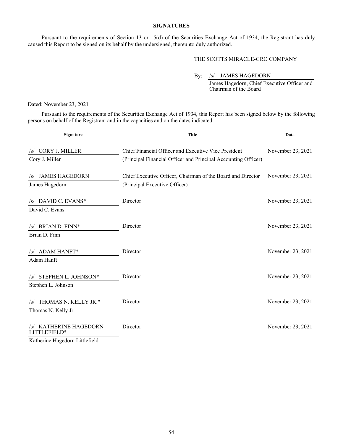## **SIGNATURES**

Pursuant to the requirements of Section 13 or 15(d) of the Securities Exchange Act of 1934, the Registrant has duly caused this Report to be signed on its behalf by the undersigned, thereunto duly authorized.

## THE SCOTTS MIRACLE-GRO COMPANY

By: /s/ JAMES HAGEDORN James Hagedorn, Chief Executive Officer and Chairman of the Board

Dated: November 23, 2021

Pursuant to the requirements of the Securities Exchange Act of 1934, this Report has been signed below by the following persons on behalf of the Registrant and in the capacities and on the dates indicated.

| <b>Signature</b>                                          | <b>Title</b>                                                                                                           | Date              |
|-----------------------------------------------------------|------------------------------------------------------------------------------------------------------------------------|-------------------|
| <b>CORY J. MILLER</b><br>$\sqrt{s}$<br>Cory J. Miller     | Chief Financial Officer and Executive Vice President<br>(Principal Financial Officer and Principal Accounting Officer) | November 23, 2021 |
| <b>JAMES HAGEDORN</b><br>$\sqrt{s}$<br>James Hagedorn     | Chief Executive Officer, Chairman of the Board and Director<br>(Principal Executive Officer)                           | November 23, 2021 |
| DAVID C. EVANS*<br>$\sqrt{s}$<br>David C. Evans           | Director                                                                                                               | November 23, 2021 |
| <b>BRIAN D. FINN*</b><br>$\sqrt{s}$<br>Brian D. Finn      | Director                                                                                                               | November 23, 2021 |
| <b>ADAM HANFT*</b><br>Adam Hanft                          | Director                                                                                                               | November 23, 2021 |
| STEPHEN L. JOHNSON*<br>$\sqrt{s}$<br>Stephen L. Johnson   | Director                                                                                                               | November 23, 2021 |
| THOMAS N. KELLY JR.*<br>$\sqrt{s}$<br>Thomas N. Kelly Jr. | Director                                                                                                               | November 23, 2021 |
| KATHERINE HAGEDORN<br>LITTLEFIELD*                        | Director                                                                                                               | November 23, 2021 |

Katherine Hagedorn Littlefield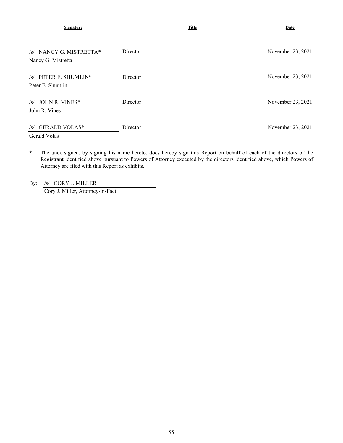| <b>Signature</b>                                    | <b>Title</b> | Date              |
|-----------------------------------------------------|--------------|-------------------|
|                                                     |              |                   |
| NANCY G. MISTRETTA*<br>$\sqrt{s}$                   | Director     | November 23, 2021 |
| Nancy G. Mistretta                                  |              |                   |
| PETER E. SHUMLIN*<br>$\sqrt{s}$<br>Peter E. Shumlin | Director     | November 23, 2021 |
| JOHN R. VINES*<br>/S/<br>John R. Vines              | Director     | November 23, 2021 |
| <b>GERALD VOLAS*</b><br>$\sqrt{s}$<br>Gerald Volas  | Director     | November 23, 2021 |

\* The undersigned, by signing his name hereto, does hereby sign this Report on behalf of each of the directors of the Registrant identified above pursuant to Powers of Attorney executed by the directors identified above, which Powers of Attorney are filed with this Report as exhibits.

By: /s/ CORY J. MILLER

Cory J. Miller, Attorney-in-Fact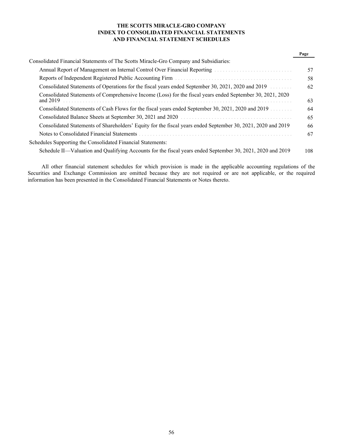## **THE SCOTTS MIRACLE-GRO COMPANY INDEX TO CONSOLIDATED FINANCIAL STATEMENTS AND FINANCIAL STATEMENT SCHEDULES**

|                                                                                                                                           | Page |
|-------------------------------------------------------------------------------------------------------------------------------------------|------|
| Consolidated Financial Statements of The Scotts Miracle-Gro Company and Subsidiaries:                                                     |      |
| Annual Report of Management on Internal Control Over Financial Reporting                                                                  | 57   |
|                                                                                                                                           | 58   |
| Consolidated Statements of Operations for the fiscal years ended September 30, 2021, 2020 and 2019                                        | 62   |
| Consolidated Statements of Comprehensive Income (Loss) for the fiscal years ended September 30, 2021, 2020<br>and 2019                    | 63   |
| Consolidated Statements of Cash Flows for the fiscal years ended September 30, 2021, 2020 and 2019                                        | 64   |
| Consolidated Balance Sheets at September 30, 2021 and 2020 manufacture and the consolidated Balance Sheets at September 30, 2021 and 2020 | 65   |
| Consolidated Statements of Shareholders' Equity for the fiscal years ended September 30, 2021, 2020 and 2019                              | 66   |
| Notes to Consolidated Financial Statements                                                                                                | 67   |
| Schedules Supporting the Consolidated Financial Statements:                                                                               |      |
| Schedule II—Valuation and Qualifying Accounts for the fiscal years ended September 30, 2021, 2020 and 2019                                | 108  |

All other financial statement schedules for which provision is made in the applicable accounting regulations of the Securities and Exchange Commission are omitted because they are not required or are not applicable, or the required information has been presented in the Consolidated Financial Statements or Notes thereto.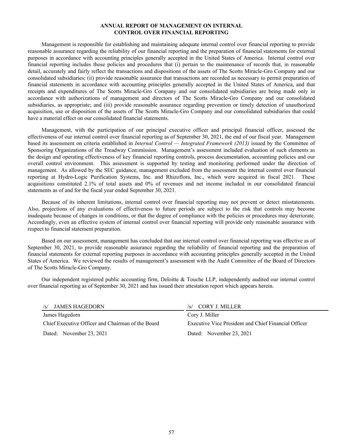## **ANNUAL REPORT OF MANAGEMENT ON INTERNAL CONTROL OVER FINANCIAL REPORTING**

Management is responsible for establishing and maintaining adequate internal control over financial reporting to provide reasonable assurance regarding the reliability of our financial reporting and the preparation of financial statements for external purposes in accordance with accounting principles generally accepted in the United States of America. Internal control over financial reporting includes those policies and procedures that (i) pertain to the maintenance of records that, in reasonable detail, accurately and fairly reflect the transactions and dispositions of the assets of The Scotts Miracle-Gro Company and our consolidated subsidiaries; (ii) provide reasonable assurance that transactions are recorded as necessary to permit preparation of financial statements in accordance with accounting principles generally accepted in the United States of America, and that receipts and expenditures of The Scotts Miracle-Gro Company and our consolidated subsidiaries are being made only in accordance with authorizations of management and directors of The Scotts Miracle-Gro Company and our consolidated subsidiaries, as appropriate; and (iii) provide reasonable assurance regarding prevention or timely detection of unauthorized acquisition, use or disposition of the assets of The Scotts Miracle-Gro Company and our consolidated subsidiaries that could have a material effect on our consolidated financial statements.

Management, with the participation of our principal executive officer and principal financial officer, assessed the effectiveness of our internal control over financial reporting as of September 30, 2021, the end of our fiscal year. Management based its assessment on criteria established in *Internal Control — Integrated Framework (2013)* issued by the Committee of Sponsoring Organizations of the Treadway Commission. Management's assessment included evaluation of such elements as the design and operating effectiveness of key financial reporting controls, process documentation, accounting policies and our overall control environment. This assessment is supported by testing and monitoring performed under the direction of management. As allowed by the SEC guidance, management excluded from the assessment the internal control over financial reporting at Hydro-Logic Purification Systems, Inc. and Rhizoflora, Inc., which were acquired in fiscal 2021. These acquisitions constituted 2.1% of total assets and 0% of revenues and net income included in our consolidated financial statements as of and for the fiscal year ended September 30, 2021.

Because of its inherent limitations, internal control over financial reporting may not prevent or detect misstatements. Also, projections of any evaluations of effectiveness to future periods are subject to the risk that controls may become inadequate because of changes in conditions, or that the degree of compliance with the policies or procedures may deteriorate. Accordingly, even an effective system of internal control over financial reporting will provide only reasonable assurance with respect to financial statement preparation.

Based on our assessment, management has concluded that our internal control over financial reporting was effective as of September 30, 2021, to provide reasonable assurance regarding the reliability of financial reporting and the preparation of financial statements for external reporting purposes in accordance with accounting principles generally accepted in the United States of America. We reviewed the results of management's assessment with the Audit Committee of the Board of Directors of The Scotts Miracle-Gro Company.

Our independent registered public accounting firm, Deloitte & Touche LLP, independently audited our internal control over financial reporting as of September 30, 2021 and has issued their attestation report which appears herein.

| /s/ JAMES HAGEDORN                                | CORY J. MILLER<br>/s/                                |
|---------------------------------------------------|------------------------------------------------------|
| James Hagedorn                                    | Cory J. Miller                                       |
| Chief Executive Officer and Chairman of the Board | Executive Vice President and Chief Financial Officer |
| Dated: November 23, 2021                          | Dated: November 23, 2021                             |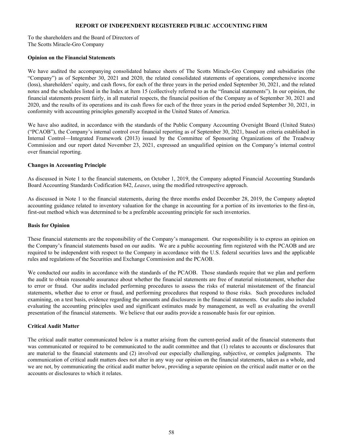## **REPORT OF INDEPENDENT REGISTERED PUBLIC ACCOUNTING FIRM**

To the shareholders and the Board of Directors of The Scotts Miracle-Gro Company

## **Opinion on the Financial Statements**

We have audited the accompanying consolidated balance sheets of The Scotts Miracle-Gro Company and subsidiaries (the "Company") as of September 30, 2021 and 2020, the related consolidated statements of operations, comprehensive income (loss), shareholders' equity, and cash flows, for each of the three years in the period ended September 30, 2021, and the related notes and the schedules listed in the Index at Item 15 (collectively referred to as the "financial statements"). In our opinion, the financial statements present fairly, in all material respects, the financial position of the Company as of September 30, 2021 and 2020, and the results of its operations and its cash flows for each of the three years in the period ended September 30, 2021, in conformity with accounting principles generally accepted in the United States of America.

We have also audited, in accordance with the standards of the Public Company Accounting Oversight Board (United States) ("PCAOB"), the Company's internal control over financial reporting as of September 30, 2021, based on criteria established in Internal Control—Integrated Framework (2013) issued by the Committee of Sponsoring Organizations of the Treadway Commission and our report dated November 23, 2021, expressed an unqualified opinion on the Company's internal control over financial reporting.

## **Changes in Accounting Principle**

As discussed in Note 1 to the financial statements, on October 1, 2019, the Company adopted Financial Accounting Standards Board Accounting Standards Codification 842, *Leases*, using the modified retrospective approach.

As discussed in Note 1 to the financial statements, during the three months ended December 28, 2019, the Company adopted accounting guidance related to inventory valuation for the change in accounting for a portion of its inventories to the first-in, first-out method which was determined to be a preferable accounting principle for such inventories.

## **Basis for Opinion**

These financial statements are the responsibility of the Company's management. Our responsibility is to express an opinion on the Company's financial statements based on our audits. We are a public accounting firm registered with the PCAOB and are required to be independent with respect to the Company in accordance with the U.S. federal securities laws and the applicable rules and regulations of the Securities and Exchange Commission and the PCAOB.

We conducted our audits in accordance with the standards of the PCAOB. Those standards require that we plan and perform the audit to obtain reasonable assurance about whether the financial statements are free of material misstatement, whether due to error or fraud. Our audits included performing procedures to assess the risks of material misstatement of the financial statements, whether due to error or fraud, and performing procedures that respond to those risks. Such procedures included examining, on a test basis, evidence regarding the amounts and disclosures in the financial statements. Our audits also included evaluating the accounting principles used and significant estimates made by management, as well as evaluating the overall presentation of the financial statements. We believe that our audits provide a reasonable basis for our opinion.

## **Critical Audit Matter**

The critical audit matter communicated below is a matter arising from the current-period audit of the financial statements that was communicated or required to be communicated to the audit committee and that (1) relates to accounts or disclosures that are material to the financial statements and (2) involved our especially challenging, subjective, or complex judgments. The communication of critical audit matters does not alter in any way our opinion on the financial statements, taken as a whole, and we are not, by communicating the critical audit matter below, providing a separate opinion on the critical audit matter or on the accounts or disclosures to which it relates.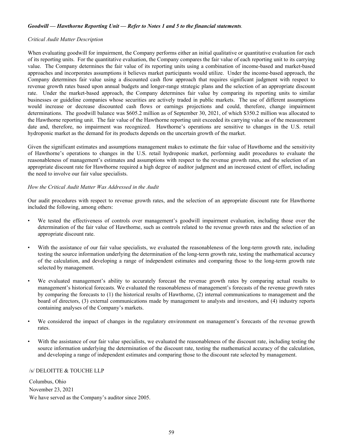## *Goodwill — Hawthorne Reporting Unit — Refer to Notes 1 and 5 to the financial statements.*

## *Critical Audit Matter Description*

When evaluating goodwill for impairment, the Company performs either an initial qualitative or quantitative evaluation for each of its reporting units. For the quantitative evaluation, the Company compares the fair value of each reporting unit to its carrying value. The Company determines the fair value of its reporting units using a combination of income-based and market-based approaches and incorporates assumptions it believes market participants would utilize. Under the income-based approach, the Company determines fair value using a discounted cash flow approach that requires significant judgment with respect to revenue growth rates based upon annual budgets and longer-range strategic plans and the selection of an appropriate discount rate. Under the market-based approach, the Company determines fair value by comparing its reporting units to similar businesses or guideline companies whose securities are actively traded in public markets. The use of different assumptions would increase or decrease discounted cash flows or earnings projections and could, therefore, change impairment determinations. The goodwill balance was \$605.2 million as of September 30, 2021, of which \$350.2 million was allocated to the Hawthorne reporting unit. The fair value of the Hawthorne reporting unit exceeded its carrying value as of the measurement date and, therefore, no impairment was recognized. Hawthorne's operations are sensitive to changes in the U.S. retail hydroponic market as the demand for its products depends on the uncertain growth of the market.

Given the significant estimates and assumptions management makes to estimate the fair value of Hawthorne and the sensitivity of Hawthorne's operations to changes in the U.S. retail hydroponic market, performing audit procedures to evaluate the reasonableness of management's estimates and assumptions with respect to the revenue growth rates, and the selection of an appropriate discount rate for Hawthorne required a high degree of auditor judgment and an increased extent of effort, including the need to involve our fair value specialists.

## *How the Critical Audit Matter Was Addressed in the Audit*

Our audit procedures with respect to revenue growth rates, and the selection of an appropriate discount rate for Hawthorne included the following, among others:

- We tested the effectiveness of controls over management's goodwill impairment evaluation, including those over the determination of the fair value of Hawthorne, such as controls related to the revenue growth rates and the selection of an appropriate discount rate.
- With the assistance of our fair value specialists, we evaluated the reasonableness of the long-term growth rate, including testing the source information underlying the determination of the long-term growth rate, testing the mathematical accuracy of the calculation, and developing a range of independent estimates and comparing those to the long-term growth rate selected by management.
- We evaluated management's ability to accurately forecast the revenue growth rates by comparing actual results to management's historical forecasts. We evaluated the reasonableness of management's forecasts of the revenue growth rates by comparing the forecasts to (1) the historical results of Hawthorne, (2) internal communications to management and the board of directors, (3) external communications made by management to analysts and investors, and (4) industry reports containing analyses of the Company's markets.
- We considered the impact of changes in the regulatory environment on management's forecasts of the revenue growth rates.
- With the assistance of our fair value specialists, we evaluated the reasonableness of the discount rate, including testing the source information underlying the determination of the discount rate, testing the mathematical accuracy of the calculation, and developing a range of independent estimates and comparing those to the discount rate selected by management.

## /s/ DELOITTE & TOUCHE LLP

Columbus, Ohio November 23, 2021 We have served as the Company's auditor since 2005.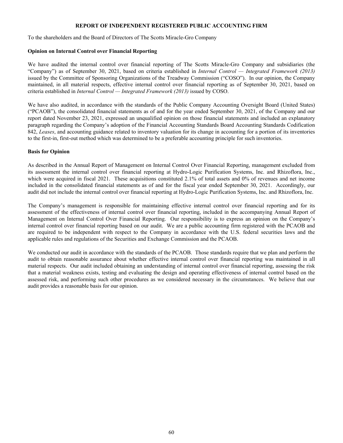## **REPORT OF INDEPENDENT REGISTERED PUBLIC ACCOUNTING FIRM**

To the shareholders and the Board of Directors of The Scotts Miracle-Gro Company

## **Opinion on Internal Control over Financial Reporting**

We have audited the internal control over financial reporting of The Scotts Miracle-Gro Company and subsidiaries (the "Company") as of September 30, 2021, based on criteria established in *Internal Control — Integrated Framework (2013)* issued by the Committee of Sponsoring Organizations of the Treadway Commission ("COSO"). In our opinion, the Company maintained, in all material respects, effective internal control over financial reporting as of September 30, 2021, based on criteria established in *Internal Control — Integrated Framework (2013)* issued by COSO.

We have also audited, in accordance with the standards of the Public Company Accounting Oversight Board (United States) ("PCAOB"), the consolidated financial statements as of and for the year ended September 30, 2021, of the Company and our report dated November 23, 2021, expressed an unqualified opinion on those financial statements and included an explanatory paragraph regarding the Company's adoption of the Financial Accounting Standards Board Accounting Standards Codification 842, *Leases*, and accounting guidance related to inventory valuation for its change in accounting for a portion of its inventories to the first-in, first-out method which was determined to be a preferable accounting principle for such inventories.

## **Basis for Opinion**

As described in the Annual Report of Management on Internal Control Over Financial Reporting, management excluded from its assessment the internal control over financial reporting at Hydro-Logic Purification Systems, Inc. and Rhizoflora, Inc., which were acquired in fiscal 2021. These acquisitions constituted 2.1% of total assets and 0% of revenues and net income included in the consolidated financial statements as of and for the fiscal year ended September 30, 2021. Accordingly, our audit did not include the internal control over financial reporting at Hydro-Logic Purification Systems, Inc. and Rhizoflora, Inc.

The Company's management is responsible for maintaining effective internal control over financial reporting and for its assessment of the effectiveness of internal control over financial reporting, included in the accompanying Annual Report of Management on Internal Control Over Financial Reporting. Our responsibility is to express an opinion on the Company's internal control over financial reporting based on our audit. We are a public accounting firm registered with the PCAOB and are required to be independent with respect to the Company in accordance with the U.S. federal securities laws and the applicable rules and regulations of the Securities and Exchange Commission and the PCAOB.

We conducted our audit in accordance with the standards of the PCAOB. Those standards require that we plan and perform the audit to obtain reasonable assurance about whether effective internal control over financial reporting was maintained in all material respects. Our audit included obtaining an understanding of internal control over financial reporting, assessing the risk that a material weakness exists, testing and evaluating the design and operating effectiveness of internal control based on the assessed risk, and performing such other procedures as we considered necessary in the circumstances. We believe that our audit provides a reasonable basis for our opinion.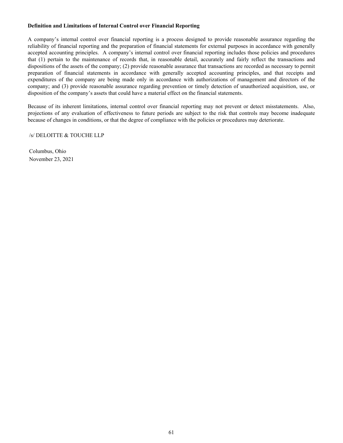## **Definition and Limitations of Internal Control over Financial Reporting**

A company's internal control over financial reporting is a process designed to provide reasonable assurance regarding the reliability of financial reporting and the preparation of financial statements for external purposes in accordance with generally accepted accounting principles. A company's internal control over financial reporting includes those policies and procedures that (1) pertain to the maintenance of records that, in reasonable detail, accurately and fairly reflect the transactions and dispositions of the assets of the company; (2) provide reasonable assurance that transactions are recorded as necessary to permit preparation of financial statements in accordance with generally accepted accounting principles, and that receipts and expenditures of the company are being made only in accordance with authorizations of management and directors of the company; and (3) provide reasonable assurance regarding prevention or timely detection of unauthorized acquisition, use, or disposition of the company's assets that could have a material effect on the financial statements.

Because of its inherent limitations, internal control over financial reporting may not prevent or detect misstatements. Also, projections of any evaluation of effectiveness to future periods are subject to the risk that controls may become inadequate because of changes in conditions, or that the degree of compliance with the policies or procedures may deteriorate.

/s/ DELOITTE & TOUCHE LLP

Columbus, Ohio November 23, 2021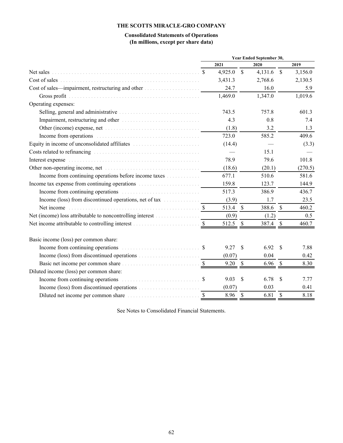# **Consolidated Statements of Operations (In millions, except per share data)**

|                                                                                                                                                                                                                                | Year Ended September 30, |         |                           |         |                    |         |  |
|--------------------------------------------------------------------------------------------------------------------------------------------------------------------------------------------------------------------------------|--------------------------|---------|---------------------------|---------|--------------------|---------|--|
|                                                                                                                                                                                                                                |                          | 2021    |                           | 2020    |                    | 2019    |  |
| Net sales                                                                                                                                                                                                                      | $\mathcal{S}$            | 4,925.0 | $\mathcal{S}$             | 4,131.6 | $\mathbf{\hat{S}}$ | 3,156.0 |  |
| Cost of sales                                                                                                                                                                                                                  |                          | 3,431.3 |                           | 2,768.6 |                    | 2,130.5 |  |
| Cost of sales—impairment, restructuring and other                                                                                                                                                                              |                          | 24.7    |                           | 16.0    |                    | 5.9     |  |
| Gross profit                                                                                                                                                                                                                   |                          | 1,469.0 |                           | 1,347.0 |                    | 1,019.6 |  |
| Operating expenses:                                                                                                                                                                                                            |                          |         |                           |         |                    |         |  |
|                                                                                                                                                                                                                                |                          | 743.5   |                           | 757.8   |                    | 601.3   |  |
|                                                                                                                                                                                                                                |                          | 4.3     |                           | 0.8     |                    | 7.4     |  |
|                                                                                                                                                                                                                                |                          | (1.8)   |                           | 3.2     |                    | 1.3     |  |
| Income from operations entertainment and the contract of the state of the state of the state of the state of the state of the state of the state of the state of the state of the state of the state of the state of the state |                          | 723.0   |                           | 585.2   |                    | 409.6   |  |
| Equity in income of unconsolidated affiliates                                                                                                                                                                                  |                          | (14.4)  |                           |         |                    | (3.3)   |  |
|                                                                                                                                                                                                                                |                          |         |                           | 15.1    |                    |         |  |
| Interest expense                                                                                                                                                                                                               |                          | 78.9    |                           | 79.6    |                    | 101.8   |  |
|                                                                                                                                                                                                                                |                          | (18.6)  |                           | (20.1)  |                    | (270.5) |  |
| Income from continuing operations before income taxes                                                                                                                                                                          |                          | 677.1   |                           | 510.6   |                    | 581.6   |  |
| Income tax expense from continuing operations entertainment of the state of the state of the state of the state of the state of the state of the state of the state of the state of the state of the state of the state of the |                          | 159.8   |                           | 123.7   |                    | 144.9   |  |
| Income from continuing operations entertainment of the state of the state of the state of the state of the state of the state of the state of the state of the state of the state of the state of the state of the state of th |                          | 517.3   |                           | 386.9   |                    | 436.7   |  |
| Income (loss) from discontinued operations, net of tax                                                                                                                                                                         |                          | (3.9)   |                           | 1.7     |                    | 23.5    |  |
| Net income                                                                                                                                                                                                                     | $\mathbb{S}$             | 513.4   | $\mathbf S$               | 388.6   | $\mathcal{S}$      | 460.2   |  |
|                                                                                                                                                                                                                                |                          | (0.9)   |                           | (1.2)   |                    | 0.5     |  |
|                                                                                                                                                                                                                                | $\sqrt{3}$               | 512.5   | $\boldsymbol{\mathsf{S}}$ | 387.4   | \$                 | 460.7   |  |
| Basic income (loss) per common share:                                                                                                                                                                                          |                          |         |                           |         |                    |         |  |
| Income from continuing operations                                                                                                                                                                                              | -S                       | 9.27    | -\$                       | 6.92    | <sup>\$</sup>      | 7.88    |  |
|                                                                                                                                                                                                                                |                          | (0.07)  |                           | 0.04    |                    | 0.42    |  |
|                                                                                                                                                                                                                                | $\mathcal{S}$            | 9.20    | $\mathcal{S}$             | 6.96    | $\mathcal{S}$      | 8.30    |  |
| Diluted income (loss) per common share:                                                                                                                                                                                        |                          |         |                           |         |                    |         |  |
| Income from continuing operations                                                                                                                                                                                              | $\mathcal{S}$            | 9.03    | -\$                       | 6.78    | -S                 | 7.77    |  |
|                                                                                                                                                                                                                                |                          | (0.07)  |                           | 0.03    |                    | 0.41    |  |
|                                                                                                                                                                                                                                | $\mathcal{S}$            | 8.96    | $\mathcal{S}$             | 6.81    | \$                 | 8.18    |  |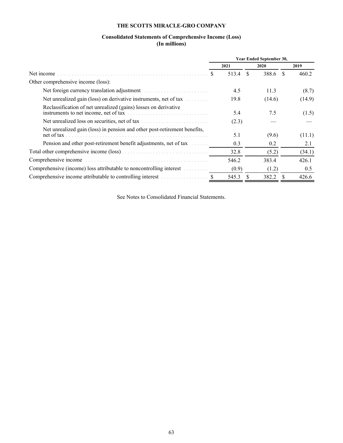## **Consolidated Statements of Comprehensive Income (Loss) (In millions)**

|                                                                                                                                                                                                                                |       |     | Year Ended September 30, |    |        |
|--------------------------------------------------------------------------------------------------------------------------------------------------------------------------------------------------------------------------------|-------|-----|--------------------------|----|--------|
|                                                                                                                                                                                                                                | 2021  |     | <b>2020</b>              |    | 2019   |
|                                                                                                                                                                                                                                | 513.4 | -\$ | 388.6                    | -8 | 460.2  |
| Other comprehensive income (loss):                                                                                                                                                                                             |       |     |                          |    |        |
| Net foreign currency translation adjustment entertainment and the set of the set of the set of the set of the set of the set of the set of the set of the set of the set of the set of the set of the set of the set of the se | 4.5   |     | 11.3                     |    | (8.7)  |
| Net unrealized gain (loss) on derivative instruments, net of tax                                                                                                                                                               | 19.8  |     | (14.6)                   |    | (14.9) |
| Reclassification of net unrealized (gains) losses on derivative<br>instruments to net income, net of tax                                                                                                                       | 5.4   |     | 7.5                      |    | (1.5)  |
| Net unrealized loss on securities, net of tax                                                                                                                                                                                  | (2.3) |     |                          |    |        |
| Net unrealized gain (loss) in pension and other post-retirement benefits,<br>net of tax                                                                                                                                        | 5.1   |     | (9.6)                    |    | (11.1) |
| Pension and other post-retirement benefit adjustments, net of tax                                                                                                                                                              | 0.3   |     | 0.2                      |    | 2.1    |
|                                                                                                                                                                                                                                | 32.8  |     | (5.2)                    |    | (34.1) |
| Comprehensive income                                                                                                                                                                                                           | 546.2 |     | 383.4                    |    | 426.1  |
| Comprehensive (income) loss attributable to noncontrolling interest                                                                                                                                                            | (0.9) |     | (1.2)                    |    | 0.5    |
| Comprehensive income attributable to controlling interest                                                                                                                                                                      | 545.3 | S.  | 382.2                    |    | 426.6  |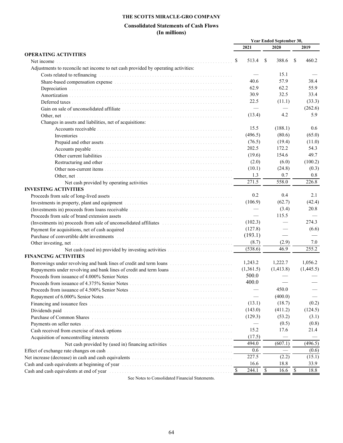## **Consolidated Statements of Cash Flows (In millions)**

|                                                                                                                                                                                                                                |           | Year Ended September 30,        |                         |
|--------------------------------------------------------------------------------------------------------------------------------------------------------------------------------------------------------------------------------|-----------|---------------------------------|-------------------------|
|                                                                                                                                                                                                                                | 2021      | 2020                            | 2019                    |
| <b>OPERATING ACTIVITIES</b>                                                                                                                                                                                                    |           |                                 |                         |
| \$<br>Net income                                                                                                                                                                                                               | 513.4     | $\mathbf{\$}$<br>388.6          | \$<br>460.2             |
| Adjustments to reconcile net income to net cash provided by operating activities:                                                                                                                                              |           |                                 |                         |
| Costs related to refinancing                                                                                                                                                                                                   |           | 15.1                            |                         |
|                                                                                                                                                                                                                                | 40.6      | 57.9                            | 38.4                    |
|                                                                                                                                                                                                                                | 62.9      | 62.2                            | 55.9                    |
|                                                                                                                                                                                                                                | 30.9      | 32.5                            | 33.4                    |
|                                                                                                                                                                                                                                | 22.5      | (11.1)                          | (33.3)                  |
| Gain on sale of unconsolidated affiliate entertainment of the state of unconsistent and state of unconsolidated affiliate                                                                                                      |           |                                 | (262.6)                 |
| Other, net                                                                                                                                                                                                                     | (13.4)    | 4.2                             | 5.9                     |
| Changes in assets and liabilities, net of acquisitions:                                                                                                                                                                        |           |                                 |                         |
|                                                                                                                                                                                                                                | 15.5      | (188.1)                         | 0.6                     |
| Inventories                                                                                                                                                                                                                    | (496.5)   | (80.6)                          | (65.0)                  |
|                                                                                                                                                                                                                                | (76.5)    | (19.4)                          | (11.0)                  |
| Accounts payable                                                                                                                                                                                                               | 202.5     | 172.2                           | 54.3                    |
|                                                                                                                                                                                                                                | (19.6)    | 154.6                           | 49.7                    |
|                                                                                                                                                                                                                                | (2.0)     | (6.0)                           | (100.2)                 |
|                                                                                                                                                                                                                                | (10.1)    | (24.8)                          | (0.3)                   |
| Other, net                                                                                                                                                                                                                     | 1.3       | 0.7                             | 0.8                     |
|                                                                                                                                                                                                                                | 271.5     | 558.0                           | $\overline{226.8}$      |
| <b>INVESTING ACTIVITIES</b>                                                                                                                                                                                                    |           |                                 |                         |
|                                                                                                                                                                                                                                | 0.2       | 0.4                             | 2.1                     |
|                                                                                                                                                                                                                                | (106.9)   | (62.7)                          | (42.4)                  |
|                                                                                                                                                                                                                                |           | (3.4)                           | 20.8                    |
|                                                                                                                                                                                                                                |           | 115.5                           |                         |
| (Investments in) proceeds from sale of unconsolidated affiliates                                                                                                                                                               | (102.3)   |                                 | 274.3                   |
|                                                                                                                                                                                                                                | (127.8)   |                                 | (6.6)                   |
|                                                                                                                                                                                                                                | (193.1)   | $\overbrace{\qquad \qquad }^{}$ |                         |
|                                                                                                                                                                                                                                | (8.7)     | (2.9)                           | 7.0                     |
| Other investing, net                                                                                                                                                                                                           | (538.6)   | 46.9                            | 255.2                   |
| <b>FINANCING ACTIVITIES</b>                                                                                                                                                                                                    |           |                                 |                         |
|                                                                                                                                                                                                                                | 1,243.2   | 1,222.7                         | 1,056.2                 |
| Borrowings under revolving and bank lines of credit and term loans                                                                                                                                                             | (1,361.5) | (1,413.8)                       | (1,445.5)               |
|                                                                                                                                                                                                                                | 500.0     |                                 |                         |
|                                                                                                                                                                                                                                | 400.0     |                                 |                         |
|                                                                                                                                                                                                                                |           |                                 |                         |
|                                                                                                                                                                                                                                |           | 450.0                           |                         |
|                                                                                                                                                                                                                                |           | (400.0)                         |                         |
|                                                                                                                                                                                                                                | (13.1)    | (18.7)                          | (0.2)                   |
| Dividends paid                                                                                                                                                                                                                 | (143.0)   | (411.2)                         | (124.5)                 |
| Purchase of Common Shares (and a contract of Common Shares and a contract of Common Shares (and a contract of Common Shares and a contract of Common Shares and a contract of Common Shares (and a contract of Common Shares a | (129.3)   | (53.2)                          | (3.1)                   |
| Payments on seller notes .                                                                                                                                                                                                     |           | (0.5)                           | (0.8)                   |
|                                                                                                                                                                                                                                | 15.2      | 17.6                            | 21.4                    |
| Acquisition of noncontrolling interests                                                                                                                                                                                        | (17.5)    |                                 |                         |
| Net cash provided by (used in) financing activities expressions of the cash provided by (used in) financing activities                                                                                                         | 494.0     | (607.1)                         | (496.5)                 |
| Effect of exchange rate changes on cash                                                                                                                                                                                        | 0.6       |                                 | (0.6)                   |
|                                                                                                                                                                                                                                | 227.5     | (2.2)                           | (15.1)                  |
|                                                                                                                                                                                                                                | 16.6      | 18.8                            | 33.9                    |
|                                                                                                                                                                                                                                | 244.1     | \$<br>16.6                      | $\overline{\$}$<br>18.8 |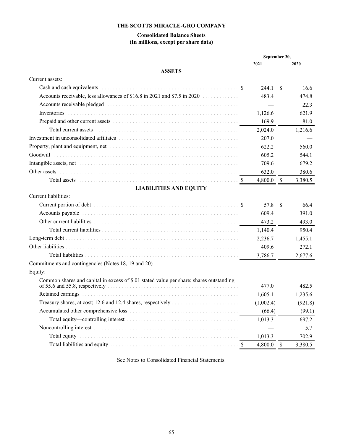## **Consolidated Balance Sheets (In millions, except per share data)**

|                                                                                                                                                                                                                                       |    | September 30, |               |         |
|---------------------------------------------------------------------------------------------------------------------------------------------------------------------------------------------------------------------------------------|----|---------------|---------------|---------|
|                                                                                                                                                                                                                                       |    | 2021          |               | 2020    |
| <b>ASSETS</b>                                                                                                                                                                                                                         |    |               |               |         |
| Current assets:                                                                                                                                                                                                                       |    |               |               |         |
| Cash and cash equivalents expressed and cash of the set of the set of the set of the set of the set of the set of the set of the set of the set of the set of the set of the set of the set of the set of the set of the set o        |    | 244.1         | -S            | 16.6    |
| Accounts receivable, less allowances of \$16.8 in 2021 and \$7.5 in 2020                                                                                                                                                              |    | 483.4         |               | 474.8   |
|                                                                                                                                                                                                                                       |    |               |               | 22.3    |
| Inventories                                                                                                                                                                                                                           |    | 1,126.6       |               | 621.9   |
|                                                                                                                                                                                                                                       |    | 169.9         |               | 81.0    |
| Total current assets entertainment and the contract of the contract of the contract of the contract of the contract of the contract of the contract of the contract of the contract of the contract of the contract of the con        |    | 2,024.0       |               | 1,216.6 |
|                                                                                                                                                                                                                                       |    | 207.0         |               |         |
| Property, plant and equipment, net electron contained and contained and contained and contained and contained and contained and contained and contained and contained and contained and contained and contained and contained         |    | 622.2         |               | 560.0   |
| Goodwill                                                                                                                                                                                                                              |    | 605.2         |               | 544.1   |
| Intangible assets, net                                                                                                                                                                                                                |    | 709.6         |               | 679.2   |
| Other assets                                                                                                                                                                                                                          |    | 632.0         |               | 380.6   |
| Total assets experience and the contract of the contract of the contract of the contract of the contract of the contract of the contract of the contract of the contract of the contract of the contract of the contract of th        | -S | 4,800.0       | $\mathbb{S}$  | 3,380.5 |
| <b>LIABILITIES AND EQUITY</b>                                                                                                                                                                                                         |    |               |               |         |
| Current liabilities:                                                                                                                                                                                                                  |    |               |               |         |
|                                                                                                                                                                                                                                       |    | 57.8          | $\mathcal{S}$ | 66.4    |
| Accounts payable                                                                                                                                                                                                                      |    | 609.4         |               | 391.0   |
|                                                                                                                                                                                                                                       |    | 473.2         |               | 493.0   |
|                                                                                                                                                                                                                                       |    | 1,140.4       |               | 950.4   |
|                                                                                                                                                                                                                                       |    | 2,236.7       |               | 1,455.1 |
|                                                                                                                                                                                                                                       |    | 409.6         |               | 272.1   |
|                                                                                                                                                                                                                                       |    | 3,786.7       |               | 2,677.6 |
| Commitments and contingencies (Notes 18, 19 and 20)                                                                                                                                                                                   |    |               |               |         |
| Equity:                                                                                                                                                                                                                               |    |               |               |         |
| Common shares and capital in excess of \$.01 stated value per share; shares outstanding<br>of 55.6 and 55.8, respectively $\ldots$ , $\ldots$ , $\ldots$ , $\ldots$ , $\ldots$ , $\ldots$ , $\ldots$ , $\ldots$ , $\ldots$ , $\ldots$ |    | 477.0         |               | 482.5   |
| Retained earnings                                                                                                                                                                                                                     |    | 1,605.1       |               | 1,235.6 |
| Treasury shares, at cost; 12.6 and 12.4 shares, respectively <i>manufacture in the state of the state of the state in</i>                                                                                                             |    | (1,002.4)     |               | (921.8) |
|                                                                                                                                                                                                                                       |    | (66.4)        |               | (99.1)  |
|                                                                                                                                                                                                                                       |    | 1,013.3       |               | 697.2   |
|                                                                                                                                                                                                                                       |    |               |               | 5.7     |
| Total equity                                                                                                                                                                                                                          |    | 1,013.3       |               | 702.9   |
|                                                                                                                                                                                                                                       |    | 4,800.0       | $\mathcal{S}$ | 3,380.5 |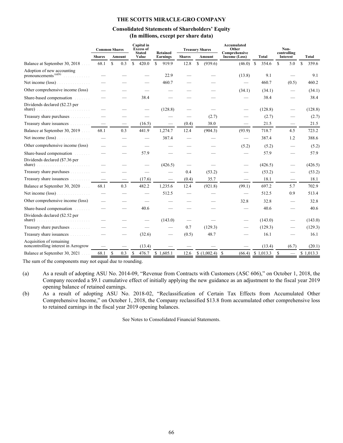## **Consolidated Statements of Shareholders' Equity (In millions, except per share data)**

|                                                                                             | <b>Common Shares</b>            |                                |    |                   |                   |                          |                              |                |              |           | Capital in<br><b>Excess of</b><br><b>Stated</b> | <b>Retained</b> |  | <b>Treasury Shares</b> | Accumulated<br>Other<br>Comprehensive |  | Non-<br>controlling |  |  |
|---------------------------------------------------------------------------------------------|---------------------------------|--------------------------------|----|-------------------|-------------------|--------------------------|------------------------------|----------------|--------------|-----------|-------------------------------------------------|-----------------|--|------------------------|---------------------------------------|--|---------------------|--|--|
|                                                                                             | <b>Shares</b>                   | Amount                         |    | Value             | <b>Earnings</b>   | <b>Shares</b>            | Amount                       | Income (Loss)  | <b>Total</b> | Interest  | <b>Total</b>                                    |                 |  |                        |                                       |  |                     |  |  |
| Balance at September 30, 2018                                                               | 68.1                            | $\mathbf S$<br>0.3             | \$ | 420.0             | 919.9<br>S        | 12.8                     | \$<br>(939.6)                | (46.0)         | S<br>354.6   | \$<br>5.0 | 359.6<br>S                                      |                 |  |                        |                                       |  |                     |  |  |
| Adoption of new accounting<br>pronouncements $(a)(b)$                                       |                                 |                                |    |                   | 22.9              |                          |                              | (13.8)         | 9.1          |           | 9.1                                             |                 |  |                        |                                       |  |                     |  |  |
| Net income (loss)                                                                           |                                 |                                |    |                   | 460.7             |                          |                              |                | 460.7        | (0.5)     | 460.2                                           |                 |  |                        |                                       |  |                     |  |  |
| Other comprehensive income (loss)                                                           |                                 |                                |    |                   |                   |                          |                              | (34.1)         | (34.1)       |           | (34.1)                                          |                 |  |                        |                                       |  |                     |  |  |
| Share-based compensation                                                                    |                                 |                                |    | 38.4              |                   |                          |                              |                | 38.4         |           | 38.4                                            |                 |  |                        |                                       |  |                     |  |  |
| Dividends declared (\$2.23 per<br>share) $\ldots \ldots \ldots \ldots \ldots \ldots \ldots$ |                                 |                                |    |                   | (128.8)           |                          |                              |                | (128.8)      |           | (128.8)                                         |                 |  |                        |                                       |  |                     |  |  |
| Treasury share purchases <b>Figure</b>                                                      |                                 |                                |    |                   |                   |                          | (2.7)                        |                | (2.7)        |           | (2.7)                                           |                 |  |                        |                                       |  |                     |  |  |
| Treasury share issuances                                                                    |                                 | $\overbrace{\phantom{123321}}$ |    | (16.5)            | $\qquad \qquad -$ | (0.4)                    | 38.0                         |                | 21.5         |           | 21.5                                            |                 |  |                        |                                       |  |                     |  |  |
| Balance at September 30, 2019                                                               | 68.1                            | 0.3                            |    | 441.9             | 1,274.7           | 12.4                     | (904.3)                      | (93.9)         | 718.7        | 4.5       | 723.2                                           |                 |  |                        |                                       |  |                     |  |  |
| Net income (loss)                                                                           |                                 |                                |    |                   | 387.4             |                          |                              |                | 387.4        | 1.2       | 388.6                                           |                 |  |                        |                                       |  |                     |  |  |
| Other comprehensive income (loss)                                                           |                                 |                                |    |                   |                   |                          |                              | (5.2)          | (5.2)        |           | (5.2)                                           |                 |  |                        |                                       |  |                     |  |  |
| Share-based compensation                                                                    |                                 |                                |    | 57.9              |                   |                          |                              |                | 57.9         |           | 57.9                                            |                 |  |                        |                                       |  |                     |  |  |
| Dividends declared (\$7.36 per<br>share) $\ldots \ldots \ldots \ldots \ldots \ldots$        |                                 |                                |    |                   | (426.5)           | $\overline{\phantom{0}}$ |                              |                | (426.5)      |           | (426.5)                                         |                 |  |                        |                                       |  |                     |  |  |
| Treasury share purchases                                                                    |                                 |                                |    |                   |                   | 0.4                      | (53.2)                       |                | (53.2)       |           | (53.2)                                          |                 |  |                        |                                       |  |                     |  |  |
| Treasury share issuances                                                                    | $\hspace{0.1mm}-\hspace{0.1mm}$ |                                |    | (17.6)            |                   | (0.4)                    | 35.7                         |                | 18.1         |           | 18.1                                            |                 |  |                        |                                       |  |                     |  |  |
| Balance at September 30, 2020                                                               | 68.1                            | 0.3                            |    | 482.2             | 1,235.6           | 12.4                     | (921.8)                      | (99.1)         | 697.2        | 5.7       | 702.9                                           |                 |  |                        |                                       |  |                     |  |  |
|                                                                                             |                                 |                                |    |                   | 512.5             |                          |                              |                | 512.5        | 0.9       | 513.4                                           |                 |  |                        |                                       |  |                     |  |  |
| Other comprehensive income (loss)                                                           |                                 |                                |    |                   |                   |                          |                              | 32.8           | 32.8         |           | 32.8                                            |                 |  |                        |                                       |  |                     |  |  |
| Share-based compensation                                                                    |                                 |                                |    | 40.6              |                   |                          |                              |                | 40.6         |           | 40.6                                            |                 |  |                        |                                       |  |                     |  |  |
| Dividends declared (\$2.52 per<br>share) $\ldots \ldots \ldots \ldots \ldots \ldots \ldots$ |                                 |                                |    |                   | (143.0)           |                          |                              |                | (143.0)      |           | (143.0)                                         |                 |  |                        |                                       |  |                     |  |  |
| Treasury share purchases                                                                    |                                 |                                |    |                   |                   | 0.7                      | (129.3)                      |                | (129.3)      |           | (129.3)                                         |                 |  |                        |                                       |  |                     |  |  |
| Treasury share issuances                                                                    |                                 |                                |    | (32.6)            |                   | (0.5)                    | 48.7                         |                | 16.1         |           | 16.1                                            |                 |  |                        |                                       |  |                     |  |  |
| Acquisition of remaining<br>noncontrolling interest in Aerogrow                             |                                 |                                |    | (13.4)            |                   |                          |                              |                | (13.4)       | (6.7)     | (20.1)                                          |                 |  |                        |                                       |  |                     |  |  |
| Balance at September 30, 2021                                                               | 68.1                            | $\frac{1}{2}$                  |    | $\frac{476.7}{2}$ | \$1,605.1         |                          | $\frac{12.6}{\sqrt{1002.4}}$ | - \$<br>(66.4) | \$1,013.3    |           | $-$ \$ 1,013.3                                  |                 |  |                        |                                       |  |                     |  |  |

The sum of the components may not equal due to rounding.

- (a) As a result of adopting ASU No. 2014-09, "Revenue from Contracts with Customers (ASC 606)," on October 1, 2018, the Company recorded a \$9.1 cumulative effect of initially applying the new guidance as an adjustment to the fiscal year 2019 opening balance of retained earnings.
- (b) As a result of adopting ASU No. 2018-02, "Reclassification of Certain Tax Effects from Accumulated Other Comprehensive Income," on October 1, 2018, the Company reclassified \$13.8 from accumulated other comprehensive loss to retained earnings in the fiscal year 2019 opening balances.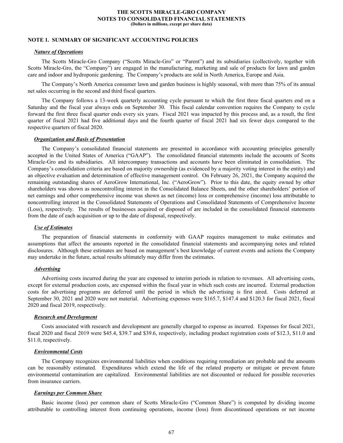#### THE SCOTTS MIRACLE-GRO COMPANY **NOTES TO CONSOLIDATED FINANCIAL STATEMENTS (Dollars in millions, except per share data)**

## **NOTE 1. SUMMARY OF SIGNIFICANT ACCOUNTING POLICIES**

### *Nature of Operations*

The Scotts Miracle-Gro Company ("Scotts Miracle-Gro" or "Parent") and its subsidiaries (collectively, together with Scotts Miracle-Gro, the "Company") are engaged in the manufacturing, marketing and sale of products for lawn and garden care and indoor and hydroponic gardening. The Company's products are sold in North America, Europe and Asia.

The Company's North America consumer lawn and garden business is highly seasonal, with more than 75% of its annual net sales occurring in the second and third fiscal quarters.

The Company follows a 13-week quarterly accounting cycle pursuant to which the first three fiscal quarters end on a Saturday and the fiscal year always ends on September 30. This fiscal calendar convention requires the Company to cycle forward the first three fiscal quarter ends every six years. Fiscal 2021 was impacted by this process and, as a result, the first quarter of fiscal 2021 had five additional days and the fourth quarter of fiscal 2021 had six fewer days compared to the respective quarters of fiscal 2020.

#### *Organization and Basis of Presentation*

The Company's consolidated financial statements are presented in accordance with accounting principles generally accepted in the United States of America ("GAAP"). The consolidated financial statements include the accounts of Scotts Miracle-Gro and its subsidiaries. All intercompany transactions and accounts have been eliminated in consolidation. The Company's consolidation criteria are based on majority ownership (as evidenced by a majority voting interest in the entity) and an objective evaluation and determination of effective management control. On February 26, 2021, the Company acquired the remaining outstanding shares of AeroGrow International, Inc. ("AeroGrow"). Prior to this date, the equity owned by other shareholders was shown as noncontrolling interest in the Consolidated Balance Sheets, and the other shareholders' portion of net earnings and other comprehensive income was shown as net (income) loss or comprehensive (income) loss attributable to noncontrolling interest in the Consolidated Statements of Operations and Consolidated Statements of Comprehensive Income (Loss), respectively. The results of businesses acquired or disposed of are included in the consolidated financial statements from the date of each acquisition or up to the date of disposal, respectively.

### *Use of Estimates*

The preparation of financial statements in conformity with GAAP requires management to make estimates and assumptions that affect the amounts reported in the consolidated financial statements and accompanying notes and related disclosures. Although these estimates are based on management's best knowledge of current events and actions the Company may undertake in the future, actual results ultimately may differ from the estimates.

#### *Advertising*

Advertising costs incurred during the year are expensed to interim periods in relation to revenues. All advertising costs, except for external production costs, are expensed within the fiscal year in which such costs are incurred. External production costs for advertising programs are deferred until the period in which the advertising is first aired. Costs deferred at September 30, 2021 and 2020 were not material. Advertising expenses were \$165.7, \$147.4 and \$120.3 for fiscal 2021, fiscal 2020 and fiscal 2019, respectively.

### *Research and Development*

Costs associated with research and development are generally charged to expense as incurred. Expenses for fiscal 2021, fiscal 2020 and fiscal 2019 were \$45.4, \$39.7 and \$39.6, respectively, including product registration costs of \$12.3, \$11.0 and \$11.0, respectively.

#### *Environmental Costs*

The Company recognizes environmental liabilities when conditions requiring remediation are probable and the amounts can be reasonably estimated. Expenditures which extend the life of the related property or mitigate or prevent future environmental contamination are capitalized. Environmental liabilities are not discounted or reduced for possible recoveries from insurance carriers.

### *Earnings per Common Share*

Basic income (loss) per common share of Scotts Miracle-Gro ("Common Share") is computed by dividing income attributable to controlling interest from continuing operations, income (loss) from discontinued operations or net income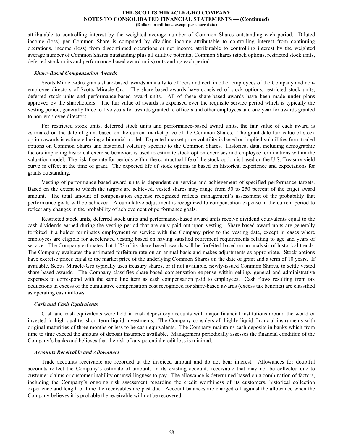#### THE SCOTTS MIRACLE-GRO COMPANY **NOTES TO CONSOLIDATED FINANCIAL STATEMENTS — (Continued) (Dollars in millions, except per share data)**

attributable to controlling interest by the weighted average number of Common Shares outstanding each period. Diluted income (loss) per Common Share is computed by dividing income attributable to controlling interest from continuing operations, income (loss) from discontinued operations or net income attributable to controlling interest by the weighted average number of Common Shares outstanding plus all dilutive potential Common Shares (stock options, restricted stock units, deferred stock units and performance-based award units) outstanding each period.

#### *Share-Based Compensation Awards*

Scotts Miracle-Gro grants share-based awards annually to officers and certain other employees of the Company and nonemployee directors of Scotts Miracle-Gro. The share-based awards have consisted of stock options, restricted stock units, deferred stock units and performance-based award units. All of these share-based awards have been made under plans approved by the shareholders. The fair value of awards is expensed over the requisite service period which is typically the vesting period, generally three to five years for awards granted to officers and other employees and one year for awards granted to non-employee directors.

For restricted stock units, deferred stock units and performance-based award units, the fair value of each award is estimated on the date of grant based on the current market price of the Common Shares. The grant date fair value of stock option awards is estimated using a binomial model. Expected market price volatility is based on implied volatilities from traded options on Common Shares and historical volatility specific to the Common Shares. Historical data, including demographic factors impacting historical exercise behavior, is used to estimate stock option exercises and employee terminations within the valuation model. The risk-free rate for periods within the contractual life of the stock option is based on the U.S. Treasury yield curve in effect at the time of grant. The expected life of stock options is based on historical experience and expectations for grants outstanding.

Vesting of performance-based award units is dependent on service and achievement of specified performance targets. Based on the extent to which the targets are achieved, vested shares may range from 50 to 250 percent of the target award amount. The total amount of compensation expense recognized reflects management's assessment of the probability that performance goals will be achieved. A cumulative adjustment is recognized to compensation expense in the current period to reflect any changes in the probability of achievement of performance goals.

Restricted stock units, deferred stock units and performance-based award units receive dividend equivalents equal to the cash dividends earned during the vesting period that are only paid out upon vesting. Share-based award units are generally forfeited if a holder terminates employment or service with the Company prior to the vesting date, except in cases where employees are eligible for accelerated vesting based on having satisfied retirement requirements relating to age and years of service. The Company estimates that 15% of its share-based awards will be forfeited based on an analysis of historical trends. The Company evaluates the estimated forfeiture rate on an annual basis and makes adjustments as appropriate. Stock options have exercise prices equal to the market price of the underlying Common Shares on the date of grant and a term of 10 years. If available, Scotts Miracle-Gro typically uses treasury shares, or if not available, newly-issued Common Shares, to settle vested share-based awards. The Company classifies share-based compensation expense within selling, general and administrative expenses to correspond with the same line item as cash compensation paid to employees. Cash flows resulting from tax deductions in excess of the cumulative compensation cost recognized for share-based awards (excess tax benefits) are classified as operating cash inflows.

### *Cash and Cash Equivalents*

Cash and cash equivalents were held in cash depository accounts with major financial institutions around the world or invested in high quality, short-term liquid investments. The Company considers all highly liquid financial instruments with original maturities of three months or less to be cash equivalents. The Company maintains cash deposits in banks which from time to time exceed the amount of deposit insurance available. Management periodically assesses the financial condition of the Company's banks and believes that the risk of any potential credit loss is minimal.

### *Accounts Receivable and Allowances*

Trade accounts receivable are recorded at the invoiced amount and do not bear interest. Allowances for doubtful accounts reflect the Company's estimate of amounts in its existing accounts receivable that may not be collected due to customer claims or customer inability or unwillingness to pay. The allowance is determined based on a combination of factors, including the Company's ongoing risk assessment regarding the credit worthiness of its customers, historical collection experience and length of time the receivables are past due. Account balances are charged off against the allowance when the Company believes it is probable the receivable will not be recovered.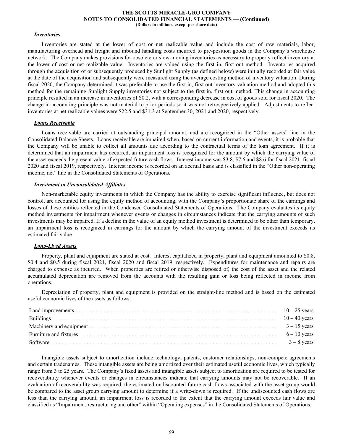#### THE SCOTTS MIRACLE-GRO COMPANY **NOTES TO CONSOLIDATED FINANCIAL STATEMENTS — (Continued) (Dollars in millions, except per share data)**

#### *Inventories*

Inventories are stated at the lower of cost or net realizable value and include the cost of raw materials, labor, manufacturing overhead and freight and inbound handling costs incurred to pre-position goods in the Company's warehouse network. The Company makes provisions for obsolete or slow-moving inventories as necessary to properly reflect inventory at the lower of cost or net realizable value. Inventories are valued using the first in, first out method. Inventories acquired through the acquisition of or subsequently produced by Sunlight Supply (as defined below) were initially recorded at fair value at the date of the acquisition and subsequently were measured using the average costing method of inventory valuation. During fiscal 2020, the Company determined it was preferable to use the first in, first out inventory valuation method and adopted this method for the remaining Sunlight Supply inventories not subject to the first in, first out method. This change in accounting principle resulted in an increase in inventories of \$0.2, with a corresponding decrease in cost of goods sold for fiscal 2020. The change in accounting principle was not material to prior periods so it was not retrospectively applied. Adjustments to reflect inventories at net realizable values were \$22.5 and \$31.3 at September 30, 2021 and 2020, respectively.

## *Loans Receivable*

Loans receivable are carried at outstanding principal amount, and are recognized in the "Other assets" line in the Consolidated Balance Sheets. Loans receivable are impaired when, based on current information and events, it is probable that the Company will be unable to collect all amounts due according to the contractual terms of the loan agreement. If it is determined that an impairment has occurred, an impairment loss is recognized for the amount by which the carrying value of the asset exceeds the present value of expected future cash flows. Interest income was \$3.8, \$7.6 and \$8.6 for fiscal 2021, fiscal 2020 and fiscal 2019, respectively. Interest income is recorded on an accrual basis and is classified in the "Other non-operating income, net" line in the Consolidated Statements of Operations.

## *Investment in Unconsolidated Affiliates*

Non-marketable equity investments in which the Company has the ability to exercise significant influence, but does not control, are accounted for using the equity method of accounting, with the Company's proportionate share of the earnings and losses of these entities reflected in the Condensed Consolidated Statements of Operations. The Company evaluates its equity method investments for impairment whenever events or changes in circumstances indicate that the carrying amounts of such investments may be impaired. If a decline in the value of an equity method investment is determined to be other than temporary, an impairment loss is recognized in earnings for the amount by which the carrying amount of the investment exceeds its estimated fair value.

### *Long-Lived Assets*

Property, plant and equipment are stated at cost. Interest capitalized in property, plant and equipment amounted to \$0.8, \$0.4 and \$0.5 during fiscal 2021, fiscal 2020 and fiscal 2019, respectively. Expenditures for maintenance and repairs are charged to expense as incurred. When properties are retired or otherwise disposed of, the cost of the asset and the related accumulated depreciation are removed from the accounts with the resulting gain or loss being reflected in income from operations.

Depreciation of property, plant and equipment is provided on the straight-line method and is based on the estimated useful economic lives of the assets as follows:

| Buildings $\ldots$ and $\ldots$ are $\ldots$ are $\ldots$ are $\ldots$ are $\ldots$ and $\ldots$ are $\ldots$ are $\ldots$ $10-40$ years |  |
|------------------------------------------------------------------------------------------------------------------------------------------|--|
| Machinery and equipment $\ldots$ and $\ldots$ and $\ldots$ and $\ldots$ are $\ldots$ and $\ldots$ $3-15$ years                           |  |
|                                                                                                                                          |  |
| Software $\cdots$ 3 – 8 years $3-8$ years                                                                                                |  |

Intangible assets subject to amortization include technology, patents, customer relationships, non-compete agreements and certain tradenames. These intangible assets are being amortized over their estimated useful economic lives, which typically range from 3 to 25 years. The Company's fixed assets and intangible assets subject to amortization are required to be tested for recoverability whenever events or changes in circumstances indicate that carrying amounts may not be recoverable. If an evaluation of recoverability was required, the estimated undiscounted future cash flows associated with the asset group would be compared to the asset group carrying amount to determine if a write-down is required. If the undiscounted cash flows are less than the carrying amount, an impairment loss is recorded to the extent that the carrying amount exceeds fair value and classified as "Impairment, restructuring and other" within "Operating expenses" in the Consolidated Statements of Operations.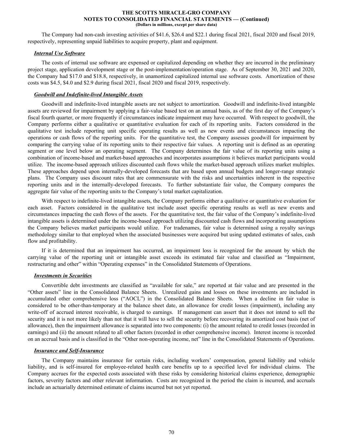The Company had non-cash investing activities of \$41.6, \$26.4 and \$22.1 during fiscal 2021, fiscal 2020 and fiscal 2019, respectively, representing unpaid liabilities to acquire property, plant and equipment.

# *Internal Use Software*

The costs of internal use software are expensed or capitalized depending on whether they are incurred in the preliminary project stage, application development stage or the post-implementation/operation stage. As of September 30, 2021 and 2020, the Company had \$17.0 and \$18.8, respectively, in unamortized capitalized internal use software costs. Amortization of these costs was \$4.5, \$4.0 and \$2.9 during fiscal 2021, fiscal 2020 and fiscal 2019, respectively.

# *Goodwill and Indefinite-lived Intangible Assets*

Goodwill and indefinite-lived intangible assets are not subject to amortization. Goodwill and indefinite-lived intangible assets are reviewed for impairment by applying a fair-value based test on an annual basis, as of the first day of the Company's fiscal fourth quarter, or more frequently if circumstances indicate impairment may have occurred. With respect to goodwill, the Company performs either a qualitative or quantitative evaluation for each of its reporting units. Factors considered in the qualitative test include reporting unit specific operating results as well as new events and circumstances impacting the operations or cash flows of the reporting units. For the quantitative test, the Company assesses goodwill for impairment by comparing the carrying value of its reporting units to their respective fair values. A reporting unit is defined as an operating segment or one level below an operating segment. The Company determines the fair value of its reporting units using a combination of income-based and market-based approaches and incorporates assumptions it believes market participants would utilize. The income-based approach utilizes discounted cash flows while the market-based approach utilizes market multiples. These approaches depend upon internally-developed forecasts that are based upon annual budgets and longer-range strategic plans. The Company uses discount rates that are commensurate with the risks and uncertainties inherent in the respective reporting units and in the internally-developed forecasts. To further substantiate fair value, the Company compares the aggregate fair value of the reporting units to the Company's total market capitalization.

With respect to indefinite-lived intangible assets, the Company performs either a qualitative or quantitative evaluation for each asset. Factors considered in the qualitative test include asset specific operating results as well as new events and circumstances impacting the cash flows of the assets. For the quantitative test, the fair value of the Company's indefinite-lived intangible assets is determined under the income-based approach utilizing discounted cash flows and incorporating assumptions the Company believes market participants would utilize. For tradenames, fair value is determined using a royalty savings methodology similar to that employed when the associated businesses were acquired but using updated estimates of sales, cash flow and profitability.

If it is determined that an impairment has occurred, an impairment loss is recognized for the amount by which the carrying value of the reporting unit or intangible asset exceeds its estimated fair value and classified as "Impairment, restructuring and other" within "Operating expenses" in the Consolidated Statements of Operations.

# *Investments in Securities*

Convertible debt investments are classified as "available for sale," are reported at fair value and are presented in the "Other assets" line in the Consolidated Balance Sheets. Unrealized gains and losses on these investments are included in accumulated other comprehensive loss ("AOCL") in the Consolidated Balance Sheets. When a decline in fair value is considered to be other-than-temporary at the balance sheet date, an allowance for credit losses (impairment), including any write-off of accrued interest receivable, is charged to earnings. If management can assert that it does not intend to sell the security and it is not more likely than not that it will have to sell the security before recovering its amortized cost basis (net of allowance), then the impairment allowance is separated into two components: (i) the amount related to credit losses (recorded in earnings) and (ii) the amount related to all other factors (recorded in other comprehensive income). Interest income is recorded on an accrual basis and is classified in the "Other non-operating income, net" line in the Consolidated Statements of Operations.

# *Insurance and Self-Insurance*

The Company maintains insurance for certain risks, including workers' compensation, general liability and vehicle liability, and is self-insured for employee-related health care benefits up to a specified level for individual claims. The Company accrues for the expected costs associated with these risks by considering historical claims experience, demographic factors, severity factors and other relevant information. Costs are recognized in the period the claim is incurred, and accruals include an actuarially determined estimate of claims incurred but not yet reported.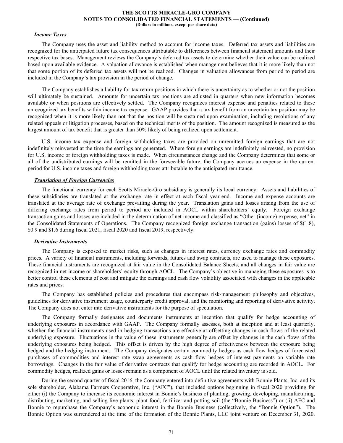### *Income Taxes*

The Company uses the asset and liability method to account for income taxes. Deferred tax assets and liabilities are recognized for the anticipated future tax consequences attributable to differences between financial statement amounts and their respective tax bases. Management reviews the Company's deferred tax assets to determine whether their value can be realized based upon available evidence. A valuation allowance is established when management believes that it is more likely than not that some portion of its deferred tax assets will not be realized. Changes in valuation allowances from period to period are included in the Company's tax provision in the period of change.

The Company establishes a liability for tax return positions in which there is uncertainty as to whether or not the position will ultimately be sustained. Amounts for uncertain tax positions are adjusted in quarters when new information becomes available or when positions are effectively settled. The Company recognizes interest expense and penalties related to these unrecognized tax benefits within income tax expense. GAAP provides that a tax benefit from an uncertain tax position may be recognized when it is more likely than not that the position will be sustained upon examination, including resolutions of any related appeals or litigation processes, based on the technical merits of the position. The amount recognized is measured as the largest amount of tax benefit that is greater than 50% likely of being realized upon settlement.

U.S. income tax expense and foreign withholding taxes are provided on unremitted foreign earnings that are not indefinitely reinvested at the time the earnings are generated. Where foreign earnings are indefinitely reinvested, no provision for U.S. income or foreign withholding taxes is made. When circumstances change and the Company determines that some or all of the undistributed earnings will be remitted in the foreseeable future, the Company accrues an expense in the current period for U.S. income taxes and foreign withholding taxes attributable to the anticipated remittance.

### *Translation of Foreign Currencies*

The functional currency for each Scotts Miracle-Gro subsidiary is generally its local currency. Assets and liabilities of these subsidiaries are translated at the exchange rate in effect at each fiscal year-end. Income and expense accounts are translated at the average rate of exchange prevailing during the year. Translation gains and losses arising from the use of differing exchange rates from period to period are included in AOCL within shareholders' equity. Foreign exchange transaction gains and losses are included in the determination of net income and classified as "Other (income) expense, net" in the Consolidated Statements of Operations. The Company recognized foreign exchange transaction (gains) losses of \$(1.8), \$0.9 and \$1.6 during fiscal 2021, fiscal 2020 and fiscal 2019, respectively.

#### *Derivative Instruments*

The Company is exposed to market risks, such as changes in interest rates, currency exchange rates and commodity prices. A variety of financial instruments, including forwards, futures and swap contracts, are used to manage these exposures. These financial instruments are recognized at fair value in the Consolidated Balance Sheets, and all changes in fair value are recognized in net income or shareholders' equity through AOCL. The Company's objective in managing these exposures is to better control these elements of cost and mitigate the earnings and cash flow volatility associated with changes in the applicable rates and prices.

The Company has established policies and procedures that encompass risk-management philosophy and objectives, guidelines for derivative instrument usage, counterparty credit approval, and the monitoring and reporting of derivative activity. The Company does not enter into derivative instruments for the purpose of speculation.

The Company formally designates and documents instruments at inception that qualify for hedge accounting of underlying exposures in accordance with GAAP. The Company formally assesses, both at inception and at least quarterly, whether the financial instruments used in hedging transactions are effective at offsetting changes in cash flows of the related underlying exposure. Fluctuations in the value of these instruments generally are offset by changes in the cash flows of the underlying exposures being hedged. This offset is driven by the high degree of effectiveness between the exposure being hedged and the hedging instrument. The Company designates certain commodity hedges as cash flow hedges of forecasted purchases of commodities and interest rate swap agreements as cash flow hedges of interest payments on variable rate borrowings. Changes in the fair value of derivative contracts that qualify for hedge accounting are recorded in AOCL. For commodity hedges, realized gains or losses remain as a component of AOCL until the related inventory is sold.

During the second quarter of fiscal 2016, the Company entered into definitive agreements with Bonnie Plants, Inc. and its sole shareholder, Alabama Farmers Cooperative, Inc. ("AFC"), that included options beginning in fiscal 2020 providing for either (i) the Company to increase its economic interest in Bonnie's business of planting, growing, developing, manufacturing, distributing, marketing, and selling live plants, plant food, fertilizer and potting soil (the "Bonnie Business") or (ii) AFC and Bonnie to repurchase the Company's economic interest in the Bonnie Business (collectively, the "Bonnie Option"). The Bonnie Option was surrendered at the time of the formation of the Bonnie Plants, LLC joint venture on December 31, 2020.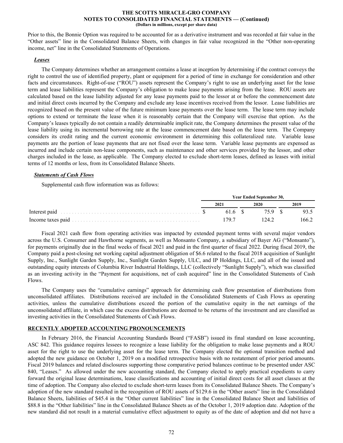Prior to this, the Bonnie Option was required to be accounted for as a derivative instrument and was recorded at fair value in the "Other assets" line in the Consolidated Balance Sheets, with changes in fair value recognized in the "Other non-operating income, net" line in the Consolidated Statements of Operations.

## *Leases*

The Company determines whether an arrangement contains a lease at inception by determining if the contract conveys the right to control the use of identified property, plant or equipment for a period of time in exchange for consideration and other facts and circumstances. Right-of-use ("ROU") assets represent the Company's right to use an underlying asset for the lease term and lease liabilities represent the Company's obligation to make lease payments arising from the lease. ROU assets are calculated based on the lease liability adjusted for any lease payments paid to the lessor at or before the commencement date and initial direct costs incurred by the Company and exclude any lease incentives received from the lessor. Lease liabilities are recognized based on the present value of the future minimum lease payments over the lease term. The lease term may include options to extend or terminate the lease when it is reasonably certain that the Company will exercise that option. As the Company's leases typically do not contain a readily determinable implicit rate, the Company determines the present value of the lease liability using its incremental borrowing rate at the lease commencement date based on the lease term. The Company considers its credit rating and the current economic environment in determining this collateralized rate. Variable lease payments are the portion of lease payments that are not fixed over the lease term. Variable lease payments are expensed as incurred and include certain non-lease components, such as maintenance and other services provided by the lessor, and other charges included in the lease, as applicable. The Company elected to exclude short-term leases, defined as leases with initial terms of 12 months or less, from its Consolidated Balance Sheets.

### *Statements of Cash Flows*

Supplemental cash flow information was as follows:

|                                                                                                                                                                                                                                |       | Year Ended September 30, |       |
|--------------------------------------------------------------------------------------------------------------------------------------------------------------------------------------------------------------------------------|-------|--------------------------|-------|
|                                                                                                                                                                                                                                | 2021  | 2020                     | 2019  |
| Interest paid entertainment in the state of the state of the state of the state of the state of the state of the state of the state of the state of the state of the state of the state of the state of the state of the state | 616 S | 759 S                    | 93.5  |
|                                                                                                                                                                                                                                | 179.7 | 1242                     | 166.2 |

Fiscal 2021 cash flow from operating activities was impacted by extended payment terms with several major vendors across the U.S. Consumer and Hawthorne segments, as well as Monsanto Company, a subsidiary of Bayer AG ("Monsanto"), for payments originally due in the final weeks of fiscal 2021 and paid in the first quarter of fiscal 2022. During fiscal 2019, the Company paid a post-closing net working capital adjustment obligation of \$6.6 related to the fiscal 2018 acquisition of Sunlight Supply, Inc., Sunlight Garden Supply, Inc., Sunlight Garden Supply, ULC, and IP Holdings, LLC, and all of the issued and outstanding equity interests of Columbia River Industrial Holdings, LLC (collectively "Sunlight Supply"), which was classified as an investing activity in the "Payment for acquisitions, net of cash acquired" line in the Consolidated Statements of Cash Flows.

The Company uses the "cumulative earnings" approach for determining cash flow presentation of distributions from unconsolidated affiliates. Distributions received are included in the Consolidated Statements of Cash Flows as operating activities, unless the cumulative distributions exceed the portion of the cumulative equity in the net earnings of the unconsolidated affiliate, in which case the excess distributions are deemed to be returns of the investment and are classified as investing activities in the Consolidated Statements of Cash Flows.

#### **RECENTLY ADOPTED ACCOUNTING PRONOUNCEMENTS**

In February 2016, the Financial Accounting Standards Board ("FASB") issued its final standard on lease accounting, ASC 842. This guidance requires lessees to recognize a lease liability for the obligation to make lease payments and a ROU asset for the right to use the underlying asset for the lease term. The Company elected the optional transition method and adopted the new guidance on October 1, 2019 on a modified retrospective basis with no restatement of prior period amounts. Fiscal 2019 balances and related disclosures supporting those comparative period balances continue to be presented under ASC 840, "Leases." As allowed under the new accounting standard, the Company elected to apply practical expedients to carry forward the original lease determinations, lease classifications and accounting of initial direct costs for all asset classes at the time of adoption. The Company also elected to exclude short-term leases from its Consolidated Balance Sheets. The Company's adoption of the new standard resulted in the recognition of ROU assets of \$129.6 in the "Other assets" line in the Consolidated Balance Sheets, liabilities of \$45.4 in the "Other current liabilities" line in the Consolidated Balance Sheet and liabilities of \$88.8 in the "Other liabilities" line in the Consolidated Balance Sheets as of the October 1, 2019 adoption date. Adoption of the new standard did not result in a material cumulative effect adjustment to equity as of the date of adoption and did not have a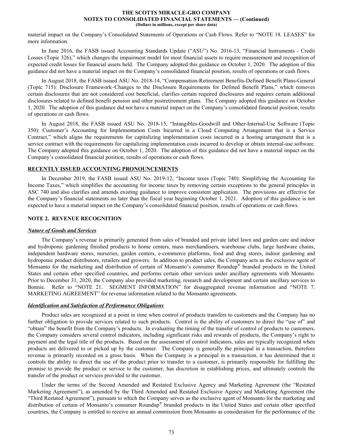material impact on the Company's Consolidated Statements of Operations or Cash Flows. Refer to "NOTE 18. LEASES" for more information.

In June 2016, the FASB issued Accounting Standards Update ("ASU") No. 2016-13, "Financial Instruments - Credit Losses (Topic 326)," which changes the impairment model for most financial assets to require measurement and recognition of expected credit losses for financial assets held. The Company adopted this guidance on October 1, 2020. The adoption of this guidance did not have a material impact on the Company's consolidated financial position, results of operations or cash flows.

In August 2018, the FASB issued ASU No. 2018-14, "Compensation-Retirement Benefits-Defined Benefit Plans-General (Topic 715): Disclosure Framework–Changes to the Disclosure Requirements for Defined Benefit Plans," which removes certain disclosures that are not considered cost beneficial, clarifies certain required disclosures and requires certain additional disclosures related to defined benefit pension and other postretirement plans. The Company adopted this guidance on October 1, 2020. The adoption of this guidance did not have a material impact on the Company's consolidated financial position, results of operations or cash flows.

In August 2018, the FASB issued ASU No. 2018-15, "Intangibles-Goodwill and Other-Internal-Use Software (Topic 350): Customer's Accounting for Implementation Costs Incurred in a Cloud Computing Arrangement that is a Service Contract," which aligns the requirements for capitalizing implementation costs incurred in a hosting arrangement that is a service contract with the requirements for capitalizing implementation costs incurred to develop or obtain internal-use software. The Company adopted this guidance on October 1, 2020. The adoption of this guidance did not have a material impact on the Company's consolidated financial position, results of operations or cash flows.

# **RECENTLY ISSUED ACCOUNTING PRONOUNCEMENTS**

In December 2019, the FASB issued ASU No. 2019-12, "Income taxes (Topic 740): Simplifying the Accounting for Income Taxes," which simplifies the accounting for income taxes by removing certain exceptions to the general principles in ASC 740 and also clarifies and amends existing guidance to improve consistent application. The provisions are effective for the Company's financial statements no later than the fiscal year beginning October 1, 2021. Adoption of this guidance is not expected to have a material impact on the Company's consolidated financial position, results of operations or cash flows.

# **NOTE 2. REVENUE RECOGNITION**

# *Nature of Goods and Services*

The Company's revenue is primarily generated from sales of branded and private label lawn and garden care and indoor and hydroponic gardening finished products to home centers, mass merchandisers, warehouse clubs, large hardware chains, independent hardware stores, nurseries, garden centers, e-commerce platforms, food and drug stores, indoor gardening and hydroponic product distributors, retailers and growers. In addition to product sales, the Company acts as the exclusive agent of Monsanto for the marketing and distribution of certain of Monsanto's consumer Roundup® branded products in the United States and certain other specified countries, and performs certain other services under ancillary agreements with Monsanto. Prior to December 31, 2020, the Company also provided marketing, research and development and certain ancillary services to Bonnie. Refer to "NOTE 21. SEGMENT INFORMATION" for disaggregated revenue information and "NOTE 7. MARKETING AGREEMENT" for revenue information related to the Monsanto agreements.

# *Identification and Satisfaction of Performance Obligations*

Product sales are recognized at a point in time when control of products transfers to customers and the Company has no further obligation to provide services related to such products. Control is the ability of customers to direct the "use of" and "obtain" the benefit from the Company's products. In evaluating the timing of the transfer of control of products to customers, the Company considers several control indicators, including significant risks and rewards of products, the Company's right to payment and the legal title of the products. Based on the assessment of control indicators, sales are typically recognized when products are delivered to or picked up by the customer. The Company is generally the principal in a transaction, therefore revenue is primarily recorded on a gross basis. When the Company is a principal in a transaction, it has determined that it controls the ability to direct the use of the product prior to transfer to a customer, is primarily responsible for fulfilling the promise to provide the product or service to the customer, has discretion in establishing prices, and ultimately controls the transfer of the product or services provided to the customer.

Under the terms of the Second Amended and Restated Exclusive Agency and Marketing Agreement (the "Restated Marketing Agreement"), as amended by the Third Amended and Restated Exclusive Agency and Marketing Agreement (the "Third Restated Agreement"), pursuant to which the Company serves as the exclusive agent of Monsanto for the marketing and distribution of certain of Monsanto's consumer Roundup<sup>®</sup> branded products in the United States and certain other specified countries, the Company is entitled to receive an annual commission from Monsanto as consideration for the performance of the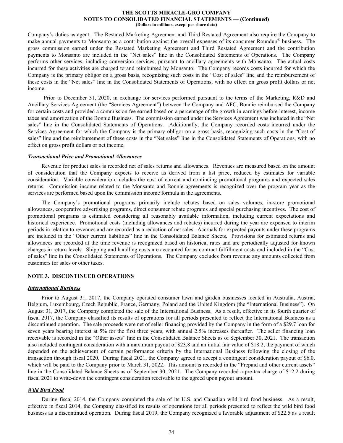Company's duties as agent. The Restated Marketing Agreement and Third Restated Agreement also require the Company to make annual payments to Monsanto as a contribution against the overall expenses of its consumer Roundup<sup>®</sup> business. The gross commission earned under the Restated Marketing Agreement and Third Restated Agreement and the contribution payments to Monsanto are included in the "Net sales" line in the Consolidated Statements of Operations. The Company performs other services, including conversion services, pursuant to ancillary agreements with Monsanto. The actual costs incurred for these activities are charged to and reimbursed by Monsanto. The Company records costs incurred for which the Company is the primary obligor on a gross basis, recognizing such costs in the "Cost of sales" line and the reimbursement of these costs in the "Net sales" line in the Consolidated Statements of Operations, with no effect on gross profit dollars or net income.

 Prior to December 31, 2020, in exchange for services performed pursuant to the terms of the Marketing, R&D and Ancillary Services Agreement (the "Services Agreement") between the Company and AFC, Bonnie reimbursed the Company for certain costs and provided a commission fee earned based on a percentage of the growth in earnings before interest, income taxes and amortization of the Bonnie Business. The commission earned under the Services Agreement was included in the "Net sales" line in the Consolidated Statements of Operations. Additionally, the Company recorded costs incurred under the Services Agreement for which the Company is the primary obligor on a gross basis, recognizing such costs in the "Cost of sales" line and the reimbursement of these costs in the "Net sales" line in the Consolidated Statements of Operations, with no effect on gross profit dollars or net income.

### *Transactional Price and Promotional Allowances*

Revenue for product sales is recorded net of sales returns and allowances. Revenues are measured based on the amount of consideration that the Company expects to receive as derived from a list price, reduced by estimates for variable consideration. Variable consideration includes the cost of current and continuing promotional programs and expected sales returns. Commission income related to the Monsanto and Bonnie agreements is recognized over the program year as the services are performed based upon the commission income formula in the agreements.

The Company's promotional programs primarily include rebates based on sales volumes, in-store promotional allowances, cooperative advertising programs, direct consumer rebate programs and special purchasing incentives. The cost of promotional programs is estimated considering all reasonably available information, including current expectations and historical experience. Promotional costs (including allowances and rebates) incurred during the year are expensed to interim periods in relation to revenues and are recorded as a reduction of net sales. Accruals for expected payouts under these programs are included in the "Other current liabilities" line in the Consolidated Balance Sheets. Provisions for estimated returns and allowances are recorded at the time revenue is recognized based on historical rates and are periodically adjusted for known changes in return levels. Shipping and handling costs are accounted for as contract fulfillment costs and included in the "Cost of sales" line in the Consolidated Statements of Operations. The Company excludes from revenue any amounts collected from customers for sales or other taxes.

# **NOTE 3. DISCONTINUED OPERATIONS**

#### *International Business*

Prior to August 31, 2017, the Company operated consumer lawn and garden businesses located in Australia, Austria, Belgium, Luxembourg, Czech Republic, France, Germany, Poland and the United Kingdom (the "International Business"). On August 31, 2017, the Company completed the sale of the International Business. As a result, effective in its fourth quarter of fiscal 2017, the Company classified its results of operations for all periods presented to reflect the International Business as a discontinued operation. The sale proceeds were net of seller financing provided by the Company in the form of a \$29.7 loan for seven years bearing interest at 5% for the first three years, with annual 2.5% increases thereafter. The seller financing loan receivable is recorded in the "Other assets" line in the Consolidated Balance Sheets as of September 30, 2021. The transaction also included contingent consideration with a maximum payout of \$23.8 and an initial fair value of \$18.2, the payment of which depended on the achievement of certain performance criteria by the International Business following the closing of the transaction through fiscal 2020. During fiscal 2021, the Company agreed to accept a contingent consideration payout of \$6.0, which will be paid to the Company prior to March 31, 2022. This amount is recorded in the "Prepaid and other current assets" line in the Consolidated Balance Sheets as of September 30, 2021. The Company recorded a pre-tax charge of \$12.2 during fiscal 2021 to write-down the contingent consideration receivable to the agreed upon payout amount.

# *Wild Bird Food*

During fiscal 2014, the Company completed the sale of its U.S. and Canadian wild bird food business. As a result, effective in fiscal 2014, the Company classified its results of operations for all periods presented to reflect the wild bird food business as a discontinued operation. During fiscal 2019, the Company recognized a favorable adjustment of \$22.5 as a result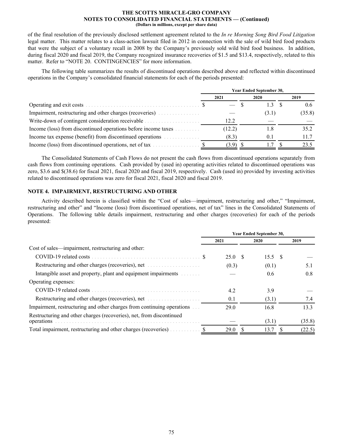of the final resolution of the previously disclosed settlement agreement related to the *In re Morning Song Bird Food Litigation* legal matter. This matter relates to a class-action lawsuit filed in 2012 in connection with the sale of wild bird food products that were the subject of a voluntary recall in 2008 by the Company's previously sold wild bird food business. In addition, during fiscal 2020 and fiscal 2019, the Company recognized insurance recoveries of \$1.5 and \$13.4, respectively, related to this matter. Refer to "NOTE 20. CONTINGENCIES" for more information.

The following table summarizes the results of discontinued operations described above and reflected within discontinued operations in the Company's consolidated financial statements for each of the periods presented:

|                                                                | Year Ended September 30, |        |  |       |  |               |  |  |
|----------------------------------------------------------------|--------------------------|--------|--|-------|--|---------------|--|--|
|                                                                |                          | 2021   |  | 2020  |  | 2019          |  |  |
|                                                                |                          |        |  |       |  | $0.6^{\circ}$ |  |  |
| Impairment, restructuring and other charges (recoveries)       |                          |        |  | (3.1) |  | (35.8)        |  |  |
|                                                                |                          | 12.2   |  |       |  |               |  |  |
| Income (loss) from discontinued operations before income taxes |                          | (12.2) |  | ⊟8    |  | 35.2          |  |  |
| Income tax expense (benefit) from discontinued operations      |                          | (8.3)  |  | 0.1   |  | 11.7          |  |  |
|                                                                |                          | (3.9)  |  |       |  | 23.5          |  |  |

The Consolidated Statements of Cash Flows do not present the cash flows from discontinued operations separately from cash flows from continuing operations. Cash provided by (used in) operating activities related to discontinued operations was zero, \$3.6 and \$(38.6) for fiscal 2021, fiscal 2020 and fiscal 2019, respectively. Cash (used in) provided by investing activities related to discontinued operations was zero for fiscal 2021, fiscal 2020 and fiscal 2019.

# **NOTE 4. IMPAIRMENT, RESTRUCTURING AND OTHER**

Activity described herein is classified within the "Cost of sales—impairment, restructuring and other," "Impairment, restructuring and other" and "Income (loss) from discontinued operations, net of tax" lines in the Consolidated Statements of Operations. The following table details impairment, restructuring and other charges (recoveries) for each of the periods presented:

|                                                                                                                                                                                                                                | Year Ended September 30, |        |        |
|--------------------------------------------------------------------------------------------------------------------------------------------------------------------------------------------------------------------------------|--------------------------|--------|--------|
|                                                                                                                                                                                                                                | 2021                     | 2020   | 2019   |
| Cost of sales—impairment, restructuring and other:                                                                                                                                                                             |                          |        |        |
|                                                                                                                                                                                                                                | 25.0 S                   | 15.5 S |        |
| Restructuring and other charges (recoveries), net material contains a set of the set of the set of the set of the set of the set of the set of the set of the set of the set of the set of the set of the set of the set of th | (0.3)                    | (0.1)  | 5.1    |
| Intangible asset and property, plant and equipment impairments                                                                                                                                                                 |                          | 0.6    | 0.8    |
| Operating expenses:                                                                                                                                                                                                            |                          |        |        |
| COVID-19 related costs                                                                                                                                                                                                         | 4.2                      | 3.9    |        |
| Restructuring and other charges (recoveries), net                                                                                                                                                                              | 0.1                      | (3.1)  | 7.4    |
| Impairment, restructuring and other charges from continuing operations                                                                                                                                                         | 29.0                     | 16.8   | 13.3   |
| Restructuring and other charges (recoveries), net, from discontinued                                                                                                                                                           |                          |        |        |
| operations                                                                                                                                                                                                                     |                          | (3.1)  | (35.8) |
| Total impairment, restructuring and other charges (recoveries)                                                                                                                                                                 | 29.0                     | 13.7   | (22.5) |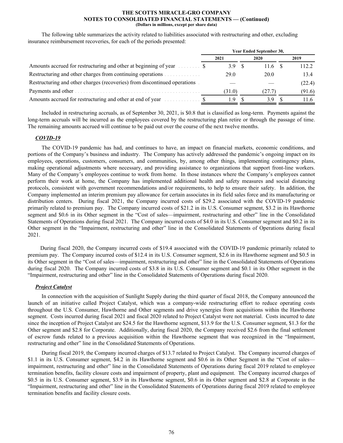The following table summarizes the activity related to liabilities associated with restructuring and other, excluding insurance reimbursement recoveries, for each of the periods presented:

|                                                                                   | <b>Year Ended September 30,</b> |        |  |       |  |        |  |
|-----------------------------------------------------------------------------------|---------------------------------|--------|--|-------|--|--------|--|
|                                                                                   |                                 | 2021   |  | 2020  |  | 2019   |  |
| Amounts accrued for restructuring and other at beginning of year <i>s</i>         |                                 | 3.9    |  | 11.6  |  | 112.2  |  |
| Restructuring and other charges from continuing operations                        |                                 | 29.0   |  | 20.0  |  | 13.4   |  |
| Restructuring and other charges (recoveries) from discontinued operations         |                                 |        |  |       |  | (22.4) |  |
| Payments and other                                                                |                                 | (31.0) |  | (27.7 |  | (91.6) |  |
| Amounts accrued for restructuring and other at end of year <i>manufacturing</i> s |                                 | , 9    |  | 39    |  | 11.6   |  |

Included in restructuring accruals, as of September 30, 2021, is \$0.8 that is classified as long-term. Payments against the long-term accruals will be incurred as the employees covered by the restructuring plan retire or through the passage of time. The remaining amounts accrued will continue to be paid out over the course of the next twelve months.

# *COVID-19*

The COVID-19 pandemic has had, and continues to have, an impact on financial markets, economic conditions, and portions of the Company's business and industry. The Company has actively addressed the pandemic's ongoing impact on its employees, operations, customers, consumers, and communities, by, among other things, implementing contingency plans, making operational adjustments where necessary, and providing assistance to organizations that support front-line workers. Many of the Company's employees continue to work from home. In those instances where the Company's employees cannot perform their work at home, the Company has implemented additional health and safety measures and social distancing protocols, consistent with government recommendations and/or requirements, to help to ensure their safety. In addition, the Company implemented an interim premium pay allowance for certain associates in its field sales force and its manufacturing or distribution centers. During fiscal 2021, the Company incurred costs of \$29.2 associated with the COVID-19 pandemic primarily related to premium pay. The Company incurred costs of \$21.2 in its U.S. Consumer segment, \$3.2 in its Hawthorne segment and \$0.6 in its Other segment in the "Cost of sales—impairment, restructuring and other" line in the Consolidated Statements of Operations during fiscal 2021. The Company incurred costs of \$4.0 in its U.S. Consumer segment and \$0.2 in its Other segment in the "Impairment, restructuring and other" line in the Consolidated Statements of Operations during fiscal 2021.

During fiscal 2020, the Company incurred costs of \$19.4 associated with the COVID-19 pandemic primarily related to premium pay. The Company incurred costs of \$12.4 in its U.S. Consumer segment, \$2.6 in its Hawthorne segment and \$0.5 in its Other segment in the "Cost of sales—impairment, restructuring and other" line in the Consolidated Statements of Operations during fiscal 2020. The Company incurred costs of \$3.8 in its U.S. Consumer segment and \$0.1 in its Other segment in the "Impairment, restructuring and other" line in the Consolidated Statements of Operations during fiscal 2020.

# *Project Catalyst*

In connection with the acquisition of Sunlight Supply during the third quarter of fiscal 2018, the Company announced the launch of an initiative called Project Catalyst, which was a company-wide restructuring effort to reduce operating costs throughout the U.S. Consumer, Hawthorne and Other segments and drive synergies from acquisitions within the Hawthorne segment. Costs incurred during fiscal 2021 and fiscal 2020 related to Project Catalyst were not material. Costs incurred to date since the inception of Project Catalyst are \$24.5 for the Hawthorne segment, \$13.9 for the U.S. Consumer segment, \$1.3 for the Other segment and \$2.8 for Corporate. Additionally, during fiscal 2020, the Company received \$2.6 from the final settlement of escrow funds related to a previous acquisition within the Hawthorne segment that was recognized in the "Impairment, restructuring and other" line in the Consolidated Statements of Operations.

During fiscal 2019, the Company incurred charges of \$13.7 related to Project Catalyst. The Company incurred charges of \$1.1 in its U.S. Consumer segment, \$4.2 in its Hawthorne segment and \$0.6 in its Other Segment in the "Cost of salesimpairment, restructuring and other" line in the Consolidated Statements of Operations during fiscal 2019 related to employee termination benefits, facility closure costs and impairment of property, plant and equipment. The Company incurred charges of \$0.5 in its U.S. Consumer segment, \$3.9 in its Hawthorne segment, \$0.6 in its Other segment and \$2.8 at Corporate in the "Impairment, restructuring and other" line in the Consolidated Statements of Operations during fiscal 2019 related to employee termination benefits and facility closure costs.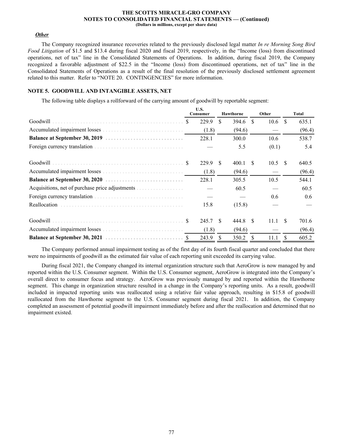# *Other*

The Company recognized insurance recoveries related to the previously disclosed legal matter *In re Morning Song Bird Food Litigation* of \$1.5 and \$13.4 during fiscal 2020 and fiscal 2019, respectively, in the "Income (loss) from discontinued operations, net of tax" line in the Consolidated Statements of Operations. In addition, during fiscal 2019, the Company recognized a favorable adjustment of \$22.5 in the "Income (loss) from discontinued operations, net of tax" line in the Consolidated Statements of Operations as a result of the final resolution of the previously disclosed settlement agreement related to this matter. Refer to "NOTE 20. CONTINGENCIES" for more information.

# **NOTE 5. GOODWILL AND INTANGIBLE ASSETS, NET**

The following table displays a rollforward of the carrying amount of goodwill by reportable segment:

|                                                 | U.S.<br>Consumer |               | <b>Hawthorne</b> |          | Other            |     | <b>Total</b> |
|-------------------------------------------------|------------------|---------------|------------------|----------|------------------|-----|--------------|
| Goodwill                                        | 229.9<br>-S      |               | S<br>394.6       | -S       | $10.6 \text{ S}$ |     | 635.1        |
|                                                 | (1.8)            |               | (94.6)           |          |                  |     | (96.4)       |
|                                                 | 228.1            |               | 300.0            |          | 10.6             |     | 538.7        |
|                                                 |                  |               | 5.5              |          | (0.1)            |     | 5.4          |
| Goodwill                                        | -S<br>229.9      |               | \$.<br>400.1     | -S       | 10.5             | -S  | 640.5        |
|                                                 | (1.8)            |               | (94.6)           |          |                  |     | (96.4)       |
|                                                 | 228.1            |               | 305.5            |          | 10.5             |     | 544.1        |
| Acquisitions, net of purchase price adjustments |                  |               | 60.5             |          |                  |     | 60.5         |
|                                                 |                  |               |                  |          | 0.6              |     | 0.6          |
| Reallocation                                    | 15.8             |               | (15.8)           |          |                  |     |              |
|                                                 | 245.7            | $\mathcal{S}$ | 444.8 \$         |          | 11.1             | \$. | 701.6        |
| Accumulated impairment losses                   | (1.8)            |               | (94.6)           |          |                  |     | (96.4)       |
|                                                 | 243.9            |               | \$.<br>350.2     | <b>S</b> | 11.1             |     | 605.2        |

The Company performed annual impairment testing as of the first day of its fourth fiscal quarter and concluded that there were no impairments of goodwill as the estimated fair value of each reporting unit exceeded its carrying value.

During fiscal 2021, the Company changed its internal organization structure such that AeroGrow is now managed by and reported within the U.S. Consumer segment. Within the U.S. Consumer segment, AeroGrow is integrated into the Company's overall direct to consumer focus and strategy. AeroGrow was previously managed by and reported within the Hawthorne segment. This change in organization structure resulted in a change in the Company's reporting units. As a result, goodwill included in impacted reporting units was reallocated using a relative fair value approach, resulting in \$15.8 of goodwill reallocated from the Hawthorne segment to the U.S. Consumer segment during fiscal 2021. In addition, the Company completed an assessment of potential goodwill impairment immediately before and after the reallocation and determined that no impairment existed.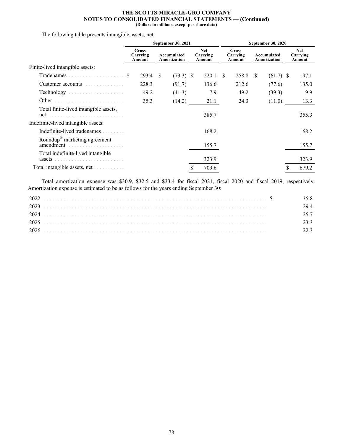The following table presents intangible assets, net:

|                                                       |                             | September 30, 2021          |                                  | September 30, 2020          |                             |                                  |  |  |  |  |
|-------------------------------------------------------|-----------------------------|-----------------------------|----------------------------------|-----------------------------|-----------------------------|----------------------------------|--|--|--|--|
|                                                       | Gross<br>Carrying<br>Amount | Accumulated<br>Amortization | <b>Net</b><br>Carrying<br>Amount | Gross<br>Carrying<br>Amount | Accumulated<br>Amortization | <b>Net</b><br>Carrying<br>Amount |  |  |  |  |
| Finite-lived intangible assets:                       |                             |                             |                                  |                             |                             |                                  |  |  |  |  |
| Tradenames                                            | S.<br>293.4 \$              | $(73.3)$ \$                 | 220.1                            | 258.8<br>\$.                | <b>S</b><br>$(61.7)$ \$     | 197.1                            |  |  |  |  |
| Customer accounts entrancements                       | 228.3                       | (91.7)                      | 136.6                            | 212.6                       | (77.6)                      | 135.0                            |  |  |  |  |
| Technology                                            | 49.2                        | (41.3)                      | 7.9                              | 49.2                        | (39.3)                      | 9.9                              |  |  |  |  |
| Other                                                 | 35.3                        | (14.2)                      | 21.1                             | 24.3                        | (11.0)                      | 13.3                             |  |  |  |  |
| Total finite-lived intangible assets,<br>net          |                             |                             | 385.7                            |                             |                             | 355.3                            |  |  |  |  |
| Indefinite-lived intangible assets:                   |                             |                             |                                  |                             |                             |                                  |  |  |  |  |
| Indefinite-lived tradenames                           |                             |                             | 168.2                            |                             |                             | 168.2                            |  |  |  |  |
| Roundup <sup>®</sup> marketing agreement<br>amendment |                             |                             | 155.7                            |                             |                             | 155.7                            |  |  |  |  |
| Total indefinite-lived intangible<br>assets           |                             |                             | 323.9                            |                             |                             | 323.9                            |  |  |  |  |
| Total intangible assets, net                          |                             |                             | \$<br>709.6                      |                             |                             | \$<br>679.2                      |  |  |  |  |

Total amortization expense was \$30.9, \$32.5 and \$33.4 for fiscal 2021, fiscal 2020 and fiscal 2019, respectively. Amortization expense is estimated to be as follows for the years ending September 30:

| $202\angle$ | 35 R |
|-------------|------|
| 2023        |      |
| 2024        |      |
| 2025        |      |
| 2026        |      |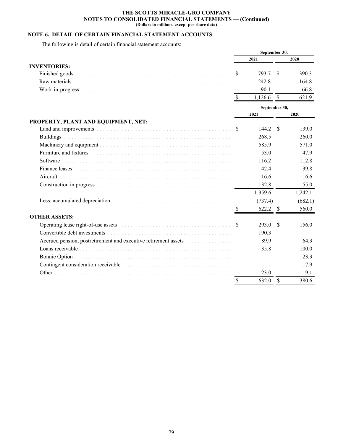# **NOTE 6. DETAIL OF CERTAIN FINANCIAL STATEMENT ACCOUNTS**

The following is detail of certain financial statement accounts:

|                                                                                                                                                                                                                                |               | September 30, |               |         |
|--------------------------------------------------------------------------------------------------------------------------------------------------------------------------------------------------------------------------------|---------------|---------------|---------------|---------|
|                                                                                                                                                                                                                                |               | 2021          |               | 2020    |
| <b>INVENTORIES:</b>                                                                                                                                                                                                            |               |               |               |         |
| Finished goods                                                                                                                                                                                                                 |               | 793.7         | $\mathcal{S}$ | 390.3   |
|                                                                                                                                                                                                                                |               | 242.8         |               | 164.8   |
|                                                                                                                                                                                                                                |               | 90.1          |               | 66.8    |
|                                                                                                                                                                                                                                | $\mathbb{S}$  | $1,126.6$ \$  |               | 621.9   |
|                                                                                                                                                                                                                                |               | September 30, |               |         |
|                                                                                                                                                                                                                                |               | 2021          |               | 2020    |
| PROPERTY, PLANT AND EQUIPMENT, NET:                                                                                                                                                                                            |               |               |               |         |
|                                                                                                                                                                                                                                |               | 144.2         | -S            | 139.0   |
| <b>Buildings</b>                                                                                                                                                                                                               |               | 268.5         |               | 260.0   |
|                                                                                                                                                                                                                                |               | 585.9         |               | 571.0   |
| Furniture and fixtures experiences and the set of the set of the set of the set of the set of the set of the set of the set of the set of the set of the set of the set of the set of the set of the set of the set of the set |               | 53.0          |               | 47.9    |
| Software                                                                                                                                                                                                                       |               | 116.2         |               | 112.8   |
|                                                                                                                                                                                                                                |               | 42.4          |               | 39.8    |
| Aircraft                                                                                                                                                                                                                       |               | 16.6          |               | 16.6    |
|                                                                                                                                                                                                                                |               | 132.8         |               | 55.0    |
|                                                                                                                                                                                                                                |               | 1,359.6       |               | 1,242.1 |
|                                                                                                                                                                                                                                |               | (737.4)       |               | (682.1) |
|                                                                                                                                                                                                                                | S.            | 622.2         | $\mathcal{S}$ | 560.0   |
| <b>OTHER ASSETS:</b>                                                                                                                                                                                                           |               |               |               |         |
|                                                                                                                                                                                                                                |               | 293.0         | -\$           | 156.0   |
| Convertible debt investments                                                                                                                                                                                                   |               | 190.3         |               |         |
| Accrued pension, postretirement and executive retirement assets manufactured assets                                                                                                                                            |               | 89.9          |               | 64.3    |
|                                                                                                                                                                                                                                |               | 35.8          |               | 100.0   |
|                                                                                                                                                                                                                                |               |               |               | 23.3    |
|                                                                                                                                                                                                                                |               |               |               | 17.9    |
| Other                                                                                                                                                                                                                          |               | 23.0          |               | 19.1    |
|                                                                                                                                                                                                                                | $\mathcal{S}$ | 632.0         | $\mathcal{S}$ | 380.6   |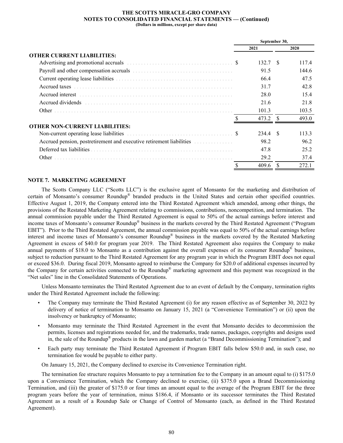|                                                                                                                                                                                                                                | September 30, |    |       |
|--------------------------------------------------------------------------------------------------------------------------------------------------------------------------------------------------------------------------------|---------------|----|-------|
|                                                                                                                                                                                                                                | 2021          |    | 2020  |
| <b>OTHER CURRENT LIABILITIES:</b>                                                                                                                                                                                              |               |    |       |
| Advertising and promotional accruals entertainment and the state of the state of the state of the state of the state of the state of the state of the state of the state of the state of the state of the state of the state o | 132.7         | -S | 1174  |
| Payroll and other compensation accruals entertainment of the contract of the contract of the contract of the contract of the contract of the contract of the contract of the contract of the contract of the contract of the c | 91.5          |    | 144.6 |
|                                                                                                                                                                                                                                | 66.4          |    | 47.5  |
| Accrued taxes                                                                                                                                                                                                                  | 31.7          |    | 42.8  |
| Accrued interest                                                                                                                                                                                                               | 28.0          |    | 15.4  |
| Accrued dividends                                                                                                                                                                                                              | 21.6          |    | 21.8  |
| Other                                                                                                                                                                                                                          | 101.3         |    | 103.5 |
|                                                                                                                                                                                                                                | 473.2         |    | 493.0 |
| <b>OTHER NON-CURRENT LIABILITIES:</b>                                                                                                                                                                                          |               |    |       |
| Non-current operating lease liabilities                                                                                                                                                                                        | 234.4         | -S | 1133  |
| Accrued pension, postretirement and executive retirement liabilities                                                                                                                                                           | 98.2          |    | 96.2  |
| Deferred tax liabilities                                                                                                                                                                                                       | 47.8          |    | 25.2  |
| Other                                                                                                                                                                                                                          | 29.2          |    | 37.4  |
|                                                                                                                                                                                                                                | 409.6         |    | 272.1 |

# **NOTE 7. MARKETING AGREEMENT**

The Scotts Company LLC ("Scotts LLC") is the exclusive agent of Monsanto for the marketing and distribution of certain of Monsanto's consumer Roundup® branded products in the United States and certain other specified countries. Effective August 1, 2019, the Company entered into the Third Restated Agreement which amended, among other things, the provisions of the Restated Marketing Agreement relating to commissions, contributions, noncompetition, and termination. The annual commission payable under the Third Restated Agreement is equal to 50% of the actual earnings before interest and income taxes of Monsanto's consumer Roundup® business in the markets covered by the Third Restated Agreement ("Program EBIT"). Prior to the Third Restated Agreement, the annual commission payable was equal to 50% of the actual earnings before interest and income taxes of Monsanto's consumer Roundup® business in the markets covered by the Restated Marketing Agreement in excess of \$40.0 for program year 2019. The Third Restated Agreement also requires the Company to make annual payments of \$18.0 to Monsanto as a contribution against the overall expenses of its consumer Roundup<sup>®</sup> business, subject to reduction pursuant to the Third Restated Agreement for any program year in which the Program EBIT does not equal or exceed \$36.0. During fiscal 2019, Monsanto agreed to reimburse the Company for \$20.0 of additional expenses incurred by the Company for certain activities connected to the Roundup® marketing agreement and this payment was recognized in the "Net sales" line in the Consolidated Statements of Operations.

Unless Monsanto terminates the Third Restated Agreement due to an event of default by the Company, termination rights under the Third Restated Agreement include the following:

- The Company may terminate the Third Restated Agreement (i) for any reason effective as of September 30, 2022 by delivery of notice of termination to Monsanto on January 15, 2021 (a "Convenience Termination") or (ii) upon the insolvency or bankruptcy of Monsanto;
- Monsanto may terminate the Third Restated Agreement in the event that Monsanto decides to decommission the permits, licenses and registrations needed for, and the trademarks, trade names, packages, copyrights and designs used in, the sale of the Roundup® products in the lawn and garden market (a "Brand Decommissioning Termination"); and
- Each party may terminate the Third Restated Agreement if Program EBIT falls below \$50.0 and, in such case, no termination fee would be payable to either party.

On January 15, 2021, the Company declined to exercise its Convenience Termination right.

The termination fee structure requires Monsanto to pay a termination fee to the Company in an amount equal to (i) \$175.0 upon a Convenience Termination, which the Company declined to exercise, (ii) \$375.0 upon a Brand Decommissioning Termination, and (iii) the greater of \$175.0 or four times an amount equal to the average of the Program EBIT for the three program years before the year of termination, minus \$186.4, if Monsanto or its successor terminates the Third Restated Agreement as a result of a Roundup Sale or Change of Control of Monsanto (each, as defined in the Third Restated Agreement).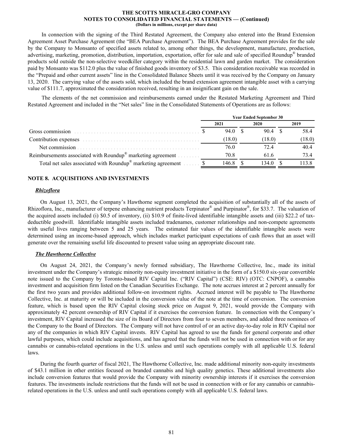In connection with the signing of the Third Restated Agreement, the Company also entered into the Brand Extension Agreement Asset Purchase Agreement (the "BEA Purchase Agreement"). The BEA Purchase Agreement provides for the sale by the Company to Monsanto of specified assets related to, among other things, the development, manufacture, production, advertising, marketing, promotion, distribution, importation, exportation, offer for sale and sale of specified Roundup® branded products sold outside the non-selective weedkiller category within the residential lawn and garden market. The consideration paid by Monsanto was \$112.0 plus the value of finished goods inventory of \$3.5. This consideration receivable was recorded in the "Prepaid and other current assets" line in the Consolidated Balance Sheets until it was received by the Company on January 13, 2020. The carrying value of the assets sold, which included the brand extension agreement intangible asset with a carrying value of \$111.7, approximated the consideration received, resulting in an insignificant gain on the sale.

The elements of the net commission and reimbursements earned under the Restated Marketing Agreement and Third Restated Agreement and included in the "Net sales" line in the Consolidated Statements of Operations are as follows:

|                                                                          | <b>Year Ended September 30</b> |         |  |        |  |        |  |  |
|--------------------------------------------------------------------------|--------------------------------|---------|--|--------|--|--------|--|--|
|                                                                          | 2020<br>2021                   |         |  |        |  | 2019   |  |  |
| Gross commission                                                         |                                | 94.0 \$ |  | 90.4   |  | 58.4   |  |  |
|                                                                          |                                | (18.0)  |  | (18.0) |  | (18.0) |  |  |
| Net commission                                                           |                                | 76.0    |  | 72.4   |  | 40.4   |  |  |
| Reimbursements associated with Roundup <sup>®</sup> marketing agreement  |                                | 70.8    |  | 61.6   |  | 734    |  |  |
| Total net sales associated with Roundup <sup>®</sup> marketing agreement |                                | 146.8   |  | 134.0  |  |        |  |  |

# **NOTE 8. ACQUISITIONS AND INVESTMENTS**

# *Rhizoflora*

On August 13, 2021, the Company's Hawthorne segment completed the acquisition of substantially all of the assets of Rhizoflora, Inc., manufacturer of terpene enhancing nutrient products Terpinator® and Purpinator®, for \$33.7. The valuation of the acquired assets included (i) \$0.5 of inventory, (ii) \$10.9 of finite-lived identifiable intangible assets and (iii) \$22.2 of taxdeductible goodwill. Identifiable intangible assets included tradenames, customer relationships and non-compete agreements with useful lives ranging between 5 and 25 years. The estimated fair values of the identifiable intangible assets were determined using an income-based approach, which includes market participant expectations of cash flows that an asset will generate over the remaining useful life discounted to present value using an appropriate discount rate.

# *The Hawthorne Collective*

On August 24, 2021, the Company's newly formed subsidiary, The Hawthorne Collective, Inc., made its initial investment under the Company's strategic minority non-equity investment initiative in the form of a \$150.0 six-year convertible note issued to the Company by Toronto-based RIV Capital Inc. ("RIV Capital") (CSE: RIV) (OTC: CNPOF), a cannabis investment and acquisition firm listed on the Canadian Securities Exchange. The note accrues interest at 2 percent annually for the first two years and provides additional follow-on investment rights. Accrued interest will be payable to The Hawthorne Collective, Inc. at maturity or will be included in the conversion value of the note at the time of conversion. The conversion feature, which is based upon the RIV Capital closing stock price on August 9, 2021, would provide the Company with approximately 42 percent ownership of RIV Capital if it exercises the conversion feature. In connection with the Company's investment, RIV Capital increased the size of its Board of Directors from four to seven members, and added three nominees of the Company to the Board of Directors. The Company will not have control of or an active day-to-day role in RIV Capital nor any of the companies in which RIV Capital invests. RIV Capital has agreed to use the funds for general corporate and other lawful purposes, which could include acquisitions, and has agreed that the funds will not be used in connection with or for any cannabis or cannabis-related operations in the U.S. unless and until such operations comply with all applicable U.S. federal laws.

During the fourth quarter of fiscal 2021, The Hawthorne Collective, Inc. made additional minority non-equity investments of \$43.1 million in other entities focused on branded cannabis and high quality genetics. These additional investments also include conversion features that would provide the Company with minority ownership interests if it exercises the conversion features. The investments include restrictions that the funds will not be used in connection with or for any cannabis or cannabisrelated operations in the U.S. unless and until such operations comply with all applicable U.S. federal laws.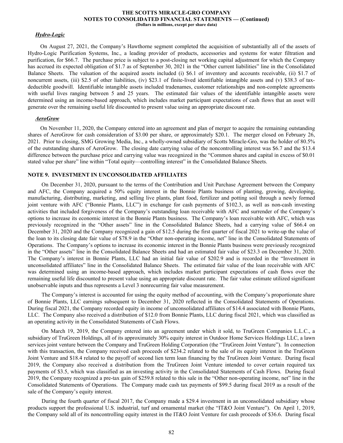#### *Hydro-Logic*

On August 27, 2021, the Company's Hawthorne segment completed the acquisition of substantially all of the assets of Hydro-Logic Purification Systems, Inc., a leading provider of products, accessories and systems for water filtration and purification, for \$66.7. The purchase price is subject to a post-closing net working capital adjustment for which the Company has accrued its expected obligation of \$1.7 as of September 30, 2021 in the "Other current liabilities" line in the Consolidated Balance Sheets. The valuation of the acquired assets included (i) \$6.1 of inventory and accounts receivable, (ii) \$1.7 of noncurrent assets, (iii) \$2.5 of other liabilities, (iv) \$23.1 of finite-lived identifiable intangible assets and (v) \$38.3 of taxdeductible goodwill. Identifiable intangible assets included tradenames, customer relationships and non-complete agreements with useful lives ranging between 5 and 25 years. The estimated fair values of the identifiable intangible assets were determined using an income-based approach, which includes market participant expectations of cash flows that an asset will generate over the remaining useful life discounted to present value using an appropriate discount rate.

#### *AeroGrow*

On November 11, 2020, the Company entered into an agreement and plan of merger to acquire the remaining outstanding shares of AeroGrow for cash consideration of \$3.00 per share, or approximately \$20.1. The merger closed on February 26, 2021. Prior to closing, SMG Growing Media, Inc., a wholly-owned subsidiary of Scotts Miracle-Gro, was the holder of 80.5% of the outstanding shares of AeroGrow. The closing date carrying value of the noncontrolling interest was \$6.7 and the \$13.4 difference between the purchase price and carrying value was recognized in the "Common shares and capital in excess of \$0.01 stated value per share" line within "Total equity—controlling interest" in the Consolidated Balance Sheets.

# **NOTE 9. INVESTMENT IN UNCONSOLIDATED AFFILIATES**

On December 31, 2020, pursuant to the terms of the Contribution and Unit Purchase Agreement between the Company and AFC, the Company acquired a 50% equity interest in the Bonnie Plants business of planting, growing, developing, manufacturing, distributing, marketing, and selling live plants, plant food, fertilizer and potting soil through a newly formed joint venture with AFC ("Bonnie Plants, LLC") in exchange for cash payments of \$102.3, as well as non-cash investing activities that included forgiveness of the Company's outstanding loan receivable with AFC and surrender of the Company's options to increase its economic interest in the Bonnie Plants business. The Company's loan receivable with AFC, which was previously recognized in the "Other assets" line in the Consolidated Balance Sheets, had a carrying value of \$66.4 on December 31, 2020 and the Company recognized a gain of \$12.5 during the first quarter of fiscal 2021 to write-up the value of the loan to its closing date fair value of \$78.9 in the "Other non-operating income, net" line in the Consolidated Statements of Operations. The Company's options to increase its economic interest in the Bonnie Plants business were previously recognized in the "Other assets" line in the Consolidated Balance Sheets and had an estimated fair value of \$23.3 on December 31, 2020. The Company's interest in Bonnie Plants, LLC had an initial fair value of \$202.9 and is recorded in the "Investment in unconsolidated affiliates" line in the Consolidated Balance Sheets. The estimated fair value of the loan receivable with AFC was determined using an income-based approach, which includes market participant expectations of cash flows over the remaining useful life discounted to present value using an appropriate discount rate. The fair value estimate utilized significant unobservable inputs and thus represents a Level 3 nonrecurring fair value measurement.

The Company's interest is accounted for using the equity method of accounting, with the Company's proportionate share of Bonnie Plants, LLC earnings subsequent to December 31, 2020 reflected in the Consolidated Statements of Operations. During fiscal 2021, the Company recorded equity in income of unconsolidated affiliates of \$14.4 associated with Bonnie Plants, LLC. The Company also received a distribution of \$12.0 from Bonnie Plants, LLC during fiscal 2021, which was classified as an operating activity in the Consolidated Statements of Cash Flows.

On March 19, 2019, the Company entered into an agreement under which it sold, to TruGreen Companies L.L.C., a subsidiary of TruGreen Holdings, all of its approximately 30% equity interest in Outdoor Home Services Holdings LLC, a lawn services joint venture between the Company and TruGreen Holding Corporation (the "TruGreen Joint Venture"). In connection with this transaction, the Company received cash proceeds of \$234.2 related to the sale of its equity interest in the TruGreen Joint Venture and \$18.4 related to the payoff of second lien term loan financing by the TruGreen Joint Venture. During fiscal 2019, the Company also received a distribution from the TruGreen Joint Venture intended to cover certain required tax payments of \$3.5, which was classified as an investing activity in the Consolidated Statements of Cash Flows. During fiscal 2019, the Company recognized a pre-tax gain of \$259.8 related to this sale in the "Other non-operating income, net" line in the Consolidated Statements of Operations. The Company made cash tax payments of \$99.5 during fiscal 2019 as a result of the sale of the Company's equity interest.

During the fourth quarter of fiscal 2017, the Company made a \$29.4 investment in an unconsolidated subsidiary whose products support the professional U.S. industrial, turf and ornamental market (the "IT&O Joint Venture"). On April 1, 2019, the Company sold all of its noncontrolling equity interest in the IT&O Joint Venture for cash proceeds of \$36.6. During fiscal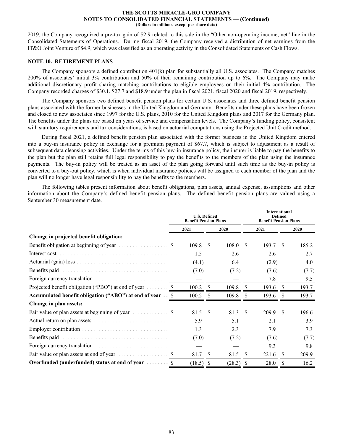2019, the Company recognized a pre-tax gain of \$2.9 related to this sale in the "Other non-operating income, net" line in the Consolidated Statements of Operations. During fiscal 2019, the Company received a distribution of net earnings from the IT&O Joint Venture of \$4.9, which was classified as an operating activity in the Consolidated Statements of Cash Flows.

# **NOTE 10. RETIREMENT PLANS**

The Company sponsors a defined contribution 401(k) plan for substantially all U.S. associates. The Company matches 200% of associates' initial 3% contribution and 50% of their remaining contribution up to 6%. The Company may make additional discretionary profit sharing matching contributions to eligible employees on their initial 4% contribution. The Company recorded charges of \$30.1, \$27.7 and \$18.9 under the plan in fiscal 2021, fiscal 2020 and fiscal 2019, respectively.

The Company sponsors two defined benefit pension plans for certain U.S. associates and three defined benefit pension plans associated with the former businesses in the United Kingdom and Germany. Benefits under these plans have been frozen and closed to new associates since 1997 for the U.S. plans, 2010 for the United Kingdom plans and 2017 for the Germany plan. The benefits under the plans are based on years of service and compensation levels. The Company's funding policy, consistent with statutory requirements and tax considerations, is based on actuarial computations using the Projected Unit Credit method.

During fiscal 2021, a defined benefit pension plan associated with the former business in the United Kingdom entered into a buy-in insurance policy in exchange for a premium payment of \$67.7, which is subject to adjustment as a result of subsequent data cleansing activities. Under the terms of this buy-in insurance policy, the insurer is liable to pay the benefits to the plan but the plan still retains full legal responsibility to pay the benefits to the members of the plan using the insurance payments. The buy-in policy will be treated as an asset of the plan going forward until such time as the buy-in policy is converted to a buy-out policy, which is when individual insurance policies will be assigned to each member of the plan and the plan will no longer have legal responsibility to pay the benefits to the members.

The following tables present information about benefit obligations, plan assets, annual expense, assumptions and other information about the Company's defined benefit pension plans. The defined benefit pension plans are valued using a September 30 measurement date.

|                                                                                                                                                                                                                                |    | <b>U.S. Defined</b><br><b>Benefit Pension Plans</b> |               |        |    | <b>International</b><br><b>Defined</b><br><b>Benefit Pension Plans</b> |              |       |
|--------------------------------------------------------------------------------------------------------------------------------------------------------------------------------------------------------------------------------|----|-----------------------------------------------------|---------------|--------|----|------------------------------------------------------------------------|--------------|-------|
|                                                                                                                                                                                                                                |    | 2021                                                |               | 2020   |    | 2021                                                                   |              | 2020  |
| Change in projected benefit obligation:                                                                                                                                                                                        |    |                                                     |               |        |    |                                                                        |              |       |
| Benefit obligation at beginning of year                                                                                                                                                                                        | -S | 109.8                                               | -S            | 108.0  | -S | 193.7                                                                  | -S           | 185.2 |
| Interest cost                                                                                                                                                                                                                  |    | 1.5                                                 |               | 2.6    |    | 2.6                                                                    |              | 2.7   |
|                                                                                                                                                                                                                                |    | (4.1)                                               |               | 6.4    |    | (2.9)                                                                  |              | 4.0   |
| Benefits paid                                                                                                                                                                                                                  |    | (7.0)                                               |               | (7.2)  |    | (7.6)                                                                  |              | (7.7) |
| Foreign currency translation                                                                                                                                                                                                   |    |                                                     |               |        |    | 7.8                                                                    |              | 9.5   |
| Projected benefit obligation ("PBO") at end of year                                                                                                                                                                            |    | 100.2                                               | <sup>\$</sup> | 109.8  | -S | 193.6                                                                  | -S           | 193.7 |
| Accumulated benefit obligation ("ABO") at end of year.                                                                                                                                                                         |    | 100.2                                               |               | 109.8  | -S | 193.6                                                                  | <sup>S</sup> | 193.7 |
| Change in plan assets:                                                                                                                                                                                                         |    |                                                     |               |        |    |                                                                        |              |       |
| Fair value of plan assets at beginning of year <i>manufacture</i> \$                                                                                                                                                           |    | 81.5                                                | - \$          | 81.3   | -S | $209.9$ \$                                                             |              | 196.6 |
|                                                                                                                                                                                                                                |    | 5.9                                                 |               | 5.1    |    | 2.1                                                                    |              | 3.9   |
|                                                                                                                                                                                                                                |    | 1.3                                                 |               | 2.3    |    | 7.9                                                                    |              | 7.3   |
| Benefits paid                                                                                                                                                                                                                  |    | (7.0)                                               |               | (7.2)  |    | (7.6)                                                                  |              | (7.7) |
| Foreign currency translation entertainment of the state of the state of the state of the state of the state of the state of the state of the state of the state of the state of the state of the state of the state of the sta |    |                                                     |               |        |    | 9.3                                                                    |              | 9.8   |
| Fair value of plan assets at end of year <i>manufacture of s</i>                                                                                                                                                               |    | 81.7                                                |               | 81.5   |    | 221.6                                                                  |              | 209.9 |
| Overfunded (underfunded) status at end of year  \$                                                                                                                                                                             |    | $(18.5)$ \$                                         |               | (28.3) | -S | 28.0                                                                   |              | 16.2  |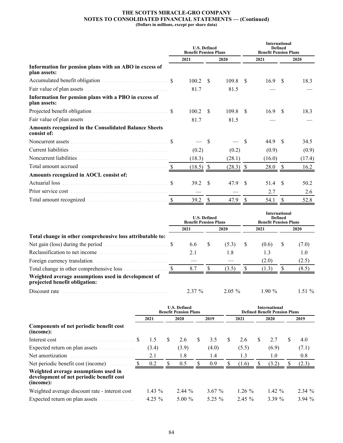|                                                                             |               | <b>U.S. Defined</b><br><b>Benefit Pension Plans</b> |               |             |               | <b>International</b><br><b>Benefit Pension Plans</b> |      |        |
|-----------------------------------------------------------------------------|---------------|-----------------------------------------------------|---------------|-------------|---------------|------------------------------------------------------|------|--------|
|                                                                             |               | 2021                                                |               | 2020        |               | 2021                                                 |      | 2020   |
| Information for pension plans with an ABO in excess of<br>plan assets:      |               |                                                     |               |             |               |                                                      |      |        |
|                                                                             |               | 100.2                                               | -S            | 109.8       | -S            | 16.9                                                 | -\$  | 18.3   |
| Fair value of plan assets.                                                  |               | 81.7                                                |               | 81.5        |               |                                                      |      |        |
| Information for pension plans with a PBO in excess of<br>plan assets:       |               |                                                     |               |             |               |                                                      |      |        |
|                                                                             |               | 100.2                                               | -S            | 109.8       | $\mathcal{S}$ | 16.9                                                 | - \$ | 18.3   |
|                                                                             |               | 81.7                                                |               | 81.5        |               |                                                      |      |        |
| <b>Amounts recognized in the Consolidated Balance Sheets</b><br>consist of: |               |                                                     |               |             |               |                                                      |      |        |
| Noncurrent assets                                                           |               |                                                     | -S            |             | <sup>\$</sup> | 44.9                                                 | -\$  | 34.5   |
| Current liabilities                                                         |               | (0.2)                                               |               | (0.2)       |               | (0.9)                                                |      | (0.9)  |
| Noncurrent liabilities                                                      |               | (18.3)                                              |               | (28.1)      |               | (16.0)                                               |      | (17.4) |
| Total amount accrued                                                        | <sup>\$</sup> | (18.5)                                              | <sup>\$</sup> | $(28.3)$ \$ |               | 28.0                                                 | \$   | 16.2   |
| Amounts recognized in AOCL consist of:                                      |               |                                                     |               |             |               |                                                      |      |        |
| <b>Actuarial</b> loss                                                       | -S            | 39.2 S                                              |               | 47.9 \$     |               | 51.4 \$                                              |      | 50.2   |
| Prior service cost                                                          |               |                                                     |               |             |               | 2.7                                                  |      | 2.6    |
|                                                                             |               | 39.2                                                | \$.           | 47.9        | -S            | 54.1                                                 | \$.  | 52.8   |

|                                                                                      | <b>U.S. Defined</b><br><b>Benefit Pension Plans</b> |   |          | <b>International</b><br><b>Defined</b><br><b>Benefit Pension Plans</b> |          |   |          |
|--------------------------------------------------------------------------------------|-----------------------------------------------------|---|----------|------------------------------------------------------------------------|----------|---|----------|
|                                                                                      | 2021                                                |   | 2020     |                                                                        | 2021     |   | 2020     |
| Total change in other comprehensive loss attributable to:                            |                                                     |   |          |                                                                        |          |   |          |
|                                                                                      | 6.6                                                 | S | (5.3)    | S                                                                      | (0.6)    | S | (7.0)    |
| Reclassification to net income                                                       | 2.1                                                 |   | 1.8      |                                                                        | 1.3      |   | 1.0      |
| Foreign currency translation                                                         |                                                     |   |          |                                                                        | (2.0)    |   | (2.5)    |
|                                                                                      | 8.7                                                 |   | (3.5)    |                                                                        | (1.3)    |   | (8.5)    |
| Weighted average assumptions used in development of<br>projected benefit obligation: |                                                     |   |          |                                                                        |          |   |          |
| Discount rate                                                                        | $2.37\%$                                            |   | $2.05\%$ |                                                                        | $1.90\%$ |   | $1.51\%$ |

|                                                                                               | <b>U.S. Defined</b><br><b>Benefit Pension Plans</b> |    |          |    | <b>International</b><br><b>Defined Benefit Pension Plans</b> |     |           |    |           |    |          |
|-----------------------------------------------------------------------------------------------|-----------------------------------------------------|----|----------|----|--------------------------------------------------------------|-----|-----------|----|-----------|----|----------|
|                                                                                               | 2021                                                |    | 2020     |    | 2019                                                         |     | 2021      |    | 2020      |    | 2019     |
| Components of net periodic benefit cost<br>(income):                                          |                                                     |    |          |    |                                                              |     |           |    |           |    |          |
| Interest cost                                                                                 | 1.5                                                 | \$ | 2.6      | S. | 3.5                                                          | \$. | 2.6       | S. | 2.7       | S. | 4.0      |
| Expected return on plan assets                                                                | (3.4)                                               |    | (3.9)    |    | (4.0)                                                        |     | (5.5)     |    | (6.9)     |    | (7.1)    |
| Net amortization                                                                              | 2.1                                                 |    | 1.8      |    | 1.4                                                          |     | 1.3       |    | 1.0       |    | 0.8      |
| Net periodic benefit cost (income)                                                            | 0.2                                                 |    | 0.5      | S  | 0.9                                                          |     | (1.6)     |    | (3.2)     |    | (2.3)    |
| Weighted average assumptions used in<br>development of net periodic benefit cost<br>(income): |                                                     |    |          |    |                                                              |     |           |    |           |    |          |
| Weighted average discount rate - interest cost                                                | $1.43\%$                                            |    | $2.44\%$ |    | $3.67\%$                                                     |     | $1.26 \%$ |    | $1.42 \%$ |    | $2.34\%$ |
| Expected return on plan assets                                                                | $4.25 \%$                                           |    | $5.00\%$ |    | $5.25 \%$                                                    |     | $2.45\%$  |    | $3.39 \%$ |    | 3.94%    |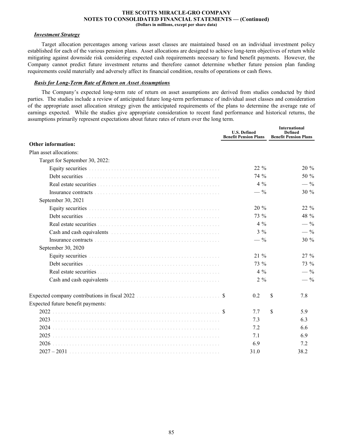## *Investment Strategy*

Target allocation percentages among various asset classes are maintained based on an individual investment policy established for each of the various pension plans. Asset allocations are designed to achieve long-term objectives of return while mitigating against downside risk considering expected cash requirements necessary to fund benefit payments. However, the Company cannot predict future investment returns and therefore cannot determine whether future pension plan funding requirements could materially and adversely affect its financial condition, results of operations or cash flows.

## *Basis for Long-Term Rate of Return on Asset Assumptions*

The Company's expected long-term rate of return on asset assumptions are derived from studies conducted by third parties. The studies include a review of anticipated future long-term performance of individual asset classes and consideration of the appropriate asset allocation strategy given the anticipated requirements of the plans to determine the average rate of earnings expected. While the studies give appropriate consideration to recent fund performance and historical returns, the assumptions primarily represent expectations about future rates of return over the long term.

|                                                                                                                                                                                                                                | <b>U.S. Defined</b><br><b>Benefit Pension Plans</b> |                | International<br><b>Defined</b><br><b>Benefit Pension Plans</b> |
|--------------------------------------------------------------------------------------------------------------------------------------------------------------------------------------------------------------------------------|-----------------------------------------------------|----------------|-----------------------------------------------------------------|
| Other information:                                                                                                                                                                                                             |                                                     |                |                                                                 |
| Plan asset allocations:                                                                                                                                                                                                        |                                                     |                |                                                                 |
| Target for September 30, 2022:                                                                                                                                                                                                 |                                                     |                |                                                                 |
|                                                                                                                                                                                                                                | 22 %                                                |                | 20 %                                                            |
|                                                                                                                                                                                                                                | $74\%$                                              |                | 50 %                                                            |
|                                                                                                                                                                                                                                |                                                     | $4\%$          | $-$ %                                                           |
| Insurance contracts                                                                                                                                                                                                            | $-$ %                                               |                | 30 %                                                            |
| September 30, 2021                                                                                                                                                                                                             |                                                     |                |                                                                 |
|                                                                                                                                                                                                                                | $20\%$                                              |                | $22\%$                                                          |
|                                                                                                                                                                                                                                | 73 %                                                |                | 48 %                                                            |
|                                                                                                                                                                                                                                |                                                     | $4\%$          | $-$ %                                                           |
| Cash and cash equivalents entertainment and the cash of the cash of the cash of the cash of the cash of the cash of the cash of the cash of the cash of the cash of the cash of the cash of the cash of the cash of the cash o |                                                     | $3\frac{9}{6}$ | $-$ %                                                           |
|                                                                                                                                                                                                                                | $-$ %                                               |                | 30 %                                                            |
| September 30, 2020                                                                                                                                                                                                             |                                                     |                |                                                                 |
|                                                                                                                                                                                                                                | $21\%$                                              |                | 27%                                                             |
|                                                                                                                                                                                                                                | 73 %                                                |                | 73 %                                                            |
|                                                                                                                                                                                                                                |                                                     | $4\%$          | $-$ %                                                           |
| Cash and cash equivalents entertainment and the cash of the cash of the cash of the cash of the cash of the cash of the cash of the cash of the cash of the cash of the cash of the cash of the cash of the cash of the cash o |                                                     | $2\%$          | $-$ %                                                           |
|                                                                                                                                                                                                                                | 0.2<br>-S                                           |                | <sup>\$</sup><br>7.8                                            |
| Expected future benefit payments:                                                                                                                                                                                              |                                                     |                |                                                                 |
| 2022                                                                                                                                                                                                                           | 7.7                                                 |                | <sup>\$</sup><br>5.9                                            |
|                                                                                                                                                                                                                                | 73                                                  |                | 6.3                                                             |
|                                                                                                                                                                                                                                | 7.2                                                 |                | 6.6                                                             |
| 2025                                                                                                                                                                                                                           | 7.1                                                 |                | 6.9                                                             |
| 2026                                                                                                                                                                                                                           | 6.9                                                 |                | 7.2                                                             |
|                                                                                                                                                                                                                                | 31.0                                                |                | 38.2                                                            |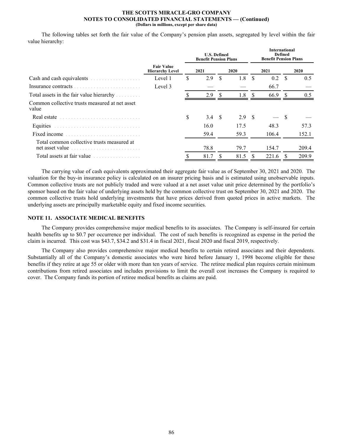The following tables set forth the fair value of the Company's pension plan assets, segregated by level within the fair value hierarchy:

|                                                               |                                             | <b>U.S. Defined</b><br><b>Benefit Pension Plans</b> |    |                  |    | International<br><b>Defined</b><br><b>Benefit Pension Plans</b> |    |       |  |
|---------------------------------------------------------------|---------------------------------------------|-----------------------------------------------------|----|------------------|----|-----------------------------------------------------------------|----|-------|--|
|                                                               | <b>Fair Value</b><br><b>Hierarchy Level</b> | 2021                                                |    | 2020             |    | 2021                                                            |    | 2020  |  |
|                                                               | Level 1                                     | \$<br>2.9                                           | -S | 1.8              | -S | 0.2                                                             | -S | 0.5   |  |
| Insurance contracts                                           | Level 3                                     |                                                     |    |                  |    | 66.7                                                            |    |       |  |
| Total assets in the fair value hierarchy                      |                                             | 2.9                                                 |    | 1.8              |    | 66.9                                                            |    | 0.5   |  |
| Common collective trusts measured at net asset<br>value       |                                             |                                                     |    |                  |    |                                                                 |    |       |  |
| Real estate                                                   |                                             | \$<br>$3.4 \quad S$                                 |    | 2.9 <sup>5</sup> |    |                                                                 | -S |       |  |
| Equities                                                      |                                             | 16.0                                                |    | 17.5             |    | 48.3                                                            |    | 57.3  |  |
| Fixed income                                                  |                                             | 59.4                                                |    | 59.3             |    | 106.4                                                           |    | 152.1 |  |
| Total common collective trusts measured at<br>net asset value |                                             | 78.8                                                |    | 79.7             |    | 154.7                                                           |    | 209.4 |  |
| Total assets at fair value<br>.                               |                                             | 81.7                                                | £. | 81.5             |    | 221.6                                                           |    | 209.9 |  |

The carrying value of cash equivalents approximated their aggregate fair value as of September 30, 2021 and 2020. The valuation for the buy-in insurance policy is calculated on an insurer pricing basis and is estimated using unobservable inputs. Common collective trusts are not publicly traded and were valued at a net asset value unit price determined by the portfolio's sponsor based on the fair value of underlying assets held by the common collective trust on September 30, 2021 and 2020. The common collective trusts hold underlying investments that have prices derived from quoted prices in active markets. The underlying assets are principally marketable equity and fixed income securities.

# **NOTE 11. ASSOCIATE MEDICAL BENEFITS**

The Company provides comprehensive major medical benefits to its associates. The Company is self-insured for certain health benefits up to \$0.7 per occurrence per individual. The cost of such benefits is recognized as expense in the period the claim is incurred. This cost was \$43.7, \$34.2 and \$31.4 in fiscal 2021, fiscal 2020 and fiscal 2019, respectively.

The Company also provides comprehensive major medical benefits to certain retired associates and their dependents. Substantially all of the Company's domestic associates who were hired before January 1, 1998 become eligible for these benefits if they retire at age 55 or older with more than ten years of service. The retiree medical plan requires certain minimum contributions from retired associates and includes provisions to limit the overall cost increases the Company is required to cover. The Company funds its portion of retiree medical benefits as claims are paid.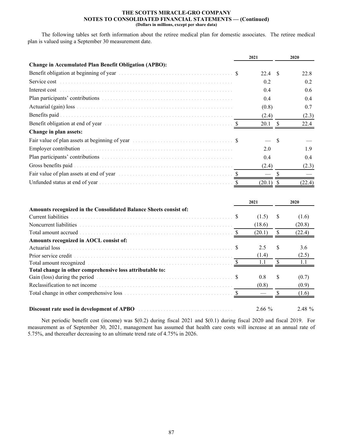The following tables set forth information about the retiree medical plan for domestic associates. The retiree medical plan is valued using a September 30 measurement date.

|                                                                                                                | 2021        | 2020      |
|----------------------------------------------------------------------------------------------------------------|-------------|-----------|
| <b>Change in Accumulated Plan Benefit Obligation (APBO):</b>                                                   |             |           |
|                                                                                                                | 22.4 \$     | 22.8      |
|                                                                                                                | 0.2         | 0.2       |
| Interest cost                                                                                                  | 0.4         | 0.6       |
| Plan participants' contributions entertainment and the participants' contributions are expected.               | 0.4         | 0.4       |
|                                                                                                                | (0.8)       | 0.7       |
| Benefits paid                                                                                                  | (2.4)       | (2.3)     |
|                                                                                                                | 20.1        | S<br>22.4 |
| Change in plan assets:                                                                                         |             |           |
| Fair value of plan assets at beginning of year encouragement of the state of plan assets at beginning of year  |             | \$.       |
|                                                                                                                | 2.0         | 1.9       |
| Plan participants' contributions entertainment and the participants' contributions are expected.               | 0.4         | 0.4       |
| Gross benefits paid                                                                                            | (2.4)       | (2.3)     |
| Fair value of plan assets at end of year entertainment of year and set of year and set of year and set of year |             |           |
|                                                                                                                | $(20.1)$ \$ | (22.4)    |

|                                                                                                                                                                                                                                |               | 2021     |               | 2020   |
|--------------------------------------------------------------------------------------------------------------------------------------------------------------------------------------------------------------------------------|---------------|----------|---------------|--------|
| Amounts recognized in the Consolidated Balance Sheets consist of:                                                                                                                                                              |               |          |               |        |
| Current liabilities                                                                                                                                                                                                            | $\mathcal{S}$ | (1.5)    | <sup>\$</sup> | (1.6)  |
| Noncurrent liabilities                                                                                                                                                                                                         |               | (18.6)   |               | (20.8) |
| Total amount accrued                                                                                                                                                                                                           |               | (20.1)   |               | (22.4) |
| Amounts recognized in AOCL consist of:                                                                                                                                                                                         |               |          |               |        |
|                                                                                                                                                                                                                                | -S            | 2.5      | \$.           | 3.6    |
|                                                                                                                                                                                                                                |               | (1.4)    |               | (2.5)  |
| Total amount recognized entertainment is a series of the series of the series of the series of the series of the series of the series of the series of the series of the series of the series of the series of the series of t |               |          |               | 1.1    |
| Total change in other comprehensive loss attributable to:                                                                                                                                                                      |               |          |               |        |
| Gain (loss) during the period entertainment of the state of the state of the state of the state of the state of $\frac{1}{2}$                                                                                                  |               | 0.8      | S             | (0.7)  |
| Reclassification to net income contained and the contained and the contact the contact of the contact of the contact of the contact of the contact of the contact of the contact of the contact of the contact of the contact  |               | (0.8)    |               | (0.9)  |
|                                                                                                                                                                                                                                |               |          |               | (1.6)  |
| Discount rate used in development of APBO ACCOMMUNISM                                                                                                                                                                          |               | $2.66\%$ |               | 2.48 % |

Net periodic benefit cost (income) was \$(0.2) during fiscal 2021 and \$(0.1) during fiscal 2020 and fiscal 2019. For measurement as of September 30, 2021, management has assumed that health care costs will increase at an annual rate of 5.75%, and thereafter decreasing to an ultimate trend rate of 4.75% in 2026.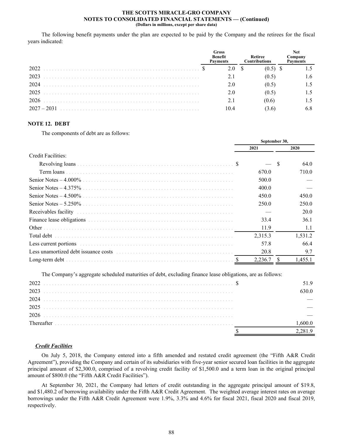The following benefit payments under the plan are expected to be paid by the Company and the retirees for the fiscal years indicated:

|               | $-105c$<br>Renefit<br>Payments | Retiree<br>Contributions |  |
|---------------|--------------------------------|--------------------------|--|
| 2022          |                                |                          |  |
| 2023          |                                |                          |  |
| 2024          |                                |                          |  |
| 2025          |                                |                          |  |
| 2026          |                                |                          |  |
| $2027 - 2031$ |                                |                          |  |

# **NOTE 12. DEBT**

The components of debt are as follows:

|                                                                                                                                                                                                                                | September 30, |           |  |
|--------------------------------------------------------------------------------------------------------------------------------------------------------------------------------------------------------------------------------|---------------|-----------|--|
|                                                                                                                                                                                                                                | 2021          | 2020      |  |
| Credit Facilities:                                                                                                                                                                                                             |               |           |  |
|                                                                                                                                                                                                                                |               | S<br>64.0 |  |
| Term loans                                                                                                                                                                                                                     | 670.0         | 710.0     |  |
|                                                                                                                                                                                                                                | 500.0         |           |  |
| Senior Notes – $4.375\%$                                                                                                                                                                                                       | 400.0         |           |  |
| Senior Notes – $4.500\%$                                                                                                                                                                                                       | 450.0         | 450.0     |  |
|                                                                                                                                                                                                                                | 250.0         | 250 Q     |  |
|                                                                                                                                                                                                                                |               | 20.0      |  |
| Finance lease obligations entertainment of the contract of the state of the state of the state of the state of the state of the state of the state of the state of the state of the state of the state of the state of the sta | 33.4          | 36.1      |  |
| Other                                                                                                                                                                                                                          | 11.9          | 1.1       |  |
|                                                                                                                                                                                                                                | 2,315.3       | 1,531.2   |  |
| Less current portions in the continuum contract the contract of the contract of the contract of the contract of the contract of the contract of the contract of the contract of the contract of the contract of the contract o | 57.8          | 66.4      |  |
| Less unamortized debt issuance costs entertainment in the state of the state of the state of the state of the state of the state of the state of the state of the state of the state of the state of the state of the state of | 20.8          | 9.7       |  |
| Long-term debt.                                                                                                                                                                                                                | 2,236.7       | 1,455.1   |  |

The Company's aggregate scheduled maturities of debt, excluding finance lease obligations, are as follows:

| 2022 | 51.9 |
|------|------|
| 2023 |      |
| 2024 |      |
| 2025 |      |
| 2026 |      |
|      |      |
|      |      |

# *Credit Facilities*

On July 5, 2018, the Company entered into a fifth amended and restated credit agreement (the "Fifth A&R Credit Agreement"), providing the Company and certain of its subsidiaries with five-year senior secured loan facilities in the aggregate principal amount of \$2,300.0, comprised of a revolving credit facility of \$1,500.0 and a term loan in the original principal amount of \$800.0 (the "Fifth A&R Credit Facilities").

At September 30, 2021, the Company had letters of credit outstanding in the aggregate principal amount of \$19.8, and \$1,480.2 of borrowing availability under the Fifth A&R Credit Agreement. The weighted average interest rates on average borrowings under the Fifth A&R Credit Agreement were 1.9%, 3.3% and 4.6% for fiscal 2021, fiscal 2020 and fiscal 2019, respectively.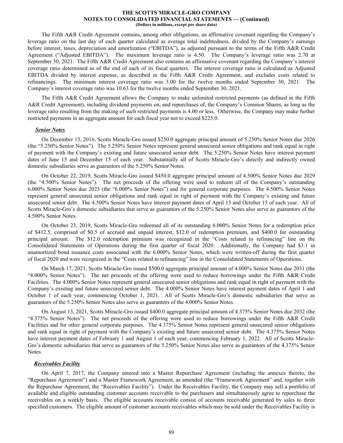The Fifth A&R Credit Agreement contains, among other obligations, an affirmative covenant regarding the Company's leverage ratio on the last day of each quarter calculated as average total indebtedness, divided by the Company's earnings before interest, taxes, depreciation and amortization ("EBITDA"), as adjusted pursuant to the terms of the Fifth A&R Credit Agreement ("Adjusted EBITDA"). The maximum leverage ratio is 4.50. The Company's leverage ratio was 2.70 at September 30, 2021. The Fifth A&R Credit Agreement also contains an affirmative covenant regarding the Company's interest coverage ratio determined as of the end of each of its fiscal quarters. The interest coverage ratio is calculated as Adjusted EBITDA divided by interest expense, as described in the Fifth A&R Credit Agreement, and excludes costs related to refinancings. The minimum interest coverage ratio was 3.00 for the twelve months ended September 30, 2021. The Company's interest coverage ratio was 10.63 for the twelve months ended September 30, 2021.

The Fifth A&R Credit Agreement allows the Company to make unlimited restricted payments (as defined in the Fifth A&R Credit Agreement), including dividend payments on, and repurchases of, the Company's Common Shares, as long as the leverage ratio resulting from the making of such restricted payments is 4.00 or less. Otherwise, the Company may make further restricted payments in an aggregate amount for each fiscal year not to exceed \$225.0.

### *Senior Notes*

On December 15, 2016, Scotts Miracle-Gro issued \$250.0 aggregate principal amount of 5.250% Senior Notes due 2026 (the "5.250% Senior Notes"). The 5.250% Senior Notes represent general unsecured senior obligations and rank equal in right of payment with the Company's existing and future unsecured senior debt. The 5.250% Senior Notes have interest payment dates of June 15 and December 15 of each year. Substantially all of Scotts Miracle-Gro's directly and indirectly owned domestic subsidiaries serve as guarantors of the 5.250% Senior Notes.

On October 22, 2019, Scotts Miracle-Gro issued \$450.0 aggregate principal amount of 4.500% Senior Notes due 2029 (the "4.500% Senior Notes"). The net proceeds of the offering were used to redeem all of the Company's outstanding 6.000% Senior Notes due 2023 (the "6.000% Senior Notes") and for general corporate purposes. The 4.500% Senior Notes represent general unsecured senior obligations and rank equal in right of payment with the Company's existing and future unsecured senior debt. The 4.500% Senior Notes have interest payment dates of April 15 and October 15 of each year. All of Scotts Miracle-Gro's domestic subsidiaries that serve as guarantors of the 5.250% Senior Notes also serve as guarantors of the 4.500% Senior Notes.

On October 23, 2019, Scotts Miracle-Gro redeemed all of its outstanding 6.000% Senior Notes for a redemption price of \$412.5, comprised of \$0.5 of accrued and unpaid interest, \$12.0 of redemption premium, and \$400.0 for outstanding principal amount. The \$12.0 redemption premium was recognized in the "Costs related to refinancing" line on the Consolidated Statements of Operations during the first quarter of fiscal 2020. Additionally, the Company had \$3.1 in unamortized bond issuance costs associated with the 6.000% Senior Notes, which were written-off during the first quarter of fiscal 2020 and were recognized in the "Costs related to refinancing" line in the Consolidated Statements of Operations.

On March 17, 2021, Scotts Miracle-Gro issued \$500.0 aggregate principal amount of 4.000% Senior Notes due 2031 (the "4.000% Senior Notes"). The net proceeds of the offering were used to reduce borrowings under the Fifth A&R Credit Facilities. The 4.000% Senior Notes represent general unsecured senior obligations and rank equal in right of payment with the Company's existing and future unsecured senior debt. The 4.000% Senior Notes have interest payment dates of April 1 and October 1 of each year, commencing October 1, 2021. All of Scotts Miracle-Gro's domestic subsidiaries that serve as guarantors of the 5.250% Senior Notes also serve as guarantors of the 4.000% Senior Notes.

On August 13, 2021, Scotts Miracle-Gro issued \$400.0 aggregate principal amount of 4.375% Senior Notes due 2032 (the "4.375% Senior Notes"). The net proceeds of the offering were used to reduce borrowings under the Fifth A&R Credit Facilities and for other general corporate purposes. The 4.375% Senior Notes represent general unsecured senior obligations and rank equal in right of payment with the Company's existing and future unsecured senior debt. The 4.375% Senior Notes have interest payment dates of February 1 and August 1 of each year, commencing February 1, 2022. All of Scotts Miracle-Gro's domestic subsidiaries that serve as guarantors of the 5.250% Senior Notes also serve as guarantors of the 4.375% Senior Notes.

# *Receivables Facility*

On April 7, 2017, the Company entered into a Master Repurchase Agreement (including the annexes thereto, the "Repurchase Agreement") and a Master Framework Agreement, as amended (the "Framework Agreement" and, together with the Repurchase Agreement, the "Receivables Facility"). Under the Receivables Facility, the Company may sell a portfolio of available and eligible outstanding customer accounts receivable to the purchasers and simultaneously agree to repurchase the receivables on a weekly basis. The eligible accounts receivable consist of accounts receivable generated by sales to three specified customers. The eligible amount of customer accounts receivables which may be sold under the Receivables Facility is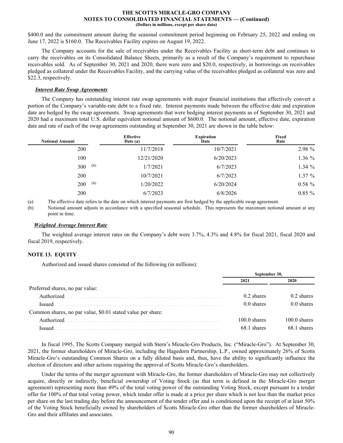\$400.0 and the commitment amount during the seasonal commitment period beginning on February 25, 2022 and ending on June 17, 2022 is \$160.0. The Receivables Facility expires on August 19, 2022.

The Company accounts for the sale of receivables under the Receivables Facility as short-term debt and continues to carry the receivables on its Consolidated Balance Sheets, primarily as a result of the Company's requirement to repurchase receivables sold. As of September 30, 2021 and 2020, there were zero and \$20.0, respectively, in borrowings on receivables pledged as collateral under the Receivables Facility, and the carrying value of the receivables pledged as collateral was zero and \$22.3, respectively.

# *Interest Rate Swap Agreements*

The Company has outstanding interest rate swap agreements with major financial institutions that effectively convert a portion of the Company's variable-rate debt to a fixed rate. Interest payments made between the effective date and expiration date are hedged by the swap agreements. Swap agreements that were hedging interest payments as of September 30, 2021 and 2020 had a maximum total U.S. dollar equivalent notional amount of \$600.0. The notional amount, effective date, expiration date and rate of each of the swap agreements outstanding at September 30, 2021 are shown in the table below:

| <b>Notional Amount</b> | <b>Effective</b><br>Date $(a)$ | <b>Expiration</b><br>Date | Fixed<br>Rate |
|------------------------|--------------------------------|---------------------------|---------------|
| <b>200</b>             | 11/7/2018                      | 10/7/2021                 | 2.98 %        |
| 100                    | 12/21/2020                     | 6/20/2023                 | $1.36\%$      |
| (b)<br>300             | 1/7/2021                       | 6/7/2023                  | 1.34 %        |
| <b>200</b>             | 10/7/2021                      | 6/7/2023                  | 1.37 %        |
| (b)<br>200             | 1/20/2022                      | 6/20/2024                 | $0.58 \%$     |
| 200                    | 6/7/2023                       | 6/8/2026                  | $0.85 \%$     |

(a) The effective date refers to the date on which interest payments are first hedged by the applicable swap agreement.

(b) Notional amount adjusts in accordance with a specified seasonal schedule. This represents the maximum notional amount at any point in time.

# *Weighted Average Interest Rate*

The weighted average interest rates on the Company's debt were 3.7%, 4.3% and 4.8% for fiscal 2021, fiscal 2020 and fiscal 2019, respectively.

# **NOTE 13. EQUITY**

Authorized and issued shares consisted of the following (in millions):

|                                                             | September 30,  |                |  |
|-------------------------------------------------------------|----------------|----------------|--|
|                                                             | 2021           | 2020           |  |
| Preferred shares, no par value:                             |                |                |  |
| Authorized                                                  | 0.2 shares     | $0.2$ shares   |  |
| Issued                                                      | 0.0 shares     | $0.0$ shares   |  |
| Common shares, no par value, \$0.01 stated value per share: |                |                |  |
| Authorized                                                  | $100.0$ shares | $100.0$ shares |  |
| Issued                                                      | 68.1 shares    | 68.1 shares    |  |

In fiscal 1995, The Scotts Company merged with Stern's Miracle-Gro Products, Inc. ("Miracle-Gro"). At September 30, 2021, the former shareholders of Miracle-Gro, including the Hagedorn Partnership, L.P., owned approximately 26% of Scotts Miracle-Gro's outstanding Common Shares on a fully diluted basis and, thus, have the ability to significantly influence the election of directors and other actions requiring the approval of Scotts Miracle-Gro's shareholders.

Under the terms of the merger agreement with Miracle-Gro, the former shareholders of Miracle-Gro may not collectively acquire, directly or indirectly, beneficial ownership of Voting Stock (as that term is defined in the Miracle-Gro merger agreement) representing more than 49% of the total voting power of the outstanding Voting Stock, except pursuant to a tender offer for 100% of that total voting power, which tender offer is made at a price per share which is not less than the market price per share on the last trading day before the announcement of the tender offer and is conditioned upon the receipt of at least 50% of the Voting Stock beneficially owned by shareholders of Scotts Miracle-Gro other than the former shareholders of Miracle-Gro and their affiliates and associates.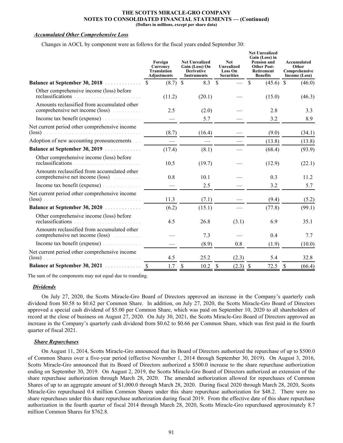# *Accumulated Other Comprehensive Loss*

Changes in AOCL by component were as follows for the fiscal years ended September 30:

|                                                                                | Foreign<br>Currency<br><b>Translation</b><br><b>Adjustments</b> | <b>Net Unrealized</b><br>Gain (Loss) On<br><b>Derivative</b><br><b>Instruments</b> | <b>Net</b><br><b>Unrealized</b><br><b>Loss On</b><br><b>Securities</b> | <b>Net Unrealized</b><br>Gain (Loss) in<br><b>Pension and</b><br><b>Other Post-</b><br>Retirement<br><b>Benefits</b> | Accumulated<br>Other<br>Comprehensive<br>Income (Loss) |
|--------------------------------------------------------------------------------|-----------------------------------------------------------------|------------------------------------------------------------------------------------|------------------------------------------------------------------------|----------------------------------------------------------------------------------------------------------------------|--------------------------------------------------------|
|                                                                                | $(8.7)$ \$                                                      | 8.3                                                                                | $\mathcal{S}$                                                          | $\mathsf{\$}$<br>$(45.6)$ \$                                                                                         | (46.0)                                                 |
| Other comprehensive income (loss) before<br>reclassifications<br>.             | (11.2)                                                          | (20.1)                                                                             |                                                                        | (15.0)                                                                                                               | (46.3)                                                 |
| Amounts reclassified from accumulated other<br>comprehensive net income (loss) | 2.5                                                             | (2.0)                                                                              |                                                                        | 2.8                                                                                                                  | 3.3                                                    |
| Income tax benefit (expense)                                                   |                                                                 | 5.7                                                                                |                                                                        | 3.2                                                                                                                  | 8.9                                                    |
| Net current period other comprehensive income<br>$(\text{loss})$ .             | (8.7)                                                           | (16.4)                                                                             |                                                                        | (9.0)                                                                                                                | (34.1)                                                 |
| Adoption of new accounting pronouncements                                      |                                                                 |                                                                                    |                                                                        | (13.8)                                                                                                               | (13.8)                                                 |
| Balance at September 30, 2019                                                  | (17.4)                                                          | (8.1)                                                                              |                                                                        | (68.4)                                                                                                               | (93.9)                                                 |
| Other comprehensive income (loss) before<br>reclassifications                  | 10.5                                                            | (19.7)                                                                             |                                                                        | (12.9)                                                                                                               | (22.1)                                                 |
| Amounts reclassified from accumulated other<br>comprehensive net income (loss) | 0.8                                                             | 10.1                                                                               |                                                                        | 0.3                                                                                                                  | 11.2                                                   |
| Income tax benefit (expense).                                                  |                                                                 | 2.5                                                                                |                                                                        | 3.2                                                                                                                  | 5.7                                                    |
| Net current period other comprehensive income                                  | 11.3                                                            | (7.1)                                                                              |                                                                        | (9.4)                                                                                                                | (5.2)                                                  |
| Balance at September 30, 2020                                                  | (6.2)                                                           | (15.1)                                                                             |                                                                        | (77.8)                                                                                                               | (99.1)                                                 |
| Other comprehensive income (loss) before<br>reclassifications                  | 4.5                                                             | 26.8                                                                               | (3.1)                                                                  | 6.9                                                                                                                  | 35.1                                                   |
| Amounts reclassified from accumulated other<br>comprehensive net income (loss) |                                                                 | 7.3                                                                                |                                                                        | 0.4                                                                                                                  | 7.7                                                    |
| Income tax benefit (expense)                                                   |                                                                 | (8.9)                                                                              | 0.8                                                                    | (1.9)                                                                                                                | (10.0)                                                 |
| Net current period other comprehensive income<br>$(\text{loss})$               | 4.5                                                             | 25.2                                                                               | (2.3)                                                                  | 5.4                                                                                                                  | 32.8                                                   |
|                                                                                | 1.7                                                             | $\mathbb{S}$<br>10.2                                                               | $\mathcal{S}$<br>$(2.3)$ \$                                            | 72.5                                                                                                                 | - \$<br>(66.4)                                         |

The sum of the components may not equal due to rounding.

#### *Dividends*

On July 27, 2020, the Scotts Miracle-Gro Board of Directors approved an increase in the Company's quarterly cash dividend from \$0.58 to \$0.62 per Common Share. In addition, on July 27, 2020, the Scotts Miracle-Gro Board of Directors approved a special cash dividend of \$5.00 per Common Share, which was paid on September 10, 2020 to all shareholders of record at the close of business on August 27, 2020. On July 30, 2021, the Scotts Miracle-Gro Board of Directors approved an increase in the Company's quarterly cash dividend from \$0.62 to \$0.66 per Common Share, which was first paid in the fourth quarter of fiscal 2021.

# *Share Repurchases*

On August 11, 2014, Scotts Miracle-Gro announced that its Board of Directors authorized the repurchase of up to \$500.0 of Common Shares over a five-year period (effective November 1, 2014 through September 30, 2019). On August 3, 2016, Scotts Miracle-Gro announced that its Board of Directors authorized a \$500.0 increase to the share repurchase authorization ending on September 30, 2019. On August 2, 2019, the Scotts Miracle-Gro Board of Directors authorized an extension of the share repurchase authorization through March 28, 2020. The amended authorization allowed for repurchases of Common Shares of up to an aggregate amount of \$1,000.0 through March 28, 2020. During fiscal 2020 through March 28, 2020, Scotts Miracle-Gro repurchased 0.4 million Common Shares under this share repurchase authorization for \$48.2. There were no share repurchases under this share repurchase authorization during fiscal 2019. From the effective date of this share repurchase authorization in the fourth quarter of fiscal 2014 through March 28, 2020, Scotts Miracle-Gro repurchased approximately 8.7 million Common Shares for \$762.8.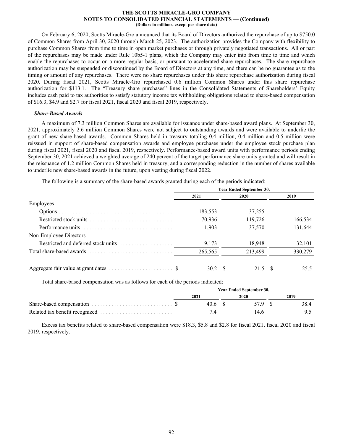On February 6, 2020, Scotts Miracle-Gro announced that its Board of Directors authorized the repurchase of up to \$750.0 of Common Shares from April 30, 2020 through March 25, 2023. The authorization provides the Company with flexibility to purchase Common Shares from time to time in open market purchases or through privately negotiated transactions. All or part of the repurchases may be made under Rule 10b5-1 plans, which the Company may enter into from time to time and which enable the repurchases to occur on a more regular basis, or pursuant to accelerated share repurchases. The share repurchase authorization may be suspended or discontinued by the Board of Directors at any time, and there can be no guarantee as to the timing or amount of any repurchases. There were no share repurchases under this share repurchase authorization during fiscal 2020. During fiscal 2021, Scotts Miracle-Gro repurchased 0.6 million Common Shares under this share repurchase authorization for \$113.1. The "Treasury share purchases" lines in the Consolidated Statements of Shareholders' Equity includes cash paid to tax authorities to satisfy statutory income tax withholding obligations related to share-based compensation of \$16.3, \$4.9 and \$2.7 for fiscal 2021, fiscal 2020 and fiscal 2019, respectively.

# *Share-Based Awards*

A maximum of 7.3 million Common Shares are available for issuance under share-based award plans. At September 30, 2021, approximately 2.6 million Common Shares were not subject to outstanding awards and were available to underlie the grant of new share-based awards. Common Shares held in treasury totaling 0.4 million, 0.4 million and 0.5 million were reissued in support of share-based compensation awards and employee purchases under the employee stock purchase plan during fiscal 2021, fiscal 2020 and fiscal 2019, respectively. Performance-based award units with performance periods ending September 30, 2021 achieved a weighted average of 240 percent of the target performance share units granted and will result in the reissuance of 1.2 million Common Shares held in treasury, and a corresponding reduction in the number of shares available to underlie new share-based awards in the future, upon vesting during fiscal 2022.

The following is a summary of the share-based awards granted during each of the periods indicated:

|                                                                                                                                                                                                                                | Year Ended September 30, |    |         |  |         |
|--------------------------------------------------------------------------------------------------------------------------------------------------------------------------------------------------------------------------------|--------------------------|----|---------|--|---------|
|                                                                                                                                                                                                                                | 2021                     |    | 2020    |  | 2019    |
| Employees                                                                                                                                                                                                                      |                          |    |         |  |         |
|                                                                                                                                                                                                                                | 183,553                  |    | 37,255  |  |         |
|                                                                                                                                                                                                                                | 70,936                   |    | 119,726 |  | 166,534 |
| Performance units continuous continuous continuous continuous continuous continuous continuous continuous continuous continuous continuous continuous continuous continuous continuous continuous continuous continuous contin | 1,903                    |    | 37,570  |  | 131,644 |
| Non-Employee Directors                                                                                                                                                                                                         |                          |    |         |  |         |
|                                                                                                                                                                                                                                | 9,173                    |    | 18,948  |  | 32,101  |
| Total share-based awards entertainment and the state of the state of the state of the state of the state of the state of the state of the state of the state of the state of the state of the state of the state of the state  | 265,565                  |    | 213,499 |  | 330,279 |
|                                                                                                                                                                                                                                |                          |    |         |  |         |
|                                                                                                                                                                                                                                | 30.2                     | -S | 21.5    |  | 25.5    |

Total share-based compensation was as follows for each of the periods indicated:

|                                | <b>Year Ended September 30,</b> |       |  |       |  |      |
|--------------------------------|---------------------------------|-------|--|-------|--|------|
|                                | 2021                            |       |  | 2020  |  | 2019 |
|                                |                                 | 406 S |  | 579 S |  | 38 4 |
| Related tax benefit recognized |                                 |       |  | 14 R  |  |      |

Excess tax benefits related to share-based compensation were \$18.3, \$5.8 and \$2.8 for fiscal 2021, fiscal 2020 and fiscal 2019, respectively.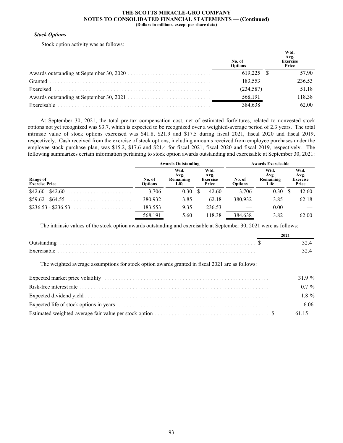# *Stock Options*

Stock option activity was as follows:

|                                                                                                                                                                                                                               | No. of<br><b>Options</b> | Wtd.<br>Avg.<br><b>Exercise</b><br>Price |        |
|-------------------------------------------------------------------------------------------------------------------------------------------------------------------------------------------------------------------------------|--------------------------|------------------------------------------|--------|
| Awards outstanding at September 30, 2020                                                                                                                                                                                      | 619,225                  |                                          | 57.90  |
| Granted                                                                                                                                                                                                                       | 183,553                  |                                          | 236.53 |
| Exercised                                                                                                                                                                                                                     | (234,587)                |                                          | 51.18  |
|                                                                                                                                                                                                                               | 568,191                  |                                          | 118.38 |
| Exercisable exercisable and contained a service of the containing and containing the containing of the containing of the containing of the containing of the containing of the containing of the containing of the containing | 384,638                  |                                          | 62.00  |

At September 30, 2021, the total pre-tax compensation cost, net of estimated forfeitures, related to nonvested stock options not yet recognized was \$3.7, which is expected to be recognized over a weighted-average period of 2.3 years. The total intrinsic value of stock options exercised was \$41.8, \$21.9 and \$17.5 during fiscal 2021, fiscal 2020 and fiscal 2019, respectively. Cash received from the exercise of stock options, including amounts received from employee purchases under the employee stock purchase plan, was \$15.2, \$17.6 and \$21.4 for fiscal 2021, fiscal 2020 and fiscal 2019, respectively. The following summarizes certain information pertaining to stock option awards outstanding and exercisable at September 30, 2021:

|                                   | <b>Awards Outstanding</b> |                                   |                                          |                          | <b>Awards Exercisable</b>         |                                          |
|-----------------------------------|---------------------------|-----------------------------------|------------------------------------------|--------------------------|-----------------------------------|------------------------------------------|
| Range of<br><b>Exercise Price</b> | No. of<br><b>Options</b>  | Wtd.<br>Avg.<br>Remaining<br>Life | Wtd.<br>Avg.<br><b>Exercise</b><br>Price | No. of<br><b>Options</b> | Wtd.<br>Avg.<br>Remaining<br>Life | Wtd.<br>Avg.<br><b>Exercise</b><br>Price |
| $$42.60 - $42.60$                 | 3,706                     | 0.30                              | 42.60                                    | 3.706                    | 0.30                              | 42.60                                    |
| $$59.62 - $64.55$                 | 380,932                   | 3.85                              | 62.18                                    | 380.932                  | 3.85                              | 62.18                                    |
| $$236.53 - $236.53$               | 183,553                   | 9.35                              | 236.53                                   |                          | 0.00                              |                                          |
|                                   | 568,191                   | 5.60                              | 118.38                                   | 384,638                  | 3.82                              | 62.00                                    |

The intrinsic values of the stock option awards outstanding and exercisable at September 30, 2021 were as follows:

|                                                                                                                                                                                                                                | 2021     |
|--------------------------------------------------------------------------------------------------------------------------------------------------------------------------------------------------------------------------------|----------|
|                                                                                                                                                                                                                                | 32.4     |
|                                                                                                                                                                                                                                | 32.4     |
| The weighted average assumptions for stock option awards granted in fiscal 2021 are as follows:                                                                                                                                |          |
| Expected market price volatility entertainment contains the contact of the state of the state of the state of the state of the state of the state of the state of the state of the state of the state of the state of the stat | 31.9%    |
|                                                                                                                                                                                                                                | $0.7 \%$ |
|                                                                                                                                                                                                                                | $1.8 \%$ |
| Expected life of stock options in years entertainment contained to the state of stock options in years.                                                                                                                        | 6.06     |
| Estimated weighted-average fair value per stock option manufactured and successive states of \$                                                                                                                                | 61.15    |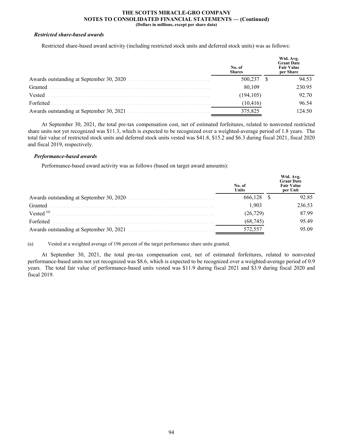# *Restricted share-based awards*

Restricted share-based award activity (including restricted stock units and deferred stock units) was as follows:

|                                          | No. of<br><b>Shares</b> | Wtd. Avg.<br><b>Grant Date</b><br><b>Fair Value</b><br>per Share |
|------------------------------------------|-------------------------|------------------------------------------------------------------|
| Awards outstanding at September 30, 2020 | 500,237                 | 94.53                                                            |
| Granted                                  | 80,109                  | 230.95                                                           |
| Vested                                   | (194, 105)              | 92.70                                                            |
| Forfeited                                | (10, 416)               | 96.54                                                            |
|                                          | 375,825                 | 124.50                                                           |

At September 30, 2021, the total pre-tax compensation cost, net of estimated forfeitures, related to nonvested restricted share units not yet recognized was \$11.3, which is expected to be recognized over a weighted-average period of 1.8 years. The total fair value of restricted stock units and deferred stock units vested was \$41.8, \$15.2 and \$6.3 during fiscal 2021, fiscal 2020 and fiscal 2019, respectively.

# *Performance-based awards*

Performance-based award activity was as follows (based on target award amounts):

| No. of<br>Units                                     | Wtd. Avg.<br><b>Grant Date</b><br><b>Fair Value</b><br>per Unit |
|-----------------------------------------------------|-----------------------------------------------------------------|
| Awards outstanding at September 30, 2020<br>666.128 | 92.85                                                           |
| 1.903                                               | 236.53                                                          |
| (26,729)                                            | 87.99                                                           |
| (68.745                                             | 95.49                                                           |
|                                                     | 95.09                                                           |
|                                                     |                                                                 |

(a) Vested at a weighted average of 196 percent of the target performance share units granted.

At September 30, 2021, the total pre-tax compensation cost, net of estimated forfeitures, related to nonvested performance-based units not yet recognized was \$8.6, which is expected to be recognized over a weighted-average period of 0.9 years. The total fair value of performance-based units vested was \$11.9 during fiscal 2021 and \$3.9 during fiscal 2020 and fiscal 2019.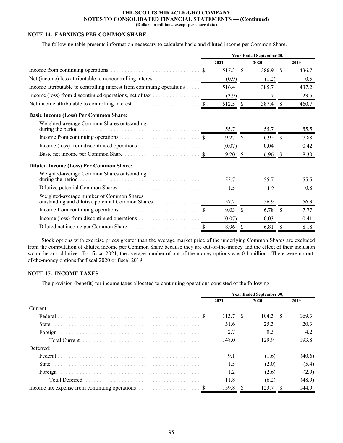# **NOTE 14. EARNINGS PER COMMON SHARE**

The following table presents information necessary to calculate basic and diluted income per Common Share.

|                                                                                              | Year Ended September 30, |        |               |       |               |       |
|----------------------------------------------------------------------------------------------|--------------------------|--------|---------------|-------|---------------|-------|
|                                                                                              |                          | 2021   |               | 2020  |               | 2019  |
|                                                                                              |                          | 517.3  | \$            | 386.9 | -\$           | 436.7 |
| Net (income) loss attributable to noncontrolling interest.<br>.                              |                          | (0.9)  |               | (1.2) |               | 0.5   |
| Income attributable to controlling interest from continuing operations                       |                          | 516.4  |               | 385.7 |               | 437.2 |
| Income (loss) from discontinued operations, net of tax<br>.                                  |                          | (3.9)  |               | 1.7   |               | 23.5  |
|                                                                                              |                          | 512.5  | - \$          | 387.4 | <sup>\$</sup> | 460.7 |
| <b>Basic Income (Loss) Per Common Share:</b>                                                 |                          |        |               |       |               |       |
| Weighted-average Common Shares outstanding<br>during the period                              |                          | 55.7   |               | 55.7  |               | 55.5  |
| Income from continuing operations enters on the state of S                                   |                          | 9.27   | \$            | 6.92  | <sup>\$</sup> | 7.88  |
|                                                                                              |                          | (0.07) |               | 0.04  |               | 0.42  |
|                                                                                              | $\mathbf S$              | 9.20   | <sup>\$</sup> | 6.96  | S             | 8.30  |
| <b>Diluted Income (Loss) Per Common Share:</b>                                               |                          |        |               |       |               |       |
| Weighted-average Common Shares outstanding<br>during the period                              |                          | 55.7   |               | 55.7  |               | 55.5  |
|                                                                                              |                          | 1.5    |               | 1.2   |               | 0.8   |
| Weighted-average number of Common Shares<br>outstanding and dilutive potential Common Shares |                          | 57.2   |               | 56.9  |               | 56.3  |
| Income from continuing operations in the substantial state of S                              |                          | 9.03   | \$            | 6.78  | \$            | 7.77  |
|                                                                                              |                          | (0.07) |               | 0.03  |               | 0.41  |
|                                                                                              |                          | 8.96   | -S            | 6.81  | \$            | 8.18  |

Stock options with exercise prices greater than the average market price of the underlying Common Shares are excluded from the computation of diluted income per Common Share because they are out-of-the-money and the effect of their inclusion would be anti-dilutive. For fiscal 2021, the average number of out-of-the money options was 0.1 million. There were no outof-the-money options for fiscal 2020 or fiscal 2019.

# **NOTE 15. INCOME TAXES**

The provision (benefit) for income taxes allocated to continuing operations consisted of the following:

|                                                                    | Year Ended September 30, |               |               |  |  |  |
|--------------------------------------------------------------------|--------------------------|---------------|---------------|--|--|--|
|                                                                    | 2021                     | 2020          | 2019          |  |  |  |
| Current:                                                           |                          |               |               |  |  |  |
|                                                                    | 113.7                    | 104.3<br>- \$ | 169.3<br>- \$ |  |  |  |
|                                                                    | 31.6                     | 25.3          | 20.3          |  |  |  |
|                                                                    | 2.7                      | 0.3           | 4.2           |  |  |  |
|                                                                    | 148.0                    | 129.9         | 193.8         |  |  |  |
| Deferred:                                                          |                          |               |               |  |  |  |
|                                                                    | 9.1                      | (1.6)         | (40.6)        |  |  |  |
|                                                                    | 1.5                      | (2.0)         | (5.4)         |  |  |  |
|                                                                    | 1.2                      | (2.6)         | (2.9)         |  |  |  |
|                                                                    | 11.8                     | (6.2)         | (48.9)        |  |  |  |
| Income tax expense from continuing operations contained a set of S | 159.8                    | 123.7         | 144.9         |  |  |  |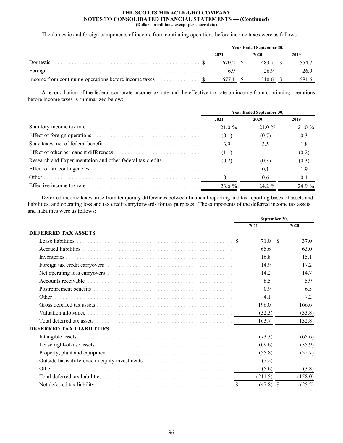The domestic and foreign components of income from continuing operations before income taxes were as follows:

|                                                       | <b>Year Ended September 30,</b> |          |  |        |  |       |
|-------------------------------------------------------|---------------------------------|----------|--|--------|--|-------|
|                                                       |                                 | 2021     |  | 2020   |  | 2019  |
|                                                       |                                 | 670 2 S  |  | 4837 S |  | 554.7 |
|                                                       |                                 |          |  | 26.9   |  | 26.9  |
| Income from continuing operations before income taxes |                                 | 677.1 \$ |  | 510.6  |  | 581.6 |

A reconciliation of the federal corporate income tax rate and the effective tax rate on income from continuing operations before income taxes is summarized below:

|                                                                                                                                                                                                                                | <b>Year Ended September 30,</b> |               |       |  |  |
|--------------------------------------------------------------------------------------------------------------------------------------------------------------------------------------------------------------------------------|---------------------------------|---------------|-------|--|--|
|                                                                                                                                                                                                                                | 2021                            | 2020          | 2019  |  |  |
| Statutory income tax rate contained and the statute of the statute of the statute of the statute of the statute of the statute of the statute of the statute of the statute of the statute of the statute of the statute of th | $21.0 \%$                       | 21.0%         | 21.0% |  |  |
|                                                                                                                                                                                                                                | (0.1)                           | (0.7)         | 0.3   |  |  |
|                                                                                                                                                                                                                                | 3.9                             | 3.5           | 1.8   |  |  |
|                                                                                                                                                                                                                                | (1.1)                           |               | (0.2) |  |  |
|                                                                                                                                                                                                                                | (0.2)                           | (0.3)         | (0.3) |  |  |
|                                                                                                                                                                                                                                |                                 | 0.1           | 1.9   |  |  |
|                                                                                                                                                                                                                                | 0.1                             | $0.6^{\circ}$ | 0.4   |  |  |
| Effective income tax rate contained and the contained and the contained and the contact the contact of the contact of the contact of the contact of the contact of the contact of the contact of the contact of the contact of | $23.6 \%$                       | $24.2 \%$     | 24.9% |  |  |

Deferred income taxes arise from temporary differences between financial reporting and tax reporting bases of assets and liabilities, and operating loss and tax credit carryforwards for tax purposes. The components of the deferred income tax assets and liabilities were as follows:

|                                                                                                                                                                                                                                | September 30, |                       |  |
|--------------------------------------------------------------------------------------------------------------------------------------------------------------------------------------------------------------------------------|---------------|-----------------------|--|
|                                                                                                                                                                                                                                | 2021          | 2020                  |  |
| <b>DEFERRED TAX ASSETS</b>                                                                                                                                                                                                     |               |                       |  |
| Lease liabilities                                                                                                                                                                                                              | 71.0          | 37.0<br>$\mathcal{S}$ |  |
|                                                                                                                                                                                                                                | 65.6          | 63.0                  |  |
| Inventories                                                                                                                                                                                                                    | 16.8          | 151                   |  |
| Foreign tax credit carryovers entertainment of the contract of the contract of the contract of the contract of the contract of the contract of the contract of the contract of the contract of the contract of the contract of | 14.9          | 17.2                  |  |
|                                                                                                                                                                                                                                | 14.2          | 14.7                  |  |
| Accounts receivable                                                                                                                                                                                                            | 8.5           | 5.9                   |  |
|                                                                                                                                                                                                                                | 0.9           | 6.5                   |  |
| Other                                                                                                                                                                                                                          | 4.1           | 7.2                   |  |
|                                                                                                                                                                                                                                | 196.0         | 166.6                 |  |
| Valuation allowance                                                                                                                                                                                                            | (32.3)        | (33.8)                |  |
| Total deferred tax assets expressions are consistent to the set of the set of the set of the set of the set of the set of the set of the set of the set of the set of the set of the set of the set of the set of the set of t | 163.7         | 132.8                 |  |
| <b>DEFERRED TAX LIABILITIES</b>                                                                                                                                                                                                |               |                       |  |
| Intangible assets entertainment and the contract of the set of the set of the set of the set of the set of the set of the set of the set of the set of the set of the set of the set of the set of the set of the set of the s | (73.3)        | (65.6)                |  |
|                                                                                                                                                                                                                                | (69.6)        | (35.9)                |  |
| Property, plant and equipment encourage contained and the property, plant and equipment                                                                                                                                        | (55.8)        | (52.7)                |  |
|                                                                                                                                                                                                                                | (7.2)         |                       |  |
| Other                                                                                                                                                                                                                          | (5.6)         | (3.8)                 |  |
| Total deferred tax liabilities                                                                                                                                                                                                 | (211.5)       | (158.0)               |  |
|                                                                                                                                                                                                                                | $(47.8)$ \$   | (25.2)                |  |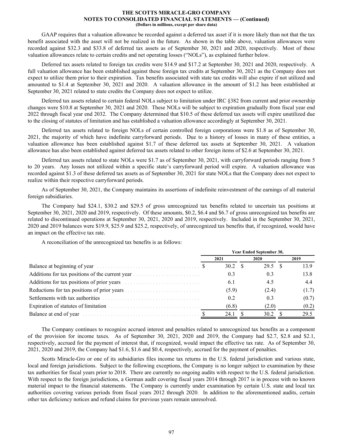GAAP requires that a valuation allowance be recorded against a deferred tax asset if it is more likely than not that the tax benefit associated with the asset will not be realized in the future. As shown in the table above, valuation allowances were recorded against \$32.3 and \$33.8 of deferred tax assets as of September 30, 2021 and 2020, respectively. Most of these valuation allowances relate to certain credits and net operating losses ("NOLs"), as explained further below.

Deferred tax assets related to foreign tax credits were \$14.9 and \$17.2 at September 30, 2021 and 2020, respectively. A full valuation allowance has been established against these foreign tax credits at September 30, 2021 as the Company does not expect to utilize them prior to their expiration. Tax benefits associated with state tax credits will also expire if not utilized and amounted to \$1.4 at September 30, 2021 and 2020. A valuation allowance in the amount of \$1.2 has been established at September 30, 2021 related to state credits the Company does not expect to utilize.

Deferred tax assets related to certain federal NOLs subject to limitation under IRC §382 from current and prior ownership changes were \$10.8 at September 30, 2021 and 2020. These NOLs will be subject to expiration gradually from fiscal year end 2022 through fiscal year end 2032. The Company determined that \$10.5 of these deferred tax assets will expire unutilized due to the closing of statutes of limitation and has established a valuation allowance accordingly at September 30, 2021.

Deferred tax assets related to foreign NOLs of certain controlled foreign corporations were \$1.8 as of September 30, 2021, the majority of which have indefinite carryforward periods. Due to a history of losses in many of these entities, a valuation allowance has been established against \$1.7 of these deferred tax assets at September 30, 2021. A valuation allowance has also been established against deferred tax assets related to other foreign items of \$2.6 at September 30, 2021.

Deferred tax assets related to state NOLs were \$1.7 as of September 30, 2021, with carryforward periods ranging from 5 to 20 years. Any losses not utilized within a specific state's carryforward period will expire. A valuation allowance was recorded against \$1.3 of these deferred tax assets as of September 30, 2021 for state NOLs that the Company does not expect to realize within their respective carryforward periods.

As of September 30, 2021, the Company maintains its assertions of indefinite reinvestment of the earnings of all material foreign subsidiaries.

The Company had \$24.1, \$30.2 and \$29.5 of gross unrecognized tax benefits related to uncertain tax positions at September 30, 2021, 2020 and 2019, respectively. Of these amounts, \$0.2, \$6.4 and \$6.7 of gross unrecognized tax benefits are related to discontinued operations at September 30, 2021, 2020 and 2019, respectively. Included in the September 30, 2021, 2020 and 2019 balances were \$19.9, \$25.9 and \$25.2, respectively, of unrecognized tax benefits that, if recognized, would have an impact on the effective tax rate.

A reconciliation of the unrecognized tax benefits is as follows:

|                                                                                     | Year Ended September 30, |         |  |        |  |       |  |  |
|-------------------------------------------------------------------------------------|--------------------------|---------|--|--------|--|-------|--|--|
|                                                                                     |                          | 2021    |  | 2020   |  | 2019  |  |  |
|                                                                                     |                          | 30.2 \$ |  | 29.5 S |  | 139   |  |  |
|                                                                                     |                          | 0.3     |  | 0.3    |  | 13.8  |  |  |
|                                                                                     |                          | 6.1     |  | 4.5    |  | 4.4   |  |  |
|                                                                                     |                          | (5.9)   |  | (2.4)  |  | (1.7) |  |  |
| Settlements with tax authorities entrances and the settlements with tax authorities |                          | 0.2     |  | 0.3    |  | (0.7) |  |  |
|                                                                                     |                          | (6.8)   |  | (2.0)  |  | (0.2) |  |  |
|                                                                                     |                          | 24.1    |  | 30.2   |  | 29.5  |  |  |

The Company continues to recognize accrued interest and penalties related to unrecognized tax benefits as a component of the provision for income taxes. As of September 30, 2021, 2020 and 2019, the Company had \$2.7, \$2.8 and \$2.1, respectively, accrued for the payment of interest that, if recognized, would impact the effective tax rate. As of September 30, 2021, 2020 and 2019, the Company had \$1.6, \$1.6 and \$0.4, respectively, accrued for the payment of penalties.

Scotts Miracle-Gro or one of its subsidiaries files income tax returns in the U.S. federal jurisdiction and various state, local and foreign jurisdictions. Subject to the following exceptions, the Company is no longer subject to examination by these tax authorities for fiscal years prior to 2018. There are currently no ongoing audits with respect to the U.S. federal jurisdiction. With respect to the foreign jurisdictions, a German audit covering fiscal years 2014 through 2017 is in process with no known material impact to the financial statements. The Company is currently under examination by certain U.S. state and local tax authorities covering various periods from fiscal years 2012 through 2020. In addition to the aforementioned audits, certain other tax deficiency notices and refund claims for previous years remain unresolved.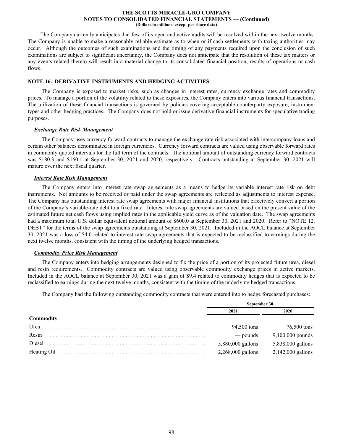The Company currently anticipates that few of its open and active audits will be resolved within the next twelve months. The Company is unable to make a reasonably reliable estimate as to when or if cash settlements with taxing authorities may occur. Although the outcomes of such examinations and the timing of any payments required upon the conclusion of such examinations are subject to significant uncertainty, the Company does not anticipate that the resolution of these tax matters or any events related thereto will result in a material change to its consolidated financial position, results of operations or cash flows.

# **NOTE 16. DERIVATIVE INSTRUMENTS AND HEDGING ACTIVITIES**

The Company is exposed to market risks, such as changes in interest rates, currency exchange rates and commodity prices. To manage a portion of the volatility related to these exposures, the Company enters into various financial transactions. The utilization of these financial transactions is governed by policies covering acceptable counterparty exposure, instrument types and other hedging practices. The Company does not hold or issue derivative financial instruments for speculative trading purposes.

# *Exchange Rate Risk Management*

The Company uses currency forward contracts to manage the exchange rate risk associated with intercompany loans and certain other balances denominated in foreign currencies. Currency forward contracts are valued using observable forward rates in commonly quoted intervals for the full term of the contracts. The notional amount of outstanding currency forward contracts was \$180.3 and \$160.1 at September 30, 2021 and 2020, respectively. Contracts outstanding at September 30, 2021 will mature over the next fiscal quarter.

# *Interest Rate Risk Management*

The Company enters into interest rate swap agreements as a means to hedge its variable interest rate risk on debt instruments. Net amounts to be received or paid under the swap agreements are reflected as adjustments to interest expense. The Company has outstanding interest rate swap agreements with major financial institutions that effectively convert a portion of the Company's variable-rate debt to a fixed rate. Interest rate swap agreements are valued based on the present value of the estimated future net cash flows using implied rates in the applicable yield curve as of the valuation date. The swap agreements had a maximum total U.S. dollar equivalent notional amount of \$600.0 at September 30, 2021 and 2020. Refer to "NOTE 12. DEBT" for the terms of the swap agreements outstanding at September 30, 2021. Included in the AOCL balance at September 30, 2021 was a loss of \$4.0 related to interest rate swap agreements that is expected to be reclassified to earnings during the next twelve months, consistent with the timing of the underlying hedged transactions.

# *Commodity Price Risk Management*

The Company enters into hedging arrangements designed to fix the price of a portion of its projected future urea, diesel and resin requirements. Commodity contracts are valued using observable commodity exchange prices in active markets. Included in the AOCL balance at September 30, 2021 was a gain of \$9.4 related to commodity hedges that is expected to be reclassified to earnings during the next twelve months, consistent with the timing of the underlying hedged transactions.

The Company had the following outstanding commodity contracts that were entered into to hedge forecasted purchases:

|               | September 30,     |                   |  |  |
|---------------|-------------------|-------------------|--|--|
|               | 2021              | 2020              |  |  |
| Commodity     |                   |                   |  |  |
| Urea $\ldots$ | 94,500 tons       | 76,500 tons       |  |  |
| Resin         | — pounds          | 9,100,000 pounds  |  |  |
| Diesel        | 5,880,000 gallons | 5,838,000 gallons |  |  |
| Heating Oil   | 2,268,000 gallons | 2,142,000 gallons |  |  |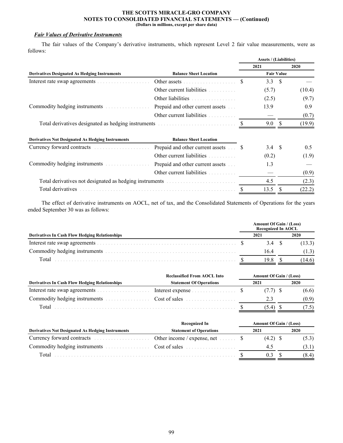# *Fair Values of Derivative Instruments*

The fair values of the Company's derivative instruments, which represent Level 2 fair value measurements, were as follows:

|                                                                                                                                                                                                                                |                                                  | <b>Assets / (Liabilities)</b> |       |                   |               |  |
|--------------------------------------------------------------------------------------------------------------------------------------------------------------------------------------------------------------------------------|--------------------------------------------------|-------------------------------|-------|-------------------|---------------|--|
|                                                                                                                                                                                                                                |                                                  |                               | 2021  |                   | 2020          |  |
| <b>Derivatives Designated As Hedging Instruments</b>                                                                                                                                                                           | <b>Balance Sheet Location</b>                    |                               |       | <b>Fair Value</b> |               |  |
|                                                                                                                                                                                                                                | Other assets experiences and contained           | \$                            | 3.3 S |                   |               |  |
|                                                                                                                                                                                                                                | Other current liabilities                        |                               | (5.7) |                   | (10.4)        |  |
|                                                                                                                                                                                                                                | Other liabilities experiences in the contract of |                               | (2.5) |                   | (9.7)         |  |
| Commodity hedging instruments                                                                                                                                                                                                  | Prepaid and other current assets                 |                               | 13.9  |                   | 0.9           |  |
|                                                                                                                                                                                                                                | Other current liabilities                        |                               |       |                   | (0.7)         |  |
| Total derivatives designated as hedging instruments with an experience of the contract of the state of the state of the state of the state of the state of the state of the state of the state of the state of the state of th |                                                  |                               | 9.0   |                   | (19.9)        |  |
| <b>Derivatives Not Designated As Hedging Instruments</b>                                                                                                                                                                       | <b>Balance Sheet Location</b>                    |                               |       |                   |               |  |
| Currency forward contracts                                                                                                                                                                                                     | Prepaid and other current assets \$              |                               | 3.4   | - \$              | $0.5^{\circ}$ |  |
|                                                                                                                                                                                                                                | Other current liabilities                        |                               | (0.2) |                   | (1.9)         |  |
| Commodity hedging instruments                                                                                                                                                                                                  | Prepaid and other current assets                 |                               | 1.3   |                   |               |  |
|                                                                                                                                                                                                                                | Other current liabilities                        |                               |       |                   | (0.9)         |  |
| Total derivatives not designated as hedging instruments                                                                                                                                                                        |                                                  |                               | 4.5   |                   | (2.3)         |  |
| Total derivatives                                                                                                                                                                                                              |                                                  |                               | 13.5  |                   | (22.2)        |  |

The effect of derivative instruments on AOCL, net of tax, and the Consolidated Statements of Operations for the years ended September 30 was as follows:

|                                                       | <b>Amount Of Gain / (Loss)</b><br>Recognized In AOCL |      |  |      |  |  |
|-------------------------------------------------------|------------------------------------------------------|------|--|------|--|--|
| <b>Derivatives In Cash Flow Hedging Relationships</b> |                                                      | 2021 |  | 2020 |  |  |
|                                                       |                                                      | 34 S |  |      |  |  |
|                                                       |                                                      | 16.4 |  | 1.3) |  |  |
| Total                                                 |                                                      | 19.8 |  |      |  |  |

|                                                       | <b>Reclassified From AOCL Into</b> | <b>Amount Of Gain / (Loss)</b> |           |  |       |  |  |
|-------------------------------------------------------|------------------------------------|--------------------------------|-----------|--|-------|--|--|
| <b>Derivatives In Cash Flow Hedging Relationships</b> | <b>Statement Of Operations</b>     |                                | 2021      |  | 2020  |  |  |
|                                                       | Interest expense                   |                                | $(7.7)$ S |  | (6.6) |  |  |
|                                                       |                                    |                                |           |  | (0.9) |  |  |
| Total                                                 |                                    |                                | (5.4)     |  |       |  |  |

|                                                          | Recognized In                          | <b>Amount Of Gain / (Loss)</b> |           |  |       |
|----------------------------------------------------------|----------------------------------------|--------------------------------|-----------|--|-------|
| <b>Derivatives Not Designated As Hedging Instruments</b> | <b>Statement of Operations</b>         |                                | 2021      |  | 2020  |
| Currency forward contracts                               | Other income / expense, net $\dots$ \$ |                                | $(4.2)$ S |  | (5.3) |
|                                                          |                                        |                                | 4.5       |  | (3.1) |
| Total                                                    |                                        |                                |           |  | (8.4) |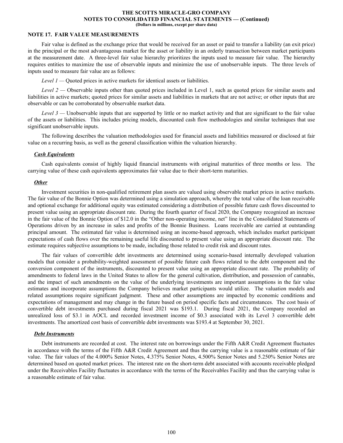# **NOTE 17. FAIR VALUE MEASUREMENTS**

Fair value is defined as the exchange price that would be received for an asset or paid to transfer a liability (an exit price) in the principal or the most advantageous market for the asset or liability in an orderly transaction between market participants at the measurement date. A three-level fair value hierarchy prioritizes the inputs used to measure fair value. The hierarchy requires entities to maximize the use of observable inputs and minimize the use of unobservable inputs. The three levels of inputs used to measure fair value are as follows:

*Level 1* — Quoted prices in active markets for identical assets or liabilities.

*Level 2 —* Observable inputs other than quoted prices included in Level 1, such as quoted prices for similar assets and liabilities in active markets; quoted prices for similar assets and liabilities in markets that are not active; or other inputs that are observable or can be corroborated by observable market data.

*Level 3 —* Unobservable inputs that are supported by little or no market activity and that are significant to the fair value of the assets or liabilities. This includes pricing models, discounted cash flow methodologies and similar techniques that use significant unobservable inputs.

The following describes the valuation methodologies used for financial assets and liabilities measured or disclosed at fair value on a recurring basis, as well as the general classification within the valuation hierarchy.

### *Cash Equivalents*

Cash equivalents consist of highly liquid financial instruments with original maturities of three months or less. The carrying value of these cash equivalents approximates fair value due to their short-term maturities.

### *Other*

Investment securities in non-qualified retirement plan assets are valued using observable market prices in active markets. The fair value of the Bonnie Option was determined using a simulation approach, whereby the total value of the loan receivable and optional exchange for additional equity was estimated considering a distribution of possible future cash flows discounted to present value using an appropriate discount rate. During the fourth quarter of fiscal 2020, the Company recognized an increase in the fair value of the Bonnie Option of \$12.0 in the "Other non-operating income, net" line in the Consolidated Statements of Operations driven by an increase in sales and profits of the Bonnie Business. Loans receivable are carried at outstanding principal amount. The estimated fair value is determined using an income-based approach, which includes market participant expectations of cash flows over the remaining useful life discounted to present value using an appropriate discount rate. The estimate requires subjective assumptions to be made, including those related to credit risk and discount rates.

The fair values of convertible debt investments are determined using scenario-based internally developed valuation models that consider a probability-weighted assessment of possible future cash flows related to the debt component and the conversion component of the instruments, discounted to present value using an appropriate discount rate. The probability of amendments to federal laws in the United States to allow for the general cultivation, distribution, and possession of cannabis, and the impact of such amendments on the value of the underlying investments are important assumptions in the fair value estimates and incorporate assumptions the Company believes market participants would utilize. The valuation models and related assumptions require significant judgment. These and other assumptions are impacted by economic conditions and expectations of management and may change in the future based on period specific facts and circumstances. The cost basis of convertible debt investments purchased during fiscal 2021 was \$193.1. During fiscal 2021, the Company recorded an unrealized loss of \$3.1 in AOCL and recorded investment income of \$0.3 associated with its Level 3 convertible debt investments. The amortized cost basis of convertible debt investments was \$193.4 at September 30, 2021.

# *Debt Instruments*

Debt instruments are recorded at cost. The interest rate on borrowings under the Fifth A&R Credit Agreement fluctuates in accordance with the terms of the Fifth A&R Credit Agreement and thus the carrying value is a reasonable estimate of fair value. The fair values of the 4.000% Senior Notes, 4.375% Senior Notes, 4.500% Senior Notes and 5.250% Senior Notes are determined based on quoted market prices. The interest rate on the short-term debt associated with accounts receivable pledged under the Receivables Facility fluctuates in accordance with the terms of the Receivables Facility and thus the carrying value is a reasonable estimate of fair value.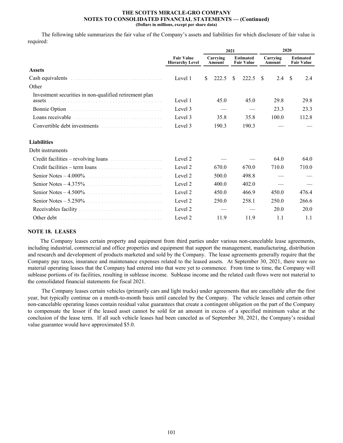The following table summarizes the fair value of the Company's assets and liabilities for which disclosure of fair value is required:

|                                                                                                                                                                                                                                |                                             | 2021               |       |                                       |       | 2020               |       |                                       |       |  |
|--------------------------------------------------------------------------------------------------------------------------------------------------------------------------------------------------------------------------------|---------------------------------------------|--------------------|-------|---------------------------------------|-------|--------------------|-------|---------------------------------------|-------|--|
|                                                                                                                                                                                                                                | <b>Fair Value</b><br><b>Hierarchy Level</b> | Carrying<br>Amount |       | <b>Estimated</b><br><b>Fair Value</b> |       | Carrying<br>Amount |       | <b>Estimated</b><br><b>Fair Value</b> |       |  |
| <b>Assets</b>                                                                                                                                                                                                                  |                                             |                    |       |                                       |       |                    |       |                                       |       |  |
| Cash equivalents entertainment in the contract of the contract of the contract of the contract of the contract of the contract of the contract of the contract of the contract of the contract of the contract of the contract | Level 1                                     | S.                 | 222.5 | S.                                    | 222.5 | -S                 | 2.4   | <sup>\$</sup>                         | 2.4   |  |
| Other                                                                                                                                                                                                                          |                                             |                    |       |                                       |       |                    |       |                                       |       |  |
| Investment securities in non-qualified retirement plan<br>assets                                                                                                                                                               | Level 1                                     |                    | 45.0  |                                       | 45.0  |                    | 29.8  |                                       | 29.8  |  |
| <b>Bonnie Option</b>                                                                                                                                                                                                           | Level 3                                     |                    |       |                                       |       |                    | 23.3  |                                       | 23.3  |  |
| Loans receivable                                                                                                                                                                                                               | Level 3                                     |                    | 35.8  |                                       | 35.8  |                    | 100.0 |                                       | 112.8 |  |
| Convertible debt investments                                                                                                                                                                                                   | Level 3                                     |                    | 190.3 |                                       | 190.3 |                    |       |                                       |       |  |
| <b>Liabilities</b>                                                                                                                                                                                                             |                                             |                    |       |                                       |       |                    |       |                                       |       |  |
| Debt instruments                                                                                                                                                                                                               |                                             |                    |       |                                       |       |                    |       |                                       |       |  |
| Credit facilities – revolving loans                                                                                                                                                                                            | Level 2                                     |                    |       |                                       |       |                    | 64.0  |                                       | 64.0  |  |
| Credit facilities – term loans                                                                                                                                                                                                 | Level 2                                     |                    | 670.0 |                                       | 670.0 |                    | 710.0 |                                       | 710.0 |  |
| Senior Notes $-4.000\%$                                                                                                                                                                                                        | Level 2                                     |                    | 500.0 |                                       | 498.8 |                    |       |                                       |       |  |
| Senior Notes $-4.375%$                                                                                                                                                                                                         | Level 2                                     |                    | 400.0 |                                       | 402.0 |                    |       |                                       |       |  |
| Senior Notes $-4.500\%$                                                                                                                                                                                                        | Level 2                                     |                    | 450.0 |                                       | 466.9 |                    | 450.0 |                                       | 476.4 |  |
| Senior Notes $-5.250\%$                                                                                                                                                                                                        | Level 2                                     |                    | 250.0 |                                       | 258.1 |                    | 250.0 |                                       | 266.6 |  |
| Receivables facility                                                                                                                                                                                                           | Level 2                                     |                    |       |                                       |       |                    | 20.0  |                                       | 20.0  |  |
|                                                                                                                                                                                                                                | Level 2                                     |                    | 11.9  |                                       | 11.9  |                    | 1.1   |                                       | 1.1   |  |

# **NOTE 18. LEASES**

The Company leases certain property and equipment from third parties under various non-cancelable lease agreements, including industrial, commercial and office properties and equipment that support the management, manufacturing, distribution and research and development of products marketed and sold by the Company. The lease agreements generally require that the Company pay taxes, insurance and maintenance expenses related to the leased assets. At September 30, 2021, there were no material operating leases that the Company had entered into that were yet to commence. From time to time, the Company will sublease portions of its facilities, resulting in sublease income. Sublease income and the related cash flows were not material to the consolidated financial statements for fiscal 2021.

The Company leases certain vehicles (primarily cars and light trucks) under agreements that are cancellable after the first year, but typically continue on a month-to-month basis until canceled by the Company. The vehicle leases and certain other non-cancelable operating leases contain residual value guarantees that create a contingent obligation on the part of the Company to compensate the lessor if the leased asset cannot be sold for an amount in excess of a specified minimum value at the conclusion of the lease term. If all such vehicle leases had been canceled as of September 30, 2021, the Company's residual value guarantee would have approximated \$5.0.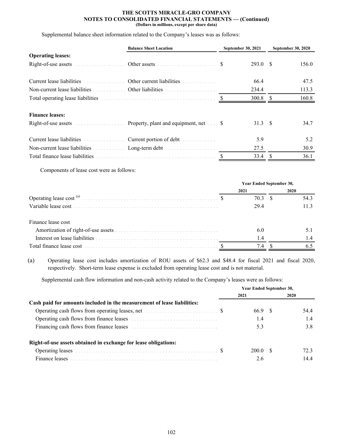Supplemental balance sheet information related to the Company's leases was as follows:

|                                           | <b>Balance Sheet Location</b>                                                                                                                                                                                                  | September 30, 2021 |           |  |       |  | <b>September 30, 2020</b> |  |
|-------------------------------------------|--------------------------------------------------------------------------------------------------------------------------------------------------------------------------------------------------------------------------------|--------------------|-----------|--|-------|--|---------------------------|--|
| <b>Operating leases:</b>                  |                                                                                                                                                                                                                                |                    |           |  |       |  |                           |  |
| Right-of-use assets                       | Other assets experiences in the contract of the contract of the contract of the contract of the contract of the contract of the contract of the contract of the contract of the contract of the contract of the contract of th | <sup>\$</sup>      | 293.0 \$  |  | 156.0 |  |                           |  |
| Current lease liabilities                 | Other current liabilities                                                                                                                                                                                                      |                    | 66.4      |  | 47.5  |  |                           |  |
|                                           |                                                                                                                                                                                                                                |                    | 234.4     |  | 113.3 |  |                           |  |
|                                           |                                                                                                                                                                                                                                |                    | 300.8 \$  |  | 160.8 |  |                           |  |
| <b>Finance leases:</b>                    |                                                                                                                                                                                                                                |                    |           |  |       |  |                           |  |
| Right-of-use assets                       | Property, plant and equipment, net \$                                                                                                                                                                                          |                    | $31.3$ \$ |  | 34.7  |  |                           |  |
| Current lease liabilities                 | Current portion of debt                                                                                                                                                                                                        |                    | 5.9       |  | 5.2   |  |                           |  |
|                                           |                                                                                                                                                                                                                                |                    | 27.5      |  | 30.9  |  |                           |  |
|                                           |                                                                                                                                                                                                                                |                    | 33.4      |  | 36.1  |  |                           |  |
| Components of lease cost were as follows: |                                                                                                                                                                                                                                |                    |           |  |       |  |                           |  |

|                                                                                                |      | Year Ended September 30, |
|------------------------------------------------------------------------------------------------|------|--------------------------|
|                                                                                                | 2021 | 2020                     |
|                                                                                                | 70.3 | 54.3                     |
|                                                                                                | 294  | 113                      |
| Finance lease cost                                                                             |      |                          |
|                                                                                                | 6.0  |                          |
|                                                                                                | 1.4  | l 4                      |
| Total finance lease cost encourage exercises are also exercises and service such services in S | 7.4  |                          |

(a) Operating lease cost includes amortization of ROU assets of \$62.3 and \$48.4 for fiscal 2021 and fiscal 2020, respectively. Short-term lease expense is excluded from operating lease cost and is not material.

Supplemental cash flow information and non-cash activity related to the Company's leases were as follows:

|                                                                                                                                                                                                                                | Year Ended September 30, |    |      |  |  |
|--------------------------------------------------------------------------------------------------------------------------------------------------------------------------------------------------------------------------------|--------------------------|----|------|--|--|
|                                                                                                                                                                                                                                | 2021                     |    | 2020 |  |  |
| Cash paid for amounts included in the measurement of lease liabilities:                                                                                                                                                        |                          |    |      |  |  |
| Operating cash flows from operating leases, net manufactured such that S                                                                                                                                                       | 66.9 \$                  |    | 54.4 |  |  |
| Operating cash flows from finance leases entertainment of the state of the state of the state of the state of the state of the state of the state of the state of the state of the state of the state of the state of the stat | 1.4                      |    | 1.4  |  |  |
| Financing cash flows from finance leases entertainment of the state of the state of the state of the state of the state of the state of the state of the state of the state of the state of the state of the state of the stat | 5.3                      |    | 3.8  |  |  |
| Right-of-use assets obtained in exchange for lease obligations:                                                                                                                                                                |                          |    |      |  |  |
|                                                                                                                                                                                                                                | 200 O                    | -S | 723  |  |  |
| Finance leases                                                                                                                                                                                                                 | 2.6                      |    | 14.4 |  |  |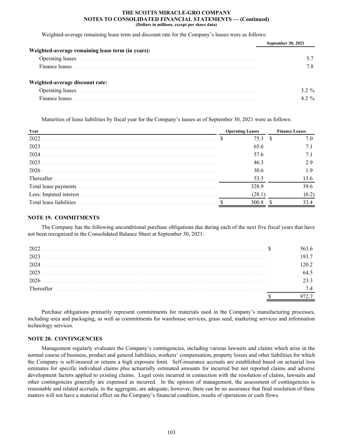Weighted-average remaining lease term and discount rate for the Company's leases were as follows:

|                                                                                                                                                                                                                                | September 30, 2021 |
|--------------------------------------------------------------------------------------------------------------------------------------------------------------------------------------------------------------------------------|--------------------|
| Weighted-average remaining lease term (in years):                                                                                                                                                                              |                    |
| Operating leases encourance in the contract of the contract of the contract of the contract of the contract of the contract of the contract of the contract of the contract of the contract of the contract of the contract of | 57                 |
|                                                                                                                                                                                                                                | 78                 |
| Weighted-average discount rate:                                                                                                                                                                                                |                    |
| Operating leases entertainment and the contract of the contract of the contract of the contract of the contract of the contract of the contract of the contract of the contract of the contract of the contract of the contrac | $32\%$             |
|                                                                                                                                                                                                                                | 4 2 %              |

Maturities of lease liabilities by fiscal year for the Company's leases as of September 30, 2021 were as follows:

| Year | <b>Operating Leases</b> | <b>Finance Leases</b> |       |  |
|------|-------------------------|-----------------------|-------|--|
| 2022 | 75.3                    |                       |       |  |
| 2023 | 65.6                    |                       |       |  |
| 2024 | 57.6                    |                       |       |  |
| 2025 | 46.3                    |                       | 29    |  |
|      | 30.6                    |                       | 19    |  |
|      | 53.5                    |                       | 13.6  |  |
|      | 328.9                   |                       | 396   |  |
|      | (28.1)                  |                       | (6.2) |  |
|      | 300 8                   |                       | 334   |  |

# **NOTE 19. COMMITMENTS**

The Company has the following unconditional purchase obligations due during each of the next five fiscal years that have not been recognized in the Consolidated Balance Sheet at September 30, 2021:

| 2022          |      |
|---------------|------|
| $202^{\circ}$ |      |
| 2024          | 1202 |
| 2025          |      |
| 2026          |      |
|               |      |
|               |      |

Purchase obligations primarily represent commitments for materials used in the Company's manufacturing processes, including urea and packaging, as well as commitments for warehouse services, grass seed, marketing services and information technology services.

# **NOTE 20. CONTINGENCIES**

Management regularly evaluates the Company's contingencies, including various lawsuits and claims which arise in the normal course of business, product and general liabilities, workers' compensation, property losses and other liabilities for which the Company is self-insured or retains a high exposure limit. Self-insurance accruals are established based on actuarial loss estimates for specific individual claims plus actuarially estimated amounts for incurred but not reported claims and adverse development factors applied to existing claims. Legal costs incurred in connection with the resolution of claims, lawsuits and other contingencies generally are expensed as incurred. In the opinion of management, the assessment of contingencies is reasonable and related accruals, in the aggregate, are adequate; however, there can be no assurance that final resolution of these matters will not have a material effect on the Company's financial condition, results of operations or cash flows.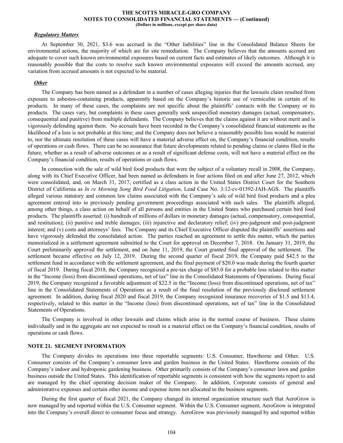#### *Regulatory Matters*

At September 30, 2021, \$3.6 was accrued in the "Other liabilities" line in the Consolidated Balance Sheets for environmental actions, the majority of which are for site remediation. The Company believes that the amounts accrued are adequate to cover such known environmental exposures based on current facts and estimates of likely outcomes. Although it is reasonably possible that the costs to resolve such known environmental exposures will exceed the amounts accrued, any variation from accrued amounts is not expected to be material.

#### *Other*

The Company has been named as a defendant in a number of cases alleging injuries that the lawsuits claim resulted from exposure to asbestos-containing products, apparently based on the Company's historic use of vermiculite in certain of its products. In many of these cases, the complaints are not specific about the plaintiffs' contacts with the Company or its products. The cases vary, but complaints in these cases generally seek unspecified monetary damages (actual, compensatory, consequential and punitive) from multiple defendants. The Company believes that the claims against it are without merit and is vigorously defending against them. No accruals have been recorded in the Company's consolidated financial statements as the likelihood of a loss is not probable at this time; and the Company does not believe a reasonably possible loss would be material to, nor the ultimate resolution of these cases will have a material adverse effect on, the Company's financial condition, results of operations or cash flows. There can be no assurance that future developments related to pending claims or claims filed in the future, whether as a result of adverse outcomes or as a result of significant defense costs, will not have a material effect on the Company's financial condition, results of operations or cash flows.

In connection with the sale of wild bird food products that were the subject of a voluntary recall in 2008, the Company, along with its Chief Executive Officer, had been named as defendants in four actions filed on and after June 27, 2012, which were consolidated, and, on March 31, 2017, certified as a class action in the United States District Court for the Southern District of California as *In re Morning Song Bird Food Litigation*, Lead Case No. 3:12-cv-01592-JAH-AGS. The plaintiffs alleged various statutory and common law claims associated with the Company's sale of wild bird food products and a plea agreement entered into in previously pending government proceedings associated with such sales. The plaintiffs alleged, among other things, a class action on behalf of all persons and entities in the United States who purchased certain bird food products. The plaintiffs asserted: (i) hundreds of millions of dollars in monetary damages (actual, compensatory, consequential, and restitution); (ii) punitive and treble damages; (iii) injunctive and declaratory relief; (iv) pre-judgment and post-judgment interest; and (v) costs and attorneys' fees. The Company and its Chief Executive Officer disputed the plaintiffs' assertions and have vigorously defended the consolidated action. The parties reached an agreement to settle this matter, which the parties memorialized in a settlement agreement submitted to the Court for approval on December 7, 2018. On January 31, 2019, the Court preliminarily approved the settlement, and on June 11, 2019, the Court granted final approval of the settlement. The settlement became effective on July 12, 2019. During the second quarter of fiscal 2019, the Company paid \$42.5 to the settlement fund in accordance with the settlement agreement, and the final payment of \$20.0 was made during the fourth quarter of fiscal 2019. During fiscal 2018, the Company recognized a pre-tax charge of \$85.0 for a probable loss related to this matter in the "Income (loss) from discontinued operations, net of tax" line in the Consolidated Statements of Operations. During fiscal 2019, the Company recognized a favorable adjustment of \$22.5 in the "Income (loss) from discontinued operations, net of tax" line in the Consolidated Statements of Operations as a result of the final resolution of the previously disclosed settlement agreement. In addition, during fiscal 2020 and fiscal 2019, the Company recognized insurance recoveries of \$1.5 and \$13.4, respectively, related to this matter in the "Income (loss) from discontinued operations, net of tax" line in the Consolidated Statements of Operations.

The Company is involved in other lawsuits and claims which arise in the normal course of business. These claims individually and in the aggregate are not expected to result in a material effect on the Company's financial condition, results of operations or cash flows.

## **NOTE 21. SEGMENT INFORMATION**

The Company divides its operations into three reportable segments: U.S. Consumer, Hawthorne and Other. U.S. Consumer consists of the Company's consumer lawn and garden business in the United States. Hawthorne consists of the Company's indoor and hydroponic gardening business. Other primarily consists of the Company's consumer lawn and garden business outside the United States. This identification of reportable segments is consistent with how the segments report to and are managed by the chief operating decision maker of the Company. In addition, Corporate consists of general and administrative expenses and certain other income and expense items not allocated to the business segments.

During the first quarter of fiscal 2021, the Company changed its internal organization structure such that AeroGrow is now managed by and reported within the U.S. Consumer segment. Within the U.S. Consumer segment, AeroGrow is integrated into the Company's overall direct to consumer focus and strategy. AeroGrow was previously managed by and reported within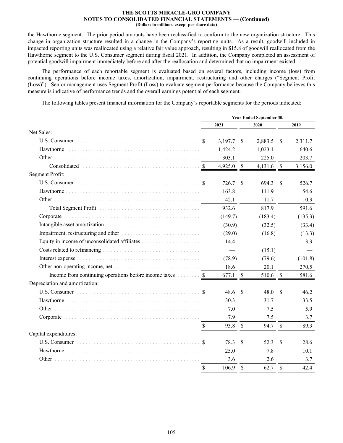the Hawthorne segment. The prior period amounts have been reclassified to conform to the new organization structure. This change in organization structure resulted in a change in the Company's reporting units. As a result, goodwill included in impacted reporting units was reallocated using a relative fair value approach, resulting in \$15.8 of goodwill reallocated from the Hawthorne segment to the U.S. Consumer segment during fiscal 2021. In addition, the Company completed an assessment of potential goodwill impairment immediately before and after the reallocation and determined that no impairment existed.

The performance of each reportable segment is evaluated based on several factors, including income (loss) from continuing operations before income taxes, amortization, impairment, restructuring and other charges ("Segment Profit (Loss)"). Senior management uses Segment Profit (Loss) to evaluate segment performance because the Company believes this measure is indicative of performance trends and the overall earnings potential of each segment.

The following tables present financial information for the Company's reportable segments for the periods indicated:

|                                                                                                                                                                                                                               |      | Year Ended September 30, |               |              |                           |         |
|-------------------------------------------------------------------------------------------------------------------------------------------------------------------------------------------------------------------------------|------|--------------------------|---------------|--------------|---------------------------|---------|
|                                                                                                                                                                                                                               |      | 2021                     |               | 2020         |                           | 2019    |
| Net Sales:                                                                                                                                                                                                                    |      |                          |               |              |                           |         |
|                                                                                                                                                                                                                               |      | 3,197.7                  | -\$           | 2,883.5      | $\mathbb{S}$              | 2,311.7 |
| Hawthorne                                                                                                                                                                                                                     |      | 1,424.2                  |               | 1,023.1      |                           | 640.6   |
| Other                                                                                                                                                                                                                         |      | 303.1                    |               | 225.0        |                           | 203.7   |
| Consolidated                                                                                                                                                                                                                  | - \$ | $4,925.0$ \$             |               | $4,131.6$ \$ |                           | 3,156.0 |
| Segment Profit:                                                                                                                                                                                                               |      |                          |               |              |                           |         |
|                                                                                                                                                                                                                               |      | 726.7                    | -\$           | 694.3        | <sup>\$</sup>             | 526.7   |
|                                                                                                                                                                                                                               |      | 163.8                    |               | 111.9        |                           | 54.6    |
|                                                                                                                                                                                                                               |      | 42.1                     |               | 11.7         |                           | 10.3    |
| Total Segment Profit                                                                                                                                                                                                          |      | 932.6                    |               | 817.9        |                           | 591.6   |
|                                                                                                                                                                                                                               |      | (149.7)                  |               | (183.4)      |                           | (135.3) |
|                                                                                                                                                                                                                               |      | (30.9)                   |               | (32.5)       |                           | (33.4)  |
| Impairment, restructuring and other contained and state and several contained and state and state and state and state and state and state and state and state and state and state and state and state and state and state and |      | (29.0)                   |               | (16.8)       |                           | (13.3)  |
|                                                                                                                                                                                                                               |      | 14.4                     |               |              |                           | 3.3     |
|                                                                                                                                                                                                                               |      |                          |               | (15.1)       |                           |         |
|                                                                                                                                                                                                                               |      | (78.9)                   |               | (79.6)       |                           | (101.8) |
|                                                                                                                                                                                                                               |      | 18.6                     |               | 20.1         |                           | 270.5   |
|                                                                                                                                                                                                                               |      | 677.1 \$                 |               | 510.6        | <b>S</b>                  | 581.6   |
| Depreciation and amortization:                                                                                                                                                                                                |      |                          |               |              |                           |         |
| U.S. Consumer expressions are a consequence of the consequence of the consequence of the consequence of the consequence of the consequence of the consequence of the consequence of the consequence of the consequence of the | -S   | 48.6                     | -S            | 48.0         | S                         | 46.2    |
|                                                                                                                                                                                                                               |      | 30.3                     |               | 31.7         |                           | 33.5    |
| Other                                                                                                                                                                                                                         |      | 7.0                      |               | 7.5          |                           | 5.9     |
|                                                                                                                                                                                                                               |      | 7.9                      |               | 7.5          |                           | 3.7     |
|                                                                                                                                                                                                                               |      | 93.8                     | $\mathcal{S}$ | 94.7         | $\boldsymbol{\mathsf{S}}$ | 89.3    |
| Capital expenditures:                                                                                                                                                                                                         |      |                          |               |              |                           |         |
|                                                                                                                                                                                                                               | -S   | 78.3                     | $\mathcal{S}$ | 52.3         | \$                        | 28.6    |
| Hawthorne                                                                                                                                                                                                                     |      | 25.0                     |               | 7.8          |                           | 10.1    |
| Other                                                                                                                                                                                                                         |      | 3.6                      |               | 2.6          |                           | 3.7     |
|                                                                                                                                                                                                                               | \$   | 106.9                    | $\mathbf S$   | 62.7         | \$                        | 42.4    |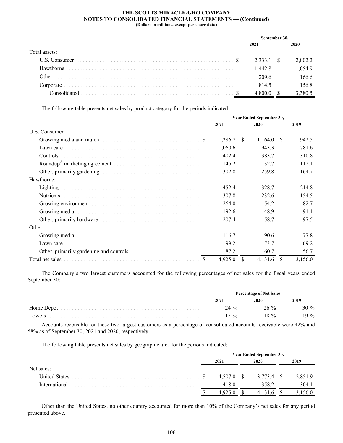#### THE SCOTTS MIRACLE-GRO COMPANY **NOTES TO CONSOLIDATED FINANCIAL STATEMENTS — (Continued) (Dollars in millions, except per share data)**

|               | September 30, |  |         |  |
|---------------|---------------|--|---------|--|
|               | 2021          |  | 2020    |  |
| Total assets: |               |  |         |  |
| U.S. Consumer | $2,333.1$ \$  |  | 2.002.2 |  |
| Hawthorne     | 1,442.8       |  | 1,054.9 |  |
| Other         | 209.6         |  | 166.6   |  |
| Corporate     | 814.5         |  | 156.8   |  |
| Consolidated  | 4.800.0       |  | 3,380.5 |  |

The following table presents net sales by product category for the periods indicated:

|                                                                                                                                                                                                                                | Year Ended September 30, |               |                |  |  |  |  |  |
|--------------------------------------------------------------------------------------------------------------------------------------------------------------------------------------------------------------------------------|--------------------------|---------------|----------------|--|--|--|--|--|
|                                                                                                                                                                                                                                | 2021                     | 2020          | 2019           |  |  |  |  |  |
| U.S. Consumer:                                                                                                                                                                                                                 |                          |               |                |  |  |  |  |  |
|                                                                                                                                                                                                                                | 1,286.7                  | -S<br>1,164.0 | 942.5<br>- S   |  |  |  |  |  |
| Lawn care                                                                                                                                                                                                                      | 1,060.6                  | 943.3         | 781.6          |  |  |  |  |  |
| Controls                                                                                                                                                                                                                       | 402.4                    | 383.7         | 310.8          |  |  |  |  |  |
|                                                                                                                                                                                                                                | 145.2                    | 132.7         | 112.1          |  |  |  |  |  |
|                                                                                                                                                                                                                                | 302.8                    | 259.8         | 164.7          |  |  |  |  |  |
| Hawthorne:                                                                                                                                                                                                                     |                          |               |                |  |  |  |  |  |
|                                                                                                                                                                                                                                | 452.4                    | 328.7         | 214.8          |  |  |  |  |  |
| <b>Nutrients</b>                                                                                                                                                                                                               | 307.8                    | 232.6         | 154.5          |  |  |  |  |  |
| Growing environment entertainment and the contract of the contract of the contract of the contract of the contract of the contract of the contract of the contract of the contract of the contract of the contract of the cont | 264.0                    | 154.2         | 82.7           |  |  |  |  |  |
|                                                                                                                                                                                                                                | 192.6                    | 148.9         | 91.1           |  |  |  |  |  |
|                                                                                                                                                                                                                                | 207.4                    | 158.7         | 97.5           |  |  |  |  |  |
| Other:                                                                                                                                                                                                                         |                          |               |                |  |  |  |  |  |
|                                                                                                                                                                                                                                | 116.7                    | 90.6          | 77.8           |  |  |  |  |  |
| Lawn care                                                                                                                                                                                                                      | 99.2                     | 73.7          | 69.2           |  |  |  |  |  |
|                                                                                                                                                                                                                                | 87.2                     | 60.7          | 56.7           |  |  |  |  |  |
| Total net sales entertainment and the sales of the sales of the sales of the sales of the sales of the sales of $\$                                                                                                            | 4,925.0                  | \$<br>4,131.6 | \$.<br>3,156.0 |  |  |  |  |  |

The Company's two largest customers accounted for the following percentages of net sales for the fiscal years ended September 30:

|            | <b>Percentage of Net Sales</b> |        |      |  |  |  |  |
|------------|--------------------------------|--------|------|--|--|--|--|
|            | $202^{\circ}$                  | 2020   | 2019 |  |  |  |  |
| Home Depot | $24\%$                         | $26\%$ | 30 % |  |  |  |  |
| Lowe's     | $15\%$                         | $18\%$ | 19 % |  |  |  |  |

Accounts receivable for these two largest customers as a percentage of consolidated accounts receivable were 42% and 58% as of September 30, 2021 and 2020, respectively.

The following table presents net sales by geographic area for the periods indicated:

|                      | <b>Year Ended September 30,</b> |              |      |              |      |         |  |  |  |
|----------------------|---------------------------------|--------------|------|--------------|------|---------|--|--|--|
|                      | 2021                            |              | 2020 |              | 2019 |         |  |  |  |
| Net sales:           |                                 |              |      |              |      |         |  |  |  |
| <b>United States</b> |                                 | $4,507.0$ \$ |      | $3,773.4$ \$ |      | 2,851.9 |  |  |  |
| International        |                                 | 418.0        |      | 358.2        |      | 304.1   |  |  |  |
|                      |                                 |              |      | 1.151.0      |      | 3,156.0 |  |  |  |

Other than the United States, no other country accounted for more than 10% of the Company's net sales for any period presented above.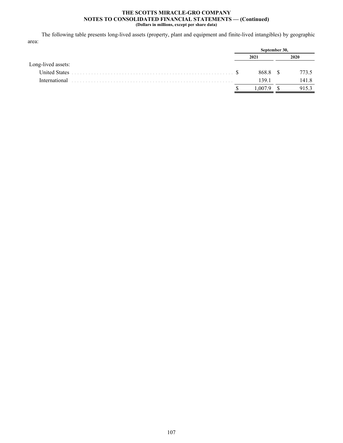### THE SCOTTS MIRACLE-GRO COMPANY **NOTES TO CONSOLIDATED FINANCIAL STATEMENTS — (Continued) (Dollars in millions, except per share data)**

The following table presents long-lived assets (property, plant and equipment and finite-lived intangibles) by geographic area:

|                      | September 30. |  |             |  |  |
|----------------------|---------------|--|-------------|--|--|
|                      | 2021          |  | <b>2020</b> |  |  |
| Long-lived assets:   |               |  |             |  |  |
| <b>United States</b> | 868.8         |  | 773.5       |  |  |
| International        | 139.1         |  | 141.8       |  |  |
|                      |               |  |             |  |  |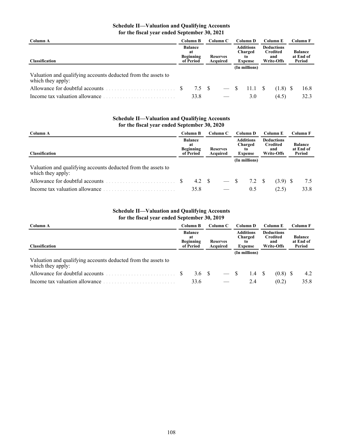## **Schedule II—Valuation and Qualifying Accounts for the fiscal year ended September 30, 2021**

| Column A                                                                           |  | Column B                                                                             |  | Column C |                                              | Column D      |                                                           | Column E   |                                       | Column F |
|------------------------------------------------------------------------------------|--|--------------------------------------------------------------------------------------|--|----------|----------------------------------------------|---------------|-----------------------------------------------------------|------------|---------------------------------------|----------|
| <b>Classification</b>                                                              |  | <b>Balance</b><br>at<br><b>Beginning</b><br><b>Reserves</b><br>of Period<br>Acquired |  |          | Additions<br>Charged<br>to<br><b>Expense</b> |               | <b>Deductions</b><br><b>Credited</b><br>and<br>Write-Offs |            | <b>Balance</b><br>at End of<br>Period |          |
|                                                                                    |  |                                                                                      |  |          |                                              | (In millions) |                                                           |            |                                       |          |
| Valuation and qualifying accounts deducted from the assets to<br>which they apply: |  |                                                                                      |  |          |                                              |               |                                                           |            |                                       |          |
| Allowance for doubtful accounts                                                    |  | 7.5 S                                                                                |  | $-$ \$   |                                              | 11.1          |                                                           | $(1.8)$ \$ |                                       | 16.8     |
| Income tax valuation allowance                                                     |  | 33.8                                                                                 |  |          |                                              | 3.0           |                                                           | (4.5)      |                                       | 32.3     |

### **Schedule II—Valuation and Qualifying Accounts for the fiscal year ended September 30, 2020**

| Column A                                                                           | Column B                                              |                                                                                                                                                         | Column C | Column D      |  |  | Column E                              | Column F |
|------------------------------------------------------------------------------------|-------------------------------------------------------|---------------------------------------------------------------------------------------------------------------------------------------------------------|----------|---------------|--|--|---------------------------------------|----------|
| <b>Classification</b>                                                              | <b>Balance</b><br>at<br><b>Beginning</b><br>of Period | <b>Additions</b><br><b>Deductions</b><br><b>Credited</b><br>Charged<br><b>Reserves</b><br>and<br>to.<br><b>Write-Offs</b><br><b>Expense</b><br>Acquired |          |               |  |  | <b>Balance</b><br>at End of<br>Period |          |
|                                                                                    |                                                       |                                                                                                                                                         |          | (In millions) |  |  |                                       |          |
| Valuation and qualifying accounts deducted from the assets to<br>which they apply: |                                                       |                                                                                                                                                         |          |               |  |  |                                       |          |
| Allowance for doubtful accounts                                                    | 4.2 \$                                                |                                                                                                                                                         |          | 72            |  |  | $(3.9)$ \$                            | 7.5      |
| Income tax valuation allowance                                                     | 35.8                                                  |                                                                                                                                                         |          | 0.5           |  |  | (2.5)                                 | 33.8     |

## **Schedule II—Valuation and Qualifying Accounts for the fiscal year ended September 30, 2019**

| Column A                                                                           | Column B                                              |                             | Column C | Column D      |  | Column E   | Column F |  |  |  |  |  |  |                                                      |                                                    |  |                                       |
|------------------------------------------------------------------------------------|-------------------------------------------------------|-----------------------------|----------|---------------|--|------------|----------|--|--|--|--|--|--|------------------------------------------------------|----------------------------------------------------|--|---------------------------------------|
| <b>Classification</b>                                                              | <b>Balance</b><br>at<br><b>Beginning</b><br>of Period | <b>Reserves</b><br>Acquired |          |               |  |            |          |  |  |  |  |  |  | <b>Additions</b><br>Charged<br>to.<br><b>Expense</b> | <b>Deductions</b><br>Credited<br>and<br>Write-Offs |  | <b>Balance</b><br>at End of<br>Period |
|                                                                                    |                                                       |                             |          | (In millions) |  |            |          |  |  |  |  |  |  |                                                      |                                                    |  |                                       |
| Valuation and qualifying accounts deducted from the assets to<br>which they apply: |                                                       |                             |          |               |  |            |          |  |  |  |  |  |  |                                                      |                                                    |  |                                       |
| Allowance for doubtful accounts                                                    | 3.6                                                   |                             |          | -S<br>1.4     |  | $(0.8)$ \$ | 4.2      |  |  |  |  |  |  |                                                      |                                                    |  |                                       |
| Income tax valuation allowance                                                     | 33.6                                                  |                             |          | 2.4           |  | (0.2)      | 35.8     |  |  |  |  |  |  |                                                      |                                                    |  |                                       |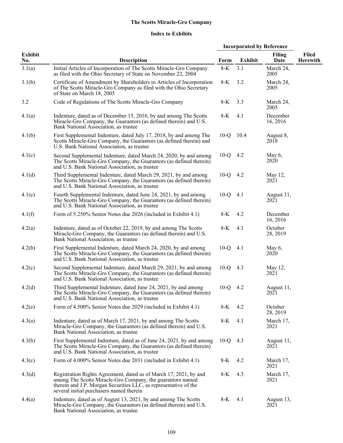# **The Scotts Miracle-Gro Company**

### **Index to Exhibits**

|                       |                                                                                                                                                                                                                                                 | <b>Incorporated by Reference</b> |                |                      |                          |
|-----------------------|-------------------------------------------------------------------------------------------------------------------------------------------------------------------------------------------------------------------------------------------------|----------------------------------|----------------|----------------------|--------------------------|
| <b>Exhibit</b><br>No. | <b>Description</b>                                                                                                                                                                                                                              | Form                             | <b>Exhibit</b> | Filing<br>Date       | Filed<br><b>Herewith</b> |
| 3.1(a)                | Initial Articles of Incorporation of The Scotts Miracle-Gro Company<br>as filed with the Ohio Secretary of State on November 22, 2004                                                                                                           | 8-K                              | 3.1            | March 24,<br>2005    |                          |
| 3.1(b)                | Certificate of Amendment by Shareholders to Articles of Incorporation<br>of The Scotts Miracle-Gro Company as filed with the Ohio Secretary<br>of State on March 18, 2005                                                                       | 8-K                              | 3.2            | March 24,<br>2005    |                          |
| 3.2                   | Code of Regulations of The Scotts Miracle-Gro Company                                                                                                                                                                                           | 8-K                              | 3.3            | March 24,<br>2005    |                          |
| 4.1(a)                | Indenture, dated as of December 15, 2016, by and among The Scotts<br>Miracle-Gro Company, the Guarantors (as defined therein) and U.S.<br>Bank National Association, as trustee                                                                 | 8-K                              | 4.1            | December<br>16, 2016 |                          |
| 4.1(b)                | First Supplemental Indenture, dated July 17, 2018, by and among The<br>Scotts Miracle-Gro Company, the Guarantors (as defined therein) and<br>U.S. Bank National Association, as trustee                                                        | $10-Q$                           | 10.4           | August 8,<br>2018    |                          |
| 4.1(c)                | Second Supplemental Indenture, dated March 24, 2020, by and among<br>The Scotts Miracle-Gro Company, the Guarantors (as defined therein)<br>and U.S. Bank National Association, as trustee                                                      | $10-Q$                           | 4.2            | May $6$ ,<br>2020    |                          |
| 4.1(d)                | Third Supplemental Indenture, dated March 29, 2021, by and among<br>The Scotts Miracle-Gro Company, the Guarantors (as defined therein)<br>and U.S. Bank National Association, as trustee                                                       | $10-Q$                           | 4.2            | May 12,<br>2021      |                          |
| 4.1(e)                | Fourth Supplemental Indenture, dated June 24, 2021, by and among<br>The Scotts Miracle-Gro Company, the Guarantors (as defined therein)<br>and U.S. Bank National Association, as trustee                                                       | $10-Q$                           | 4.1            | August 11,<br>2021   |                          |
| 4.1(f)                | Form of 5.250% Senior Notes due 2026 (included in Exhibit 4.1)                                                                                                                                                                                  | $8-K$                            | 4.2            | December<br>16, 2016 |                          |
| 4.2(a)                | Indenture, dated as of October 22, 2019, by and among The Scotts<br>Miracle-Gro Company, the Guarantors (as defined therein) and U.S.<br>Bank National Association, as trustee                                                                  | 8-K                              | 4.1            | October<br>28, 2019  |                          |
| 4.2(b)                | First Supplemental Indenture, dated March 24, 2020, by and among<br>The Scotts Miracle-Gro Company, the Guarantors (as defined therein)<br>and U.S. Bank National Association, as trustee                                                       | $10-Q$                           | 4.1            | May $6$ ,<br>2020    |                          |
| 4.2(c)                | Second Supplemental Indenture, dated March 29, 2021, by and among<br>The Scotts Miracle-Gro Company, the Guarantors (as defined therein)<br>and U.S. Bank National Association, as trustee                                                      | $10-Q$                           | 4.3            | May 12,<br>2021      |                          |
| 4.2(d)                | Third Supplemental Indenture, dated June 24, 2021, by and among<br>The Scotts Miracle-Gro Company, the Guarantors (as defined therein)<br>and U.S. Bank National Association, as trustee                                                        | $10-Q$                           | 4.2            | August 11,<br>2021   |                          |
| 4.2(e)                | Form of 4.500% Senior Notes due 2029 (included in Exhibit 4.1)                                                                                                                                                                                  | $8-K$                            | 4.2            | October<br>28, 2019  |                          |
| 4.3(a)                | Indenture, dated as of March 17, 2021, by and among The Scotts<br>Miracle-Gro Company, the Guarantors (as defined therein) and U.S.<br>Bank National Association, as trustee                                                                    | 8-K                              | 4.1            | March 17,<br>2021    |                          |
| 4.3(b)                | First Supplemental Indenture, dated as of June 24, 2021, by and among<br>The Scotts Miracle-Gro Company, the Guarantors (as defined therein)<br>and U.S. Bank National Association, as trustee                                                  | $10-Q$                           | 4.3            | August 11,<br>2021   |                          |
| 4.3(c)                | Form of 4.000% Senior Notes due 2031 (included in Exhibit 4.1)                                                                                                                                                                                  | 8-K                              | 4.2            | March 17,<br>2021    |                          |
| 4.3(d)                | Registration Rights Agreement, dated as of March 17, 2021, by and<br>among The Scotts Miracle-Gro Company, the guarantors named<br>therein and J.P. Morgan Securities LLC, as representative of the<br>several initial purchasers named therein | 8-K                              | 4.3            | March 17,<br>2021    |                          |
| 4.4(a)                | Indenture, dated as of August 13, 2021, by and among The Scotts<br>Miracle-Gro Company, the Guarantors (as defined therein) and U.S.<br>Bank National Association, as trustee                                                                   | 8-K                              | 4.1            | August 13,<br>2021   |                          |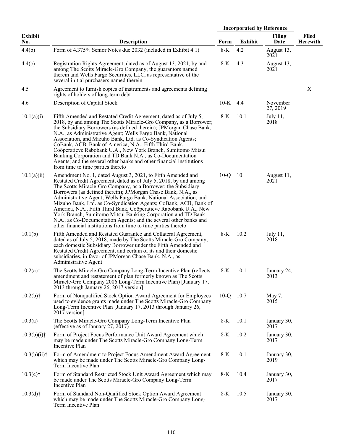|                       |                                                                                                                                                                                                                                                                                                                                                                                                                                                                                                                                                                                                                                                                                        |             | <b>Incorporated by Reference</b> |                      |                          |
|-----------------------|----------------------------------------------------------------------------------------------------------------------------------------------------------------------------------------------------------------------------------------------------------------------------------------------------------------------------------------------------------------------------------------------------------------------------------------------------------------------------------------------------------------------------------------------------------------------------------------------------------------------------------------------------------------------------------------|-------------|----------------------------------|----------------------|--------------------------|
| <b>Exhibit</b><br>No. | Description                                                                                                                                                                                                                                                                                                                                                                                                                                                                                                                                                                                                                                                                            | Form        | <b>Exhibit</b>                   | Filing<br>Date       | Filed<br><b>Herewith</b> |
| 4.4(b)                | Form of 4.375% Senior Notes due 2032 (included in Exhibit 4.1)                                                                                                                                                                                                                                                                                                                                                                                                                                                                                                                                                                                                                         | $8-K$       | 4.2                              | August 13,<br>2021   |                          |
| 4.4(c)                | Registration Rights Agreement, dated as of August 13, 2021, by and<br>among The Scotts Miracle-Gro Company, the guarantors named<br>therein and Wells Fargo Securities, LLC, as representative of the<br>several initial purchasers named therein                                                                                                                                                                                                                                                                                                                                                                                                                                      | 8-K         | 4.3                              | August 13,<br>2021   |                          |
| 4.5                   | Agreement to furnish copies of instruments and agreements defining<br>rights of holders of long-term debt                                                                                                                                                                                                                                                                                                                                                                                                                                                                                                                                                                              |             |                                  |                      | X                        |
| 4.6                   | Description of Capital Stock                                                                                                                                                                                                                                                                                                                                                                                                                                                                                                                                                                                                                                                           | $10-K$      | 4.4                              | November<br>27, 2019 |                          |
| 10.1(a)(i)            | Fifth Amended and Restated Credit Agreement, dated as of July 5,<br>2018, by and among The Scotts Miracle-Gro Company, as a Borrower;<br>the Subsidiary Borrowers (as defined therein); JPMorgan Chase Bank,<br>N.A., as Administrative Agent; Wells Fargo Bank, National<br>Association, and Mizuho Bank, Ltd. as Co-Syndication Agents;<br>CoBank, ACB, Bank of America, N.A., Fifth Third Bank,<br>Coöperatieve Rabobank U.A., New York Branch, Sumitomo Mitsui<br>Banking Corporation and TD Bank N.A., as Co-Documentation<br>Agents; and the several other banks and other financial institutions<br>from time to time parties thereto                                           | 8-K         | 10.1                             | July 11,<br>2018     |                          |
| 10.1(a)(ii)           | Amendment No. 1, dated August 3, 2021, to Fifth Amended and<br>Restated Credit Agreement, dated as of July 5, 2018, by and among<br>The Scotts Miracle-Gro Company, as a Borrower; the Subsidiary<br>Borrowers (as defined therein); JPMorgan Chase Bank, N.A., as<br>Administrative Agent; Wells Fargo Bank, National Association, and<br>Mizuho Bank, Ltd. as Co-Syndication Agents; CoBank, ACB, Bank of<br>America, N.A., Fifth Third Bank, Coöperatieve Rabobank U.A., New<br>York Branch, Sumitomo Mitsui Banking Corporation and TD Bank<br>N.A., as Co-Documentation Agents; and the several other banks and<br>other financial institutions from time to time parties thereto | $10-Q$      | 10                               | August 11,<br>2021   |                          |
| 10.1(b)               | Fifth Amended and Restated Guarantee and Collateral Agreement,<br>dated as of July 5, 2018, made by The Scotts Miracle-Gro Company,<br>each domestic Subsidiary Borrower under the Fifth Amended and<br>Restated Credit Agreement, and certain of its and their domestic<br>subsidiaries, in favor of JPM organ Chase Bank, N.A., as<br>Administrative Agent                                                                                                                                                                                                                                                                                                                           | 8-K         | 10.2                             | July 11,<br>2018     |                          |
| $10.2(a)$ †           | The Scotts Miracle-Gro Company Long-Term Incentive Plan (reflects)<br>amendment and restatement of plan formerly known as The Scotts<br>Miracle-Gro Company 2006 Long-Term Incentive Plan) [January 17,<br>2013 through January 26, 2017 version]                                                                                                                                                                                                                                                                                                                                                                                                                                      | 8-K         | 10.1                             | January 24,<br>2013  |                          |
| $10.2(b)$ †           | Form of Nonqualified Stock Option Award Agreement for Employees<br>used to evidence grants made under The Scotts Miracle-Gro Company<br>Long-Term Incentive Plan [January 17, 2013 through January 26,<br>2017 version]                                                                                                                                                                                                                                                                                                                                                                                                                                                                | $10-Q$ 10.7 |                                  | May $7$ ,<br>2015    |                          |
| $10.3(a)$ †           | The Scotts Miracle-Gro Company Long-Term Incentive Plan<br>(effective as of January 27, 2017)                                                                                                                                                                                                                                                                                                                                                                                                                                                                                                                                                                                          | $8-K$       | 10.1                             | January 30,<br>2017  |                          |
| $10.3(b)(i)$ †        | Form of Project Focus Performance Unit Award Agreement which<br>may be made under The Scotts Miracle-Gro Company Long-Term<br>Incentive Plan                                                                                                                                                                                                                                                                                                                                                                                                                                                                                                                                           | 8-K         | 10.2                             | January 30,<br>2017  |                          |
| $10.3(b)(ii)$ †       | Form of Amendment to Project Focus Amendment Award Agreement<br>which may be made under The Scotts Miracle-Gro Company Long-<br>Term Incentive Plan                                                                                                                                                                                                                                                                                                                                                                                                                                                                                                                                    | $8-K$       | 10.1                             | January 30,<br>2019  |                          |
| $10.3(c)$ †           | Form of Standard Restricted Stock Unit Award Agreement which may<br>be made under The Scotts Miracle-Gro Company Long-Term<br>Incentive Plan                                                                                                                                                                                                                                                                                                                                                                                                                                                                                                                                           | 8-K         | 10.4                             | January 30,<br>2017  |                          |
| $10.3(d)$ †           | Form of Standard Non-Qualified Stock Option Award Agreement<br>which may be made under The Scotts Miracle-Gro Company Long-<br>Term Incentive Plan                                                                                                                                                                                                                                                                                                                                                                                                                                                                                                                                     | 8-K         | 10.5                             | January 30,<br>2017  |                          |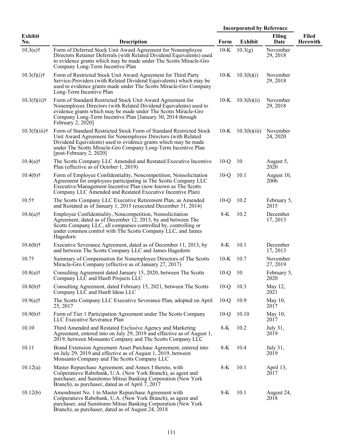|                       |                                                                                                                                                                                                                                                                                                    |        | <b>Incorporated by Reference</b> |                      |                          |
|-----------------------|----------------------------------------------------------------------------------------------------------------------------------------------------------------------------------------------------------------------------------------------------------------------------------------------------|--------|----------------------------------|----------------------|--------------------------|
| <b>Exhibit</b><br>No. | <b>Description</b>                                                                                                                                                                                                                                                                                 | Form   | <b>Exhibit</b>                   | Filing<br>Date       | Filed<br><b>Herewith</b> |
| $10.3(e)$ †           | Form of Deferred Stock Unit Award Agreement for Nonemployee<br>Directors Retainer Deferrals (with Related Dividend Equivalents) used<br>to evidence grants which may be made under The Scotts Miracle-Gro<br>Company Long-Term Incentive Plan                                                      | $10-K$ | 10.3(g)                          | November<br>29, 2018 |                          |
| $10.3(f)(i)$ †        | Form of Restricted Stock Unit Award Agreement for Third Party<br>Service-Providers (with Related Dividend Equivalents) which may be<br>used to evidence grants made under The Scotts Miracle-Gro Company<br>Long-Term Incentive Plan                                                               | $10-K$ | 10.3(h)(i)                       | November<br>29, 2018 |                          |
| $10.3(f)(ii)$ †       | Form of Standard Restricted Stock Unit Award Agreement for<br>Nonemployee Directors (with Related Dividend Equivalents) used to<br>evidence grants which may be made under The Scotts Miracle-Gro<br>Company Long-Term Incentive Plan [January 30, 2014 through<br>February 2, 2020]               | $10-K$ | 10.3(h)(ii)                      | November<br>29, 2018 |                          |
| $10.3(f)(iii)$ †      | Form of Standard Restricted Stock Form of Standard Restricted Stock<br>Unit Award Agreement for Nonemployee Directors (with Related<br>Dividend Equivalents) used to evidence grants which may be made<br>under The Scotts Miracle-Gro Company Long-Term Incentive Plan<br>[post-February 2, 2020] | $10-K$ | 10.3(h)(iii)                     | November<br>24, 2020 |                          |
| $10.4(a)$ †           | The Scotts Company LLC Amended and Restated Executive Incentive<br>Plan (effective as of October 1, 2019)                                                                                                                                                                                          | $10-Q$ | 10                               | August 5,<br>2020    |                          |
| $10.4(b)$ †           | Form of Employee Confidentiality, Noncompetition, Nonsolicitation<br>Agreement for employees participating in The Scotts Company LLC<br>Executive/Management Incentive Plan (now known as The Scotts<br>Company LLC Amended and Restated Executive Incentive Plan)                                 | $10-Q$ | 10.1                             | August 10,<br>2006   |                          |
| $10.5\dagger$         | The Scotts Company LLC Executive Retirement Plan, as Amended<br>and Restated as of January 1, 2015 (executed December 31, 2014)                                                                                                                                                                    | $10-Q$ | 10.2                             | February 5,<br>2015  |                          |
| $10.6(a)$ †           | Employee Confidentiality, Noncompetition, Nonsolicitation<br>Agreement, dated as of December 12, 2013, by and between The<br>Scotts Company LLC, all companies controlled by, controlling or<br>under common control with The Scotts Company LLC, and James<br>Hagedorn                            | $8-K$  | 10.2                             | December<br>17, 2013 |                          |
| $10.6(b)$ †           | Executive Severance Agreement, dated as of December 11, 2013, by<br>and between The Scotts Company LLC and James Hagedorn                                                                                                                                                                          | $8-K$  | 10.1                             | December<br>17, 2013 |                          |
| $10.7\dagger$         | Summary of Compensation for Nonemployee Directors of The Scotts<br>Miracle-Gro Company (effective as of January 27, 2017)                                                                                                                                                                          | $10-K$ | 10.7                             | November<br>27, 2019 |                          |
| $10.8(a)$ †           | Consulting Agreement dated January 15, 2020, between The Scotts<br>Company LLC and Hanft Projects LLC                                                                                                                                                                                              | $10-Q$ | 10                               | February 5,<br>2020  |                          |
| $10.8(b)$ †           | Consulting Agreement, dated February 15, 2021, between The Scotts<br>Company LLC and Hanft Ideas LLC                                                                                                                                                                                               | $10-Q$ | 10.3                             | May 12,<br>2021      |                          |
| $10.9(a)$ †           | The Scotts Company LLC Executive Severance Plan, adopted on April<br>25, 2017                                                                                                                                                                                                                      | $10-Q$ | 10.9                             | May 10,<br>2017      |                          |
| $10.9(b)$ †           | Form of Tier 1 Participation Agreement under The Scotts Company<br>LLC Executive Severance Plan                                                                                                                                                                                                    | $10-Q$ | 10.10                            | May 10,<br>2017      |                          |
| 10.10                 | Third Amended and Restated Exclusive Agency and Marketing<br>Agreement, entered into on July 29, 2019 and effective as of August 1,<br>2019, between Monsanto Company and The Scotts Company LLC                                                                                                   | 8-K    | 10.2                             | July 31,<br>2019     |                          |
| 10.11                 | Brand Extension Agreement Asset Purchase Agreement, entered into<br>on July 29, 2019 and effective as of August 1, 2019, between<br>Monsanto Company and The Scotts Company LLC                                                                                                                    | 8-K    | 10.4                             | July 31,<br>2019     |                          |
| 10.12(a)              | Master Repurchase Agreement, and Annex I thereto, with<br>Coöperatieve Rabobank, U.A. (New York Branch), as agent and<br>purchaser, and Sumitomo Mitsui Banking Corporation (New York<br>Branch), as purchaser, dated as of April 7, 2017                                                          | 8-K    | 10.1                             | April 13,<br>2017    |                          |
| 10.12(b)              | Amendment No. 1 to Master Repurchase Agreement with<br>Coöperatieve Rabobank, U.A. (New York Branch), as agent and<br>purchaser, and Sumitomo Mitsui Banking Corporation (New York<br>Branch), as purchaser, dated as of August 24, 2018                                                           | 8-K    | 10.1                             | August 24,<br>2018   |                          |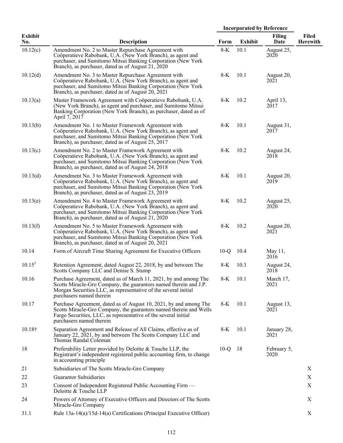|                       |                                                                                                                                                                                                                                          | <b>Incorporated by Reference</b> |                |                       |                          |
|-----------------------|------------------------------------------------------------------------------------------------------------------------------------------------------------------------------------------------------------------------------------------|----------------------------------|----------------|-----------------------|--------------------------|
| <b>Exhibit</b><br>No. | <b>Description</b>                                                                                                                                                                                                                       | Form                             | <b>Exhibit</b> | <b>Filing</b><br>Date | Filed<br><b>Herewith</b> |
| 10.12(c)              | Amendment No. 2 to Master Repurchase Agreement with<br>Coöperatieve Rabobank, U.A. (New York Branch), as agent and<br>purchaser, and Sumitomo Mitsui Banking Corporation (New York<br>Branch), as purchaser, dated as of August 21, 2020 | $8-K$                            | 10.1           | August 25,<br>2020    |                          |
| 10.12(d)              | Amendment No. 3 to Master Repurchase Agreement with<br>Coöperatieve Rabobank, U.A. (New York Branch), as agent and<br>purchaser, and Sumitomo Mitsui Banking Corporation (New York<br>Branch), as purchaser, dated as of August 20, 2021 | $8-K$                            | 10.1           | August 20,<br>2021    |                          |
| 10.13(a)              | Master Framework Agreement with Coöperatieve Rabobank, U.A.<br>(New York Branch), as agent and purchaser, and Sumitomo Mitsui<br>Banking Corporation (New York Branch), as purchaser, dated as of<br>April 7, 2017                       | $8-K$                            | 10.2           | April 13,<br>2017     |                          |
| 10.13(b)              | Amendment No. 1 to Master Framework Agreement with<br>Coöperatieve Rabobank, U.A. (New York Branch), as agent and<br>purchaser, and Sumitomo Mitsui Banking Corporation (New York<br>Branch), as purchaser, dated as of August 25, 2017  | $8-K$                            | 10.1           | August 31,<br>2017    |                          |
| 10.13(c)              | Amendment No. 2 to Master Framework Agreement with<br>Coöperatieve Rabobank, U.A. (New York Branch), as agent and<br>purchaser, and Sumitomo Mitsui Banking Corporation (New York<br>Branch), as purchaser, dated as of August 24, 2018  | 8-K                              | 10.2           | August 24,<br>2018    |                          |
| 10.13(d)              | Amendment No. 3 to Master Framework Agreement with<br>Coöperatieve Rabobank, U.A. (New York Branch), as agent and<br>purchaser, and Sumitomo Mitsui Banking Corporation (New York<br>Branch), as purchaser, dated as of August 23, 2019  | $8-K$                            | 10.1           | August 20,<br>2019    |                          |
| 10.13(e)              | Amendment No. 4 to Master Framework Agreement with<br>Coöperatieve Rabobank, U.A. (New York Branch), as agent and<br>purchaser, and Sumitomo Mitsui Banking Corporation (New York<br>Branch), as purchaser, dated as of August 21, 2020  | $8-K$                            | 10.2           | August 25,<br>2020    |                          |
| 10.13(f)              | Amendment No. 5 to Master Framework Agreement with<br>Coöperatieve Rabobank, U.A. (New York Branch), as agent and<br>purchaser, and Sumitomo Mitsui Banking Corporation (New York<br>Branch), as purchaser, dated as of August 20, 2021  | $8-K$                            | 10.2           | August 20,<br>2021    |                          |
| 10.14                 | Form of Aircraft Time Sharing Agreement for Executive Officers                                                                                                                                                                           | $10-Q$                           | 10.4           | May 11,<br>2016       |                          |
| $10.15^{\dagger}$     | Retention Agreement, dated August 22, 2018, by and between The<br>Scotts Company LLC and Denise S. Stump                                                                                                                                 | 8-K                              | 10.3           | August 24,<br>2018    |                          |
| 10.16                 | Purchase Agreement, dated as of March 11, 2021, by and among The<br>Scotts Miracle-Gro Company, the guarantors named therein and J.P.<br>Morgan Securities LLC, as representative of the several initial<br>purchasers named therein     | 8-K                              | 10.1           | March 17,<br>2021     |                          |
| 10.17                 | Purchase Agreement, dated as of August 10, 2021, by and among The<br>Scotts Miracle-Gro Company, the guarantors named therein and Wells<br>Fargo Securities, LLC, as representative of the several initial<br>purchasers named therein   | 8-K                              | 10.1           | August 13,<br>2021    |                          |
| 10.18†                | Separation Agreement and Release of All Claims, effective as of<br>January 22, 2021, by and between The Scotts Company LLC and<br>Thomas Randal Coleman                                                                                  | 8-K                              | 10.1           | January 28,<br>2021   |                          |
| 18                    | Preferability Letter provided by Deloitte & Touche LLP, the<br>Registrant's independent registered public accounting firm, to change<br>in accounting principle.                                                                         | $10-Q$                           | 18             | February 5,<br>2020   |                          |
| 21                    | Subsidiaries of The Scotts Miracle-Gro Company                                                                                                                                                                                           |                                  |                |                       | X                        |
| 22                    | <b>Guarantor Subsidiaries</b>                                                                                                                                                                                                            |                                  |                |                       | X                        |
| 23                    | Consent of Independent Registered Public Accounting Firm —<br>Deloitte & Touche LLP                                                                                                                                                      |                                  |                |                       | X                        |
| 24                    | Powers of Attorney of Executive Officers and Directors of The Scotts<br>Miracle-Gro Company                                                                                                                                              |                                  |                |                       | X                        |
| 31.1                  | Rule 13a-14(a)/15d-14(a) Certifications (Principal Executive Officer)                                                                                                                                                                    |                                  |                |                       | X                        |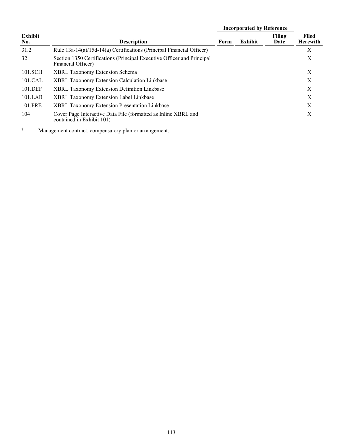|                |                                                                                              | <b>Incorporated by Reference</b> |                |                |                          |
|----------------|----------------------------------------------------------------------------------------------|----------------------------------|----------------|----------------|--------------------------|
| Exhibit<br>No. | <b>Description</b>                                                                           | Form                             | <b>Exhibit</b> | Filing<br>Date | Filed<br><b>Herewith</b> |
| 31.2           | Rule 13a-14(a)/15d-14(a) Certifications (Principal Financial Officer)                        |                                  |                |                | X                        |
| 32             | Section 1350 Certifications (Principal Executive Officer and Principal<br>Financial Officer) |                                  |                |                | X                        |
| 101.SCH        | <b>XBRL Taxonomy Extension Schema</b>                                                        |                                  |                |                | X                        |
| 101.CAL        | XBRL Taxonomy Extension Calculation Linkbase                                                 |                                  |                |                | X                        |
| 101.DEF        | <b>XBRL Taxonomy Extension Definition Linkbase</b>                                           |                                  |                |                | X                        |
| 101.LAB        | XBRL Taxonomy Extension Label Linkbase                                                       |                                  |                |                | X                        |
| 101.PRE        | XBRL Taxonomy Extension Presentation Linkbase                                                |                                  |                |                | X                        |
| 104            | Cover Page Interactive Data File (formatted as Inline XBRL and<br>contained in Exhibit 101)  |                                  |                |                | X                        |

† Management contract, compensatory plan or arrangement.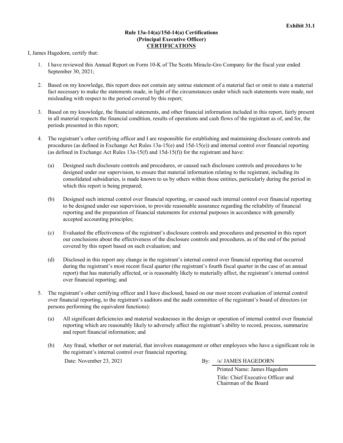### **Rule 13a-14(a)/15d-14(a) Certifications (Principal Executive Officer) CERTIFICATIONS**

I, James Hagedorn, certify that:

- 1. I have reviewed this Annual Report on Form 10-K of The Scotts Miracle-Gro Company for the fiscal year ended September 30, 2021;
- 2. Based on my knowledge, this report does not contain any untrue statement of a material fact or omit to state a material fact necessary to make the statements made, in light of the circumstances under which such statements were made, not misleading with respect to the period covered by this report;
- 3. Based on my knowledge, the financial statements, and other financial information included in this report, fairly present in all material respects the financial condition, results of operations and cash flows of the registrant as of, and for, the periods presented in this report;
- 4. The registrant's other certifying officer and I are responsible for establishing and maintaining disclosure controls and procedures (as defined in Exchange Act Rules 13a-15(e) and 15d-15(e)) and internal control over financial reporting (as defined in Exchange Act Rules  $13a-15(f)$  and  $15d-15(f)$ ) for the registrant and have:
	- (a) Designed such disclosure controls and procedures, or caused such disclosure controls and procedures to be designed under our supervision, to ensure that material information relating to the registrant, including its consolidated subsidiaries, is made known to us by others within those entities, particularly during the period in which this report is being prepared;
	- (b) Designed such internal control over financial reporting, or caused such internal control over financial reporting to be designed under our supervision, to provide reasonable assurance regarding the reliability of financial reporting and the preparation of financial statements for external purposes in accordance with generally accepted accounting principles;
	- (c) Evaluated the effectiveness of the registrant's disclosure controls and procedures and presented in this report our conclusions about the effectiveness of the disclosure controls and procedures, as of the end of the period covered by this report based on such evaluation; and
	- (d) Disclosed in this report any change in the registrant's internal control over financial reporting that occurred during the registrant's most recent fiscal quarter (the registrant's fourth fiscal quarter in the case of an annual report) that has materially affected, or is reasonably likely to materially affect, the registrant's internal control over financial reporting; and
- 5. The registrant's other certifying officer and I have disclosed, based on our most recent evaluation of internal control over financial reporting, to the registrant's auditors and the audit committee of the registrant's board of directors (or persons performing the equivalent functions):
	- (a) All significant deficiencies and material weaknesses in the design or operation of internal control over financial reporting which are reasonably likely to adversely affect the registrant's ability to record, process, summarize and report financial information; and
	- (b) Any fraud, whether or not material, that involves management or other employees who have a significant role in the registrant's internal control over financial reporting.

Date: November 23, 2021 By: /s/ JAMES HAGEDORN

Printed Name: James Hagedorn Title: Chief Executive Officer and Chairman of the Board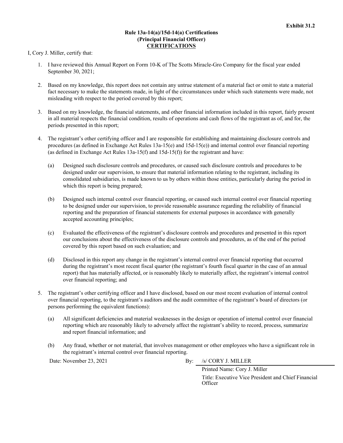### **Rule 13a-14(a)/15d-14(a) Certifications (Principal Financial Officer) CERTIFICATIONS**

I, Cory J. Miller, certify that:

- 1. I have reviewed this Annual Report on Form 10-K of The Scotts Miracle-Gro Company for the fiscal year ended September 30, 2021;
- 2. Based on my knowledge, this report does not contain any untrue statement of a material fact or omit to state a material fact necessary to make the statements made, in light of the circumstances under which such statements were made, not misleading with respect to the period covered by this report;
- 3. Based on my knowledge, the financial statements, and other financial information included in this report, fairly present in all material respects the financial condition, results of operations and cash flows of the registrant as of, and for, the periods presented in this report;
- 4. The registrant's other certifying officer and I are responsible for establishing and maintaining disclosure controls and procedures (as defined in Exchange Act Rules 13a-15(e) and 15d-15(e)) and internal control over financial reporting (as defined in Exchange Act Rules  $13a-15(f)$  and  $15d-15(f)$ ) for the registrant and have:
	- (a) Designed such disclosure controls and procedures, or caused such disclosure controls and procedures to be designed under our supervision, to ensure that material information relating to the registrant, including its consolidated subsidiaries, is made known to us by others within those entities, particularly during the period in which this report is being prepared;
	- (b) Designed such internal control over financial reporting, or caused such internal control over financial reporting to be designed under our supervision, to provide reasonable assurance regarding the reliability of financial reporting and the preparation of financial statements for external purposes in accordance with generally accepted accounting principles;
	- (c) Evaluated the effectiveness of the registrant's disclosure controls and procedures and presented in this report our conclusions about the effectiveness of the disclosure controls and procedures, as of the end of the period covered by this report based on such evaluation; and
	- (d) Disclosed in this report any change in the registrant's internal control over financial reporting that occurred during the registrant's most recent fiscal quarter (the registrant's fourth fiscal quarter in the case of an annual report) that has materially affected, or is reasonably likely to materially affect, the registrant's internal control over financial reporting; and
- 5. The registrant's other certifying officer and I have disclosed, based on our most recent evaluation of internal control over financial reporting, to the registrant's auditors and the audit committee of the registrant's board of directors (or persons performing the equivalent functions):
	- (a) All significant deficiencies and material weaknesses in the design or operation of internal control over financial reporting which are reasonably likely to adversely affect the registrant's ability to record, process, summarize and report financial information; and
	- (b) Any fraud, whether or not material, that involves management or other employees who have a significant role in the registrant's internal control over financial reporting.

Date: November 23, 2021 By: /s/ CORY J. MILLER

Printed Name: Cory J. Miller Title: Executive Vice President and Chief Financial **Officer**